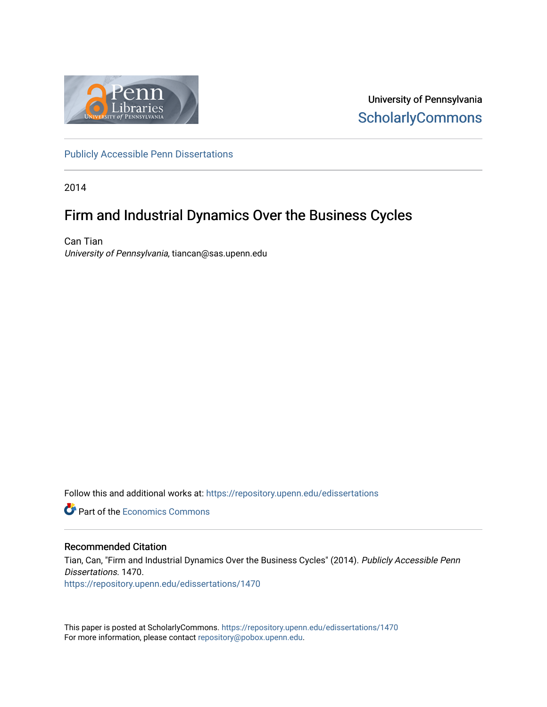

University of Pennsylvania **ScholarlyCommons** 

[Publicly Accessible Penn Dissertations](https://repository.upenn.edu/edissertations)

2014

## Firm and Industrial Dynamics Over the Business Cycles

Can Tian University of Pennsylvania, tiancan@sas.upenn.edu

Follow this and additional works at: [https://repository.upenn.edu/edissertations](https://repository.upenn.edu/edissertations?utm_source=repository.upenn.edu%2Fedissertations%2F1470&utm_medium=PDF&utm_campaign=PDFCoverPages) 

**C** Part of the [Economics Commons](http://network.bepress.com/hgg/discipline/340?utm_source=repository.upenn.edu%2Fedissertations%2F1470&utm_medium=PDF&utm_campaign=PDFCoverPages)

### Recommended Citation

Tian, Can, "Firm and Industrial Dynamics Over the Business Cycles" (2014). Publicly Accessible Penn Dissertations. 1470. [https://repository.upenn.edu/edissertations/1470](https://repository.upenn.edu/edissertations/1470?utm_source=repository.upenn.edu%2Fedissertations%2F1470&utm_medium=PDF&utm_campaign=PDFCoverPages) 

This paper is posted at ScholarlyCommons.<https://repository.upenn.edu/edissertations/1470> For more information, please contact [repository@pobox.upenn.edu.](mailto:repository@pobox.upenn.edu)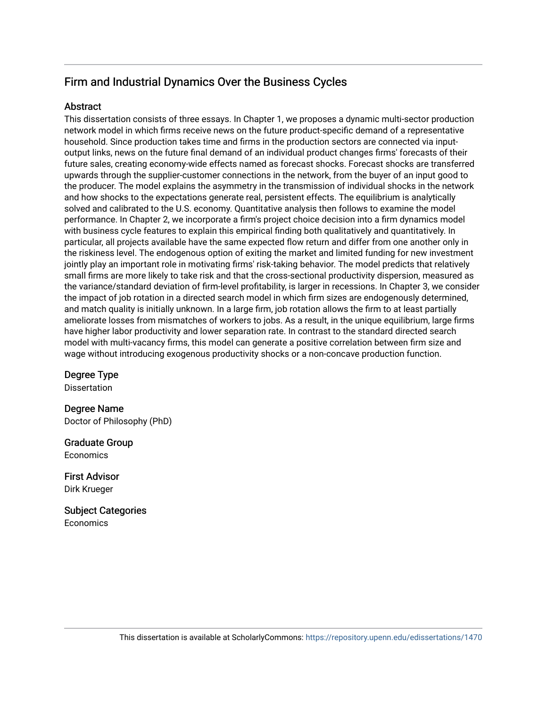### Firm and Industrial Dynamics Over the Business Cycles

### Abstract

This dissertation consists of three essays. In Chapter 1, we proposes a dynamic multi-sector production network model in which firms receive news on the future product-specific demand of a representative household. Since production takes time and firms in the production sectors are connected via inputoutput links, news on the future final demand of an individual product changes firms' forecasts of their future sales, creating economy-wide effects named as forecast shocks. Forecast shocks are transferred upwards through the supplier-customer connections in the network, from the buyer of an input good to the producer. The model explains the asymmetry in the transmission of individual shocks in the network and how shocks to the expectations generate real, persistent effects. The equilibrium is analytically solved and calibrated to the U.S. economy. Quantitative analysis then follows to examine the model performance. In Chapter 2, we incorporate a firm's project choice decision into a firm dynamics model with business cycle features to explain this empirical finding both qualitatively and quantitatively. In particular, all projects available have the same expected flow return and differ from one another only in the riskiness level. The endogenous option of exiting the market and limited funding for new investment jointly play an important role in motivating firms' risk-taking behavior. The model predicts that relatively small firms are more likely to take risk and that the cross-sectional productivity dispersion, measured as the variance/standard deviation of firm-level profitability, is larger in recessions. In Chapter 3, we consider the impact of job rotation in a directed search model in which firm sizes are endogenously determined, and match quality is initially unknown. In a large firm, job rotation allows the firm to at least partially ameliorate losses from mismatches of workers to jobs. As a result, in the unique equilibrium, large firms have higher labor productivity and lower separation rate. In contrast to the standard directed search model with multi-vacancy firms, this model can generate a positive correlation between firm size and wage without introducing exogenous productivity shocks or a non-concave production function.

Degree Type Dissertation

Degree Name Doctor of Philosophy (PhD)

Graduate Group **Economics** 

First Advisor Dirk Krueger

Subject Categories **Economics**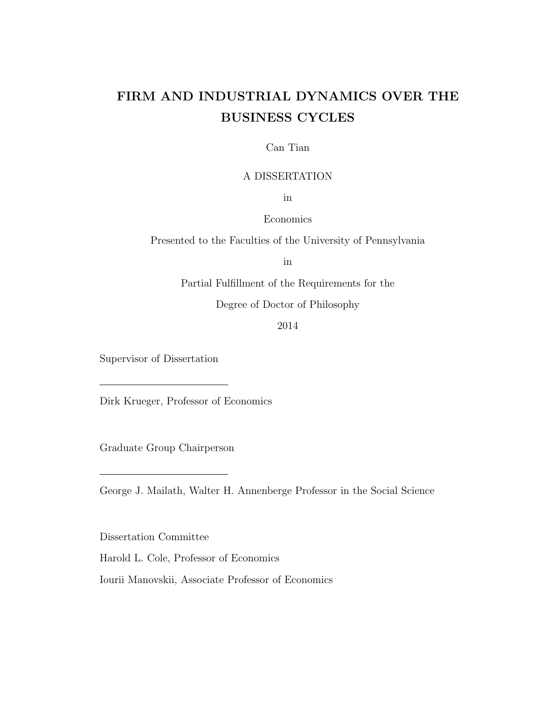# FIRM AND INDUSTRIAL DYNAMICS OVER THE BUSINESS CYCLES

### Can Tian

### A DISSERTATION

in

### Economics

Presented to the Faculties of the University of Pennsylvania

in

Partial Fulfillment of the Requirements for the

Degree of Doctor of Philosophy

2014

Supervisor of Dissertation

Dirk Krueger, Professor of Economics

Graduate Group Chairperson

George J. Mailath, Walter H. Annenberge Professor in the Social Science

Dissertation Committee

Harold L. Cole, Professor of Economics

Iourii Manovskii, Associate Professor of Economics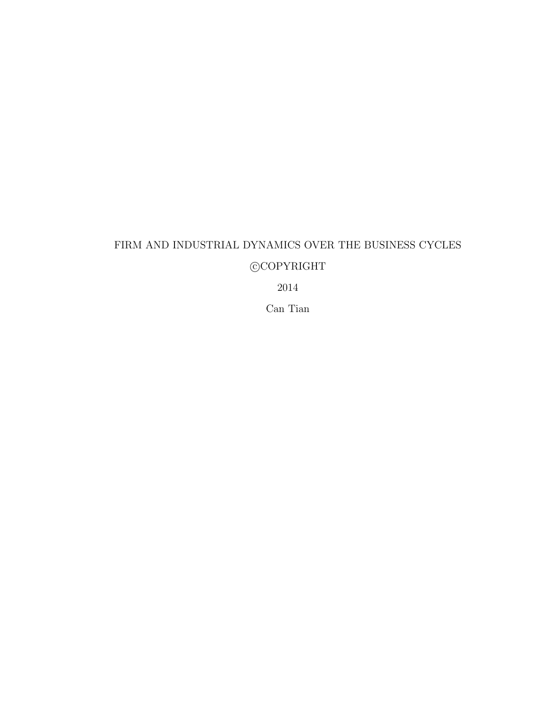# FIRM AND INDUSTRIAL DYNAMICS OVER THE BUSINESS CYCLES **COPYRIGHT**

2014

Can Tian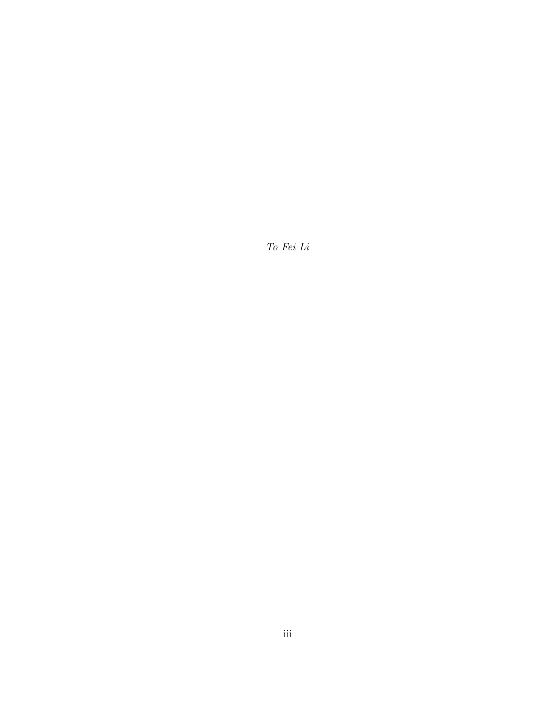To Fei Li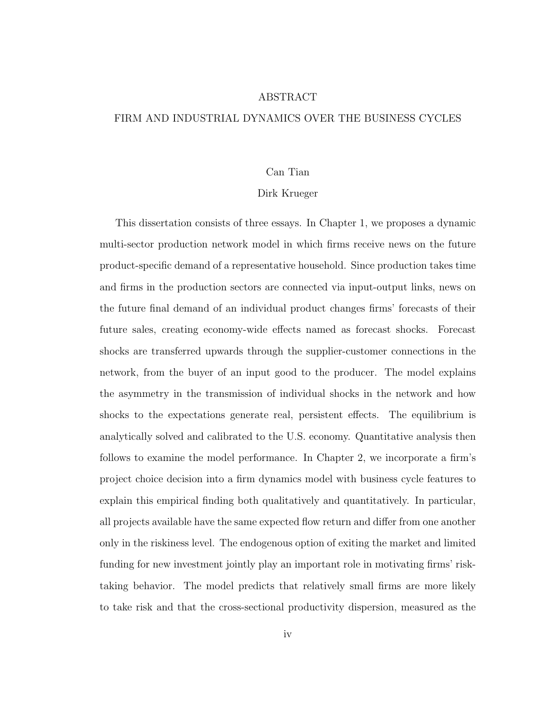#### ABSTRACT

### FIRM AND INDUSTRIAL DYNAMICS OVER THE BUSINESS CYCLES

#### Can Tian

#### Dirk Krueger

This dissertation consists of three essays. In Chapter 1, we proposes a dynamic multi-sector production network model in which firms receive news on the future product-specific demand of a representative household. Since production takes time and firms in the production sectors are connected via input-output links, news on the future final demand of an individual product changes firms' forecasts of their future sales, creating economy-wide effects named as forecast shocks. Forecast shocks are transferred upwards through the supplier-customer connections in the network, from the buyer of an input good to the producer. The model explains the asymmetry in the transmission of individual shocks in the network and how shocks to the expectations generate real, persistent effects. The equilibrium is analytically solved and calibrated to the U.S. economy. Quantitative analysis then follows to examine the model performance. In Chapter 2, we incorporate a firm's project choice decision into a firm dynamics model with business cycle features to explain this empirical finding both qualitatively and quantitatively. In particular, all projects available have the same expected flow return and differ from one another only in the riskiness level. The endogenous option of exiting the market and limited funding for new investment jointly play an important role in motivating firms' risktaking behavior. The model predicts that relatively small firms are more likely to take risk and that the cross-sectional productivity dispersion, measured as the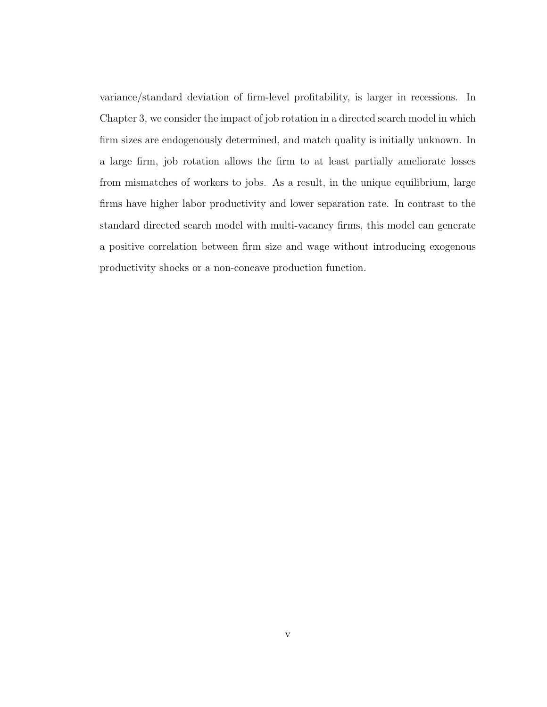variance/standard deviation of firm-level profitability, is larger in recessions. In Chapter 3, we consider the impact of job rotation in a directed search model in which firm sizes are endogenously determined, and match quality is initially unknown. In a large firm, job rotation allows the firm to at least partially ameliorate losses from mismatches of workers to jobs. As a result, in the unique equilibrium, large firms have higher labor productivity and lower separation rate. In contrast to the standard directed search model with multi-vacancy firms, this model can generate a positive correlation between firm size and wage without introducing exogenous productivity shocks or a non-concave production function.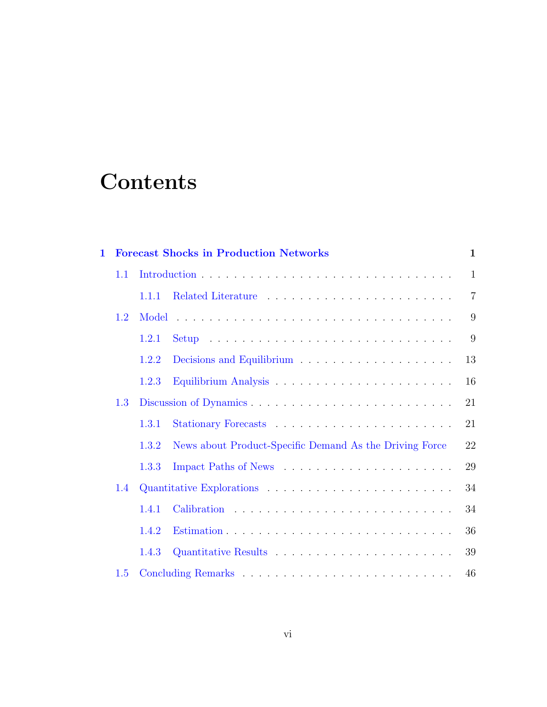# **Contents**

| 1 |     |       | <b>Forecast Shocks in Production Networks</b>           | $\mathbf{1}$   |
|---|-----|-------|---------------------------------------------------------|----------------|
|   | 1.1 |       |                                                         | $\mathbf{1}$   |
|   |     | 1.1.1 |                                                         | $\overline{7}$ |
|   | 1.2 |       |                                                         | 9              |
|   |     | 1.2.1 |                                                         | 9              |
|   |     | 1.2.2 |                                                         | 13             |
|   |     | 1.2.3 |                                                         | 16             |
|   | 1.3 |       |                                                         | 21             |
|   |     | 1.3.1 |                                                         | 21             |
|   |     | 1.3.2 | News about Product-Specific Demand As the Driving Force | 22             |
|   |     | 1.3.3 |                                                         | 29             |
|   | 1.4 |       |                                                         | 34             |
|   |     | 1.4.1 |                                                         | 34             |
|   |     | 1.4.2 |                                                         | 36             |
|   |     | 1.4.3 |                                                         | 39             |
|   | 1.5 |       |                                                         | 46             |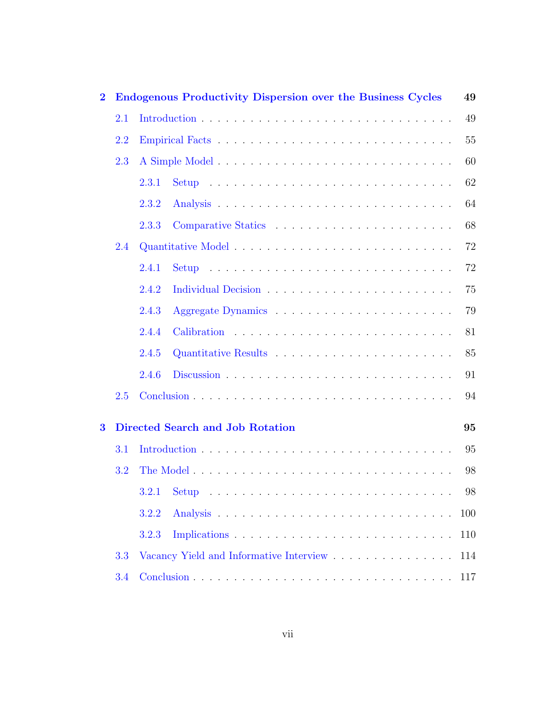| $\overline{2}$ |     | <b>Endogenous Productivity Dispersion over the Business Cycles</b> | 49  |
|----------------|-----|--------------------------------------------------------------------|-----|
|                | 2.1 |                                                                    | 49  |
|                | 2.2 |                                                                    | 55  |
|                | 2.3 |                                                                    | 60  |
|                |     | 2.3.1                                                              | 62  |
|                |     | 2.3.2                                                              | 64  |
|                |     | 2.3.3                                                              | 68  |
|                | 2.4 |                                                                    | 72  |
|                |     | 2.4.1                                                              | 72  |
|                |     | 2.4.2                                                              | 75  |
|                |     | 2.4.3                                                              | 79  |
|                |     | 2.4.4                                                              | 81  |
|                |     | 2.4.5                                                              | 85  |
|                |     | 2.4.6                                                              | 91  |
|                | 2.5 |                                                                    | 94  |
| 3              |     | Directed Search and Job Rotation                                   | 95  |
|                | 3.1 |                                                                    | 95  |
|                | 3.2 |                                                                    | 98  |
|                |     | $3.2.1$ Setup                                                      | 98  |
|                |     | 3.2.2                                                              | 100 |
|                |     | 3.2.3                                                              | 110 |
|                | 3.3 | Vacancy Yield and Informative Interview                            | 114 |
|                | 3.4 |                                                                    | 117 |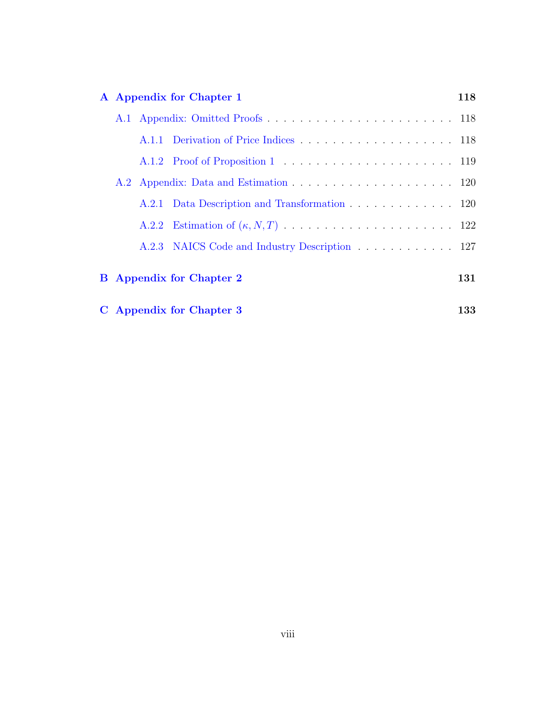|  | A Appendix for Chapter 1                      | 118 |
|--|-----------------------------------------------|-----|
|  |                                               |     |
|  |                                               |     |
|  |                                               |     |
|  |                                               |     |
|  | A.2.1 Data Description and Transformation 120 |     |
|  |                                               |     |
|  | A.2.3 NAICS Code and Industry Description 127 |     |
|  | <b>B</b> Appendix for Chapter 2               | 131 |
|  | C Appendix for Chapter 3                      | 133 |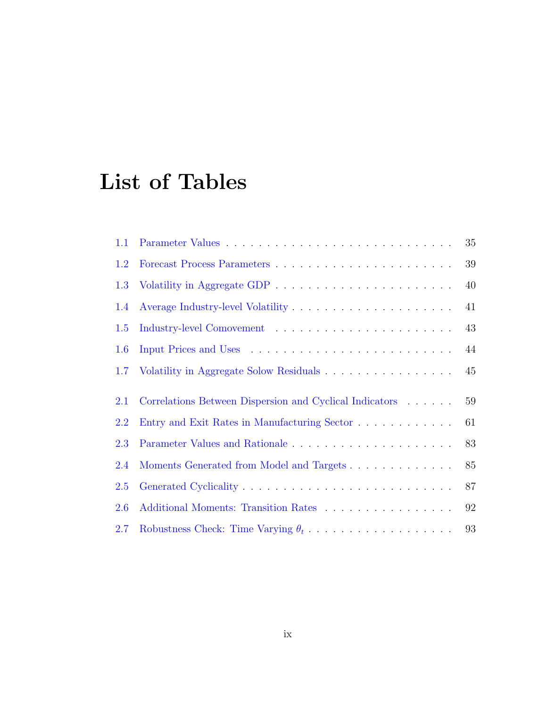# List of Tables

| 1.1     |                                                         | 35 |
|---------|---------------------------------------------------------|----|
| 1.2     |                                                         | 39 |
| 1.3     |                                                         | 40 |
| 1.4     |                                                         | 41 |
| 1.5     |                                                         | 43 |
| 1.6     |                                                         | 44 |
| $1.7\,$ | Volatility in Aggregate Solow Residuals                 | 45 |
| 2.1     | Correlations Between Dispersion and Cyclical Indicators | 59 |
| 2.2     | Entry and Exit Rates in Manufacturing Sector            | 61 |
| 2.3     |                                                         | 83 |
| 2.4     | Moments Generated from Model and Targets                | 85 |
| 2.5     |                                                         | 87 |
| 2.6     | Additional Moments: Transition Rates                    | 92 |
| 2.7     |                                                         | 93 |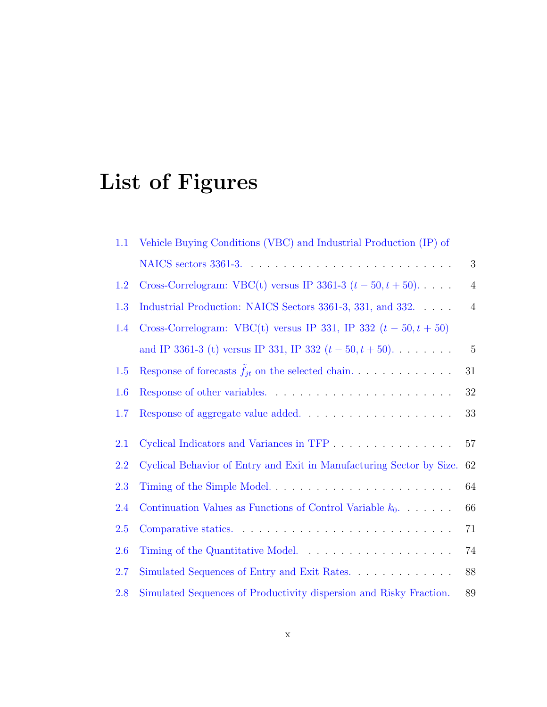# List of Figures

| 1.1 | Vehicle Buying Conditions (VBC) and Industrial Production (IP) of    |                 |
|-----|----------------------------------------------------------------------|-----------------|
|     |                                                                      | 3               |
| 1.2 | Cross-Correlogram: VBC(t) versus IP 3361-3 $(t-50, t+50)$            | $\overline{4}$  |
| 1.3 | Industrial Production: NAICS Sectors 3361-3, 331, and 332.           | $\overline{4}$  |
| 1.4 | Cross-Correlogram: VBC(t) versus IP 331, IP 332 $(t-50, t+50)$       |                 |
|     | and IP 3361-3 (t) versus IP 331, IP 332 $(t - 50, t + 50)$           | $5\phantom{.0}$ |
| 1.5 | Response of forecasts $f_{jt}$ on the selected chain                 | 31              |
| 1.6 |                                                                      | 32              |
| 1.7 |                                                                      | 33              |
|     |                                                                      |                 |
| 2.1 | Cyclical Indicators and Variances in TFP                             | 57              |
| 2.2 | Cyclical Behavior of Entry and Exit in Manufacturing Sector by Size. | 62              |
| 2.3 |                                                                      | 64              |
| 2.4 | Continuation Values as Functions of Control Variable $k_0$ .         | 66              |
| 2.5 |                                                                      | 71              |
| 2.6 |                                                                      | 74              |
| 2.7 | Simulated Sequences of Entry and Exit Rates.                         | 88              |
| 2.8 | Simulated Sequences of Productivity dispersion and Risky Fraction.   | 89              |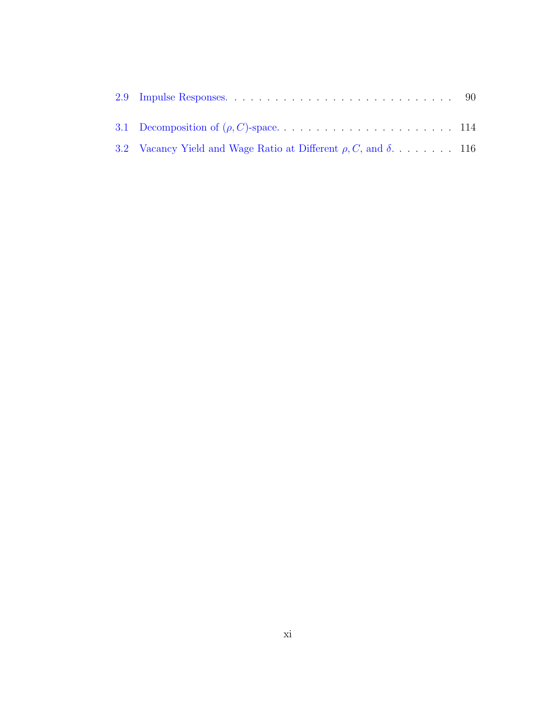| 3.2 Vacancy Yield and Wage Ratio at Different $\rho$ , C, and $\delta$ 116 |  |
|----------------------------------------------------------------------------|--|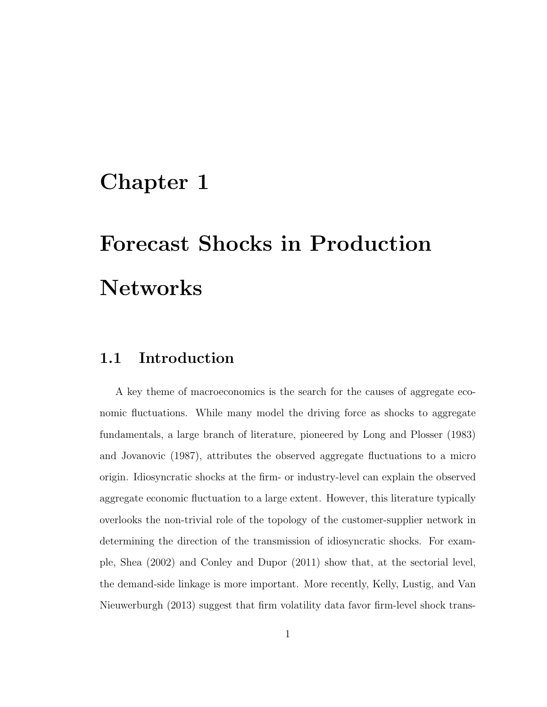# <span id="page-13-0"></span>Chapter 1

# Forecast Shocks in Production **Networks**

### <span id="page-13-1"></span>1.1 Introduction

A key theme of macroeconomics is the search for the causes of aggregate economic fluctuations. While many model the driving force as shocks to aggregate fundamentals, a large branch of literature, pioneered by Long and Plosser (1983) and Jovanovic (1987), attributes the observed aggregate fluctuations to a micro origin. Idiosyncratic shocks at the firm- or industry-level can explain the observed aggregate economic fluctuation to a large extent. However, this literature typically overlooks the non-trivial role of the topology of the customer-supplier network in determining the direction of the transmission of idiosyncratic shocks. For example, Shea (2002) and Conley and Dupor (2011) show that, at the sectorial level, the demand-side linkage is more important. More recently, Kelly, Lustig, and Van Nieuwerburgh (2013) suggest that firm volatility data favor firm-level shock trans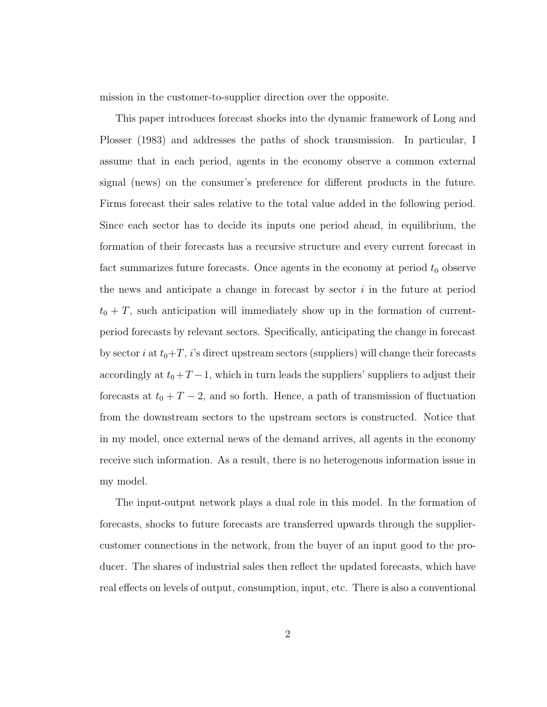mission in the customer-to-supplier direction over the opposite.

This paper introduces forecast shocks into the dynamic framework of Long and Plosser (1983) and addresses the paths of shock transmission. In particular, I assume that in each period, agents in the economy observe a common external signal (news) on the consumer's preference for different products in the future. Firms forecast their sales relative to the total value added in the following period. Since each sector has to decide its inputs one period ahead, in equilibrium, the formation of their forecasts has a recursive structure and every current forecast in fact summarizes future forecasts. Once agents in the economy at period  $t_0$  observe the news and anticipate a change in forecast by sector  $i$  in the future at period  $t_0 + T$ , such anticipation will immediately show up in the formation of currentperiod forecasts by relevant sectors. Specifically, anticipating the change in forecast by sector i at  $t_0+T$ , i's direct upstream sectors (suppliers) will change their forecasts accordingly at  $t_0 + T - 1$ , which in turn leads the suppliers' suppliers to adjust their forecasts at  $t_0 + T - 2$ , and so forth. Hence, a path of transmission of fluctuation from the downstream sectors to the upstream sectors is constructed. Notice that in my model, once external news of the demand arrives, all agents in the economy receive such information. As a result, there is no heterogenous information issue in my model.

The input-output network plays a dual role in this model. In the formation of forecasts, shocks to future forecasts are transferred upwards through the suppliercustomer connections in the network, from the buyer of an input good to the producer. The shares of industrial sales then reflect the updated forecasts, which have real effects on levels of output, consumption, input, etc. There is also a conventional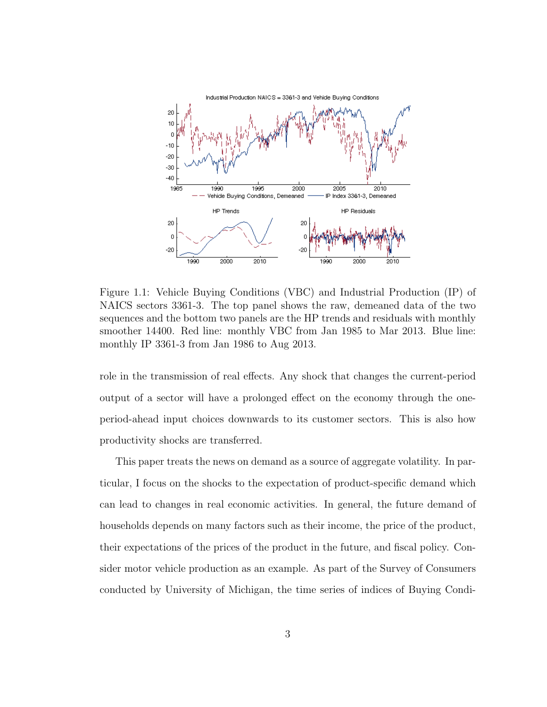<span id="page-15-0"></span>

Figure 1.1: Vehicle Buying Conditions (VBC) and Industrial Production (IP) of NAICS sectors 3361-3. The top panel shows the raw, demeaned data of the two sequences and the bottom two panels are the HP trends and residuals with monthly smoother 14400. Red line: monthly VBC from Jan 1985 to Mar 2013. Blue line: monthly IP 3361-3 from Jan 1986 to Aug 2013.

role in the transmission of real effects. Any shock that changes the current-period output of a sector will have a prolonged effect on the economy through the oneperiod-ahead input choices downwards to its customer sectors. This is also how productivity shocks are transferred.

This paper treats the news on demand as a source of aggregate volatility. In particular, I focus on the shocks to the expectation of product-specific demand which can lead to changes in real economic activities. In general, the future demand of households depends on many factors such as their income, the price of the product, their expectations of the prices of the product in the future, and fiscal policy. Consider motor vehicle production as an example. As part of the Survey of Consumers conducted by University of Michigan, the time series of indices of Buying Condi-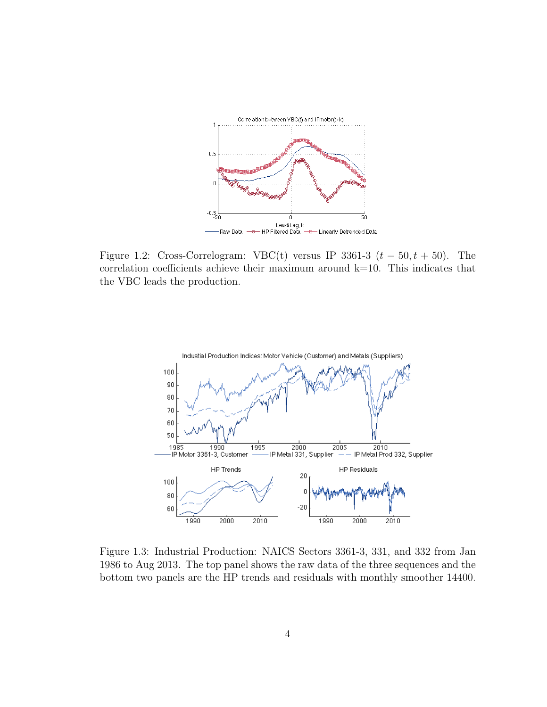<span id="page-16-0"></span>

Figure 1.2: Cross-Correlogram: VBC(t) versus IP 3361-3  $(t - 50, t + 50)$ . The correlation coefficients achieve their maximum around k=10. This indicates that the VBC leads the production.

<span id="page-16-1"></span>

Figure 1.3: Industrial Production: NAICS Sectors 3361-3, 331, and 332 from Jan 1986 to Aug 2013. The top panel shows the raw data of the three sequences and the bottom two panels are the HP trends and residuals with monthly smoother 14400.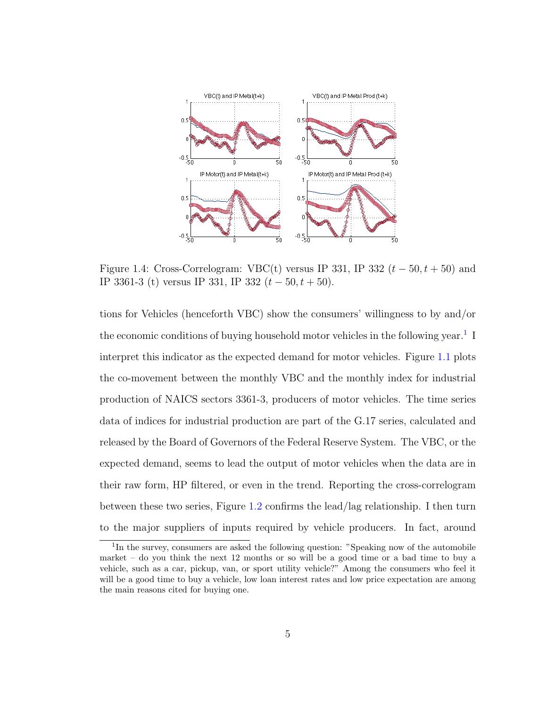<span id="page-17-0"></span>

Figure 1.4: Cross-Correlogram: VBC(t) versus IP 331, IP 332  $(t-50, t+50)$  and IP 3361-3 (t) versus IP 331, IP 332  $(t-50, t+50)$ .

tions for Vehicles (henceforth VBC) show the consumers' willingness to by and/or the economic conditions of buying household motor vehicles in the following year.<sup>[1](#page-17-1)</sup> I interpret this indicator as the expected demand for motor vehicles. Figure [1.1](#page-15-0) plots the co-movement between the monthly VBC and the monthly index for industrial production of NAICS sectors 3361-3, producers of motor vehicles. The time series data of indices for industrial production are part of the G.17 series, calculated and released by the Board of Governors of the Federal Reserve System. The VBC, or the expected demand, seems to lead the output of motor vehicles when the data are in their raw form, HP filtered, or even in the trend. Reporting the cross-correlogram between these two series, Figure [1.2](#page-16-0) confirms the lead/lag relationship. I then turn to the major suppliers of inputs required by vehicle producers. In fact, around

<span id="page-17-1"></span><sup>&</sup>lt;sup>1</sup>In the survey, consumers are asked the following question: "Speaking now of the automobile market – do you think the next 12 months or so will be a good time or a bad time to buy a vehicle, such as a car, pickup, van, or sport utility vehicle?" Among the consumers who feel it will be a good time to buy a vehicle, low loan interest rates and low price expectation are among the main reasons cited for buying one.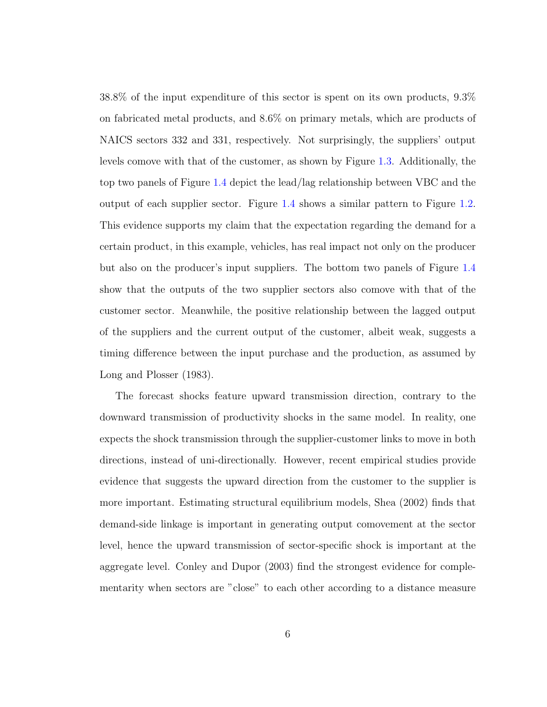38.8% of the input expenditure of this sector is spent on its own products, 9.3% on fabricated metal products, and 8.6% on primary metals, which are products of NAICS sectors 332 and 331, respectively. Not surprisingly, the suppliers' output levels comove with that of the customer, as shown by Figure [1.3.](#page-16-1) Additionally, the top two panels of Figure [1.4](#page-17-0) depict the lead/lag relationship between VBC and the output of each supplier sector. Figure [1.4](#page-17-0) shows a similar pattern to Figure [1.2.](#page-16-0) This evidence supports my claim that the expectation regarding the demand for a certain product, in this example, vehicles, has real impact not only on the producer but also on the producer's input suppliers. The bottom two panels of Figure [1.4](#page-17-0) show that the outputs of the two supplier sectors also comove with that of the customer sector. Meanwhile, the positive relationship between the lagged output of the suppliers and the current output of the customer, albeit weak, suggests a timing difference between the input purchase and the production, as assumed by Long and Plosser (1983).

The forecast shocks feature upward transmission direction, contrary to the downward transmission of productivity shocks in the same model. In reality, one expects the shock transmission through the supplier-customer links to move in both directions, instead of uni-directionally. However, recent empirical studies provide evidence that suggests the upward direction from the customer to the supplier is more important. Estimating structural equilibrium models, Shea (2002) finds that demand-side linkage is important in generating output comovement at the sector level, hence the upward transmission of sector-specific shock is important at the aggregate level. Conley and Dupor (2003) find the strongest evidence for complementarity when sectors are "close" to each other according to a distance measure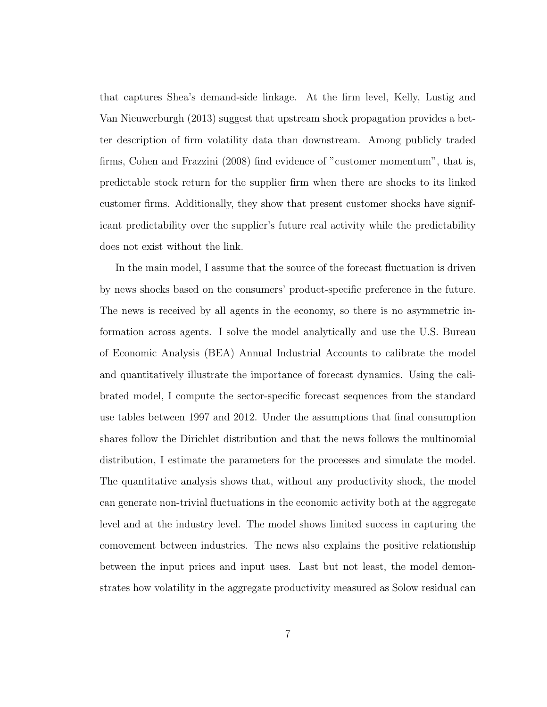that captures Shea's demand-side linkage. At the firm level, Kelly, Lustig and Van Nieuwerburgh (2013) suggest that upstream shock propagation provides a better description of firm volatility data than downstream. Among publicly traded firms, Cohen and Frazzini (2008) find evidence of "customer momentum", that is, predictable stock return for the supplier firm when there are shocks to its linked customer firms. Additionally, they show that present customer shocks have significant predictability over the supplier's future real activity while the predictability does not exist without the link.

In the main model, I assume that the source of the forecast fluctuation is driven by news shocks based on the consumers' product-specific preference in the future. The news is received by all agents in the economy, so there is no asymmetric information across agents. I solve the model analytically and use the U.S. Bureau of Economic Analysis (BEA) Annual Industrial Accounts to calibrate the model and quantitatively illustrate the importance of forecast dynamics. Using the calibrated model, I compute the sector-specific forecast sequences from the standard use tables between 1997 and 2012. Under the assumptions that final consumption shares follow the Dirichlet distribution and that the news follows the multinomial distribution, I estimate the parameters for the processes and simulate the model. The quantitative analysis shows that, without any productivity shock, the model can generate non-trivial fluctuations in the economic activity both at the aggregate level and at the industry level. The model shows limited success in capturing the comovement between industries. The news also explains the positive relationship between the input prices and input uses. Last but not least, the model demonstrates how volatility in the aggregate productivity measured as Solow residual can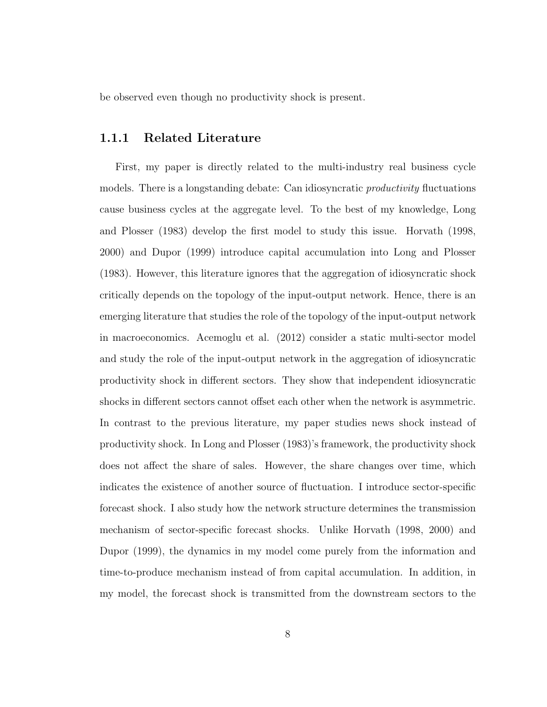be observed even though no productivity shock is present.

### <span id="page-20-0"></span>1.1.1 Related Literature

First, my paper is directly related to the multi-industry real business cycle models. There is a longstanding debate: Can idiosyncratic *productivity* fluctuations cause business cycles at the aggregate level. To the best of my knowledge, Long and Plosser (1983) develop the first model to study this issue. Horvath (1998, 2000) and Dupor (1999) introduce capital accumulation into Long and Plosser (1983). However, this literature ignores that the aggregation of idiosyncratic shock critically depends on the topology of the input-output network. Hence, there is an emerging literature that studies the role of the topology of the input-output network in macroeconomics. Acemoglu et al. (2012) consider a static multi-sector model and study the role of the input-output network in the aggregation of idiosyncratic productivity shock in different sectors. They show that independent idiosyncratic shocks in different sectors cannot offset each other when the network is asymmetric. In contrast to the previous literature, my paper studies news shock instead of productivity shock. In Long and Plosser (1983)'s framework, the productivity shock does not affect the share of sales. However, the share changes over time, which indicates the existence of another source of fluctuation. I introduce sector-specific forecast shock. I also study how the network structure determines the transmission mechanism of sector-specific forecast shocks. Unlike Horvath (1998, 2000) and Dupor (1999), the dynamics in my model come purely from the information and time-to-produce mechanism instead of from capital accumulation. In addition, in my model, the forecast shock is transmitted from the downstream sectors to the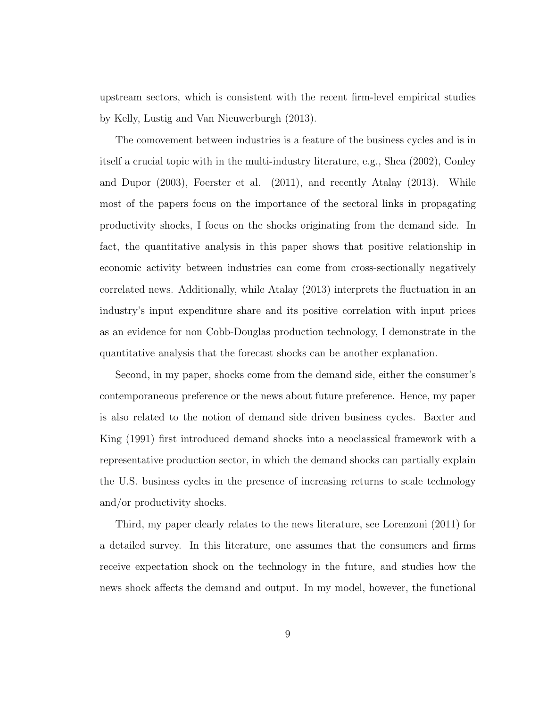upstream sectors, which is consistent with the recent firm-level empirical studies by Kelly, Lustig and Van Nieuwerburgh (2013).

The comovement between industries is a feature of the business cycles and is in itself a crucial topic with in the multi-industry literature, e.g., Shea (2002), Conley and Dupor (2003), Foerster et al. (2011), and recently Atalay (2013). While most of the papers focus on the importance of the sectoral links in propagating productivity shocks, I focus on the shocks originating from the demand side. In fact, the quantitative analysis in this paper shows that positive relationship in economic activity between industries can come from cross-sectionally negatively correlated news. Additionally, while Atalay (2013) interprets the fluctuation in an industry's input expenditure share and its positive correlation with input prices as an evidence for non Cobb-Douglas production technology, I demonstrate in the quantitative analysis that the forecast shocks can be another explanation.

Second, in my paper, shocks come from the demand side, either the consumer's contemporaneous preference or the news about future preference. Hence, my paper is also related to the notion of demand side driven business cycles. Baxter and King (1991) first introduced demand shocks into a neoclassical framework with a representative production sector, in which the demand shocks can partially explain the U.S. business cycles in the presence of increasing returns to scale technology and/or productivity shocks.

Third, my paper clearly relates to the news literature, see Lorenzoni (2011) for a detailed survey. In this literature, one assumes that the consumers and firms receive expectation shock on the technology in the future, and studies how the news shock affects the demand and output. In my model, however, the functional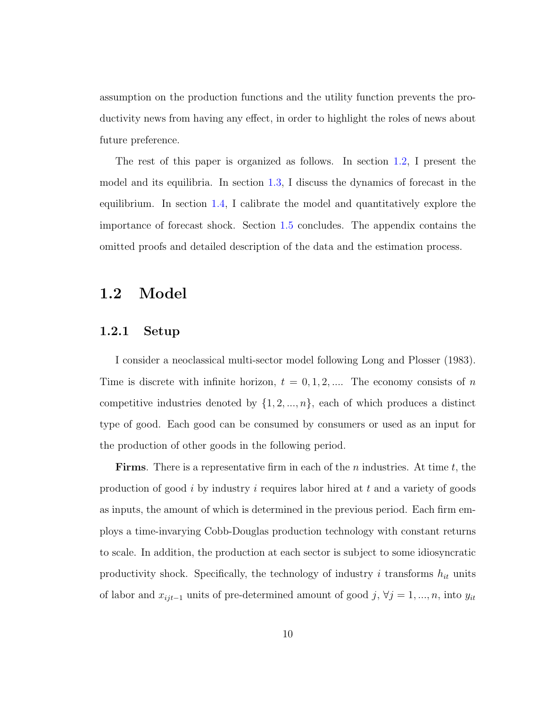assumption on the production functions and the utility function prevents the productivity news from having any effect, in order to highlight the roles of news about future preference.

The rest of this paper is organized as follows. In section [1.2,](#page-22-0) I present the model and its equilibria. In section [1.3,](#page-34-0) I discuss the dynamics of forecast in the equilibrium. In section [1.4,](#page-48-0) I calibrate the model and quantitatively explore the importance of forecast shock. Section [1.5](#page-61-0) concludes. The appendix contains the omitted proofs and detailed description of the data and the estimation process.

### <span id="page-22-0"></span>1.2 Model

### <span id="page-22-1"></span>1.2.1 Setup

I consider a neoclassical multi-sector model following Long and Plosser (1983). Time is discrete with infinite horizon,  $t = 0, 1, 2, \dots$  The economy consists of n competitive industries denoted by  $\{1, 2, ..., n\}$ , each of which produces a distinct type of good. Each good can be consumed by consumers or used as an input for the production of other goods in the following period.

**Firms**. There is a representative firm in each of the n industries. At time t, the production of good  $i$  by industry  $i$  requires labor hired at  $t$  and a variety of goods as inputs, the amount of which is determined in the previous period. Each firm employs a time-invarying Cobb-Douglas production technology with constant returns to scale. In addition, the production at each sector is subject to some idiosyncratic productivity shock. Specifically, the technology of industry i transforms  $h_{it}$  units of labor and  $x_{ijt-1}$  units of pre-determined amount of good j,  $\forall j = 1, ..., n$ , into  $y_{it}$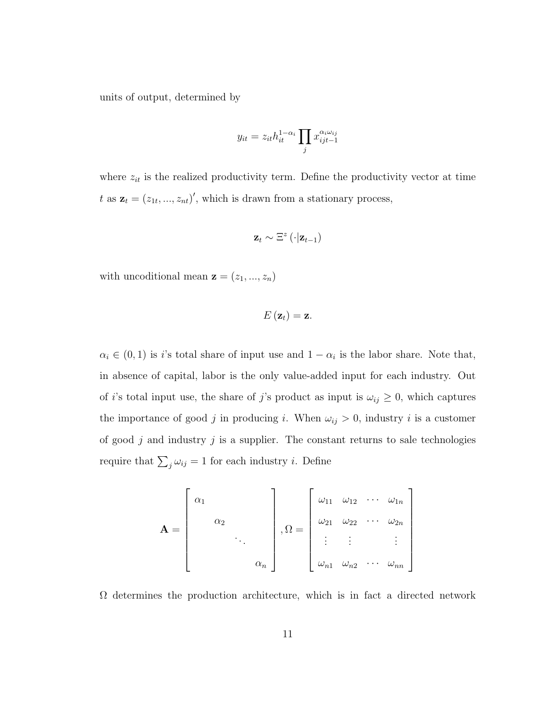units of output, determined by

$$
y_{it} = z_{it} h_{it}^{1-\alpha_i} \prod_j x_{ijt-1}^{\alpha_i \omega_{ij}}
$$

where  $z_{it}$  is the realized productivity term. Define the productivity vector at time t as  $\mathbf{z}_t = (z_{1t}, ..., z_{nt})'$ , which is drawn from a stationary process,

$$
\mathbf{z}_t \sim \Xi^z\left(\cdot|\mathbf{z}_{t-1}\right)
$$

with uncoditional mean  $\mathbf{z} = (z_1, ..., z_n)$ 

$$
E\left(\mathbf{z}_t\right)=\mathbf{z}.
$$

 $\alpha_i \in (0,1)$  is i's total share of input use and  $1 - \alpha_i$  is the labor share. Note that, in absence of capital, labor is the only value-added input for each industry. Out of *i*'s total input use, the share of *j*'s product as input is  $\omega_{ij} \geq 0$ , which captures the importance of good j in producing i. When  $\omega_{ij} > 0$ , industry i is a customer of good  $j$  and industry  $j$  is a supplier. The constant returns to sale technologies require that  $\sum_j \omega_{ij} = 1$  for each industry *i*. Define

$$
\mathbf{A} = \begin{bmatrix} \alpha_1 & & & \\ & \alpha_2 & & \\ & & \ddots & \\ & & & \alpha_n \end{bmatrix}, \Omega = \begin{bmatrix} \omega_{11} & \omega_{12} & \cdots & \omega_{1n} \\ \omega_{21} & \omega_{22} & \cdots & \omega_{2n} \\ \vdots & \vdots & & \vdots \\ \omega_{n1} & \omega_{n2} & \cdots & \omega_{nn} \end{bmatrix}
$$

 $\Omega$  determines the production architecture, which is in fact a directed network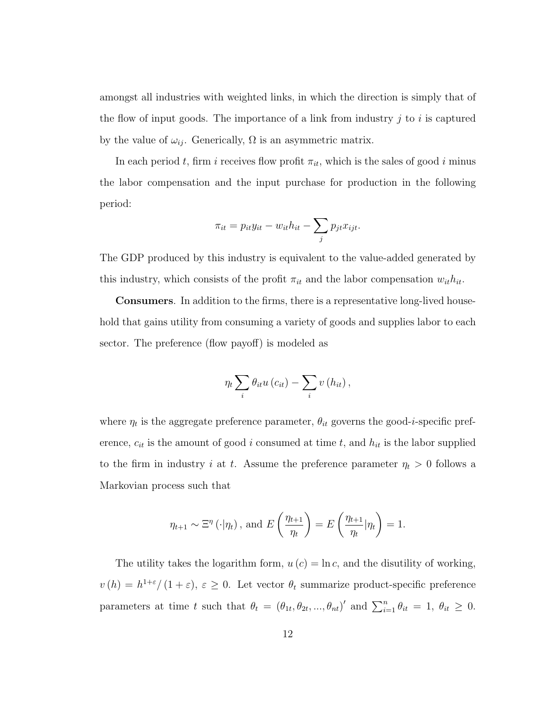amongst all industries with weighted links, in which the direction is simply that of the flow of input goods. The importance of a link from industry  $j$  to  $i$  is captured by the value of  $\omega_{ij}$ . Generically,  $\Omega$  is an asymmetric matrix.

In each period t, firm i receives flow profit  $\pi_{it}$ , which is the sales of good i minus the labor compensation and the input purchase for production in the following period:

$$
\pi_{it} = p_{it}y_{it} - w_{it}h_{it} - \sum_{j} p_{jt}x_{ijt}.
$$

The GDP produced by this industry is equivalent to the value-added generated by this industry, which consists of the profit  $\pi_{it}$  and the labor compensation  $w_{it}h_{it}$ .

Consumers. In addition to the firms, there is a representative long-lived household that gains utility from consuming a variety of goods and supplies labor to each sector. The preference (flow payoff) is modeled as

$$
\eta_t \sum_i \theta_{it} u(c_{it}) - \sum_i v(h_{it}),
$$

where  $\eta_t$  is the aggregate preference parameter,  $\theta_{it}$  governs the good-*i*-specific preference,  $c_{it}$  is the amount of good i consumed at time t, and  $h_{it}$  is the labor supplied to the firm in industry *i* at *t*. Assume the preference parameter  $\eta_t > 0$  follows a Markovian process such that

$$
\eta_{t+1} \sim \Xi^{\eta}(\cdot | \eta_t)
$$
, and  $E\left(\frac{\eta_{t+1}}{\eta_t}\right) = E\left(\frac{\eta_{t+1}}{\eta_t} | \eta_t\right) = 1$ .

The utility takes the logarithm form,  $u(c) = \ln c$ , and the disutility of working,  $v(h) = h^{1+\epsilon}/(1+\epsilon)$ ,  $\epsilon \geq 0$ . Let vector  $\theta_t$  summarize product-specific preference parameters at time t such that  $\theta_t = (\theta_{1t}, \theta_{2t}, ..., \theta_{nt})'$  and  $\sum_{i=1}^n \theta_{it} = 1, \theta_{it} \geq 0$ .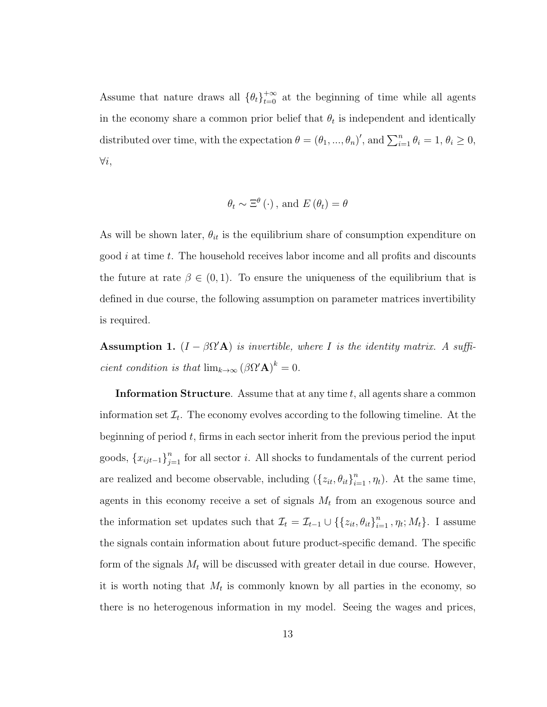Assume that nature draws all  $\{\theta_t\}_{t=0}^{+\infty}$  at the beginning of time while all agents in the economy share a common prior belief that  $\theta_t$  is independent and identically distributed over time, with the expectation  $\theta = (\theta_1, ..., \theta_n)'$ , and  $\sum_{i=1}^n \theta_i = 1, \theta_i \ge 0$ , ∀i,

$$
\theta_t \sim \Xi^{\theta}(\cdot)
$$
, and  $E(\theta_t) = \theta$ 

As will be shown later,  $\theta_{it}$  is the equilibrium share of consumption expenditure on good  $i$  at time  $t$ . The household receives labor income and all profits and discounts the future at rate  $\beta \in (0,1)$ . To ensure the uniqueness of the equilibrium that is defined in due course, the following assumption on parameter matrices invertibility is required.

**Assumption 1.**  $(I - \beta \Omega'$ **A**) is invertible, where I is the identity matrix. A sufficient condition is that  $\lim_{k\to\infty} (\beta \Omega' \mathbf{A})^k = 0$ .

**Information Structure.** Assume that at any time  $t$ , all agents share a common information set  $\mathcal{I}_t$ . The economy evolves according to the following timeline. At the beginning of period  $t$ , firms in each sector inherit from the previous period the input goods,  ${x_{ijt-1}}_{j=1}^n$  for all sector *i*. All shocks to fundamentals of the current period are realized and become observable, including  $(\{z_{it}, \theta_{it}\}_{i=1}^n, \eta_t)$ . At the same time, agents in this economy receive a set of signals  $M_t$  from an exogenous source and the information set updates such that  $\mathcal{I}_t = \mathcal{I}_{t-1} \cup \{\{z_{it}, \theta_{it}\}_{i=1}^n, \eta_t; M_t\}$ . I assume the signals contain information about future product-specific demand. The specific form of the signals  $M_t$  will be discussed with greater detail in due course. However, it is worth noting that  $M_t$  is commonly known by all parties in the economy, so there is no heterogenous information in my model. Seeing the wages and prices,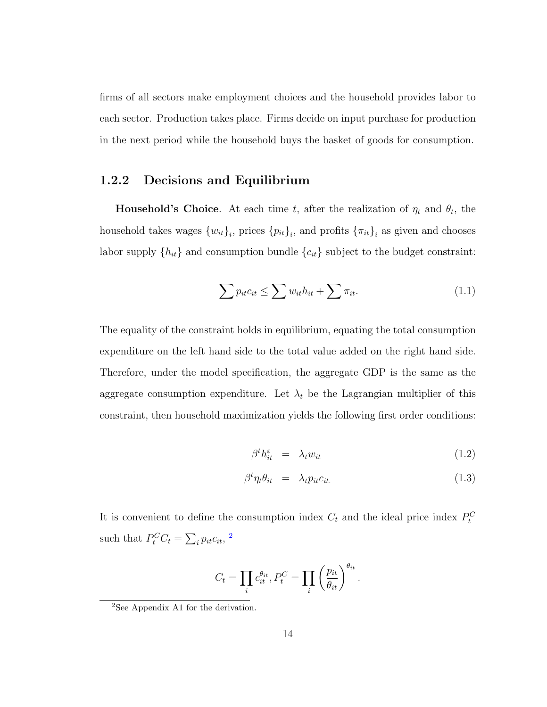firms of all sectors make employment choices and the household provides labor to each sector. Production takes place. Firms decide on input purchase for production in the next period while the household buys the basket of goods for consumption.

### <span id="page-26-0"></span>1.2.2 Decisions and Equilibrium

**Household's Choice**. At each time t, after the realization of  $\eta_t$  and  $\theta_t$ , the household takes wages  ${w_{it}}_i$ , prices  ${p_{it}}_i$ , and profits  ${\pi_{it}}_i$  as given and chooses labor supply  $\{h_{it}\}\$ and consumption bundle  $\{c_{it}\}\$ subject to the budget constraint:

$$
\sum p_{it}c_{it} \le \sum w_{it}h_{it} + \sum \pi_{it}.
$$
\n(1.1)

The equality of the constraint holds in equilibrium, equating the total consumption expenditure on the left hand side to the total value added on the right hand side. Therefore, under the model specification, the aggregate GDP is the same as the aggregate consumption expenditure. Let  $\lambda_t$  be the Lagrangian multiplier of this constraint, then household maximization yields the following first order conditions:

$$
\beta^t h_{it}^\varepsilon = \lambda_t w_{it} \tag{1.2}
$$

$$
\beta^t \eta_t \theta_{it} = \lambda_t p_{it} c_{it.} \tag{1.3}
$$

It is convenient to define the consumption index  $C_t$  and the ideal price index  $P_t^C$ such that  $P_t^C C_t = \sum_i p_{it} c_{it}$ , <sup>[2](#page-26-1)</sup>

$$
C_t = \prod_i c_{it}^{\theta_{it}}, P_t^C = \prod_i \left(\frac{p_{it}}{\theta_{it}}\right)^{\theta_{it}}.
$$

<span id="page-26-1"></span> ${}^{2}$ See Appendix A1 for the derivation.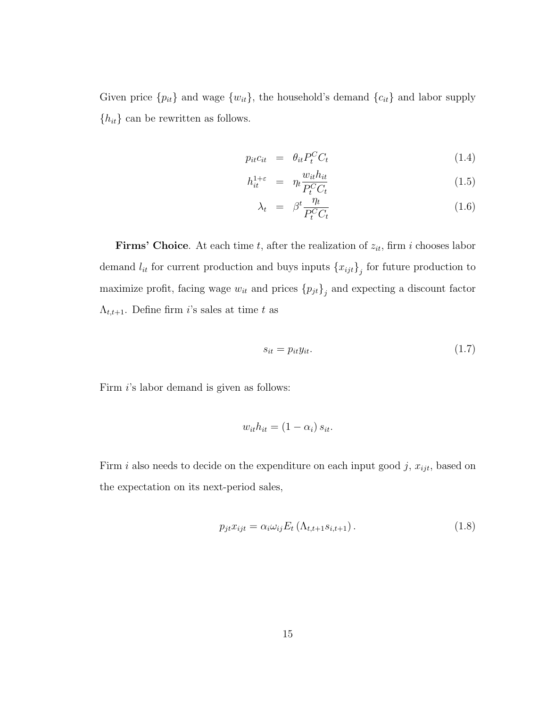Given price  $\{p_{it}\}\$ and wage  $\{w_{it}\}\$ , the household's demand  $\{c_{it}\}\$ and labor supply  $\{h_{it}\}$  can be rewritten as follows.

$$
p_{it}c_{it} = \theta_{it}P_t^C C_t \tag{1.4}
$$

$$
h_{it}^{1+\varepsilon} = \eta_t \frac{w_{it} h_{it}}{P_t^C C_t} \tag{1.5}
$$

$$
\lambda_t = \beta^t \frac{\eta_t}{P_t^C C_t} \tag{1.6}
$$

Firms' Choice. At each time t, after the realization of  $z_{it}$ , firm i chooses labor demand  $l_{it}$  for current production and buys inputs  $\{x_{ijt}\}_j$  for future production to maximize profit, facing wage  $w_{it}$  and prices  ${p_{jt}}_j$  and expecting a discount factor  $\Lambda_{t,t+1}$ . Define firm *i*'s sales at time *t* as

$$
s_{it} = p_{it} y_{it}.\tag{1.7}
$$

Firm i's labor demand is given as follows:

$$
w_{it}h_{it} = (1 - \alpha_i) s_{it}.
$$

Firm i also needs to decide on the expenditure on each input good j,  $x_{ijt}$ , based on the expectation on its next-period sales,

$$
p_{jt} x_{ijt} = \alpha_i \omega_{ij} E_t \left( \Lambda_{t,t+1} s_{i,t+1} \right). \tag{1.8}
$$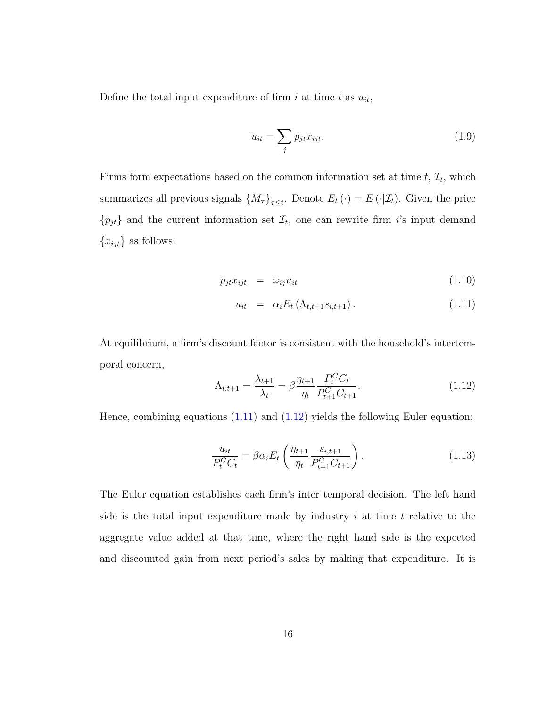Define the total input expenditure of firm i at time t as  $u_{it}$ ,

$$
u_{it} = \sum_{j} p_{jt} x_{ijt}.
$$
\n(1.9)

Firms form expectations based on the common information set at time  $t, \mathcal{I}_t$ , which summarizes all previous signals  $\{M_{\tau}\}_{\tau \leq t}$ . Denote  $E_t(\cdot) = E(\cdot | \mathcal{I}_t)$ . Given the price  ${p_{jt}}$  and the current information set  $\mathcal{I}_t$ , one can rewrite firm i's input demand  ${x_{ijt}}$  as follows:

<span id="page-28-0"></span>
$$
p_{jt} x_{ijt} = \omega_{ij} u_{it} \tag{1.10}
$$

$$
u_{it} = \alpha_i E_t (\Lambda_{t,t+1} s_{i,t+1}). \tag{1.11}
$$

At equilibrium, a firm's discount factor is consistent with the household's intertemporal concern,

<span id="page-28-1"></span>
$$
\Lambda_{t,t+1} = \frac{\lambda_{t+1}}{\lambda_t} = \beta \frac{\eta_{t+1}}{\eta_t} \frac{P_t^C C_t}{P_{t+1}^C C_{t+1}}.
$$
\n(1.12)

Hence, combining equations  $(1.11)$  and  $(1.12)$  yields the following Euler equation:

<span id="page-28-2"></span>
$$
\frac{u_{it}}{P_t^C C_t} = \beta \alpha_i E_t \left( \frac{\eta_{t+1}}{\eta_t} \frac{s_{i,t+1}}{P_{t+1}^C C_{t+1}} \right). \tag{1.13}
$$

The Euler equation establishes each firm's inter temporal decision. The left hand side is the total input expenditure made by industry  $i$  at time  $t$  relative to the aggregate value added at that time, where the right hand side is the expected and discounted gain from next period's sales by making that expenditure. It is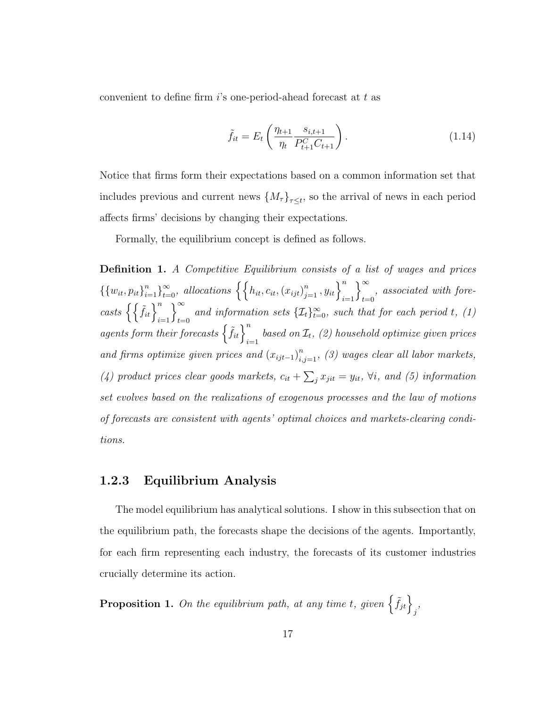convenient to define firm  $i$ 's one-period-ahead forecast at  $t$  as

<span id="page-29-1"></span>
$$
\tilde{f}_{it} = E_t \left( \frac{\eta_{t+1}}{\eta_t} \frac{s_{i,t+1}}{P_{t+1}^C C_{t+1}} \right). \tag{1.14}
$$

Notice that firms form their expectations based on a common information set that includes previous and current news  $\{M_{\tau}\}_{\tau \leq t}$ , so the arrival of news in each period affects firms' decisions by changing their expectations.

Formally, the equilibrium concept is defined as follows.

Definition 1. A Competitive Equilibrium consists of a list of wages and prices  $\left\{ \{w_{it}, p_{it}\}_{i=1}^n \right\}_{t=0}^{\infty}, \ all locations \left\{ \left\{ h_{it}, c_{it}, (x_{ijt})_{j=1}^n, y_{it} \right\}_{i=1}^n \right\}$  $\Big\}^{\infty}$ , associated with forecasts  $\left\{\left\{\tilde{f}_{it}\right\}_{i=1}^{n}\right\}_{t=0}^{\infty}$  and information sets  $\{\mathcal{I}_t\}_{t=0}^{\infty}$ , such that  $\int_{-\infty}^{\infty}$ and information sets  $\{\mathcal{I}_t\}_{t=0}^{\infty}$ , such that for each period t, (1) agents form their forecasts  $\left\{ \tilde{f}_{it}\right\} _{i=1}^{n}$  based on  $\mathcal{I}_{t}$ , (2) household optimize given prices and firms optimize given prices and  $(x_{ijt-1})_{i,j=1}^n$ , (3) wages clear all labor markets, (4) product prices clear goods markets,  $c_{it} + \sum_j x_{jit} = y_{it}$ ,  $\forall i$ , and (5) information set evolves based on the realizations of exogenous processes and the law of motions of forecasts are consistent with agents' optimal choices and markets-clearing conditions.

### <span id="page-29-0"></span>1.2.3 Equilibrium Analysis

The model equilibrium has analytical solutions. I show in this subsection that on the equilibrium path, the forecasts shape the decisions of the agents. Importantly, for each firm representing each industry, the forecasts of its customer industries crucially determine its action.

**Proposition 1.** On the equilibrium path, at any time t, given  $\left\{ \tilde{f}_{jt}\right\} _{j}$ ,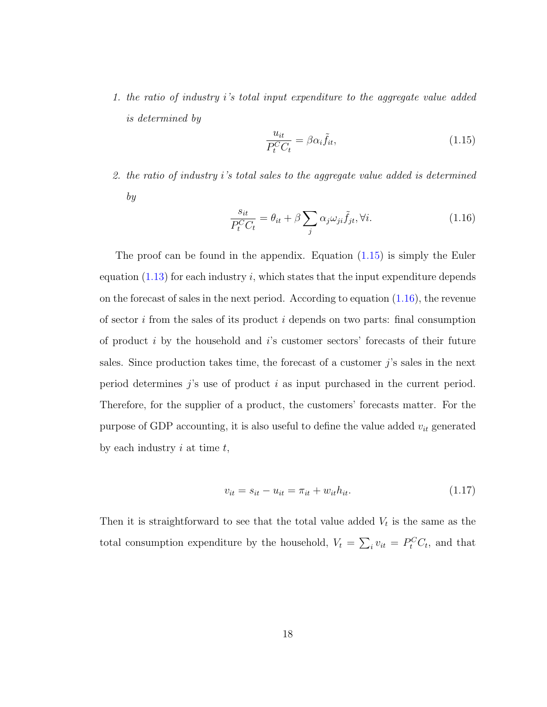1. the ratio of industry i's total input expenditure to the aggregate value added is determined by

<span id="page-30-0"></span>
$$
\frac{u_{it}}{P_t^C C_t} = \beta \alpha_i \tilde{f}_{it},\tag{1.15}
$$

2. the ratio of industry i's total sales to the aggregate value added is determined by

<span id="page-30-1"></span>
$$
\frac{s_{it}}{P_t^C C_t} = \theta_{it} + \beta \sum_j \alpha_j \omega_{ji} \tilde{f}_{jt}, \forall i.
$$
 (1.16)

The proof can be found in the appendix. Equation  $(1.15)$  is simply the Euler equation  $(1.13)$  for each industry i, which states that the input expenditure depends on the forecast of sales in the next period. According to equation [\(1.16\)](#page-30-1), the revenue of sector i from the sales of its product i depends on two parts: final consumption of product  $i$  by the household and  $i$ 's customer sectors' forecasts of their future sales. Since production takes time, the forecast of a customer  $j$ 's sales in the next period determines  $j$ 's use of product  $i$  as input purchased in the current period. Therefore, for the supplier of a product, the customers' forecasts matter. For the purpose of GDP accounting, it is also useful to define the value added  $v_{it}$  generated by each industry  $i$  at time  $t$ ,

$$
v_{it} = s_{it} - u_{it} = \pi_{it} + w_{it} h_{it}.
$$
\n(1.17)

Then it is straightforward to see that the total value added  $V_t$  is the same as the total consumption expenditure by the household,  $V_t = \sum_i v_{it} = P_t^C C_t$ , and that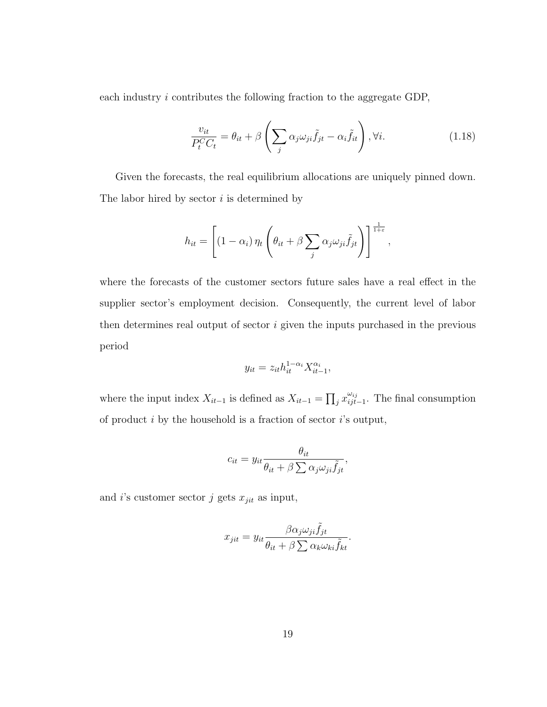each industry i contributes the following fraction to the aggregate GDP,

$$
\frac{v_{it}}{P_t^C C_t} = \theta_{it} + \beta \left( \sum_j \alpha_j \omega_{ji} \tilde{f}_{jt} - \alpha_i \tilde{f}_{it} \right), \forall i.
$$
 (1.18)

Given the forecasts, the real equilibrium allocations are uniquely pinned down. The labor hired by sector  $i$  is determined by

$$
h_{it} = \left[ (1 - \alpha_i) \, \eta_t \left( \theta_{it} + \beta \sum_j \alpha_j \omega_{ji} \tilde{f}_{jt} \right) \right]^{\frac{1}{1+\varepsilon}},
$$

where the forecasts of the customer sectors future sales have a real effect in the supplier sector's employment decision. Consequently, the current level of labor then determines real output of sector  $i$  given the inputs purchased in the previous period

$$
y_{it} = z_{it} h_{it}^{1-\alpha_i} X_{it-1}^{\alpha_i},
$$

where the input index  $X_{it-1}$  is defined as  $X_{it-1} = \prod_j x_{ijt}^{\omega_{ij}}$  $\frac{\omega_{ij}}{ijt-1}$ . The final consumption of product  $i$  by the household is a fraction of sector  $i$ 's output,

$$
c_{it} = y_{it} \frac{\theta_{it}}{\theta_{it} + \beta \sum \alpha_j \omega_{ji} \tilde{f}_{jt}},
$$

and *i*'s customer sector  $j$  gets  $x_{jit}$  as input,

$$
x_{jit} = y_{it} \frac{\beta \alpha_j \omega_{ji} \tilde{f}_{jt}}{\theta_{it} + \beta \sum \alpha_k \omega_{ki} \tilde{f}_{kt}}.
$$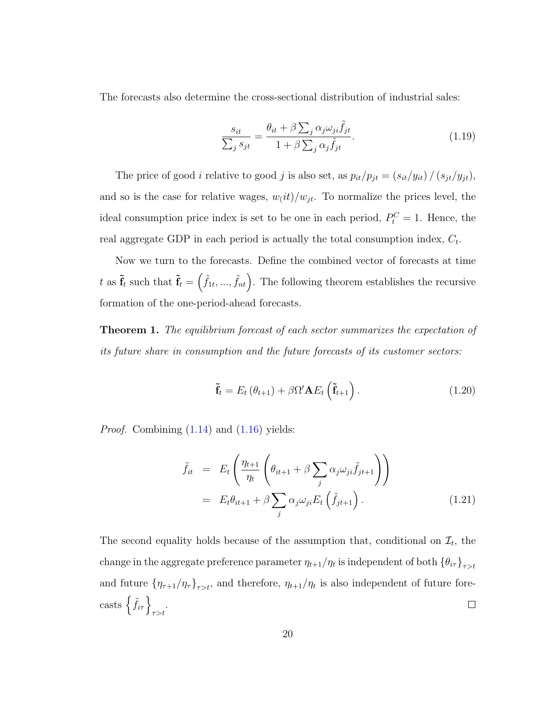The forecasts also determine the cross-sectional distribution of industrial sales:

$$
\frac{s_{it}}{\sum_{j} s_{jt}} = \frac{\theta_{it} + \beta \sum_{j} \alpha_j \omega_{ji} \tilde{f}_{jt}}{1 + \beta \sum_{j} \alpha_j \tilde{f}_{jt}}.
$$
\n(1.19)

The price of good *i* relative to good *j* is also set, as  $p_{it}/p_{jt} = (s_{it}/y_{it})/(s_{jt}/y_{jt})$ , and so is the case for relative wages,  $w(it)/w_{jt}$ . To normalize the prices level, the ideal consumption price index is set to be one in each period,  $P_t^C = 1$ . Hence, the real aggregate GDP in each period is actually the total consumption index,  $C_t$ .

Now we turn to the forecasts. Define the combined vector of forecasts at time t as  $\tilde{\mathbf{f}}_t$  such that  $\tilde{\mathbf{f}}_t = (\tilde{f}_{1t},...,\tilde{f}_{nt})$ . The following theorem establishes the recursive formation of the one-period-ahead forecasts.

Theorem 1. The equilibrium forecast of each sector summarizes the expectation of its future share in consumption and the future forecasts of its customer sectors:

$$
\tilde{\mathbf{f}}_{t} = E_{t} \left( \theta_{t+1} \right) + \beta \Omega' \mathbf{A} E_{t} \left( \tilde{\mathbf{f}}_{t+1} \right). \tag{1.20}
$$

*Proof.* Combining  $(1.14)$  and  $(1.16)$  yields:

$$
\tilde{f}_{it} = E_t \left( \frac{\eta_{t+1}}{\eta_t} \left( \theta_{it+1} + \beta \sum_j \alpha_j \omega_{ji} \tilde{f}_{jt+1} \right) \right)
$$
\n
$$
= E_t \theta_{it+1} + \beta \sum_j \alpha_j \omega_{ji} E_t \left( \tilde{f}_{jt+1} \right). \tag{1.21}
$$

The second equality holds because of the assumption that, conditional on  $\mathcal{I}_t$ , the change in the aggregate preference parameter  $\eta_{t+1}/\eta_t$  is independent of both  $\{\theta_{i\tau}\}_{\tau>t}$ and future  $\{\eta_{\tau+1}/\eta_{\tau}\}_{\tau>t}$ , and therefore,  $\eta_{t+1}/\eta_t$  is also independent of future forecasts  $\left\{ \tilde{f}_{i\tau}\right\} _{\tau>t}$ .  $\Box$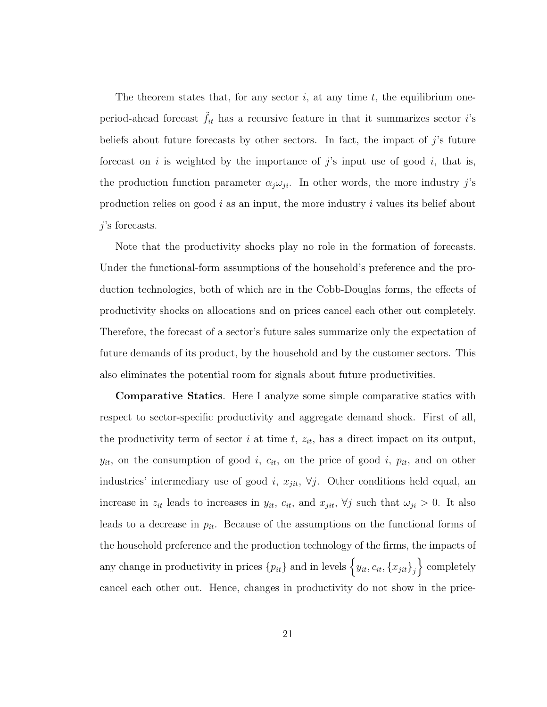The theorem states that, for any sector  $i$ , at any time  $t$ , the equilibrium oneperiod-ahead forecast  $f_{it}$  has a recursive feature in that it summarizes sector *i*'s beliefs about future forecasts by other sectors. In fact, the impact of  $j$ 's future forecast on i is weighted by the importance of j's input use of good i, that is, the production function parameter  $\alpha_i \omega_{ii}$ . In other words, the more industry j's production relies on good  $i$  as an input, the more industry  $i$  values its belief about j's forecasts.

Note that the productivity shocks play no role in the formation of forecasts. Under the functional-form assumptions of the household's preference and the production technologies, both of which are in the Cobb-Douglas forms, the effects of productivity shocks on allocations and on prices cancel each other out completely. Therefore, the forecast of a sector's future sales summarize only the expectation of future demands of its product, by the household and by the customer sectors. This also eliminates the potential room for signals about future productivities.

Comparative Statics. Here I analyze some simple comparative statics with respect to sector-specific productivity and aggregate demand shock. First of all, the productivity term of sector i at time  $t$ ,  $z_{it}$ , has a direct impact on its output,  $y_{it}$ , on the consumption of good i,  $c_{it}$ , on the price of good i,  $p_{it}$ , and on other industries' intermediary use of good i,  $x_{jit}$ ,  $\forall j$ . Other conditions held equal, an increase in  $z_{it}$  leads to increases in  $y_{it}$ ,  $c_{it}$ , and  $x_{jit}$ ,  $\forall j$  such that  $\omega_{ji} > 0$ . It also leads to a decrease in  $p_{it}$ . Because of the assumptions on the functional forms of the household preference and the production technology of the firms, the impacts of any change in productivity in prices  $\{p_{it}\}\$  and in levels  $\{y_{it}, c_{it}, \{x_{jit}\}_j\}$  completely cancel each other out. Hence, changes in productivity do not show in the price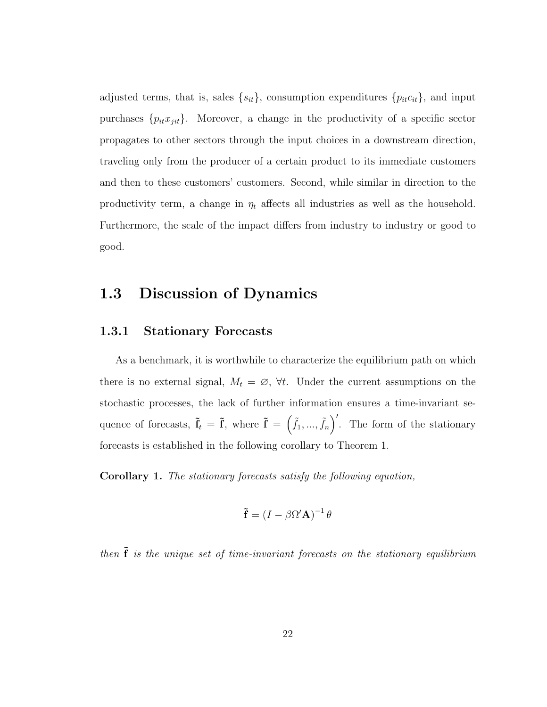adjusted terms, that is, sales  $\{s_{it}\}\$ , consumption expenditures  $\{p_{it}c_{it}\}\$ , and input purchases  $\{p_{it}x_{jit}\}$ . Moreover, a change in the productivity of a specific sector propagates to other sectors through the input choices in a downstream direction, traveling only from the producer of a certain product to its immediate customers and then to these customers' customers. Second, while similar in direction to the productivity term, a change in  $\eta_t$  affects all industries as well as the household. Furthermore, the scale of the impact differs from industry to industry or good to good.

### <span id="page-34-0"></span>1.3 Discussion of Dynamics

### <span id="page-34-1"></span>1.3.1 Stationary Forecasts

As a benchmark, it is worthwhile to characterize the equilibrium path on which there is no external signal,  $M_t = \emptyset$ ,  $\forall t$ . Under the current assumptions on the stochastic processes, the lack of further information ensures a time-invariant sequence of forecasts,  $\tilde{\mathbf{f}}_t = \tilde{\mathbf{f}}$ , where  $\tilde{\mathbf{f}} = (\tilde{f}_1, ..., \tilde{f}_n)'$ . The form of the stationary forecasts is established in the following corollary to Theorem 1.

Corollary 1. The stationary forecasts satisfy the following equation,

$$
\tilde{\mathbf{f}} = (I - \beta \Omega' \mathbf{A})^{-1} \theta
$$

then  $\tilde{\mathbf{f}}$  is the unique set of time-invariant forecasts on the stationary equilibrium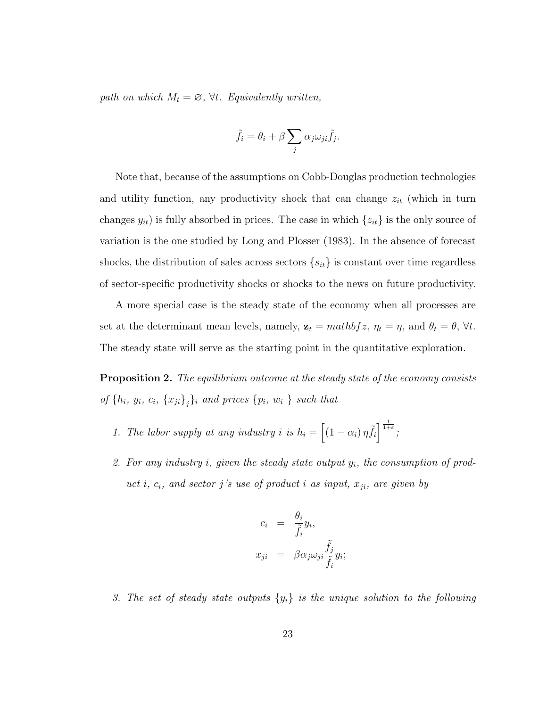path on which  $M_t = \emptyset$ ,  $\forall t$ . Equivalently written,

$$
\tilde{f}_i = \theta_i + \beta \sum_j \alpha_j \omega_{ji} \tilde{f}_j.
$$

Note that, because of the assumptions on Cobb-Douglas production technologies and utility function, any productivity shock that can change  $z_{it}$  (which in turn changes  $y_{it}$ ) is fully absorbed in prices. The case in which  $\{z_{it}\}\$ is the only source of variation is the one studied by Long and Plosser (1983). In the absence of forecast shocks, the distribution of sales across sectors  $\{s_{it}\}\$ is constant over time regardless of sector-specific productivity shocks or shocks to the news on future productivity.

A more special case is the steady state of the economy when all processes are set at the determinant mean levels, namely,  $z_t = mathbf{z}$ ,  $\eta_t = \eta$ , and  $\theta_t = \theta$ ,  $\forall t$ . The steady state will serve as the starting point in the quantitative exploration.

**Proposition 2.** The equilibrium outcome at the steady state of the economy consists of  $\{h_i, y_i, c_i, \{x_{ji}\}_j\}$  and prices  $\{p_i, w_i\}$  such that

- 1. The labor supply at any industry i is  $h_i = \left[ (1 \alpha_i) \eta \tilde{f}_i \right]^{\frac{1}{1+\varepsilon}}$ ;
- 2. For any industry  $i$ , given the steady state output  $y_i$ , the consumption of product i,  $c_i$ , and sector j's use of product i as input,  $x_{ji}$ , are given by

$$
c_i = \frac{\theta_i}{\tilde{f}_i} y_i,
$$
  

$$
x_{ji} = \beta \alpha_j \omega_{ji} \frac{\tilde{f}_j}{\tilde{f}_i} y_i;
$$

3. The set of steady state outputs  $\{y_i\}$  is the unique solution to the following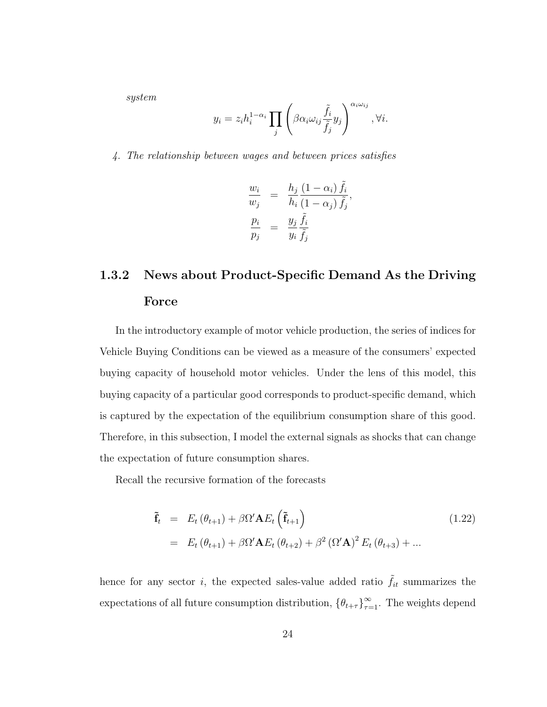system

$$
y_i = z_i h_i^{1-\alpha_i} \prod_j \left( \beta \alpha_i \omega_{ij} \frac{\tilde{f}_i}{\tilde{f}_j} y_j \right)^{\alpha_i \omega_{ij}}, \forall i.
$$

4. The relationship between wages and between prices satisfies

$$
\frac{w_i}{w_j} = \frac{h_j}{h_i} \frac{(1 - \alpha_i) \tilde{f}_i}{(1 - \alpha_j) \tilde{f}_j},
$$
  

$$
\frac{p_i}{p_j} = \frac{y_j}{y_i} \tilde{f}_i
$$

# 1.3.2 News about Product-Specific Demand As the Driving Force

In the introductory example of motor vehicle production, the series of indices for Vehicle Buying Conditions can be viewed as a measure of the consumers' expected buying capacity of household motor vehicles. Under the lens of this model, this buying capacity of a particular good corresponds to product-specific demand, which is captured by the expectation of the equilibrium consumption share of this good. Therefore, in this subsection, I model the external signals as shocks that can change the expectation of future consumption shares.

Recall the recursive formation of the forecasts

$$
\tilde{\mathbf{f}}_{t} = E_{t}(\theta_{t+1}) + \beta \Omega' \mathbf{A} E_{t} \left( \tilde{\mathbf{f}}_{t+1} \right)
$$
\n
$$
= E_{t}(\theta_{t+1}) + \beta \Omega' \mathbf{A} E_{t} (\theta_{t+2}) + \beta^{2} (\Omega' \mathbf{A})^{2} E_{t} (\theta_{t+3}) + \dots
$$
\n(1.22)

hence for any sector i, the expected sales-value added ratio  $\tilde{f}_{it}$  summarizes the expectations of all future consumption distribution,  $\{\theta_{t+\tau}\}_{\tau=1}^{\infty}$ . The weights depend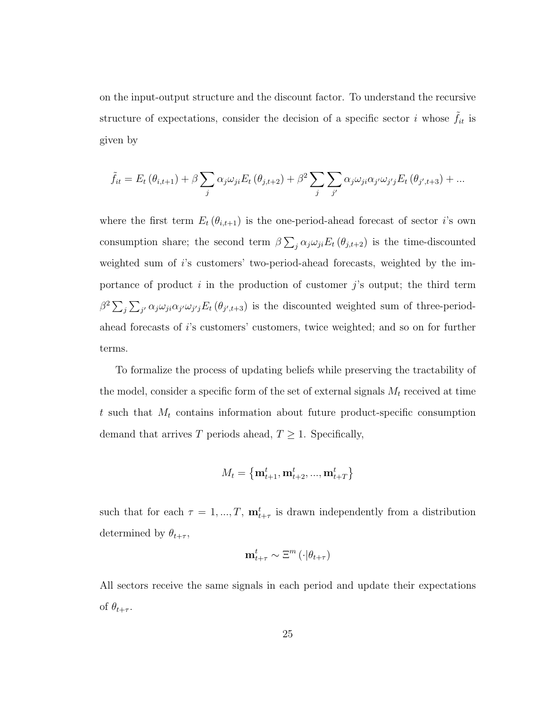on the input-output structure and the discount factor. To understand the recursive structure of expectations, consider the decision of a specific sector i whose  $f_{it}$  is given by

$$
\tilde{f}_{it} = E_t (\theta_{i,t+1}) + \beta \sum_j \alpha_j \omega_{ji} E_t (\theta_{j,t+2}) + \beta^2 \sum_j \sum_{j'} \alpha_j \omega_{ji} \alpha_{j'} \omega_{j'j} E_t (\theta_{j',t+3}) + \dots
$$

where the first term  $E_t(\theta_{i,t+1})$  is the one-period-ahead forecast of sector i's own consumption share; the second term  $\beta \sum_j \alpha_j \omega_{ji} E_t (\theta_{j,t+2})$  is the time-discounted weighted sum of i's customers' two-period-ahead forecasts, weighted by the importance of product i in the production of customer j's output; the third term  $\beta^2 \sum_j \sum_{j'} \alpha_j \omega_{ji} \alpha_{j'} \omega_{j'j} E_t (\theta_{j',t+3})$  is the discounted weighted sum of three-periodahead forecasts of i's customers' customers, twice weighted; and so on for further terms.

To formalize the process of updating beliefs while preserving the tractability of the model, consider a specific form of the set of external signals  $M_t$  received at time  $t$  such that  $M_t$  contains information about future product-specific consumption demand that arrives T periods ahead,  $T \geq 1$ . Specifically,

$$
M_t = \left\{\mathbf{m}^t_{t+1}, \mathbf{m}^t_{t+2}, ..., \mathbf{m}^t_{t+T}\right\}
$$

such that for each  $\tau = 1, ..., T$ ,  $\mathbf{m}_{t+\tau}^{t}$  is drawn independently from a distribution determined by  $\theta_{t+\tau}$ ,

$$
\mathbf{m}_{t+\tau}^{t} \sim \Xi^m\left(\cdot|\theta_{t+\tau}\right)
$$

All sectors receive the same signals in each period and update their expectations of  $\theta_{t+\tau}$ .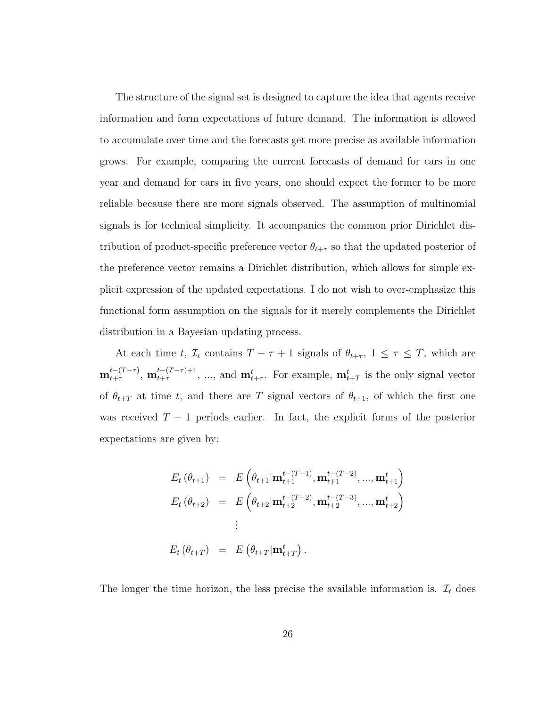The structure of the signal set is designed to capture the idea that agents receive information and form expectations of future demand. The information is allowed to accumulate over time and the forecasts get more precise as available information grows. For example, comparing the current forecasts of demand for cars in one year and demand for cars in five years, one should expect the former to be more reliable because there are more signals observed. The assumption of multinomial signals is for technical simplicity. It accompanies the common prior Dirichlet distribution of product-specific preference vector  $\theta_{t+\tau}$  so that the updated posterior of the preference vector remains a Dirichlet distribution, which allows for simple explicit expression of the updated expectations. I do not wish to over-emphasize this functional form assumption on the signals for it merely complements the Dirichlet distribution in a Bayesian updating process.

At each time t,  $\mathcal{I}_t$  contains  $T - \tau + 1$  signals of  $\theta_{t+\tau}$ ,  $1 \leq \tau \leq T$ , which are  $\operatorname{m}_{t+\tau}^{t-(T-\tau)}$  $_{t+\tau}^{t-(T-\tau)},\; \mathbf{m}_{t+\tau}^{t-(T-\tau)+1}$  $t^{t-(T-\tau)+1}_{t+\tau}$ , ..., and  $\mathbf{m}_{t+\tau}^t$ . For example,  $\mathbf{m}_{t+T}^t$  is the only signal vector of  $\theta_{t+T}$  at time t, and there are T signal vectors of  $\theta_{t+1}$ , of which the first one was received  $T - 1$  periods earlier. In fact, the explicit forms of the posterior expectations are given by:

$$
E_t (\theta_{t+1}) = E \left( \theta_{t+1} | \mathbf{m}_{t+1}^{t-(T-1)}, \mathbf{m}_{t+1}^{t-(T-2)}, ..., \mathbf{m}_{t+1}^t \right)
$$
  
\n
$$
E_t (\theta_{t+2}) = E \left( \theta_{t+2} | \mathbf{m}_{t+2}^{t-(T-2)}, \mathbf{m}_{t+2}^{t-(T-3)}, ..., \mathbf{m}_{t+2}^t \right)
$$
  
\n
$$
\vdots
$$
  
\n
$$
E_t (\theta_{t+T}) = E (\theta_{t+T} | \mathbf{m}_{t+T}^t).
$$

The longer the time horizon, the less precise the available information is.  $\mathcal{I}_t$  does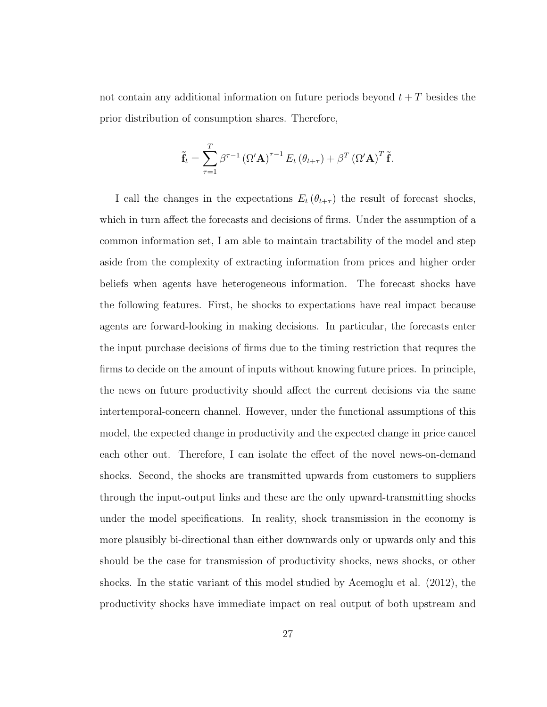not contain any additional information on future periods beyond  $t + T$  besides the prior distribution of consumption shares. Therefore,

$$
\tilde{\mathbf{f}}_t = \sum_{\tau=1}^T \beta^{\tau-1} (\Omega' \mathbf{A})^{\tau-1} E_t (\theta_{t+\tau}) + \beta^T (\Omega' \mathbf{A})^T \tilde{\mathbf{f}}.
$$

I call the changes in the expectations  $E_t(\theta_{t+\tau})$  the result of forecast shocks, which in turn affect the forecasts and decisions of firms. Under the assumption of a common information set, I am able to maintain tractability of the model and step aside from the complexity of extracting information from prices and higher order beliefs when agents have heterogeneous information. The forecast shocks have the following features. First, he shocks to expectations have real impact because agents are forward-looking in making decisions. In particular, the forecasts enter the input purchase decisions of firms due to the timing restriction that requres the firms to decide on the amount of inputs without knowing future prices. In principle, the news on future productivity should affect the current decisions via the same intertemporal-concern channel. However, under the functional assumptions of this model, the expected change in productivity and the expected change in price cancel each other out. Therefore, I can isolate the effect of the novel news-on-demand shocks. Second, the shocks are transmitted upwards from customers to suppliers through the input-output links and these are the only upward-transmitting shocks under the model specifications. In reality, shock transmission in the economy is more plausibly bi-directional than either downwards only or upwards only and this should be the case for transmission of productivity shocks, news shocks, or other shocks. In the static variant of this model studied by Acemoglu et al. (2012), the productivity shocks have immediate impact on real output of both upstream and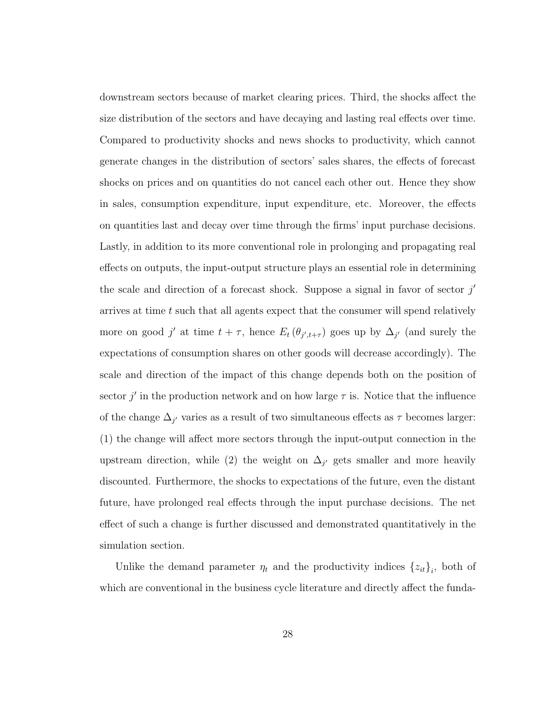downstream sectors because of market clearing prices. Third, the shocks affect the size distribution of the sectors and have decaying and lasting real effects over time. Compared to productivity shocks and news shocks to productivity, which cannot generate changes in the distribution of sectors' sales shares, the effects of forecast shocks on prices and on quantities do not cancel each other out. Hence they show in sales, consumption expenditure, input expenditure, etc. Moreover, the effects on quantities last and decay over time through the firms' input purchase decisions. Lastly, in addition to its more conventional role in prolonging and propagating real effects on outputs, the input-output structure plays an essential role in determining the scale and direction of a forecast shock. Suppose a signal in favor of sector  $j'$ arrives at time t such that all agents expect that the consumer will spend relatively more on good j' at time  $t + \tau$ , hence  $E_t(\theta_{j',t+\tau})$  goes up by  $\Delta_{j'}$  (and surely the expectations of consumption shares on other goods will decrease accordingly). The scale and direction of the impact of this change depends both on the position of sector  $j'$  in the production network and on how large  $\tau$  is. Notice that the influence of the change  $\Delta_{j'}$  varies as a result of two simultaneous effects as  $\tau$  becomes larger: (1) the change will affect more sectors through the input-output connection in the upstream direction, while (2) the weight on  $\Delta_{j'}$  gets smaller and more heavily discounted. Furthermore, the shocks to expectations of the future, even the distant future, have prolonged real effects through the input purchase decisions. The net effect of such a change is further discussed and demonstrated quantitatively in the simulation section.

Unlike the demand parameter  $\eta_t$  and the productivity indices  $\{z_{it}\}_i$ , both of which are conventional in the business cycle literature and directly affect the funda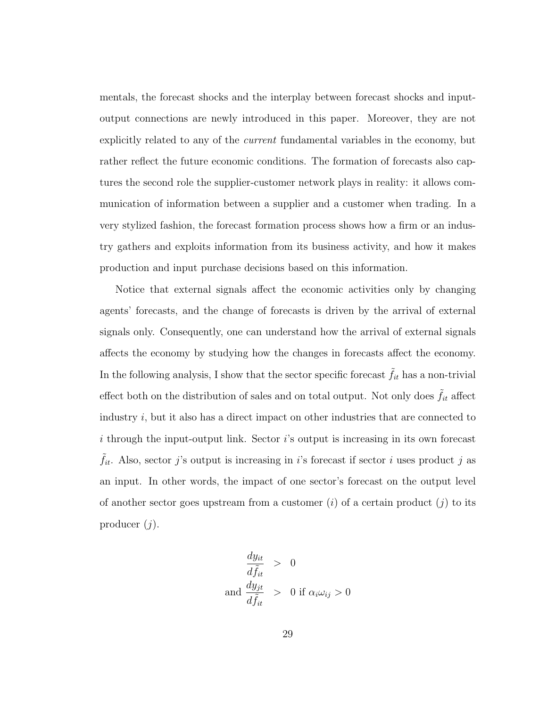mentals, the forecast shocks and the interplay between forecast shocks and inputoutput connections are newly introduced in this paper. Moreover, they are not explicitly related to any of the current fundamental variables in the economy, but rather reflect the future economic conditions. The formation of forecasts also captures the second role the supplier-customer network plays in reality: it allows communication of information between a supplier and a customer when trading. In a very stylized fashion, the forecast formation process shows how a firm or an industry gathers and exploits information from its business activity, and how it makes production and input purchase decisions based on this information.

Notice that external signals affect the economic activities only by changing agents' forecasts, and the change of forecasts is driven by the arrival of external signals only. Consequently, one can understand how the arrival of external signals affects the economy by studying how the changes in forecasts affect the economy. In the following analysis, I show that the sector specific forecast  $\hat{f}_{it}$  has a non-trivial effect both on the distribution of sales and on total output. Not only does  $f_{it}$  affect industry  $i$ , but it also has a direct impact on other industries that are connected to  $i$  through the input-output link. Sector  $i$ 's output is increasing in its own forecast  $f_{it}$ . Also, sector j's output is increasing in i's forecast if sector i uses product j as an input. In other words, the impact of one sector's forecast on the output level of another sector goes upstream from a customer  $(i)$  of a certain product  $(j)$  to its producer  $(j)$ .

$$
\frac{dy_{it}}{d\tilde{f}_{it}} > 0
$$
\nand\n
$$
\frac{dy_{jt}}{d\tilde{f}_{it}} > 0 \text{ if } \alpha_i \omega_{ij} > 0
$$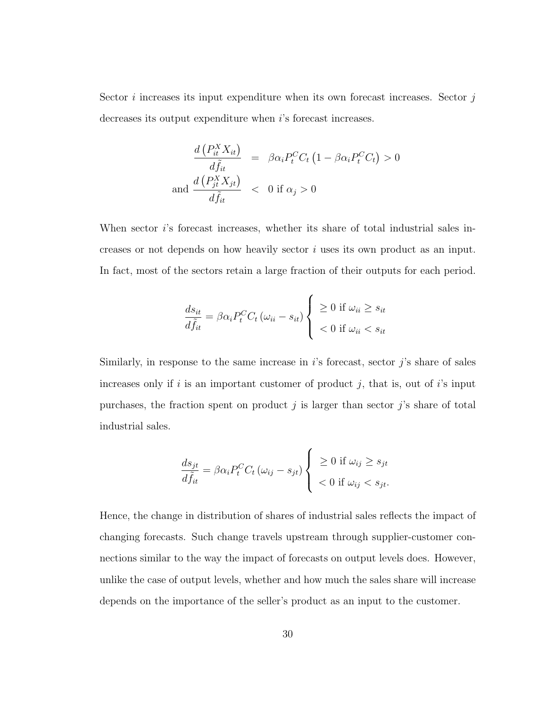Sector  $i$  increases its input expenditure when its own forecast increases. Sector  $j$ decreases its output expenditure when *i*'s forecast increases.

$$
\frac{d\left(P_{it}^X X_{it}\right)}{d\tilde{f}_{it}} = \beta \alpha_i P_t^C C_t \left(1 - \beta \alpha_i P_t^C C_t\right) > 0
$$
\n
$$
\frac{d\left(P_{jt}^X X_{jt}\right)}{d\tilde{f}_{it}} < 0 \text{ if } \alpha_j > 0
$$

When sector *i*'s forecast increases, whether its share of total industrial sales increases or not depends on how heavily sector i uses its own product as an input. In fact, most of the sectors retain a large fraction of their outputs for each period.

$$
\frac{ds_{it}}{d\tilde{f}_{it}} = \beta \alpha_i P_t^C C_t \left(\omega_{ii} - s_{it}\right) \begin{cases} \geq 0 \text{ if } \omega_{ii} \geq s_{it} \\ < 0 \text{ if } \omega_{ii} < s_{it} \end{cases}
$$

Similarly, in response to the same increase in  $i$ 's forecast, sector  $j$ 's share of sales increases only if i is an important customer of product j, that is, out of i's input purchases, the fraction spent on product  $j$  is larger than sector  $j$ 's share of total industrial sales.

$$
\frac{ds_{jt}}{d\tilde{f}_{it}} = \beta \alpha_i P_t^C C_t \left(\omega_{ij} - s_{jt}\right) \begin{cases} \geq 0 \text{ if } \omega_{ij} \geq s_{jt} \\ < 0 \text{ if } \omega_{ij} < s_{jt}. \end{cases}
$$

Hence, the change in distribution of shares of industrial sales reflects the impact of changing forecasts. Such change travels upstream through supplier-customer connections similar to the way the impact of forecasts on output levels does. However, unlike the case of output levels, whether and how much the sales share will increase depends on the importance of the seller's product as an input to the customer.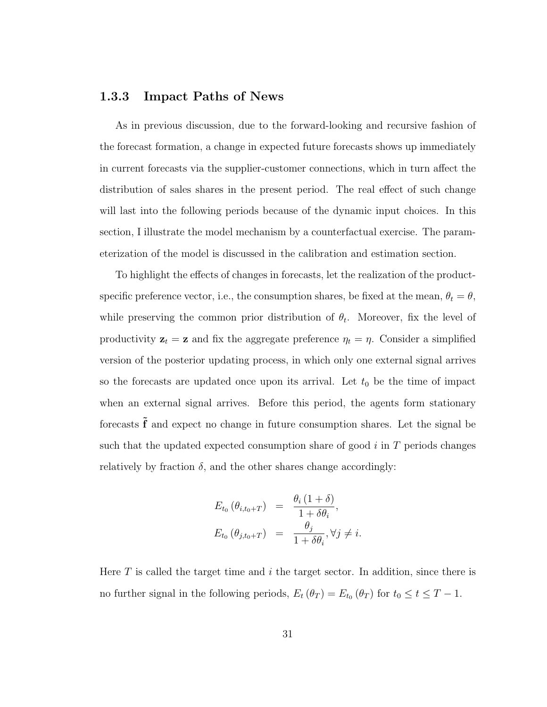#### 1.3.3 Impact Paths of News

As in previous discussion, due to the forward-looking and recursive fashion of the forecast formation, a change in expected future forecasts shows up immediately in current forecasts via the supplier-customer connections, which in turn affect the distribution of sales shares in the present period. The real effect of such change will last into the following periods because of the dynamic input choices. In this section, I illustrate the model mechanism by a counterfactual exercise. The parameterization of the model is discussed in the calibration and estimation section.

To highlight the effects of changes in forecasts, let the realization of the productspecific preference vector, i.e., the consumption shares, be fixed at the mean,  $\theta_t = \theta$ , while preserving the common prior distribution of  $\theta_t$ . Moreover, fix the level of productivity  $z_t = z$  and fix the aggregate preference  $\eta_t = \eta$ . Consider a simplified version of the posterior updating process, in which only one external signal arrives so the forecasts are updated once upon its arrival. Let  $t_0$  be the time of impact when an external signal arrives. Before this period, the agents form stationary forecasts  $\tilde{\mathbf{f}}$  and expect no change in future consumption shares. Let the signal be such that the updated expected consumption share of good  $i$  in  $T$  periods changes relatively by fraction  $\delta$ , and the other shares change accordingly:

$$
E_{t_0}(\theta_{i,t_0+T}) = \frac{\theta_i (1+\delta)}{1+\delta \theta_i},
$$
  
\n
$$
E_{t_0}(\theta_{j,t_0+T}) = \frac{\theta_j}{1+\delta \theta_i}, \forall j \neq i.
$$

Here T is called the target time and  $i$  the target sector. In addition, since there is no further signal in the following periods,  $E_t(\theta_T) = E_{t_0}(\theta_T)$  for  $t_0 \le t \le T - 1$ .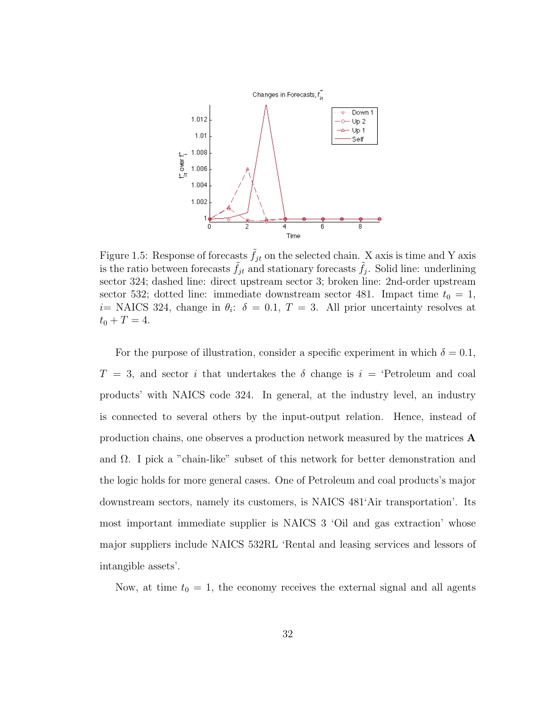<span id="page-44-0"></span>

Figure 1.5: Response of forecasts  $\tilde{f}_{jt}$  on the selected chain. X axis is time and Y axis is the ratio between forecasts  $\tilde{f}_{jt}$  and stationary forecasts  $\tilde{f}_j$ . Solid line: underlining sector 324; dashed line: direct upstream sector 3; broken line: 2nd-order upstream sector 532; dotted line: immediate downstream sector 481. Impact time  $t_0 = 1$ ,  $i=$  NAICS 324, change in  $\theta_i$ :  $\delta = 0.1, T = 3$ . All prior uncertainty resolves at  $t_0 + T = 4.$ 

For the purpose of illustration, consider a specific experiment in which  $\delta = 0.1$ ,  $T = 3$ , and sector i that undertakes the  $\delta$  change is  $i =$  'Petroleum and coal products' with NAICS code 324. In general, at the industry level, an industry is connected to several others by the input-output relation. Hence, instead of production chains, one observes a production network measured by the matrices  $\bf{A}$ and  $\Omega$ . I pick a "chain-like" subset of this network for better demonstration and the logic holds for more general cases. One of Petroleum and coal products's major downstream sectors, namely its customers, is NAICS 481'Air transportation'. Its most important immediate supplier is NAICS 3 'Oil and gas extraction' whose major suppliers include NAICS 532RL 'Rental and leasing services and lessors of intangible assets'.

Now, at time  $t_0 = 1$ , the economy receives the external signal and all agents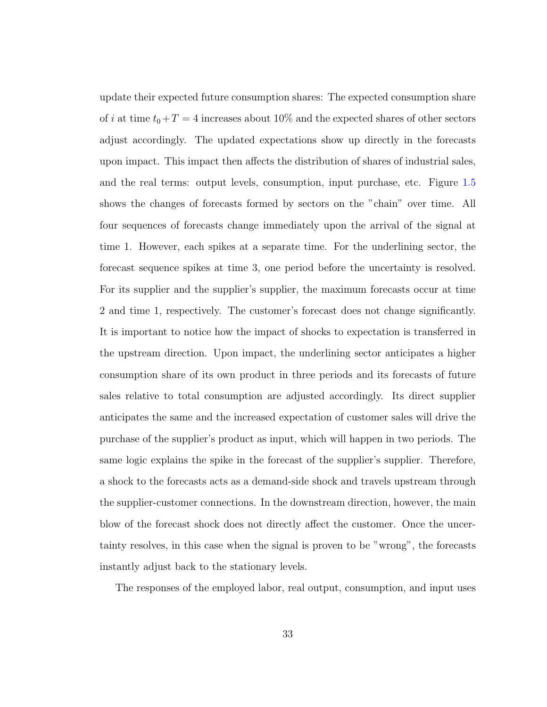update their expected future consumption shares: The expected consumption share of *i* at time  $t_0 + T = 4$  increases about 10% and the expected shares of other sectors adjust accordingly. The updated expectations show up directly in the forecasts upon impact. This impact then affects the distribution of shares of industrial sales, and the real terms: output levels, consumption, input purchase, etc. Figure [1.5](#page-44-0) shows the changes of forecasts formed by sectors on the "chain" over time. All four sequences of forecasts change immediately upon the arrival of the signal at time 1. However, each spikes at a separate time. For the underlining sector, the forecast sequence spikes at time 3, one period before the uncertainty is resolved. For its supplier and the supplier's supplier, the maximum forecasts occur at time 2 and time 1, respectively. The customer's forecast does not change significantly. It is important to notice how the impact of shocks to expectation is transferred in the upstream direction. Upon impact, the underlining sector anticipates a higher consumption share of its own product in three periods and its forecasts of future sales relative to total consumption are adjusted accordingly. Its direct supplier anticipates the same and the increased expectation of customer sales will drive the purchase of the supplier's product as input, which will happen in two periods. The same logic explains the spike in the forecast of the supplier's supplier. Therefore, a shock to the forecasts acts as a demand-side shock and travels upstream through the supplier-customer connections. In the downstream direction, however, the main blow of the forecast shock does not directly affect the customer. Once the uncertainty resolves, in this case when the signal is proven to be "wrong", the forecasts instantly adjust back to the stationary levels.

The responses of the employed labor, real output, consumption, and input uses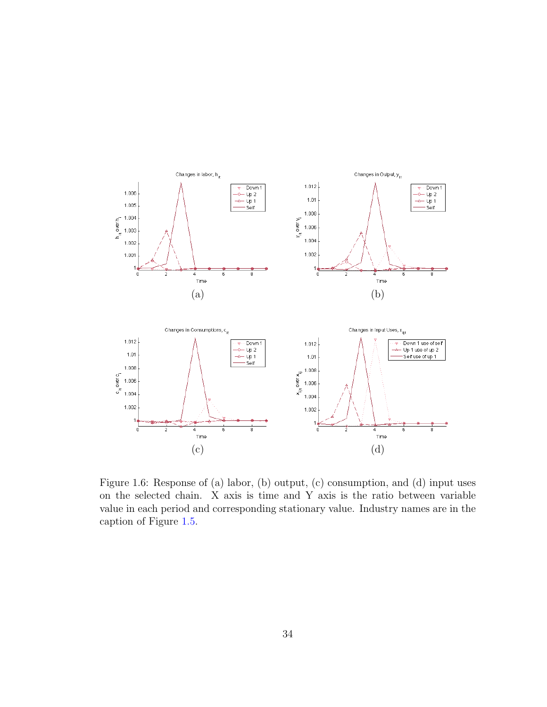<span id="page-46-0"></span>

Figure 1.6: Response of (a) labor, (b) output, (c) consumption, and (d) input uses on the selected chain. X axis is time and Y axis is the ratio between variable value in each period and corresponding stationary value. Industry names are in the caption of Figure [1.5.](#page-44-0)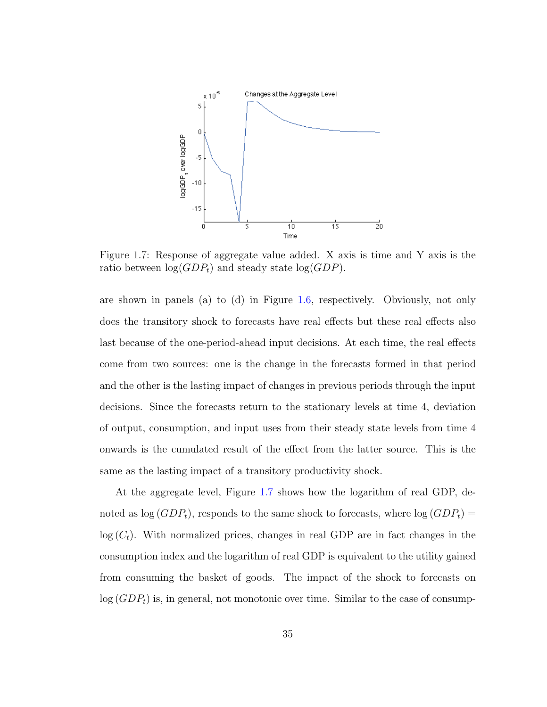<span id="page-47-0"></span>

Figure 1.7: Response of aggregate value added. X axis is time and Y axis is the ratio between  $log(GDP<sub>t</sub>)$  and steady state  $log(GDP)$ .

are shown in panels (a) to (d) in Figure [1.6,](#page-46-0) respectively. Obviously, not only does the transitory shock to forecasts have real effects but these real effects also last because of the one-period-ahead input decisions. At each time, the real effects come from two sources: one is the change in the forecasts formed in that period and the other is the lasting impact of changes in previous periods through the input decisions. Since the forecasts return to the stationary levels at time 4, deviation of output, consumption, and input uses from their steady state levels from time 4 onwards is the cumulated result of the effect from the latter source. This is the same as the lasting impact of a transitory productivity shock.

At the aggregate level, Figure [1.7](#page-47-0) shows how the logarithm of real GDP, denoted as  $log(GDP_t)$ , responds to the same shock to forecasts, where  $log(GDP_t)$  =  $log (C_t)$ . With normalized prices, changes in real GDP are in fact changes in the consumption index and the logarithm of real GDP is equivalent to the utility gained from consuming the basket of goods. The impact of the shock to forecasts on  $log(GDP<sub>t</sub>)$  is, in general, not monotonic over time. Similar to the case of consump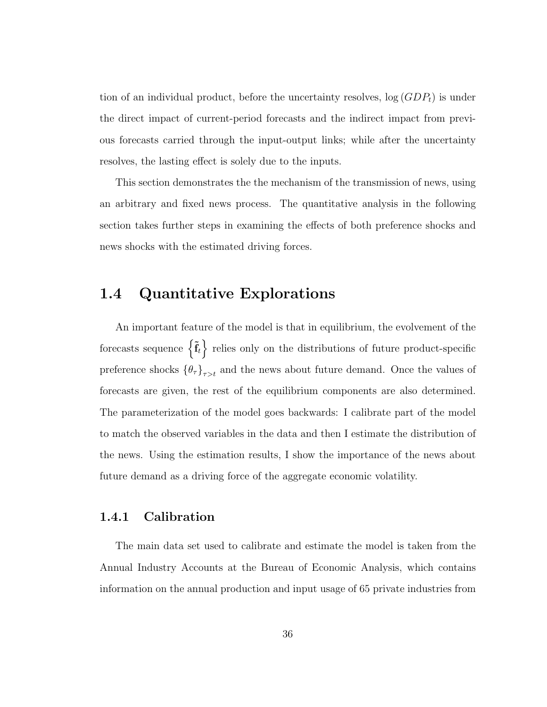tion of an individual product, before the uncertainty resolves,  $log(GDP<sub>t</sub>)$  is under the direct impact of current-period forecasts and the indirect impact from previous forecasts carried through the input-output links; while after the uncertainty resolves, the lasting effect is solely due to the inputs.

This section demonstrates the the mechanism of the transmission of news, using an arbitrary and fixed news process. The quantitative analysis in the following section takes further steps in examining the effects of both preference shocks and news shocks with the estimated driving forces.

## 1.4 Quantitative Explorations

An important feature of the model is that in equilibrium, the evolvement of the forecasts sequence  $\{\tilde{\mathbf{f}}_t\}$  relies only on the distributions of future product-specific preference shocks  $\{\theta_{\tau}\}_{\tau>t}$  and the news about future demand. Once the values of forecasts are given, the rest of the equilibrium components are also determined. The parameterization of the model goes backwards: I calibrate part of the model to match the observed variables in the data and then I estimate the distribution of the news. Using the estimation results, I show the importance of the news about future demand as a driving force of the aggregate economic volatility.

#### 1.4.1 Calibration

The main data set used to calibrate and estimate the model is taken from the Annual Industry Accounts at the Bureau of Economic Analysis, which contains information on the annual production and input usage of 65 private industries from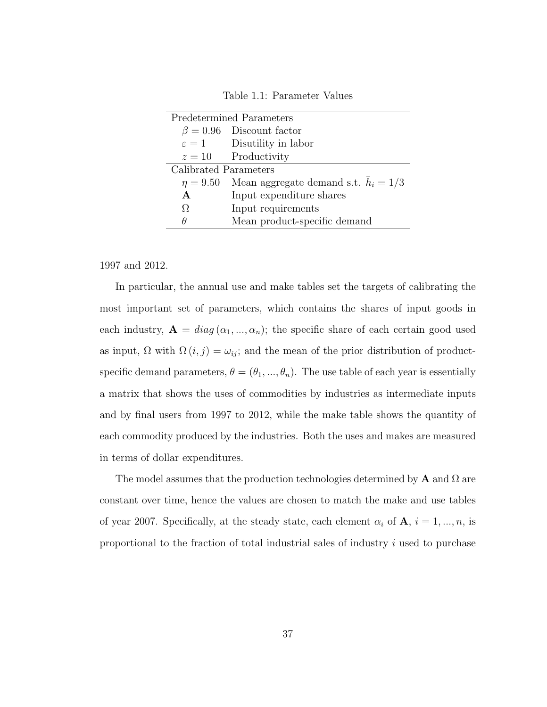Table 1.1: Parameter Values

| <b>Predetermined Parameters</b> |                                                      |  |  |
|---------------------------------|------------------------------------------------------|--|--|
|                                 | $\beta = 0.96$ Discount factor                       |  |  |
|                                 | $\varepsilon = 1$ Disutility in labor                |  |  |
|                                 | $z = 10$ Productivity                                |  |  |
| Calibrated Parameters           |                                                      |  |  |
|                                 | $\eta = 9.50$ Mean aggregate demand s.t. $h_i = 1/3$ |  |  |
| $\mathbf{A}$                    | Input expenditure shares                             |  |  |
| Ω                               | Input requirements                                   |  |  |
| θ                               | Mean product-specific demand                         |  |  |

1997 and 2012.

In particular, the annual use and make tables set the targets of calibrating the most important set of parameters, which contains the shares of input goods in each industry,  $\mathbf{A} = diag(\alpha_1, ..., \alpha_n)$ ; the specific share of each certain good used as input,  $\Omega$  with  $\Omega(i, j) = \omega_{ij}$ ; and the mean of the prior distribution of productspecific demand parameters,  $\theta = (\theta_1, ..., \theta_n)$ . The use table of each year is essentially a matrix that shows the uses of commodities by industries as intermediate inputs and by final users from 1997 to 2012, while the make table shows the quantity of each commodity produced by the industries. Both the uses and makes are measured in terms of dollar expenditures.

The model assumes that the production technologies determined by  $A$  and  $\Omega$  are constant over time, hence the values are chosen to match the make and use tables of year 2007. Specifically, at the steady state, each element  $\alpha_i$  of  $\mathbf{A}$ ,  $i = 1, ..., n$ , is proportional to the fraction of total industrial sales of industry  $i$  used to purchase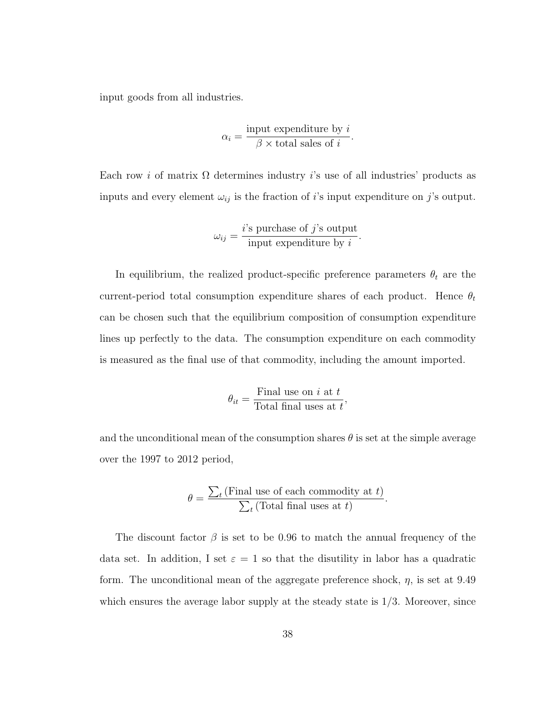input goods from all industries.

$$
\alpha_i = \frac{\text{input expenditure by } i}{\beta \times \text{total sales of } i}.
$$

Each row *i* of matrix  $\Omega$  determines industry *i*'s use of all industries' products as inputs and every element  $\omega_{ij}$  is the fraction of i's input expenditure on j's output.

$$
\omega_{ij} = \frac{i \text{'s purchase of } j \text{'s output}}{\text{input expenditure by } i}.
$$

In equilibrium, the realized product-specific preference parameters  $\theta_t$  are the current-period total consumption expenditure shares of each product. Hence  $\theta_t$ can be chosen such that the equilibrium composition of consumption expenditure lines up perfectly to the data. The consumption expenditure on each commodity is measured as the final use of that commodity, including the amount imported.

$$
\theta_{it} = \frac{\text{Final use on } i \text{ at } t}{\text{Total final uses at } t},
$$

and the unconditional mean of the consumption shares  $\theta$  is set at the simple average over the 1997 to 2012 period,

$$
\theta = \frac{\sum_{t} \text{(Final use of each commodity at } t)}{\sum_{t} \text{(Total final uses at } t)}.
$$

The discount factor  $\beta$  is set to be 0.96 to match the annual frequency of the data set. In addition, I set  $\varepsilon = 1$  so that the disutility in labor has a quadratic form. The unconditional mean of the aggregate preference shock,  $\eta$ , is set at 9.49 which ensures the average labor supply at the steady state is  $1/3$ . Moreover, since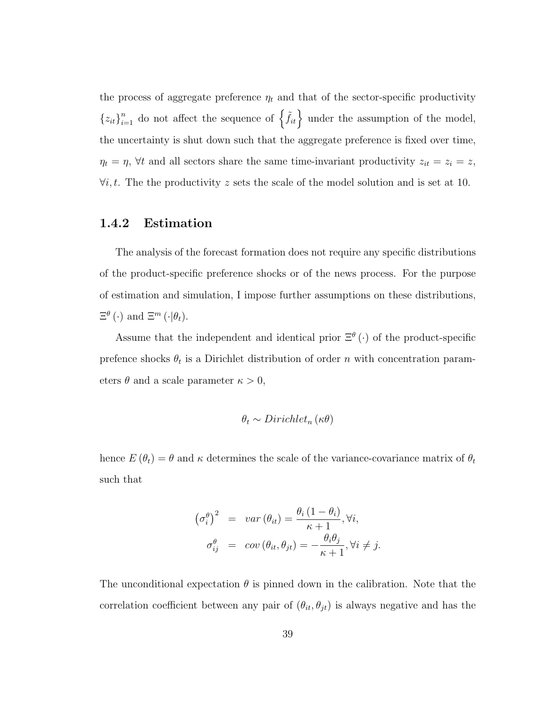the process of aggregate preference  $\eta_t$  and that of the sector-specific productivity  ${z_{it}}_{i=1}^n$  do not affect the sequence of  $\{\tilde{f}_{it}\}$  under the assumption of the model, the uncertainty is shut down such that the aggregate preference is fixed over time,  $\eta_t = \eta$ ,  $\forall t$  and all sectors share the same time-invariant productivity  $z_{it} = z_i = z$ ,  $\forall i, t$ . The the productivity z sets the scale of the model solution and is set at 10.

### 1.4.2 Estimation

The analysis of the forecast formation does not require any specific distributions of the product-specific preference shocks or of the news process. For the purpose of estimation and simulation, I impose further assumptions on these distributions,  $\Xi^{\theta}(\cdot)$  and  $\Xi^m(\cdot|\theta_t)$ .

Assume that the independent and identical prior  $\Xi^{\theta}(\cdot)$  of the product-specific prefence shocks  $\theta_t$  is a Dirichlet distribution of order n with concentration parameters  $\theta$  and a scale parameter  $\kappa > 0$ ,

$$
\theta_t \sim Dirichlet_n(\kappa \theta)
$$

hence  $E(\theta_t) = \theta$  and  $\kappa$  determines the scale of the variance-covariance matrix of  $\theta_t$ such that

$$
(\sigma_i^{\theta})^2 = var(\theta_{it}) = \frac{\theta_i (1 - \theta_i)}{\kappa + 1}, \forall i,
$$
  

$$
\sigma_{ij}^{\theta} = cov(\theta_{it}, \theta_{jt}) = -\frac{\theta_i \theta_j}{\kappa + 1}, \forall i \neq j.
$$

The unconditional expectation  $\theta$  is pinned down in the calibration. Note that the correlation coefficient between any pair of  $(\theta_{it}, \theta_{jt})$  is always negative and has the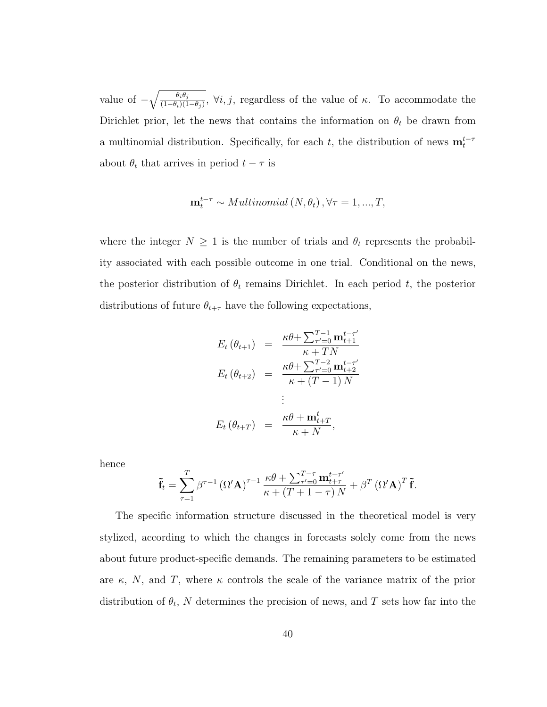value of  $-\sqrt{\frac{\theta_i \theta_j}{(1-\theta_i)(1-\theta_j)}}$  $\frac{\theta_i \theta_j}{(1-\theta_i)(1-\theta_j)}, \ \forall i, j$ , regardless of the value of  $\kappa$ . To accommodate the Dirichlet prior, let the news that contains the information on  $\theta_t$  be drawn from a multinomial distribution. Specifically, for each t, the distribution of news  $\mathbf{m}_t^{t-\tau}$ about  $\theta_t$  that arrives in period  $t - \tau$  is

$$
\mathbf{m}_t^{t-\tau} \sim Multinomial\left(N, \theta_t\right), \forall \tau = 1, ..., T,
$$

where the integer  $N \geq 1$  is the number of trials and  $\theta_t$  represents the probability associated with each possible outcome in one trial. Conditional on the news, the posterior distribution of  $\theta_t$  remains Dirichlet. In each period t, the posterior distributions of future  $\theta_{t+\tau}$  have the following expectations,

$$
E_t (\theta_{t+1}) = \frac{\kappa \theta + \sum_{\tau'=0}^{T-1} \mathbf{m}_{t+1}^{t-\tau'}}{\kappa + TN}
$$
  
\n
$$
E_t (\theta_{t+2}) = \frac{\kappa \theta + \sum_{\tau'=0}^{T-2} \mathbf{m}_{t+2}^{t-\tau'}}{\kappa + (T-1) N}
$$
  
\n:  
\n
$$
E_t (\theta_{t+T}) = \frac{\kappa \theta + \mathbf{m}_{t+T}^t}{\kappa + N},
$$

hence

$$
\tilde{\mathbf{f}}_t = \sum_{\tau=1}^T \beta^{\tau-1} (\Omega' \mathbf{A})^{\tau-1} \frac{\kappa \theta + \sum_{\tau'=0}^{T-\tau} \mathbf{m}_{t+\tau}^{t-\tau'}}{\kappa + (T+1-\tau) N} + \beta^T (\Omega' \mathbf{A})^T \tilde{\mathbf{f}}.
$$

The specific information structure discussed in the theoretical model is very stylized, according to which the changes in forecasts solely come from the news about future product-specific demands. The remaining parameters to be estimated are  $\kappa$ , N, and T, where  $\kappa$  controls the scale of the variance matrix of the prior distribution of  $\theta_t$ , N determines the precision of news, and T sets how far into the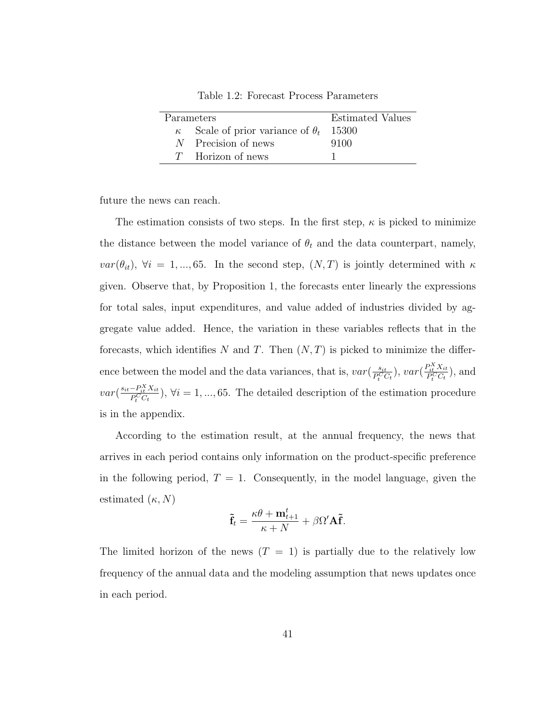Table 1.2: Forecast Process Parameters

| Parameters                                     | <b>Estimated Values</b> |
|------------------------------------------------|-------------------------|
| $\kappa$ Scale of prior variance of $\theta_t$ | -15300                  |
| $N$ Precision of news                          | 9100                    |
| $T$ Horizon of news                            |                         |

future the news can reach.

The estimation consists of two steps. In the first step,  $\kappa$  is picked to minimize the distance between the model variance of  $\theta_t$  and the data counterpart, namely,  $var(\theta_{it}), \forall i = 1, ..., 65$ . In the second step,  $(N, T)$  is jointly determined with  $\kappa$ given. Observe that, by Proposition 1, the forecasts enter linearly the expressions for total sales, input expenditures, and value added of industries divided by aggregate value added. Hence, the variation in these variables reflects that in the forecasts, which identifies N and T. Then  $(N, T)$  is picked to minimize the difference between the model and the data variances, that is,  $var(\frac{s_{it}}{p_C})$  $\frac{s_{it}}{P_t^CC_t}$ ),  $var(\frac{P_{it}^XX_{it}}{P_t^CC_t})$  $\frac{F_{it}^{T} A_{it}}{P_t^C C_t}$ ), and  $var(\frac{s_{it}-P_{it}^XX_{it}}{pCC})$  $\frac{-P_{it}^{T} A_{it}}{P_t^{C} C_t}$ ,  $\forall i = 1, ..., 65$ . The detailed description of the estimation procedure is in the appendix.

According to the estimation result, at the annual frequency, the news that arrives in each period contains only information on the product-specific preference in the following period,  $T = 1$ . Consequently, in the model language, given the estimated  $(\kappa, N)$ 

$$
\tilde{\mathbf{f}}_t = \frac{\kappa \theta + \mathbf{m}_{t+1}^t}{\kappa + N} + \beta \Omega' \mathbf{A} \tilde{\mathbf{f}}.
$$

The limited horizon of the news  $(T = 1)$  is partially due to the relatively low frequency of the annual data and the modeling assumption that news updates once in each period.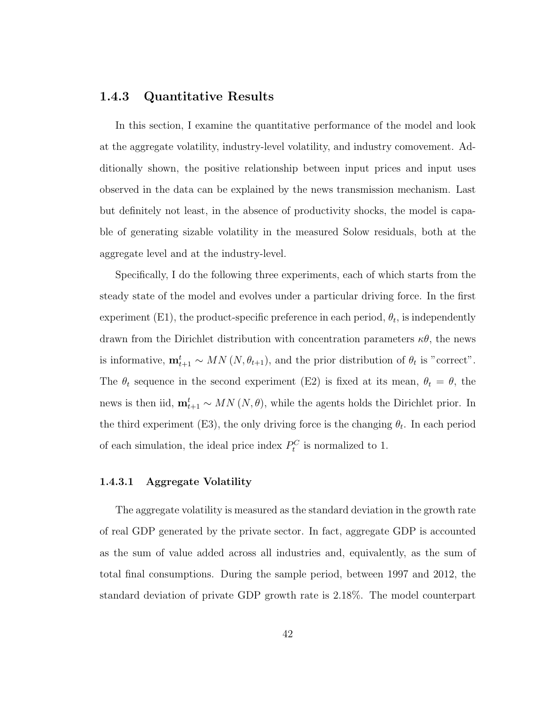#### 1.4.3 Quantitative Results

In this section, I examine the quantitative performance of the model and look at the aggregate volatility, industry-level volatility, and industry comovement. Additionally shown, the positive relationship between input prices and input uses observed in the data can be explained by the news transmission mechanism. Last but definitely not least, in the absence of productivity shocks, the model is capable of generating sizable volatility in the measured Solow residuals, both at the aggregate level and at the industry-level.

Specifically, I do the following three experiments, each of which starts from the steady state of the model and evolves under a particular driving force. In the first experiment (E1), the product-specific preference in each period,  $\theta_t$ , is independently drawn from the Dirichlet distribution with concentration parameters  $\kappa\theta$ , the news is informative,  $\mathbf{m}_{t+1}^t \sim MN(N, \theta_{t+1})$ , and the prior distribution of  $\theta_t$  is "correct". The  $\theta_t$  sequence in the second experiment (E2) is fixed at its mean,  $\theta_t = \theta$ , the news is then iid,  $\mathbf{m}_{t+1}^t \sim MN(N, \theta)$ , while the agents holds the Dirichlet prior. In the third experiment (E3), the only driving force is the changing  $\theta_t$ . In each period of each simulation, the ideal price index  $P_t^C$  is normalized to 1.

#### 1.4.3.1 Aggregate Volatility

The aggregate volatility is measured as the standard deviation in the growth rate of real GDP generated by the private sector. In fact, aggregate GDP is accounted as the sum of value added across all industries and, equivalently, as the sum of total final consumptions. During the sample period, between 1997 and 2012, the standard deviation of private GDP growth rate is 2.18%. The model counterpart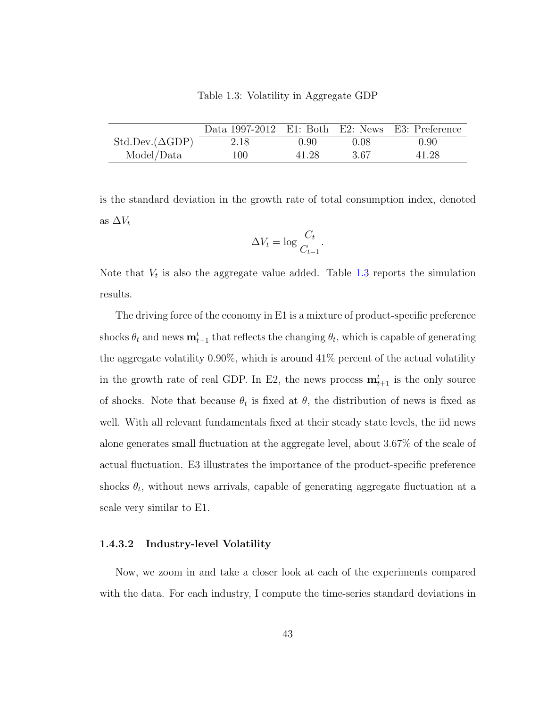<span id="page-55-0"></span>

|                        | Data 1997-2012 E1: Both E2: News E3: Preference |       |       |       |
|------------------------|-------------------------------------------------|-------|-------|-------|
| $Std.Dev.(\Delta GDP)$ | 2.18                                            | 0.90  | 0.08  | 0.90  |
| Model/Data             | 100                                             | 41.28 | -3.67 | 41.28 |

is the standard deviation in the growth rate of total consumption index, denoted as  $\Delta V_t$ 

$$
\Delta V_t = \log \frac{C_t}{C_{t-1}}.
$$

Note that  $V_t$  is also the aggregate value added. Table [1.3](#page-55-0) reports the simulation results.

The driving force of the economy in E1 is a mixture of product-specific preference shocks  $\theta_t$  and news  $\mathbf{m}_{t+1}^t$  that reflects the changing  $\theta_t$ , which is capable of generating the aggregate volatility  $0.90\%$ , which is around  $41\%$  percent of the actual volatility in the growth rate of real GDP. In E2, the news process  $\mathbf{m}_{t+1}^{t}$  is the only source of shocks. Note that because  $\theta_t$  is fixed at  $\theta$ , the distribution of news is fixed as well. With all relevant fundamentals fixed at their steady state levels, the iid news alone generates small fluctuation at the aggregate level, about 3.67% of the scale of actual fluctuation. E3 illustrates the importance of the product-specific preference shocks  $\theta_t$ , without news arrivals, capable of generating aggregate fluctuation at a scale very similar to E1.

#### 1.4.3.2 Industry-level Volatility

Now, we zoom in and take a closer look at each of the experiments compared with the data. For each industry, I compute the time-series standard deviations in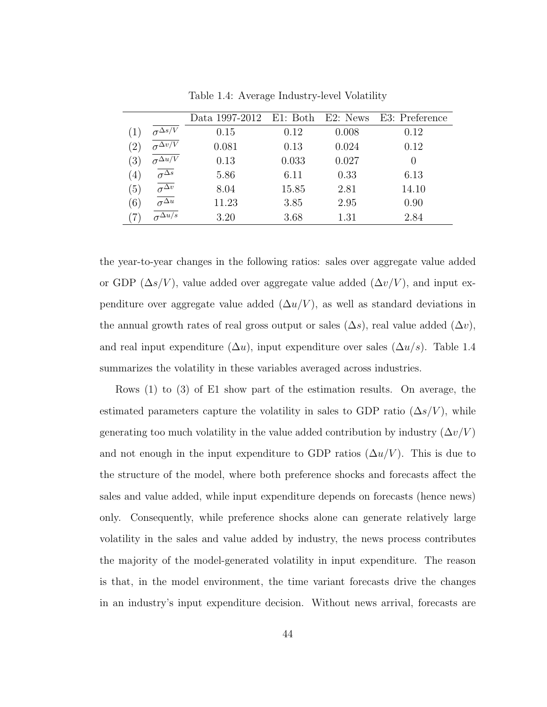|                   |                                  | Data 1997-2012 E1: Both E2: News |       |       | E3: Preference |
|-------------------|----------------------------------|----------------------------------|-------|-------|----------------|
| (1)               | $\sigma^{\Delta s/V}$            | 0.15                             | 0.12  | 0.008 | 0.12           |
| $\left( 2\right)$ | $\overline{\sigma^{\Delta v/V}}$ | 0.081                            | 0.13  | 0.024 | 0.12           |
| $\left( 3\right)$ | $\sigma^{\overline{\Delta u/V}}$ | 0.13                             | 0.033 | 0.027 |                |
| $\left(4\right)$  | $\overline{\sigma^{\Delta s}}$   | 5.86                             | 6.11  | 0.33  | 6.13           |
| (5)               | $\overline{\sigma^{\Delta v}}$   | 8.04                             | 15.85 | 2.81  | 14.10          |
| (6)               | $\overline{\sigma^{\Delta u}}$   | 11.23                            | 3.85  | 2.95  | 0.90           |
|                   | $\sigma^{\Delta u/s}$            | 3.20                             | 3.68  | 1.31  | 2.84           |

Table 1.4: Average Industry-level Volatility

the year-to-year changes in the following ratios: sales over aggregate value added or GDP ( $\Delta s/V$ ), value added over aggregate value added ( $\Delta v/V$ ), and input expenditure over aggregate value added  $(\Delta u/V)$ , as well as standard deviations in the annual growth rates of real gross output or sales  $(\Delta s)$ , real value added  $(\Delta v)$ , and real input expenditure ( $\Delta u$ ), input expenditure over sales ( $\Delta u/s$ ). Table 1.4 summarizes the volatility in these variables averaged across industries.

Rows (1) to (3) of E1 show part of the estimation results. On average, the estimated parameters capture the volatility in sales to GDP ratio  $(\Delta s/V)$ , while generating too much volatility in the value added contribution by industry  $(\Delta v/V)$ and not enough in the input expenditure to GDP ratios  $(\Delta u/V)$ . This is due to the structure of the model, where both preference shocks and forecasts affect the sales and value added, while input expenditure depends on forecasts (hence news) only. Consequently, while preference shocks alone can generate relatively large volatility in the sales and value added by industry, the news process contributes the majority of the model-generated volatility in input expenditure. The reason is that, in the model environment, the time variant forecasts drive the changes in an industry's input expenditure decision. Without news arrival, forecasts are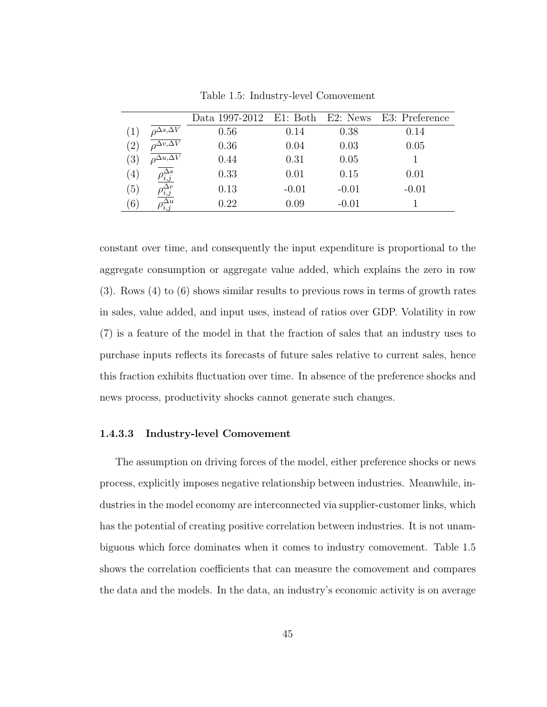|                  |                                     | Data 1997-2012 E1: Both E2: News E3: Preference |         |         |         |
|------------------|-------------------------------------|-------------------------------------------------|---------|---------|---------|
| (1)              | $0^{\Delta s,\overline{\Delta V}}$  | 0.56                                            | 0.14    | 0.38    | 0.14    |
| $^{\prime}2)$    | $0^{\Delta v, \overline{\Delta V}}$ | 0.36                                            | 0.04    | 0.03    | 0.05    |
| $\left(3\right)$ | $0^{\Delta u,\overline{\Delta V}}$  | 0.44                                            | 0.31    | 0.05    |         |
| (4)              | $\overline{\rho_{i,j}^{\Delta s}}$  | 0.33                                            | 0.01    | 0.15    | 0.01    |
| (5)              | $\rho_{i,j}^{\Delta v}$             | 0.13                                            | $-0.01$ | $-0.01$ | $-0.01$ |
| (6)              |                                     | 0.22                                            | 0.09    | $-0.01$ |         |

Table 1.5: Industry-level Comovement

constant over time, and consequently the input expenditure is proportional to the aggregate consumption or aggregate value added, which explains the zero in row (3). Rows (4) to (6) shows similar results to previous rows in terms of growth rates in sales, value added, and input uses, instead of ratios over GDP. Volatility in row (7) is a feature of the model in that the fraction of sales that an industry uses to purchase inputs reflects its forecasts of future sales relative to current sales, hence this fraction exhibits fluctuation over time. In absence of the preference shocks and news process, productivity shocks cannot generate such changes.

#### 1.4.3.3 Industry-level Comovement

The assumption on driving forces of the model, either preference shocks or news process, explicitly imposes negative relationship between industries. Meanwhile, industries in the model economy are interconnected via supplier-customer links, which has the potential of creating positive correlation between industries. It is not unambiguous which force dominates when it comes to industry comovement. Table 1.5 shows the correlation coefficients that can measure the comovement and compares the data and the models. In the data, an industry's economic activity is on average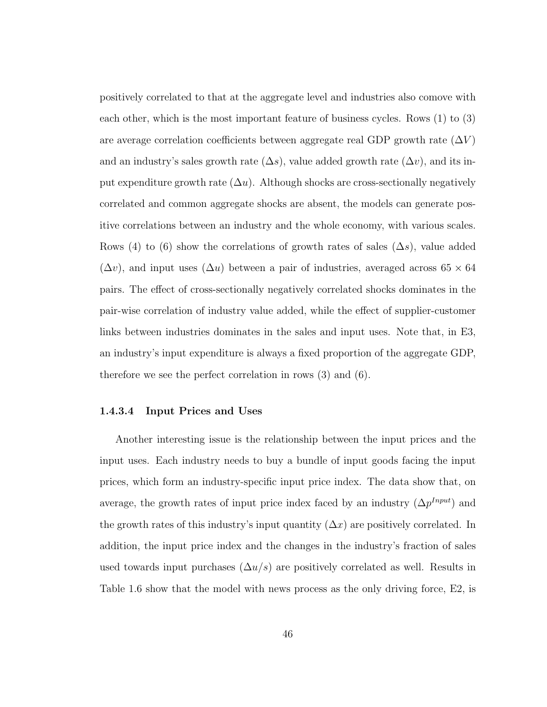positively correlated to that at the aggregate level and industries also comove with each other, which is the most important feature of business cycles. Rows (1) to (3) are average correlation coefficients between aggregate real GDP growth rate  $(\Delta V)$ and an industry's sales growth rate  $(\Delta s)$ , value added growth rate  $(\Delta v)$ , and its input expenditure growth rate  $(\Delta u)$ . Although shocks are cross-sectionally negatively correlated and common aggregate shocks are absent, the models can generate positive correlations between an industry and the whole economy, with various scales. Rows (4) to (6) show the correlations of growth rates of sales ( $\Delta s$ ), value added  $(\Delta v)$ , and input uses  $(\Delta u)$  between a pair of industries, averaged across 65  $\times$  64 pairs. The effect of cross-sectionally negatively correlated shocks dominates in the pair-wise correlation of industry value added, while the effect of supplier-customer links between industries dominates in the sales and input uses. Note that, in E3, an industry's input expenditure is always a fixed proportion of the aggregate GDP, therefore we see the perfect correlation in rows (3) and (6).

#### 1.4.3.4 Input Prices and Uses

Another interesting issue is the relationship between the input prices and the input uses. Each industry needs to buy a bundle of input goods facing the input prices, which form an industry-specific input price index. The data show that, on average, the growth rates of input price index faced by an industry  $(\Delta p^{Input})$  and the growth rates of this industry's input quantity  $(\Delta x)$  are positively correlated. In addition, the input price index and the changes in the industry's fraction of sales used towards input purchases  $(\Delta u/s)$  are positively correlated as well. Results in Table 1.6 show that the model with news process as the only driving force, E2, is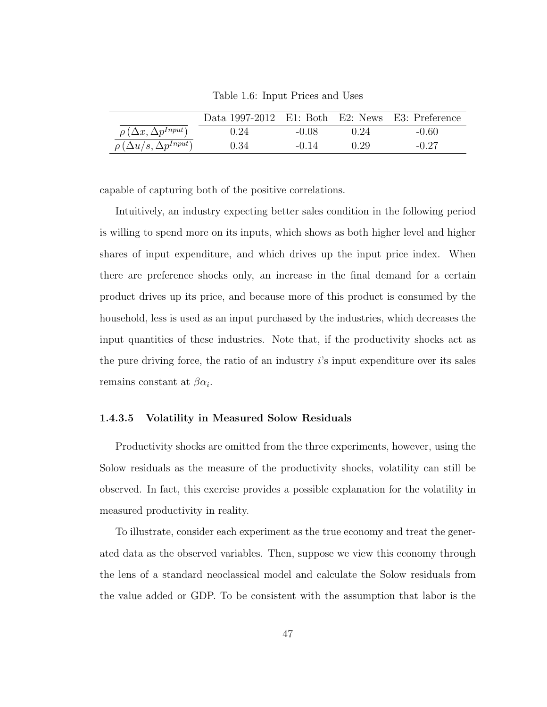Data 1997-2012 E1: Both E2: News E3: Preference  $p\left(\Delta x, \Delta p^{Input}\right)$  $\binom{Input}{0.24}$  -0.08 0.24 -0.60  $\Delta u/s$ ,  $\Delta p^{Input}$  $\binom{Input}{0.34}$  -0.14 0.29 -0.27

Table 1.6: Input Prices and Uses

capable of capturing both of the positive correlations.

Intuitively, an industry expecting better sales condition in the following period is willing to spend more on its inputs, which shows as both higher level and higher shares of input expenditure, and which drives up the input price index. When there are preference shocks only, an increase in the final demand for a certain product drives up its price, and because more of this product is consumed by the household, less is used as an input purchased by the industries, which decreases the input quantities of these industries. Note that, if the productivity shocks act as the pure driving force, the ratio of an industry i's input expenditure over its sales remains constant at  $\beta \alpha_i$ .

#### 1.4.3.5 Volatility in Measured Solow Residuals

Productivity shocks are omitted from the three experiments, however, using the Solow residuals as the measure of the productivity shocks, volatility can still be observed. In fact, this exercise provides a possible explanation for the volatility in measured productivity in reality.

To illustrate, consider each experiment as the true economy and treat the generated data as the observed variables. Then, suppose we view this economy through the lens of a standard neoclassical model and calculate the Solow residuals from the value added or GDP. To be consistent with the assumption that labor is the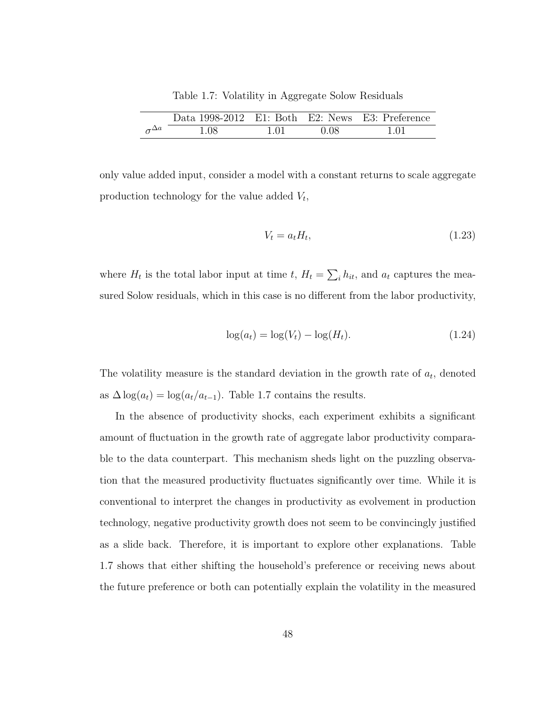Table 1.7: Volatility in Aggregate Solow Residuals

|                     | Data 1998-2012 E1: Both E2: News E3: Preference |      |        |  |
|---------------------|-------------------------------------------------|------|--------|--|
| $\sigma^{\Delta a}$ | - 1.08                                          | 1.01 | - 0.08 |  |

only value added input, consider a model with a constant returns to scale aggregate production technology for the value added  $V_t$ ,

$$
V_t = a_t H_t,\tag{1.23}
$$

where  $H_t$  is the total labor input at time t,  $H_t = \sum_i h_{it}$ , and  $a_t$  captures the measured Solow residuals, which in this case is no different from the labor productivity,

$$
\log(a_t) = \log(V_t) - \log(H_t). \tag{1.24}
$$

The volatility measure is the standard deviation in the growth rate of  $a_t$ , denoted as  $\Delta \log(a_t) = \log(a_t/a_{t-1})$ . Table 1.7 contains the results.

In the absence of productivity shocks, each experiment exhibits a significant amount of fluctuation in the growth rate of aggregate labor productivity comparable to the data counterpart. This mechanism sheds light on the puzzling observation that the measured productivity fluctuates significantly over time. While it is conventional to interpret the changes in productivity as evolvement in production technology, negative productivity growth does not seem to be convincingly justified as a slide back. Therefore, it is important to explore other explanations. Table 1.7 shows that either shifting the household's preference or receiving news about the future preference or both can potentially explain the volatility in the measured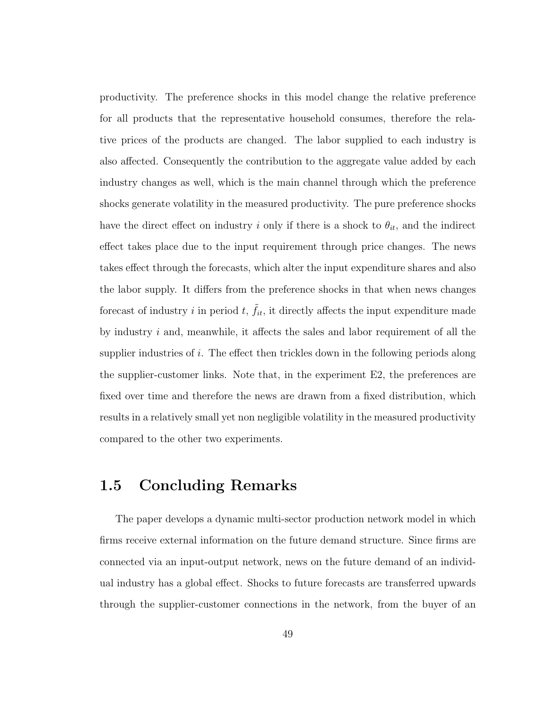productivity. The preference shocks in this model change the relative preference for all products that the representative household consumes, therefore the relative prices of the products are changed. The labor supplied to each industry is also affected. Consequently the contribution to the aggregate value added by each industry changes as well, which is the main channel through which the preference shocks generate volatility in the measured productivity. The pure preference shocks have the direct effect on industry i only if there is a shock to  $\theta_{it}$ , and the indirect effect takes place due to the input requirement through price changes. The news takes effect through the forecasts, which alter the input expenditure shares and also the labor supply. It differs from the preference shocks in that when news changes forecast of industry i in period t,  $\tilde{f}_{it}$ , it directly affects the input expenditure made by industry i and, meanwhile, it affects the sales and labor requirement of all the supplier industries of i. The effect then trickles down in the following periods along the supplier-customer links. Note that, in the experiment E2, the preferences are fixed over time and therefore the news are drawn from a fixed distribution, which results in a relatively small yet non negligible volatility in the measured productivity compared to the other two experiments.

# 1.5 Concluding Remarks

The paper develops a dynamic multi-sector production network model in which firms receive external information on the future demand structure. Since firms are connected via an input-output network, news on the future demand of an individual industry has a global effect. Shocks to future forecasts are transferred upwards through the supplier-customer connections in the network, from the buyer of an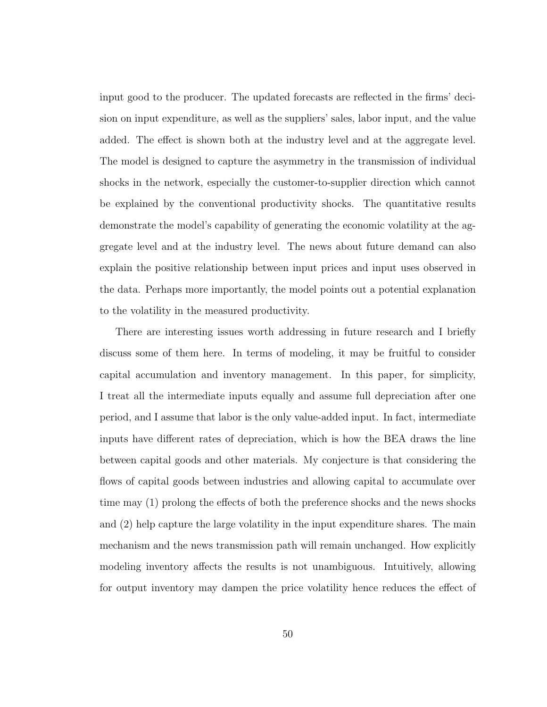input good to the producer. The updated forecasts are reflected in the firms' decision on input expenditure, as well as the suppliers' sales, labor input, and the value added. The effect is shown both at the industry level and at the aggregate level. The model is designed to capture the asymmetry in the transmission of individual shocks in the network, especially the customer-to-supplier direction which cannot be explained by the conventional productivity shocks. The quantitative results demonstrate the model's capability of generating the economic volatility at the aggregate level and at the industry level. The news about future demand can also explain the positive relationship between input prices and input uses observed in the data. Perhaps more importantly, the model points out a potential explanation to the volatility in the measured productivity.

There are interesting issues worth addressing in future research and I briefly discuss some of them here. In terms of modeling, it may be fruitful to consider capital accumulation and inventory management. In this paper, for simplicity, I treat all the intermediate inputs equally and assume full depreciation after one period, and I assume that labor is the only value-added input. In fact, intermediate inputs have different rates of depreciation, which is how the BEA draws the line between capital goods and other materials. My conjecture is that considering the flows of capital goods between industries and allowing capital to accumulate over time may (1) prolong the effects of both the preference shocks and the news shocks and (2) help capture the large volatility in the input expenditure shares. The main mechanism and the news transmission path will remain unchanged. How explicitly modeling inventory affects the results is not unambiguous. Intuitively, allowing for output inventory may dampen the price volatility hence reduces the effect of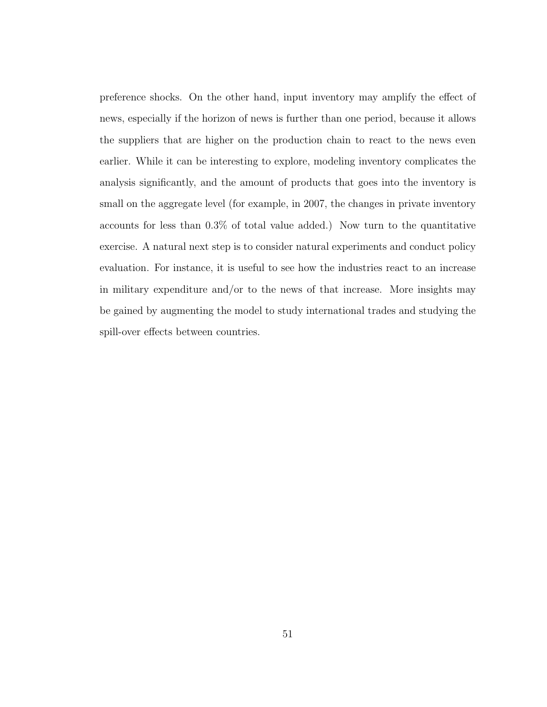preference shocks. On the other hand, input inventory may amplify the effect of news, especially if the horizon of news is further than one period, because it allows the suppliers that are higher on the production chain to react to the news even earlier. While it can be interesting to explore, modeling inventory complicates the analysis significantly, and the amount of products that goes into the inventory is small on the aggregate level (for example, in 2007, the changes in private inventory accounts for less than 0.3% of total value added.) Now turn to the quantitative exercise. A natural next step is to consider natural experiments and conduct policy evaluation. For instance, it is useful to see how the industries react to an increase in military expenditure and/or to the news of that increase. More insights may be gained by augmenting the model to study international trades and studying the spill-over effects between countries.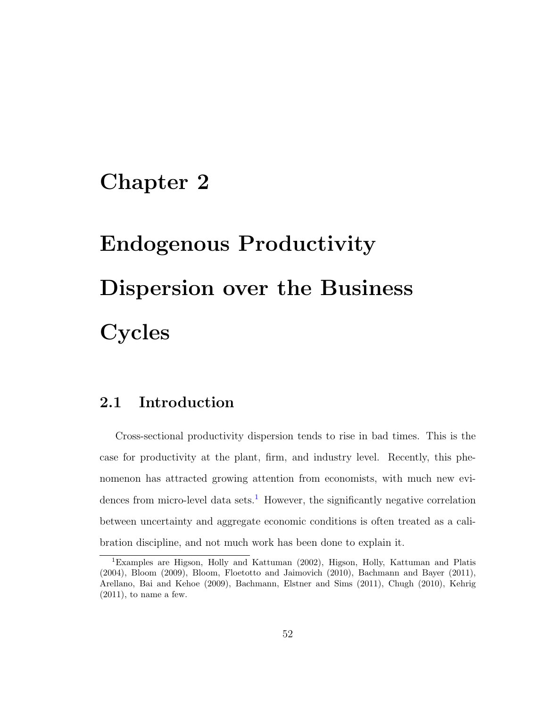# Chapter 2

# Endogenous Productivity Dispersion over the Business **Cycles**

# 2.1 Introduction

Cross-sectional productivity dispersion tends to rise in bad times. This is the case for productivity at the plant, firm, and industry level. Recently, this phenomenon has attracted growing attention from economists, with much new evi-dences from micro-level data sets.<sup>[1](#page-64-0)</sup> However, the significantly negative correlation between uncertainty and aggregate economic conditions is often treated as a calibration discipline, and not much work has been done to explain it.

<span id="page-64-0"></span><sup>1</sup>Examples are Higson, Holly and Kattuman (2002), Higson, Holly, Kattuman and Platis (2004), Bloom (2009), Bloom, Floetotto and Jaimovich (2010), Bachmann and Bayer (2011), Arellano, Bai and Kehoe (2009), Bachmann, Elstner and Sims (2011), Chugh (2010), Kehrig  $(2011)$ , to name a few.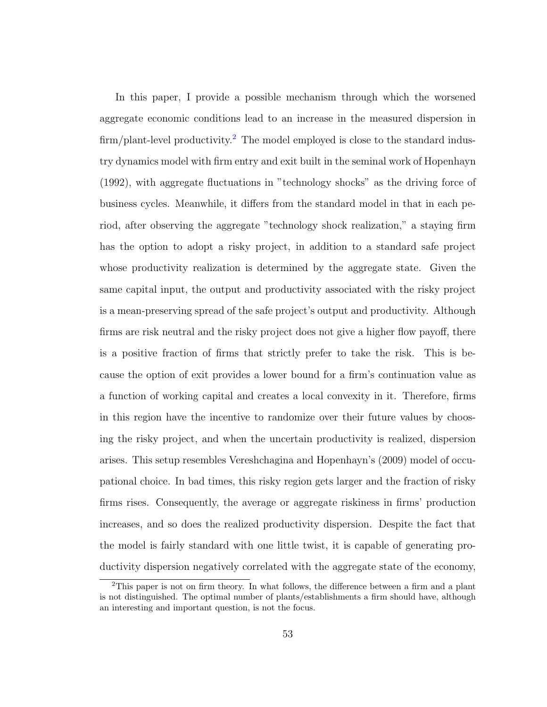In this paper, I provide a possible mechanism through which the worsened aggregate economic conditions lead to an increase in the measured dispersion in  $\dim/\text{plant-level productivity.}$ <sup>[2](#page-65-0)</sup> The model employed is close to the standard industry dynamics model with firm entry and exit built in the seminal work of Hopenhayn (1992), with aggregate fluctuations in "technology shocks" as the driving force of business cycles. Meanwhile, it differs from the standard model in that in each period, after observing the aggregate "technology shock realization," a staying firm has the option to adopt a risky project, in addition to a standard safe project whose productivity realization is determined by the aggregate state. Given the same capital input, the output and productivity associated with the risky project is a mean-preserving spread of the safe project's output and productivity. Although firms are risk neutral and the risky project does not give a higher flow payoff, there is a positive fraction of firms that strictly prefer to take the risk. This is because the option of exit provides a lower bound for a firm's continuation value as a function of working capital and creates a local convexity in it. Therefore, firms in this region have the incentive to randomize over their future values by choosing the risky project, and when the uncertain productivity is realized, dispersion arises. This setup resembles Vereshchagina and Hopenhayn's (2009) model of occupational choice. In bad times, this risky region gets larger and the fraction of risky firms rises. Consequently, the average or aggregate riskiness in firms' production increases, and so does the realized productivity dispersion. Despite the fact that the model is fairly standard with one little twist, it is capable of generating productivity dispersion negatively correlated with the aggregate state of the economy,

<span id="page-65-0"></span><sup>2</sup>This paper is not on firm theory. In what follows, the difference between a firm and a plant is not distinguished. The optimal number of plants/establishments a firm should have, although an interesting and important question, is not the focus.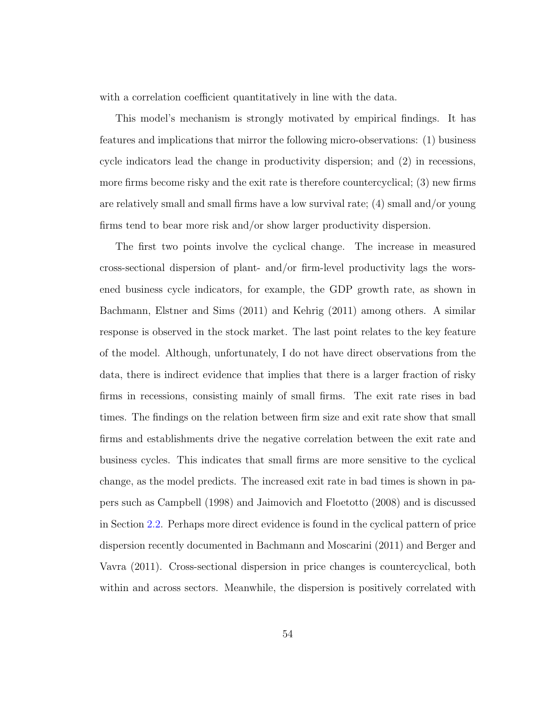with a correlation coefficient quantitatively in line with the data.

This model's mechanism is strongly motivated by empirical findings. It has features and implications that mirror the following micro-observations: (1) business cycle indicators lead the change in productivity dispersion; and (2) in recessions, more firms become risky and the exit rate is therefore countercyclical; (3) new firms are relatively small and small firms have a low survival rate; (4) small and/or young firms tend to bear more risk and/or show larger productivity dispersion.

The first two points involve the cyclical change. The increase in measured cross-sectional dispersion of plant- and/or firm-level productivity lags the worsened business cycle indicators, for example, the GDP growth rate, as shown in Bachmann, Elstner and Sims (2011) and Kehrig (2011) among others. A similar response is observed in the stock market. The last point relates to the key feature of the model. Although, unfortunately, I do not have direct observations from the data, there is indirect evidence that implies that there is a larger fraction of risky firms in recessions, consisting mainly of small firms. The exit rate rises in bad times. The findings on the relation between firm size and exit rate show that small firms and establishments drive the negative correlation between the exit rate and business cycles. This indicates that small firms are more sensitive to the cyclical change, as the model predicts. The increased exit rate in bad times is shown in papers such as Campbell (1998) and Jaimovich and Floetotto (2008) and is discussed in Section [2.2.](#page-70-0) Perhaps more direct evidence is found in the cyclical pattern of price dispersion recently documented in Bachmann and Moscarini (2011) and Berger and Vavra (2011). Cross-sectional dispersion in price changes is countercyclical, both within and across sectors. Meanwhile, the dispersion is positively correlated with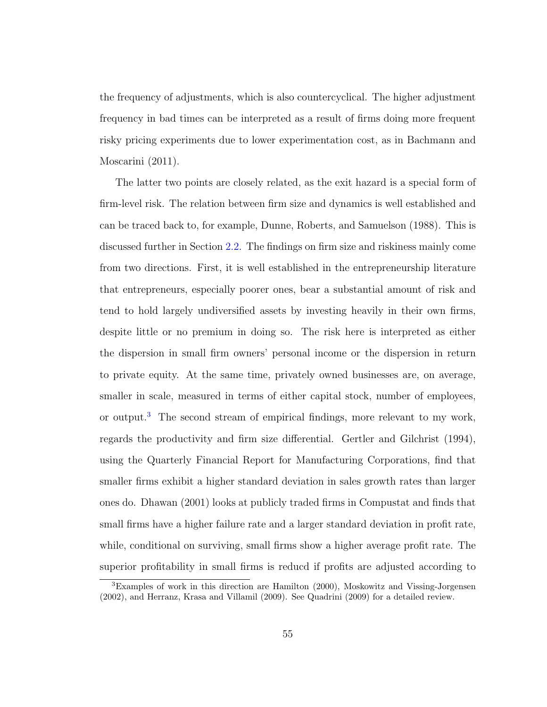the frequency of adjustments, which is also countercyclical. The higher adjustment frequency in bad times can be interpreted as a result of firms doing more frequent risky pricing experiments due to lower experimentation cost, as in Bachmann and Moscarini (2011).

The latter two points are closely related, as the exit hazard is a special form of firm-level risk. The relation between firm size and dynamics is well established and can be traced back to, for example, Dunne, Roberts, and Samuelson (1988). This is discussed further in Section [2.2.](#page-70-0) The findings on firm size and riskiness mainly come from two directions. First, it is well established in the entrepreneurship literature that entrepreneurs, especially poorer ones, bear a substantial amount of risk and tend to hold largely undiversified assets by investing heavily in their own firms, despite little or no premium in doing so. The risk here is interpreted as either the dispersion in small firm owners' personal income or the dispersion in return to private equity. At the same time, privately owned businesses are, on average, smaller in scale, measured in terms of either capital stock, number of employees, or output.<sup>[3](#page-67-0)</sup> The second stream of empirical findings, more relevant to my work, regards the productivity and firm size differential. Gertler and Gilchrist (1994), using the Quarterly Financial Report for Manufacturing Corporations, find that smaller firms exhibit a higher standard deviation in sales growth rates than larger ones do. Dhawan (2001) looks at publicly traded firms in Compustat and finds that small firms have a higher failure rate and a larger standard deviation in profit rate, while, conditional on surviving, small firms show a higher average profit rate. The superior profitability in small firms is reducd if profits are adjusted according to

<span id="page-67-0"></span><sup>3</sup>Examples of work in this direction are Hamilton (2000), Moskowitz and Vissing-Jorgensen (2002), and Herranz, Krasa and Villamil (2009). See Quadrini (2009) for a detailed review.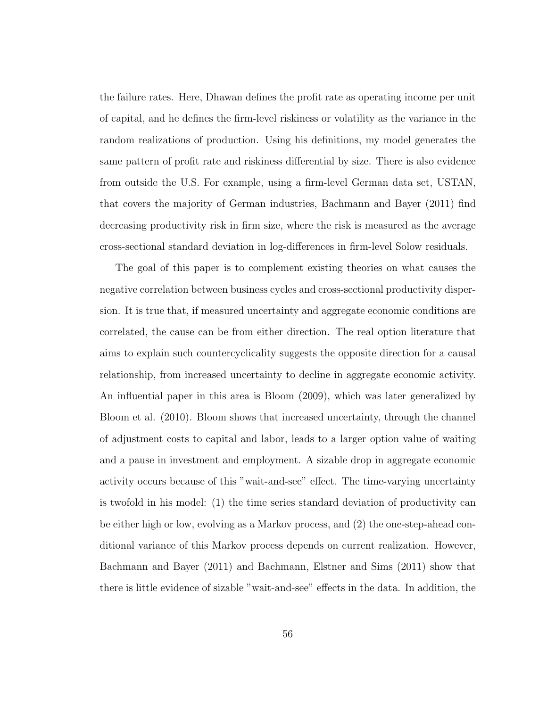the failure rates. Here, Dhawan defines the profit rate as operating income per unit of capital, and he defines the firm-level riskiness or volatility as the variance in the random realizations of production. Using his definitions, my model generates the same pattern of profit rate and riskiness differential by size. There is also evidence from outside the U.S. For example, using a firm-level German data set, USTAN, that covers the majority of German industries, Bachmann and Bayer (2011) find decreasing productivity risk in firm size, where the risk is measured as the average cross-sectional standard deviation in log-differences in firm-level Solow residuals.

The goal of this paper is to complement existing theories on what causes the negative correlation between business cycles and cross-sectional productivity dispersion. It is true that, if measured uncertainty and aggregate economic conditions are correlated, the cause can be from either direction. The real option literature that aims to explain such countercyclicality suggests the opposite direction for a causal relationship, from increased uncertainty to decline in aggregate economic activity. An influential paper in this area is Bloom (2009), which was later generalized by Bloom et al. (2010). Bloom shows that increased uncertainty, through the channel of adjustment costs to capital and labor, leads to a larger option value of waiting and a pause in investment and employment. A sizable drop in aggregate economic activity occurs because of this "wait-and-see" effect. The time-varying uncertainty is twofold in his model: (1) the time series standard deviation of productivity can be either high or low, evolving as a Markov process, and (2) the one-step-ahead conditional variance of this Markov process depends on current realization. However, Bachmann and Bayer (2011) and Bachmann, Elstner and Sims (2011) show that there is little evidence of sizable "wait-and-see" effects in the data. In addition, the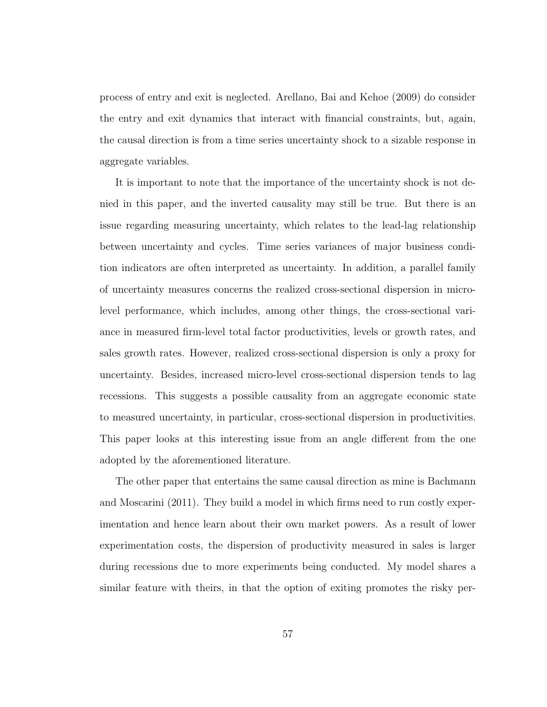process of entry and exit is neglected. Arellano, Bai and Kehoe (2009) do consider the entry and exit dynamics that interact with financial constraints, but, again, the causal direction is from a time series uncertainty shock to a sizable response in aggregate variables.

It is important to note that the importance of the uncertainty shock is not denied in this paper, and the inverted causality may still be true. But there is an issue regarding measuring uncertainty, which relates to the lead-lag relationship between uncertainty and cycles. Time series variances of major business condition indicators are often interpreted as uncertainty. In addition, a parallel family of uncertainty measures concerns the realized cross-sectional dispersion in microlevel performance, which includes, among other things, the cross-sectional variance in measured firm-level total factor productivities, levels or growth rates, and sales growth rates. However, realized cross-sectional dispersion is only a proxy for uncertainty. Besides, increased micro-level cross-sectional dispersion tends to lag recessions. This suggests a possible causality from an aggregate economic state to measured uncertainty, in particular, cross-sectional dispersion in productivities. This paper looks at this interesting issue from an angle different from the one adopted by the aforementioned literature.

The other paper that entertains the same causal direction as mine is Bachmann and Moscarini (2011). They build a model in which firms need to run costly experimentation and hence learn about their own market powers. As a result of lower experimentation costs, the dispersion of productivity measured in sales is larger during recessions due to more experiments being conducted. My model shares a similar feature with theirs, in that the option of exiting promotes the risky per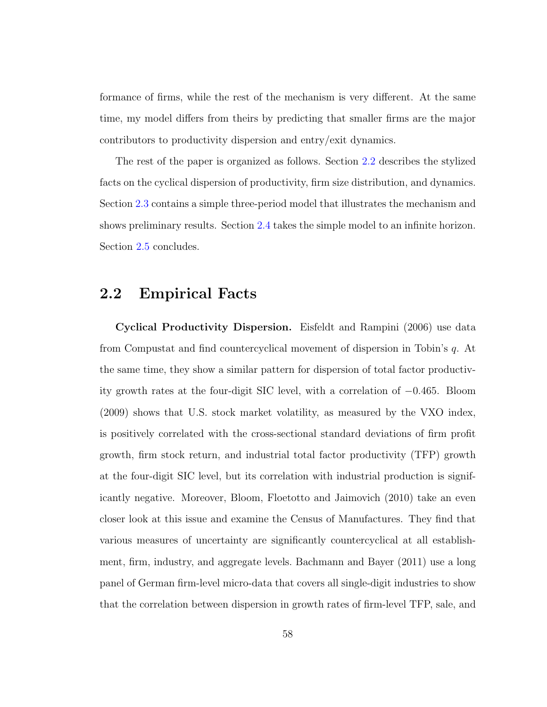formance of firms, while the rest of the mechanism is very different. At the same time, my model differs from theirs by predicting that smaller firms are the major contributors to productivity dispersion and entry/exit dynamics.

The rest of the paper is organized as follows. Section [2.2](#page-70-0) describes the stylized facts on the cyclical dispersion of productivity, firm size distribution, and dynamics. Section [2.3](#page-77-0) contains a simple three-period model that illustrates the mechanism and shows preliminary results. Section [2.4](#page-88-0) takes the simple model to an infinite horizon. Section [2.5](#page-111-0) concludes.

## <span id="page-70-0"></span>2.2 Empirical Facts

Cyclical Productivity Dispersion. Eisfeldt and Rampini (2006) use data from Compustat and find countercyclical movement of dispersion in Tobin's q. At the same time, they show a similar pattern for dispersion of total factor productivity growth rates at the four-digit SIC level, with a correlation of −0.465. Bloom (2009) shows that U.S. stock market volatility, as measured by the VXO index, is positively correlated with the cross-sectional standard deviations of firm profit growth, firm stock return, and industrial total factor productivity (TFP) growth at the four-digit SIC level, but its correlation with industrial production is significantly negative. Moreover, Bloom, Floetotto and Jaimovich (2010) take an even closer look at this issue and examine the Census of Manufactures. They find that various measures of uncertainty are significantly countercyclical at all establishment, firm, industry, and aggregate levels. Bachmann and Bayer (2011) use a long panel of German firm-level micro-data that covers all single-digit industries to show that the correlation between dispersion in growth rates of firm-level TFP, sale, and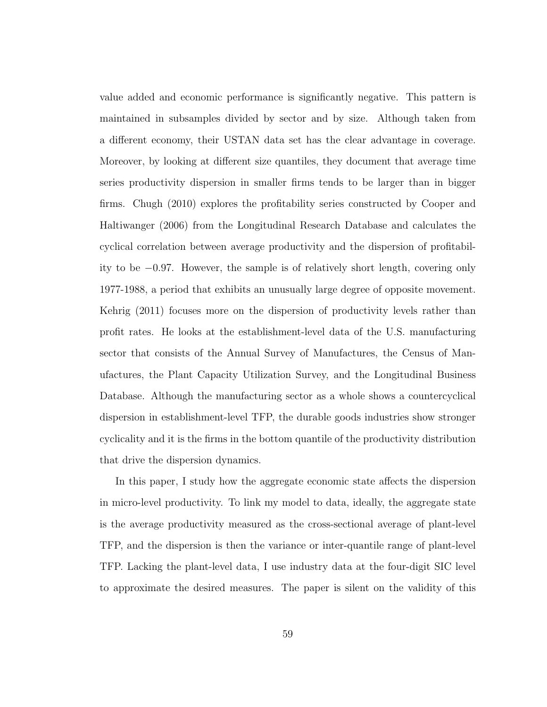value added and economic performance is significantly negative. This pattern is maintained in subsamples divided by sector and by size. Although taken from a different economy, their USTAN data set has the clear advantage in coverage. Moreover, by looking at different size quantiles, they document that average time series productivity dispersion in smaller firms tends to be larger than in bigger firms. Chugh (2010) explores the profitability series constructed by Cooper and Haltiwanger (2006) from the Longitudinal Research Database and calculates the cyclical correlation between average productivity and the dispersion of profitability to be −0.97. However, the sample is of relatively short length, covering only 1977-1988, a period that exhibits an unusually large degree of opposite movement. Kehrig (2011) focuses more on the dispersion of productivity levels rather than profit rates. He looks at the establishment-level data of the U.S. manufacturing sector that consists of the Annual Survey of Manufactures, the Census of Manufactures, the Plant Capacity Utilization Survey, and the Longitudinal Business Database. Although the manufacturing sector as a whole shows a countercyclical dispersion in establishment-level TFP, the durable goods industries show stronger cyclicality and it is the firms in the bottom quantile of the productivity distribution that drive the dispersion dynamics.

In this paper, I study how the aggregate economic state affects the dispersion in micro-level productivity. To link my model to data, ideally, the aggregate state is the average productivity measured as the cross-sectional average of plant-level TFP, and the dispersion is then the variance or inter-quantile range of plant-level TFP. Lacking the plant-level data, I use industry data at the four-digit SIC level to approximate the desired measures. The paper is silent on the validity of this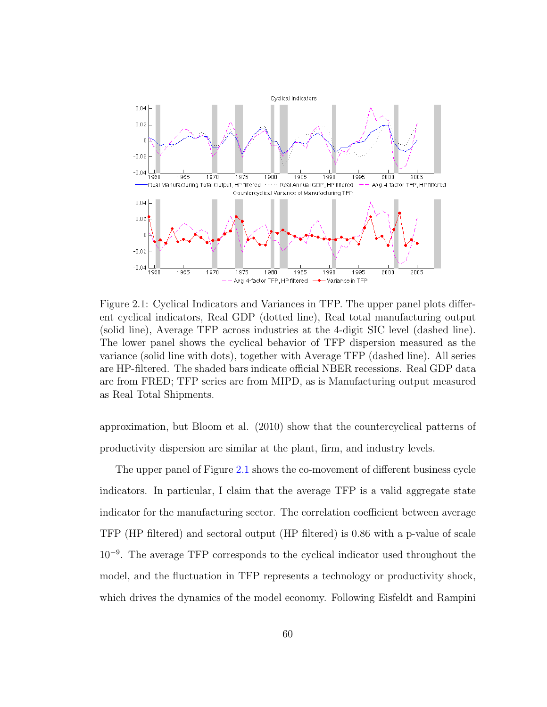<span id="page-72-0"></span>

Figure 2.1: Cyclical Indicators and Variances in TFP. The upper panel plots different cyclical indicators, Real GDP (dotted line), Real total manufacturing output (solid line), Average TFP across industries at the 4-digit SIC level (dashed line). The lower panel shows the cyclical behavior of TFP dispersion measured as the variance (solid line with dots), together with Average TFP (dashed line). All series are HP-filtered. The shaded bars indicate official NBER recessions. Real GDP data are from FRED; TFP series are from MIPD, as is Manufacturing output measured as Real Total Shipments.

approximation, but Bloom et al. (2010) show that the countercyclical patterns of productivity dispersion are similar at the plant, firm, and industry levels.

The upper panel of Figure [2.1](#page-72-0) shows the co-movement of different business cycle indicators. In particular, I claim that the average TFP is a valid aggregate state indicator for the manufacturing sector. The correlation coefficient between average TFP (HP filtered) and sectoral output (HP filtered) is 0.86 with a p-value of scale 10<sup>−</sup><sup>9</sup> . The average TFP corresponds to the cyclical indicator used throughout the model, and the fluctuation in TFP represents a technology or productivity shock, which drives the dynamics of the model economy. Following Eisfeldt and Rampini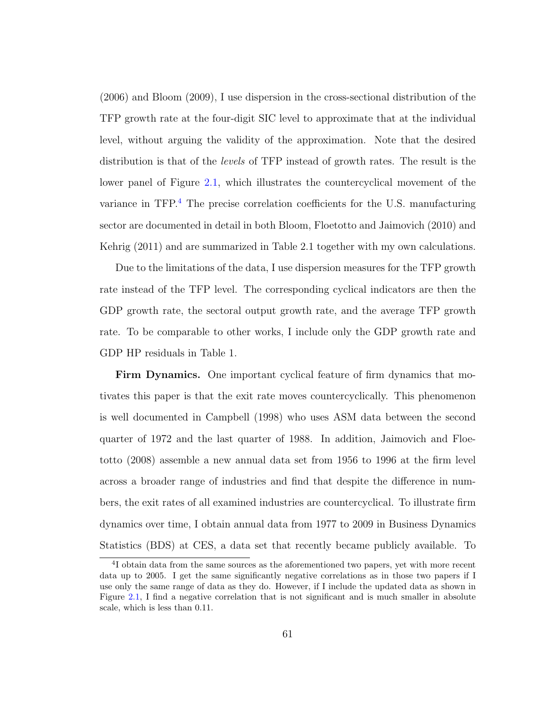(2006) and Bloom (2009), I use dispersion in the cross-sectional distribution of the TFP growth rate at the four-digit SIC level to approximate that at the individual level, without arguing the validity of the approximation. Note that the desired distribution is that of the levels of TFP instead of growth rates. The result is the lower panel of Figure [2.1,](#page-72-0) which illustrates the countercyclical movement of the variance in TFP.[4](#page-73-0) The precise correlation coefficients for the U.S. manufacturing sector are documented in detail in both Bloom, Floetotto and Jaimovich (2010) and Kehrig (2011) and are summarized in Table 2.1 together with my own calculations.

Due to the limitations of the data, I use dispersion measures for the TFP growth rate instead of the TFP level. The corresponding cyclical indicators are then the GDP growth rate, the sectoral output growth rate, and the average TFP growth rate. To be comparable to other works, I include only the GDP growth rate and GDP HP residuals in Table 1.

Firm Dynamics. One important cyclical feature of firm dynamics that motivates this paper is that the exit rate moves countercyclically. This phenomenon is well documented in Campbell (1998) who uses ASM data between the second quarter of 1972 and the last quarter of 1988. In addition, Jaimovich and Floetotto (2008) assemble a new annual data set from 1956 to 1996 at the firm level across a broader range of industries and find that despite the difference in numbers, the exit rates of all examined industries are countercyclical. To illustrate firm dynamics over time, I obtain annual data from 1977 to 2009 in Business Dynamics Statistics (BDS) at CES, a data set that recently became publicly available. To

<span id="page-73-0"></span><sup>&</sup>lt;sup>4</sup>I obtain data from the same sources as the aforementioned two papers, yet with more recent data up to 2005. I get the same significantly negative correlations as in those two papers if I use only the same range of data as they do. However, if I include the updated data as shown in Figure [2.1,](#page-72-0) I find a negative correlation that is not significant and is much smaller in absolute scale, which is less than 0.11.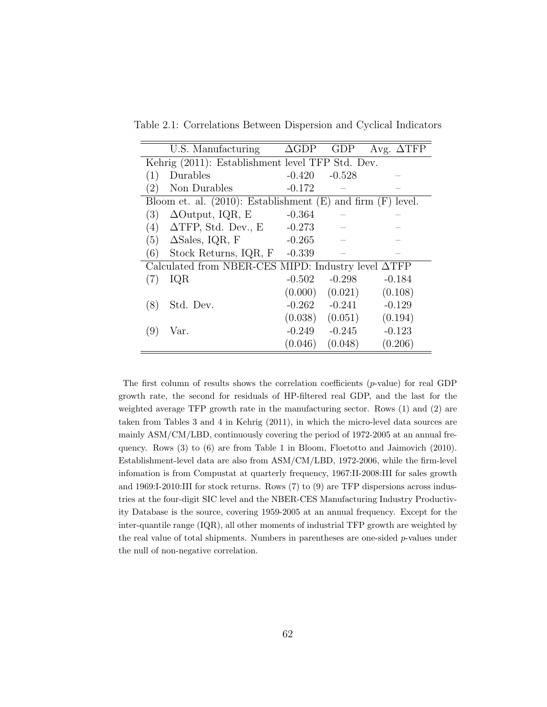| U.S. Manufacturing                                                 |  | $\triangle$ GDP | GDP      | Avg. $\triangle TFP$ |
|--------------------------------------------------------------------|--|-----------------|----------|----------------------|
| Kehrig (2011): Establishment level TFP Std. Dev.                   |  |                 |          |                      |
| Durables<br>(1)                                                    |  | $-0.420$        | $-0.528$ |                      |
| (2)<br>Non Durables                                                |  | $-0.172$        |          |                      |
| Bloom et. al. $(2010)$ : Establishment $(E)$ and firm $(F)$ level. |  |                 |          |                      |
| (3)<br>$\Delta$ Output, IQR, E                                     |  | $-0.364$        |          |                      |
| $\Delta$ TFP, Std. Dev., E<br>(4)                                  |  | $-0.273$        |          |                      |
| $\Delta$ Sales, IQR, F<br>(5)                                      |  | $-0.265$        |          |                      |
| (6)<br>Stock Returns, IQR, F                                       |  | $-0.339$        |          |                      |
| Calculated from NBER-CES MIPD: Industry level $\triangle TFP$      |  |                 |          |                      |
| IQR                                                                |  | $-0.502$        | $-0.298$ | $-0.184$             |
|                                                                    |  | (0.000)         | (0.021)  | (0.108)              |
| Std. Dev.<br>(8)                                                   |  | $-0.262$        | $-0.241$ | $-0.129$             |
|                                                                    |  | (0.038)         | (0.051)  | (0.194)              |
| Var.<br>$\left\lfloor 9 \right\rfloor$                             |  | $-0.249$        | $-0.245$ | $-0.123$             |
|                                                                    |  | (0.046)         | (0.048)  | (0.206)              |

Table 2.1: Correlations Between Dispersion and Cyclical Indicators

The first column of results shows the correlation coefficients  $(p$ -value) for real GDP growth rate, the second for residuals of HP-filtered real GDP, and the last for the weighted average TFP growth rate in the manufacturing sector. Rows (1) and (2) are taken from Tables 3 and 4 in Kehrig (2011), in which the micro-level data sources are mainly ASM/CM/LBD, continuously covering the period of 1972-2005 at an annual frequency. Rows (3) to (6) are from Table 1 in Bloom, Floetotto and Jaimovich (2010). Establishment-level data are also from ASM/CM/LBD, 1972-2006, while the firm-level infomation is from Compustat at quarterly frequency, 1967:II-2008:III for sales growth and 1969:I-2010:III for stock returns. Rows (7) to (9) are TFP dispersions across industries at the four-digit SIC level and the NBER-CES Manufacturing Industry Productivity Database is the source, covering 1959-2005 at an annual frequency. Except for the inter-quantile range (IQR), all other moments of industrial TFP growth are weighted by the real value of total shipments. Numbers in parentheses are one-sided  $p$ -values under the null of non-negative correlation.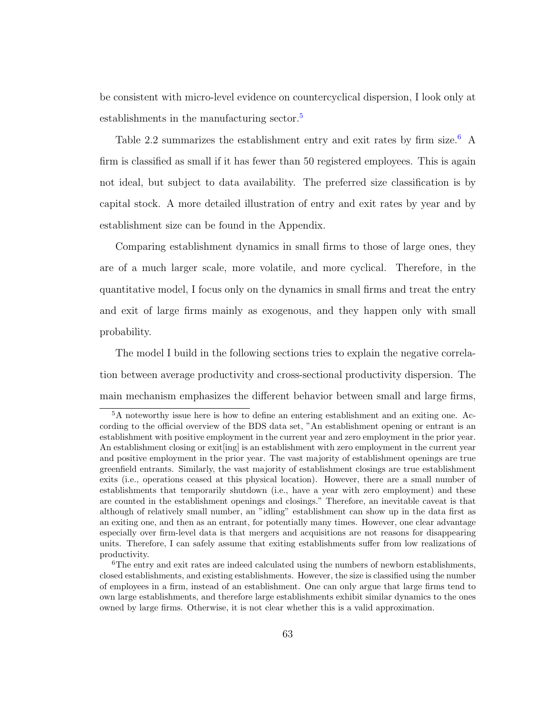be consistent with micro-level evidence on countercyclical dispersion, I look only at establishments in the manufacturing sector.<sup>[5](#page-75-0)</sup>

Table 2.2 summarizes the establishment entry and exit rates by firm size.<sup>[6](#page-75-1)</sup> A firm is classified as small if it has fewer than 50 registered employees. This is again not ideal, but subject to data availability. The preferred size classification is by capital stock. A more detailed illustration of entry and exit rates by year and by establishment size can be found in the Appendix.

Comparing establishment dynamics in small firms to those of large ones, they are of a much larger scale, more volatile, and more cyclical. Therefore, in the quantitative model, I focus only on the dynamics in small firms and treat the entry and exit of large firms mainly as exogenous, and they happen only with small probability.

The model I build in the following sections tries to explain the negative correlation between average productivity and cross-sectional productivity dispersion. The main mechanism emphasizes the different behavior between small and large firms,

<span id="page-75-0"></span><sup>5</sup>A noteworthy issue here is how to define an entering establishment and an exiting one. According to the official overview of the BDS data set, "An establishment opening or entrant is an establishment with positive employment in the current year and zero employment in the prior year. An establishment closing or exit[ing] is an establishment with zero employment in the current year and positive employment in the prior year. The vast majority of establishment openings are true greenfield entrants. Similarly, the vast majority of establishment closings are true establishment exits (i.e., operations ceased at this physical location). However, there are a small number of establishments that temporarily shutdown (i.e., have a year with zero employment) and these are counted in the establishment openings and closings." Therefore, an inevitable caveat is that although of relatively small number, an "idling" establishment can show up in the data first as an exiting one, and then as an entrant, for potentially many times. However, one clear advantage especially over firm-level data is that mergers and acquisitions are not reasons for disappearing units. Therefore, I can safely assume that exiting establishments suffer from low realizations of productivity.

<span id="page-75-1"></span><sup>6</sup>The entry and exit rates are indeed calculated using the numbers of newborn establishments, closed establishments, and existing establishments. However, the size is classified using the number of employees in a firm, instead of an establishment. One can only argue that large firms tend to own large establishments, and therefore large establishments exhibit similar dynamics to the ones owned by large firms. Otherwise, it is not clear whether this is a valid approximation.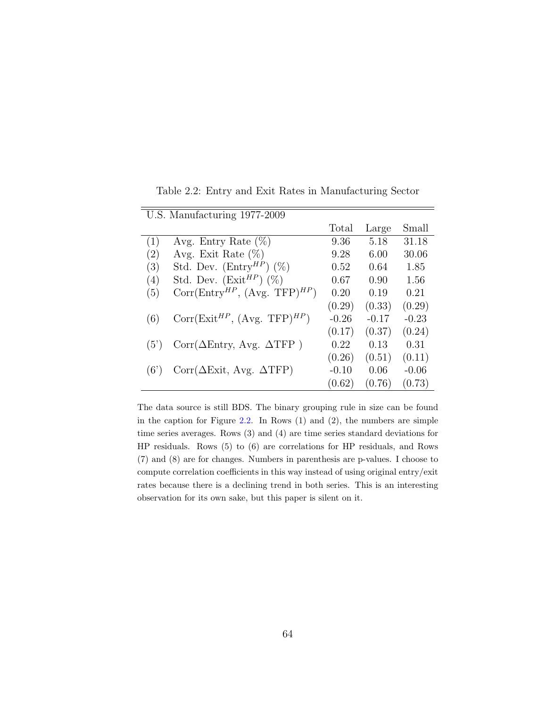| U.S. Manufacturing 1977-2009 |                                                            |         |         |         |
|------------------------------|------------------------------------------------------------|---------|---------|---------|
|                              |                                                            | Total   | Large   | Small   |
| (1)                          | Avg. Entry Rate $(\%)$                                     | 9.36    | 5.18    | 31.18   |
| (2)                          | Avg. Exit Rate $(\%)$                                      | 9.28    | 6.00    | 30.06   |
| (3)                          | Std. Dev. (Entry <sup>HP</sup> ) $(\%)$                    | 0.52    | 0.64    | 1.85    |
| (4)                          | Std. Dev. $(Exit^{HP})$ $(\%)$                             | 0.67    | 0.90    | 1.56    |
| (5)                          | $Corr(Entry^{HP}, (Avg. TFP)^{HP})$                        | 0.20    | 0.19    | 0.21    |
|                              |                                                            | (0.29)  | (0.33)  | (0.29)  |
| (6)                          | $Corr(\text{Exit}^{HP}, (\text{Avg. TFP})^{HP})$           | $-0.26$ | $-0.17$ | $-0.23$ |
|                              |                                                            | (0.17)  | (0.37)  | (0.24)  |
| (5')                         | $Corr(\Delta \text{Entry}, \text{Avg. }\Delta \text{TFP})$ | 0.22    | 0.13    | 0.31    |
|                              |                                                            | (0.26)  | (0.51)  | (0.11)  |
| (6')                         | $Corr(\Delta \text{Exit}, \text{Avg. }\Delta \text{TFP})$  | $-0.10$ | 0.06    | $-0.06$ |
|                              |                                                            | (0.62)  | (0.76)  | (0.73)  |

Table 2.2: Entry and Exit Rates in Manufacturing Sector

The data source is still BDS. The binary grouping rule in size can be found in the caption for Figure  $2.2$ . In Rows  $(1)$  and  $(2)$ , the numbers are simple time series averages. Rows (3) and (4) are time series standard deviations for HP residuals. Rows (5) to (6) are correlations for HP residuals, and Rows (7) and (8) are for changes. Numbers in parenthesis are p-values. I choose to compute correlation coefficients in this way instead of using original entry/exit rates because there is a declining trend in both series. This is an interesting observation for its own sake, but this paper is silent on it.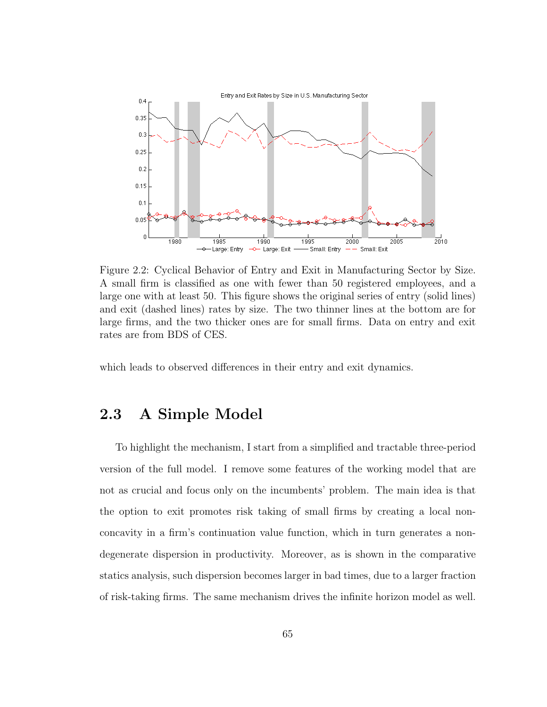<span id="page-77-0"></span>

Figure 2.2: Cyclical Behavior of Entry and Exit in Manufacturing Sector by Size. A small firm is classified as one with fewer than 50 registered employees, and a large one with at least 50. This figure shows the original series of entry (solid lines) and exit (dashed lines) rates by size. The two thinner lines at the bottom are for large firms, and the two thicker ones are for small firms. Data on entry and exit rates are from BDS of CES.

which leads to observed differences in their entry and exit dynamics.

# 2.3 A Simple Model

To highlight the mechanism, I start from a simplified and tractable three-period version of the full model. I remove some features of the working model that are not as crucial and focus only on the incumbents' problem. The main idea is that the option to exit promotes risk taking of small firms by creating a local nonconcavity in a firm's continuation value function, which in turn generates a nondegenerate dispersion in productivity. Moreover, as is shown in the comparative statics analysis, such dispersion becomes larger in bad times, due to a larger fraction of risk-taking firms. The same mechanism drives the infinite horizon model as well.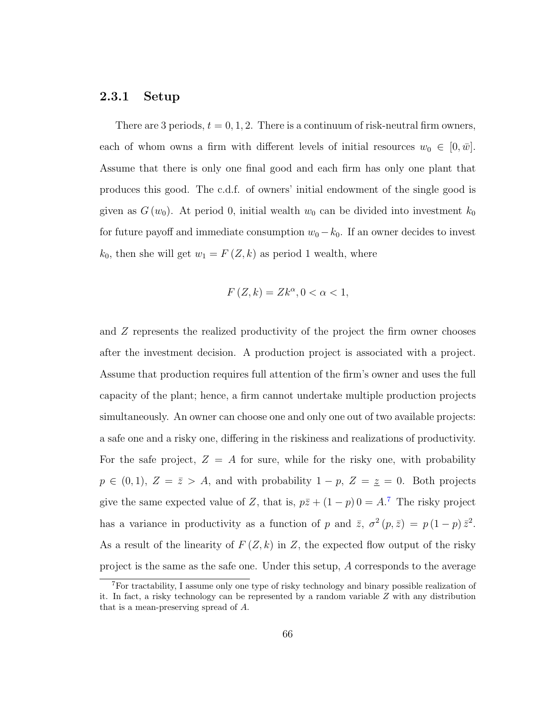#### 2.3.1 Setup

There are 3 periods,  $t = 0, 1, 2$ . There is a continuum of risk-neutral firm owners, each of whom owns a firm with different levels of initial resources  $w_0 \in [0, \bar{w}]$ . Assume that there is only one final good and each firm has only one plant that produces this good. The c.d.f. of owners' initial endowment of the single good is given as  $G(w_0)$ . At period 0, initial wealth  $w_0$  can be divided into investment  $k_0$ for future payoff and immediate consumption  $w_0 - k_0$ . If an owner decides to invest  $k_0$ , then she will get  $w_1 = F(Z, k)$  as period 1 wealth, where

$$
F(Z,k) = Zk^{\alpha}, 0 < \alpha < 1,
$$

and Z represents the realized productivity of the project the firm owner chooses after the investment decision. A production project is associated with a project. Assume that production requires full attention of the firm's owner and uses the full capacity of the plant; hence, a firm cannot undertake multiple production projects simultaneously. An owner can choose one and only one out of two available projects: a safe one and a risky one, differing in the riskiness and realizations of productivity. For the safe project,  $Z = A$  for sure, while for the risky one, with probability  $p \in (0, 1)$ ,  $Z = \overline{z} > A$ , and with probability  $1 - p$ ,  $Z = \underline{z} = 0$ . Both projects give the same expected value of Z, that is,  $p\bar{z} + (1-p)0 = A$ .<sup>[7](#page-78-0)</sup> The risky project has a variance in productivity as a function of p and  $\bar{z}$ ,  $\sigma^2(p,\bar{z}) = p(1-p)\bar{z}^2$ . As a result of the linearity of  $F(Z, k)$  in Z, the expected flow output of the risky project is the same as the safe one. Under this setup, A corresponds to the average

<span id="page-78-0"></span><sup>7</sup>For tractability, I assume only one type of risky technology and binary possible realization of it. In fact, a risky technology can be represented by a random variable  $Z$  with any distribution that is a mean-preserving spread of A.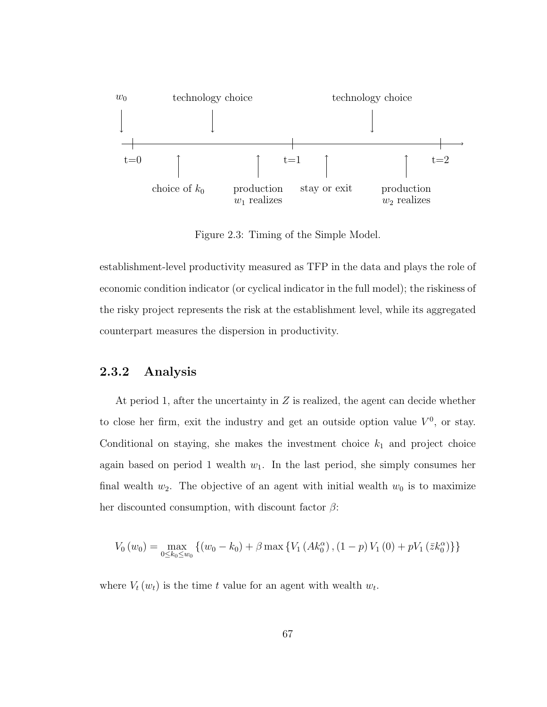

Figure 2.3: Timing of the Simple Model.

establishment-level productivity measured as TFP in the data and plays the role of economic condition indicator (or cyclical indicator in the full model); the riskiness of the risky project represents the risk at the establishment level, while its aggregated counterpart measures the dispersion in productivity.

## 2.3.2 Analysis

At period 1, after the uncertainty in  $Z$  is realized, the agent can decide whether to close her firm, exit the industry and get an outside option value  $V^0$ , or stay. Conditional on staying, she makes the investment choice  $k_1$  and project choice again based on period 1 wealth  $w_1$ . In the last period, she simply consumes her final wealth  $w_2$ . The objective of an agent with initial wealth  $w_0$  is to maximize her discounted consumption, with discount factor  $\beta$ :

$$
V_0(w_0) = \max_{0 \le k_0 \le w_0} \left\{ (w_0 - k_0) + \beta \max \left\{ V_1(Ak_0^{\alpha}), (1 - p) V_1(0) + p V_1(\bar{z}k_0^{\alpha}) \right\} \right\}
$$

where  $V_t(w_t)$  is the time t value for an agent with wealth  $w_t$ .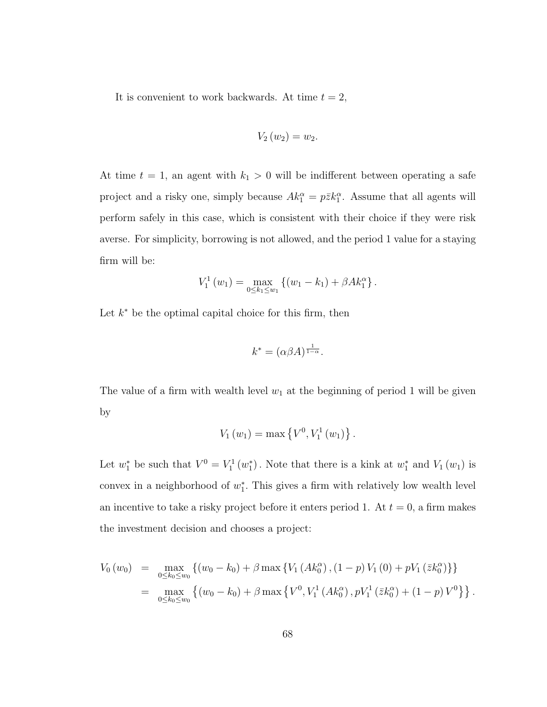It is convenient to work backwards. At time  $t = 2$ ,

$$
V_2(w_2)=w_2.
$$

At time  $t = 1$ , an agent with  $k_1 > 0$  will be indifferent between operating a safe project and a risky one, simply because  $Ak_1^{\alpha} = p\bar{z}k_1^{\alpha}$ . Assume that all agents will perform safely in this case, which is consistent with their choice if they were risk averse. For simplicity, borrowing is not allowed, and the period 1 value for a staying firm will be:

$$
V_1^1(w_1) = \max_{0 \le k_1 \le w_1} \left\{ (w_1 - k_1) + \beta A k_1^{\alpha} \right\}.
$$

Let  $k^*$  be the optimal capital choice for this firm, then

$$
k^* = (\alpha \beta A)^{\frac{1}{1-\alpha}}.
$$

The value of a firm with wealth level  $w_1$  at the beginning of period 1 will be given by

$$
V_1(w_1) = \max\left\{V^0, V_1^1(w_1)\right\}.
$$

Let  $w_1^*$  be such that  $V^0 = V_1^1(w_1^*)$ . Note that there is a kink at  $w_1^*$  and  $V_1(w_1)$  is convex in a neighborhood of  $w_1^*$ . This gives a firm with relatively low wealth level an incentive to take a risky project before it enters period 1. At  $t = 0$ , a firm makes the investment decision and chooses a project:

$$
V_0(w_0) = \max_{0 \le k_0 \le w_0} \left\{ (w_0 - k_0) + \beta \max \left\{ V_1(A k_0^{\alpha}), (1 - p) V_1(0) + p V_1(\bar{z} k_0^{\alpha}) \right\} \right\}
$$
  
= 
$$
\max_{0 \le k_0 \le w_0} \left\{ (w_0 - k_0) + \beta \max \left\{ V^0, V_1^1(A k_0^{\alpha}), p V_1^1(\bar{z} k_0^{\alpha}) + (1 - p) V^0 \right\} \right\}.
$$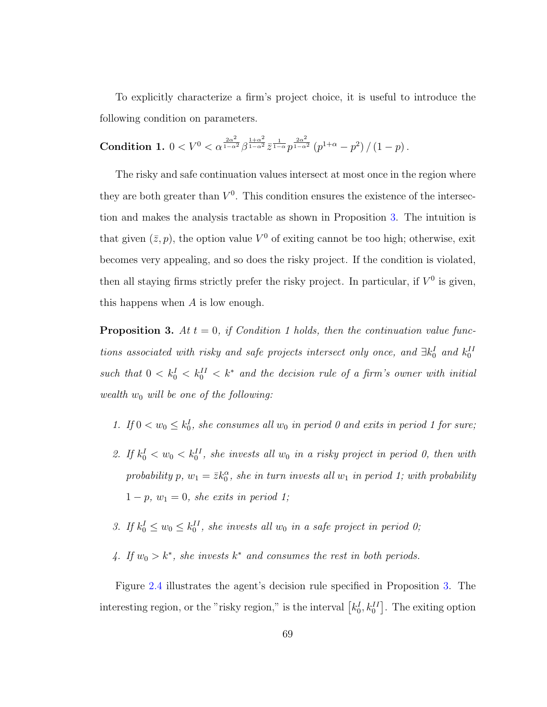To explicitly characterize a firm's project choice, it is useful to introduce the following condition on parameters.

 $\textbf{Condition 1. } 0 < V^{0} < \alpha^{\frac{2\alpha^{2}}{1-\alpha^{2}}}\beta^{\frac{1+\alpha^{2}}{1-\alpha}}\bar{z}^{\frac{1}{1-\alpha}}p^{\frac{2\alpha^{2}}{1-\alpha}}$  $\frac{2a}{1-\alpha^2} (p^{1+\alpha} - p^2) / (1-p)$ .

The risky and safe continuation values intersect at most once in the region where they are both greater than  $V^0$ . This condition ensures the existence of the intersection and makes the analysis tractable as shown in Proposition [3.](#page-81-0) The intuition is that given  $(\bar{z}, p)$ , the option value  $V^0$  of exiting cannot be too high; otherwise, exit becomes very appealing, and so does the risky project. If the condition is violated, then all staying firms strictly prefer the risky project. In particular, if  $V^0$  is given, this happens when A is low enough.

<span id="page-81-0"></span>**Proposition 3.** At  $t = 0$ , if Condition 1 holds, then the continuation value functions associated with risky and safe projects intersect only once, and  $\exists k_0^I$  and  $k_0^{II}$ such that  $0 < k_0^I < k_0^{II} < k^*$  and the decision rule of a firm's owner with initial wealth  $w_0$  will be one of the following:

- 1. If  $0 < w_0 \leq k_0^I$ , she consumes all  $w_0$  in period 0 and exits in period 1 for sure;
- 2. If  $k_0^I < w_0 < k_0^{\text{II}}$ , she invests all  $w_0$  in a risky project in period 0, then with probability p,  $w_1 = \bar{z}k_0^{\alpha}$ , she in turn invests all  $w_1$  in period 1; with probability  $1 - p$ ,  $w_1 = 0$ , she exits in period 1;
- 3. If  $k_0^I \leq w_0 \leq k_0^{II}$ , she invests all  $w_0$  in a safe project in period 0;
- 4. If  $w_0 > k^*$ , she invests  $k^*$  and consumes the rest in both periods.

Figure [2.4](#page-82-0) illustrates the agent's decision rule specified in Proposition [3.](#page-81-0) The interesting region, or the "risky region," is the interval  $\left[ k_0^I, k_0^{II} \right]$ . The exiting option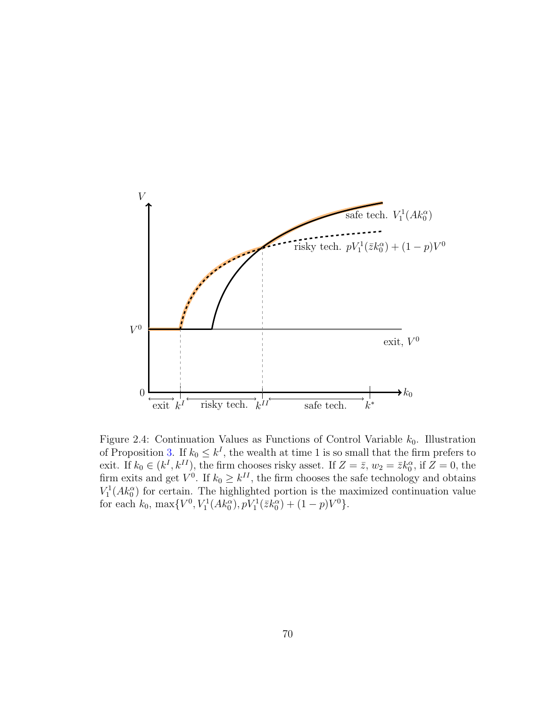<span id="page-82-0"></span>

Figure 2.4: Continuation Values as Functions of Control Variable  $k_0$ . Illustration of Proposition [3.](#page-81-0) If  $k_0 \leq k^I$ , the wealth at time 1 is so small that the firm prefers to exit. If  $k_0 \in (k^I, k^{II})$ , the firm chooses risky asset. If  $Z = \overline{z}$ ,  $w_2 = \overline{z}k_0^{\alpha}$ , if  $Z = 0$ , the firm exits and get  $V^0$ . If  $k_0 \geq k^{II}$ , the firm chooses the safe technology and obtains  $V_1^1(Ak_0^{\alpha})$  for certain. The highlighted portion is the maximized continuation value for each  $k_0$ ,  $\max\{V^0, V_1^1(Ak_0^{\alpha}), pV_1^1(\bar{z}k_0^{\alpha}) + (1-p)V^0\}.$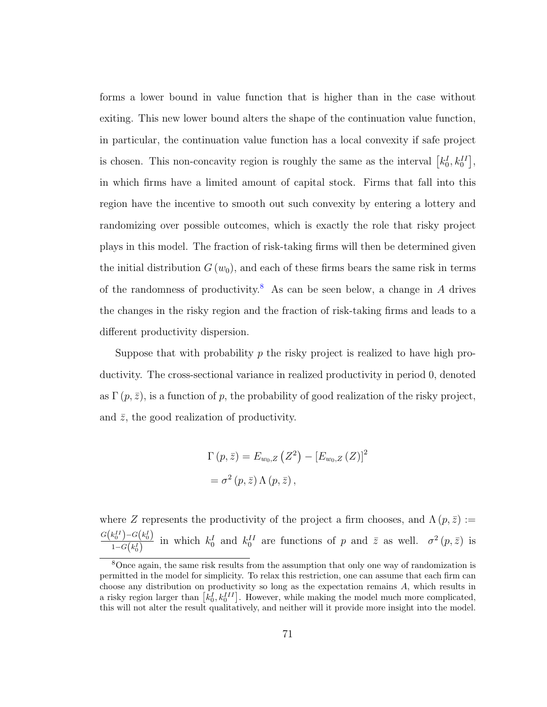forms a lower bound in value function that is higher than in the case without exiting. This new lower bound alters the shape of the continuation value function, in particular, the continuation value function has a local convexity if safe project is chosen. This non-concavity region is roughly the same as the interval  $\left[ k_0^I, k_0^{II} \right]$ , in which firms have a limited amount of capital stock. Firms that fall into this region have the incentive to smooth out such convexity by entering a lottery and randomizing over possible outcomes, which is exactly the role that risky project plays in this model. The fraction of risk-taking firms will then be determined given the initial distribution  $G(w_0)$ , and each of these firms bears the same risk in terms of the randomness of productivity.<sup>[8](#page-83-0)</sup> As can be seen below, a change in  $A$  drives the changes in the risky region and the fraction of risk-taking firms and leads to a different productivity dispersion.

Suppose that with probability p the risky project is realized to have high productivity. The cross-sectional variance in realized productivity in period 0, denoted as  $\Gamma(p, \bar{z})$ , is a function of p, the probability of good realization of the risky project, and  $\bar{z}$ , the good realization of productivity.

$$
\Gamma(p,\bar{z}) = E_{w_0,Z}(Z^2) - [E_{w_0,Z}(Z)]^2
$$
  
=  $\sigma^2(p,\bar{z}) \Lambda(p,\bar{z}),$ 

where Z represents the productivity of the project a firm chooses, and  $\Lambda(p,\bar{z}) :=$  $G\left(k_0^{II}\right)-G\left(k_0^{I}\right)$  $\frac{k_0}{1-G(k_0)}$  in which  $k_0^I$  and  $k_0^{II}$  are functions of p and  $\bar{z}$  as well.  $\sigma^2(p,\bar{z})$  is

<span id="page-83-0"></span><sup>8</sup>Once again, the same risk results from the assumption that only one way of randomization is permitted in the model for simplicity. To relax this restriction, one can assume that each firm can choose any distribution on productivity so long as the expectation remains A, which results in a risky region larger than  $\left[k_0^I, k_0^{III}\right]$ . However, while making the model much more complicated, this will not alter the result qualitatively, and neither will it provide more insight into the model.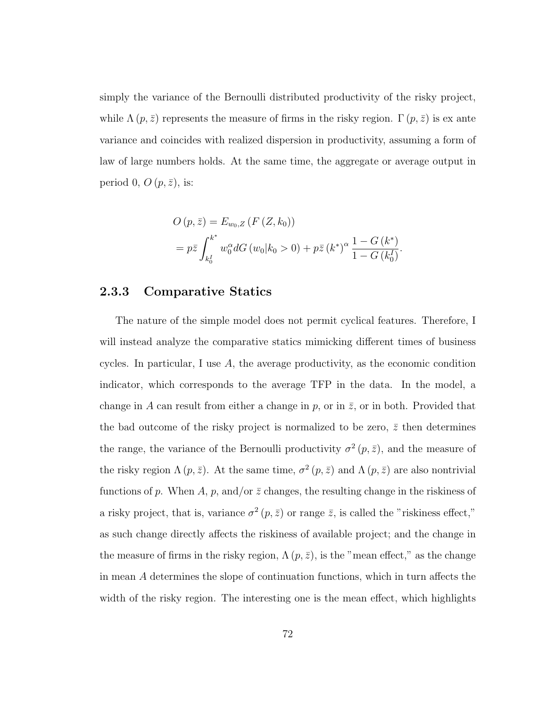simply the variance of the Bernoulli distributed productivity of the risky project, while  $\Lambda(p,\bar{z})$  represents the measure of firms in the risky region.  $\Gamma(p,\bar{z})$  is ex ante variance and coincides with realized dispersion in productivity, assuming a form of law of large numbers holds. At the same time, the aggregate or average output in period 0,  $O(p,\bar{z})$ , is:

$$
O(p, \bar{z}) = E_{w_0, Z} (F(Z, k_0))
$$
  
=  $p\bar{z} \int_{k_0}^{k^*} w_0^{\alpha} dG (w_0|k_0 > 0) + p\bar{z} (k^*)^{\alpha} \frac{1 - G(k^*)}{1 - G(k_0^I)}.$ 

#### 2.3.3 Comparative Statics

The nature of the simple model does not permit cyclical features. Therefore, I will instead analyze the comparative statics mimicking different times of business cycles. In particular, I use A, the average productivity, as the economic condition indicator, which corresponds to the average TFP in the data. In the model, a change in A can result from either a change in p, or in  $\bar{z}$ , or in both. Provided that the bad outcome of the risky project is normalized to be zero,  $\bar{z}$  then determines the range, the variance of the Bernoulli productivity  $\sigma^2(p,\bar{z})$ , and the measure of the risky region  $\Lambda(p,\bar{z})$ . At the same time,  $\sigma^2(p,\bar{z})$  and  $\Lambda(p,\bar{z})$  are also nontrivial functions of p. When A, p, and/or  $\bar{z}$  changes, the resulting change in the riskiness of a risky project, that is, variance  $\sigma^2(p, \bar{z})$  or range  $\bar{z}$ , is called the "riskiness effect," as such change directly affects the riskiness of available project; and the change in the measure of firms in the risky region,  $\Lambda(p,\bar{z})$ , is the "mean effect," as the change in mean A determines the slope of continuation functions, which in turn affects the width of the risky region. The interesting one is the mean effect, which highlights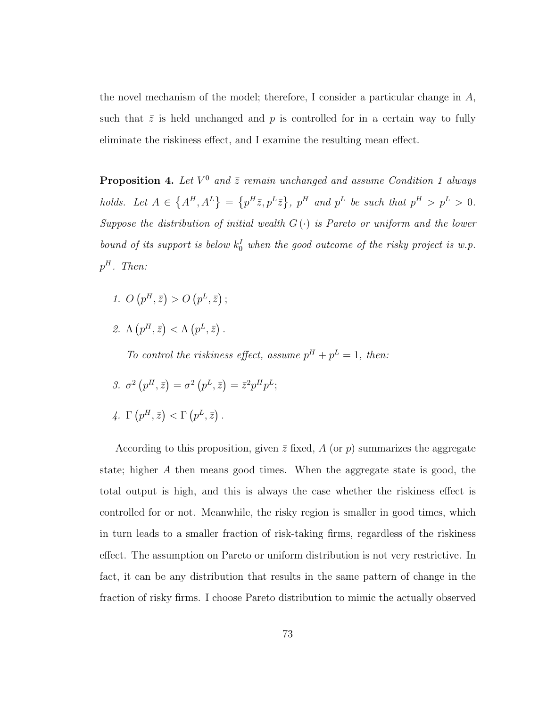the novel mechanism of the model; therefore, I consider a particular change in A, such that  $\bar{z}$  is held unchanged and p is controlled for in a certain way to fully eliminate the riskiness effect, and I examine the resulting mean effect.

<span id="page-85-0"></span>**Proposition 4.** Let  $V^0$  and  $\bar{z}$  remain unchanged and assume Condition 1 always holds. Let  $A \in \{A^H, A^L\} = \{p^H \bar{z}, p^L \bar{z}\}, p^H$  and  $p^L$  be such that  $p^H > p^L > 0$ . Suppose the distribution of initial wealth  $G(\cdot)$  is Pareto or uniform and the lower bound of its support is below  $k_0^I$  when the good outcome of the risky project is w.p.  $p^H$ . Then:

- 1.  $O(p^H, \bar{z}) > O(p^L, \bar{z})$ ;
- 2.  $\Lambda(p^H, \bar{z}) < \Lambda(p^L, \bar{z})$ .

To control the riskiness effect, assume  $p^H + p^L = 1$ , then:

- 3.  $\sigma^2(p^H, \bar{z}) = \sigma^2(p^L, \bar{z}) = \bar{z}^2 p^H p^L;$
- 4.  $\Gamma(p^H, \bar{z}) < \Gamma(p^L, \bar{z})$ .

According to this proposition, given  $\bar{z}$  fixed, A (or p) summarizes the aggregate state; higher A then means good times. When the aggregate state is good, the total output is high, and this is always the case whether the riskiness effect is controlled for or not. Meanwhile, the risky region is smaller in good times, which in turn leads to a smaller fraction of risk-taking firms, regardless of the riskiness effect. The assumption on Pareto or uniform distribution is not very restrictive. In fact, it can be any distribution that results in the same pattern of change in the fraction of risky firms. I choose Pareto distribution to mimic the actually observed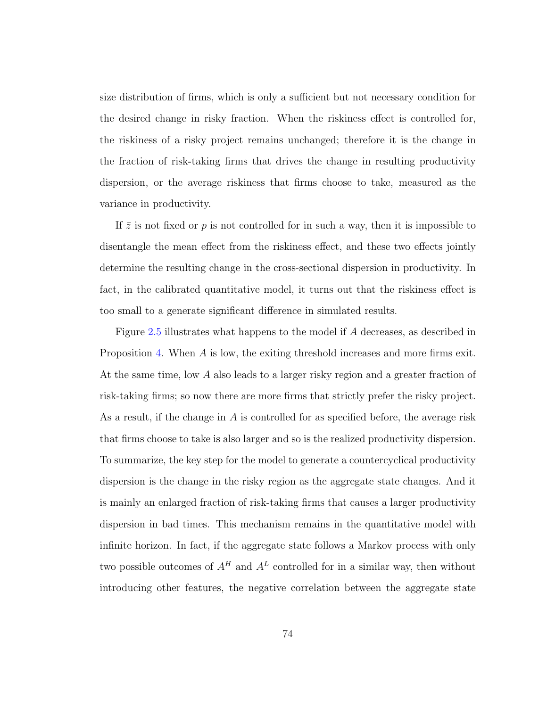size distribution of firms, which is only a sufficient but not necessary condition for the desired change in risky fraction. When the riskiness effect is controlled for, the riskiness of a risky project remains unchanged; therefore it is the change in the fraction of risk-taking firms that drives the change in resulting productivity dispersion, or the average riskiness that firms choose to take, measured as the variance in productivity.

If  $\bar{z}$  is not fixed or p is not controlled for in such a way, then it is impossible to disentangle the mean effect from the riskiness effect, and these two effects jointly determine the resulting change in the cross-sectional dispersion in productivity. In fact, in the calibrated quantitative model, it turns out that the riskiness effect is too small to a generate significant difference in simulated results.

Figure [2.5](#page-87-0) illustrates what happens to the model if A decreases, as described in Proposition [4.](#page-85-0) When A is low, the exiting threshold increases and more firms exit. At the same time, low A also leads to a larger risky region and a greater fraction of risk-taking firms; so now there are more firms that strictly prefer the risky project. As a result, if the change in  $A$  is controlled for as specified before, the average risk that firms choose to take is also larger and so is the realized productivity dispersion. To summarize, the key step for the model to generate a countercyclical productivity dispersion is the change in the risky region as the aggregate state changes. And it is mainly an enlarged fraction of risk-taking firms that causes a larger productivity dispersion in bad times. This mechanism remains in the quantitative model with infinite horizon. In fact, if the aggregate state follows a Markov process with only two possible outcomes of  $A^H$  and  $A^L$  controlled for in a similar way, then without introducing other features, the negative correlation between the aggregate state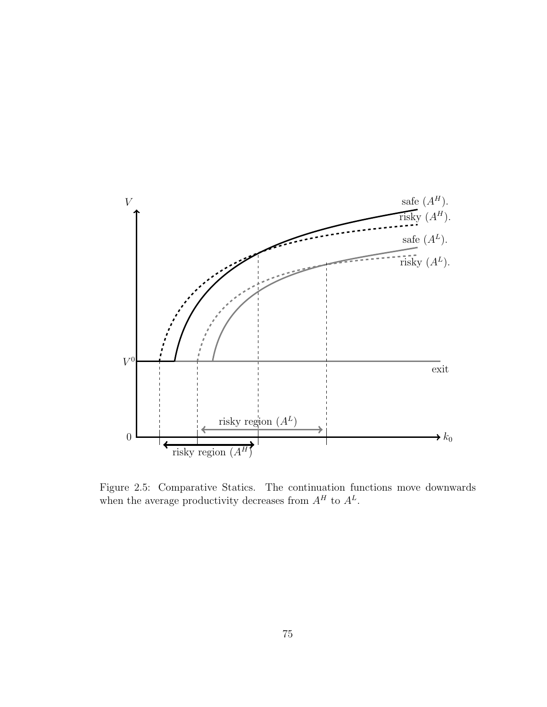<span id="page-87-0"></span>

Figure 2.5: Comparative Statics. The continuation functions move downwards when the average productivity decreases from  $A<sup>H</sup>$  to  $A<sup>L</sup>$ .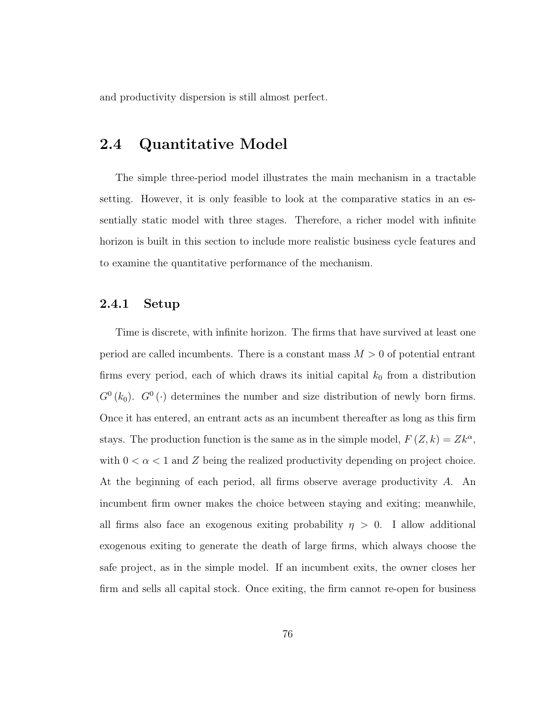and productivity dispersion is still almost perfect.

## 2.4 Quantitative Model

The simple three-period model illustrates the main mechanism in a tractable setting. However, it is only feasible to look at the comparative statics in an essentially static model with three stages. Therefore, a richer model with infinite horizon is built in this section to include more realistic business cycle features and to examine the quantitative performance of the mechanism.

#### 2.4.1 Setup

Time is discrete, with infinite horizon. The firms that have survived at least one period are called incumbents. There is a constant mass  $M > 0$  of potential entrant firms every period, each of which draws its initial capital  $k_0$  from a distribution  $G^{0}(k_{0})$ .  $G^{0}(\cdot)$  determines the number and size distribution of newly born firms. Once it has entered, an entrant acts as an incumbent thereafter as long as this firm stays. The production function is the same as in the simple model,  $F(Z, k) = Zk^{\alpha}$ , with  $0 < \alpha < 1$  and Z being the realized productivity depending on project choice. At the beginning of each period, all firms observe average productivity A. An incumbent firm owner makes the choice between staying and exiting; meanwhile, all firms also face an exogenous exiting probability  $\eta > 0$ . I allow additional exogenous exiting to generate the death of large firms, which always choose the safe project, as in the simple model. If an incumbent exits, the owner closes her firm and sells all capital stock. Once exiting, the firm cannot re-open for business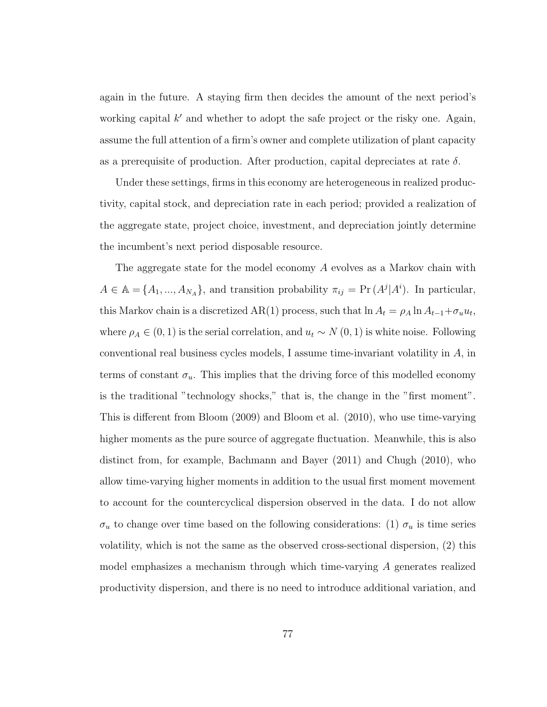again in the future. A staying firm then decides the amount of the next period's working capital  $k'$  and whether to adopt the safe project or the risky one. Again, assume the full attention of a firm's owner and complete utilization of plant capacity as a prerequisite of production. After production, capital depreciates at rate  $\delta$ .

Under these settings, firms in this economy are heterogeneous in realized productivity, capital stock, and depreciation rate in each period; provided a realization of the aggregate state, project choice, investment, and depreciation jointly determine the incumbent's next period disposable resource.

The aggregate state for the model economy A evolves as a Markov chain with  $A \in \mathbb{A} = \{A_1, ..., A_{N_A}\}\$ , and transition probability  $\pi_{ij} = \Pr(A^j | A^i)$ . In particular, this Markov chain is a discretized AR(1) process, such that  $\ln A_t = \rho_A \ln A_{t-1} + \sigma_u u_t$ , where  $\rho_A \in (0, 1)$  is the serial correlation, and  $u_t \sim N(0, 1)$  is white noise. Following conventional real business cycles models, I assume time-invariant volatility in A, in terms of constant  $\sigma_u$ . This implies that the driving force of this modelled economy is the traditional "technology shocks," that is, the change in the "first moment". This is different from Bloom (2009) and Bloom et al. (2010), who use time-varying higher moments as the pure source of aggregate fluctuation. Meanwhile, this is also distinct from, for example, Bachmann and Bayer (2011) and Chugh (2010), who allow time-varying higher moments in addition to the usual first moment movement to account for the countercyclical dispersion observed in the data. I do not allow  $\sigma_u$  to change over time based on the following considerations: (1)  $\sigma_u$  is time series volatility, which is not the same as the observed cross-sectional dispersion, (2) this model emphasizes a mechanism through which time-varying A generates realized productivity dispersion, and there is no need to introduce additional variation, and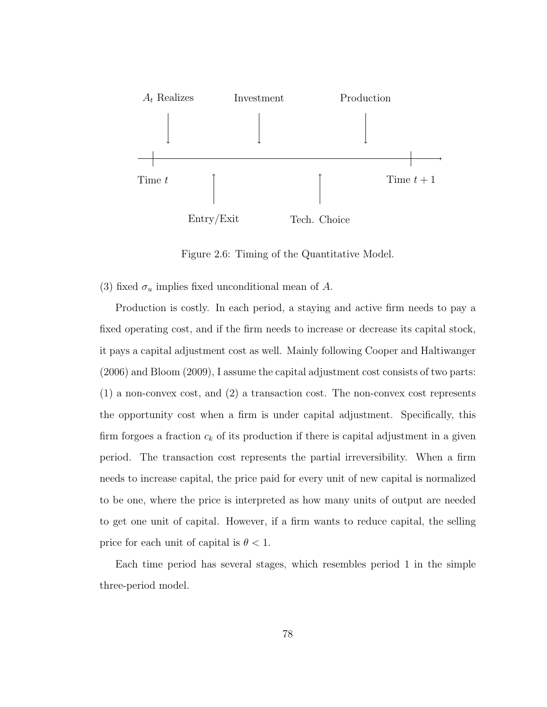

Figure 2.6: Timing of the Quantitative Model.

(3) fixed  $\sigma_u$  implies fixed unconditional mean of A.

Production is costly. In each period, a staying and active firm needs to pay a fixed operating cost, and if the firm needs to increase or decrease its capital stock, it pays a capital adjustment cost as well. Mainly following Cooper and Haltiwanger (2006) and Bloom (2009), I assume the capital adjustment cost consists of two parts: (1) a non-convex cost, and (2) a transaction cost. The non-convex cost represents the opportunity cost when a firm is under capital adjustment. Specifically, this firm forgoes a fraction  $c_k$  of its production if there is capital adjustment in a given period. The transaction cost represents the partial irreversibility. When a firm needs to increase capital, the price paid for every unit of new capital is normalized to be one, where the price is interpreted as how many units of output are needed to get one unit of capital. However, if a firm wants to reduce capital, the selling price for each unit of capital is  $\theta < 1$ .

Each time period has several stages, which resembles period 1 in the simple three-period model.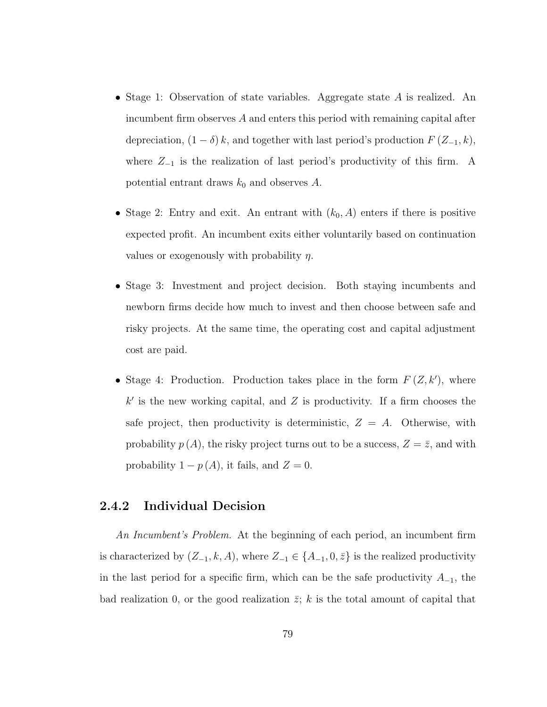- Stage 1: Observation of state variables. Aggregate state A is realized. An incumbent firm observes A and enters this period with remaining capital after depreciation,  $(1 - \delta) k$ , and together with last period's production  $F(Z_{-1}, k)$ , where  $Z_{-1}$  is the realization of last period's productivity of this firm. A potential entrant draws  $k_0$  and observes A.
- Stage 2: Entry and exit. An entrant with  $(k_0, A)$  enters if there is positive expected profit. An incumbent exits either voluntarily based on continuation values or exogenously with probability  $\eta$ .
- Stage 3: Investment and project decision. Both staying incumbents and newborn firms decide how much to invest and then choose between safe and risky projects. At the same time, the operating cost and capital adjustment cost are paid.
- Stage 4: Production. Production takes place in the form  $F(Z, k')$ , where  $k'$  is the new working capital, and  $Z$  is productivity. If a firm chooses the safe project, then productivity is deterministic,  $Z = A$ . Otherwise, with probability  $p(A)$ , the risky project turns out to be a success,  $Z = \overline{z}$ , and with probability  $1 - p(A)$ , it fails, and  $Z = 0$ .

### 2.4.2 Individual Decision

An Incumbent's Problem. At the beginning of each period, an incumbent firm is characterized by  $(Z_{-1}, k, A)$ , where  $Z_{-1} \in \{A_{-1}, 0, \overline{z}\}\$ is the realized productivity in the last period for a specific firm, which can be the safe productivity  $A_{-1}$ , the bad realization 0, or the good realization  $\bar{z}$ ; k is the total amount of capital that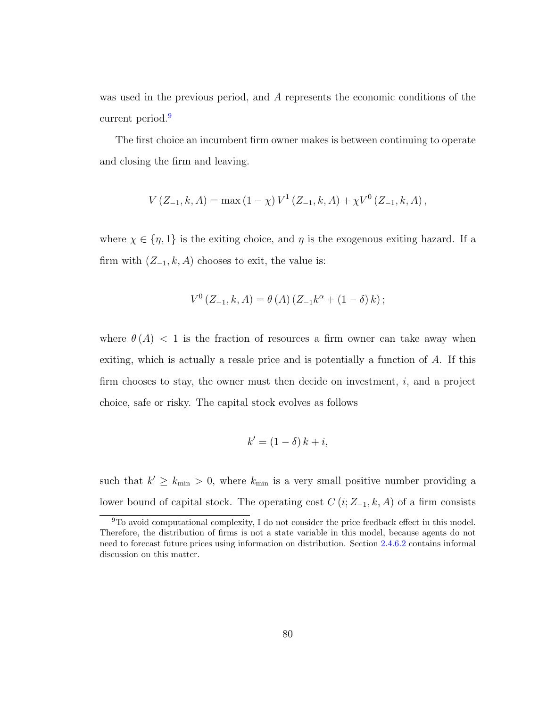was used in the previous period, and A represents the economic conditions of the current period.[9](#page-92-0)

The first choice an incumbent firm owner makes is between continuing to operate and closing the firm and leaving.

$$
V(Z_{-1}, k, A) = \max(1 - \chi) V^{1}(Z_{-1}, k, A) + \chi V^{0}(Z_{-1}, k, A),
$$

where  $\chi \in \{\eta, 1\}$  is the exiting choice, and  $\eta$  is the exogenous exiting hazard. If a firm with  $(Z_{-1}, k, A)$  chooses to exit, the value is:

$$
V^{0} (Z_{-1}, k, A) = \theta (A) (Z_{-1} k^{\alpha} + (1 - \delta) k);
$$

where  $\theta(A)$  < 1 is the fraction of resources a firm owner can take away when exiting, which is actually a resale price and is potentially a function of A. If this firm chooses to stay, the owner must then decide on investment,  $i$ , and a project choice, safe or risky. The capital stock evolves as follows

$$
k' = (1 - \delta) k + i,
$$

such that  $k' \geq k_{\text{min}} > 0$ , where  $k_{\text{min}}$  is a very small positive number providing a lower bound of capital stock. The operating cost  $C(i;Z_{-1},k,A)$  of a firm consists

<span id="page-92-0"></span><sup>9</sup>To avoid computational complexity, I do not consider the price feedback effect in this model. Therefore, the distribution of firms is not a state variable in this model, because agents do not need to forecast future prices using information on distribution. Section [2.4.6.2](#page-109-0) contains informal discussion on this matter.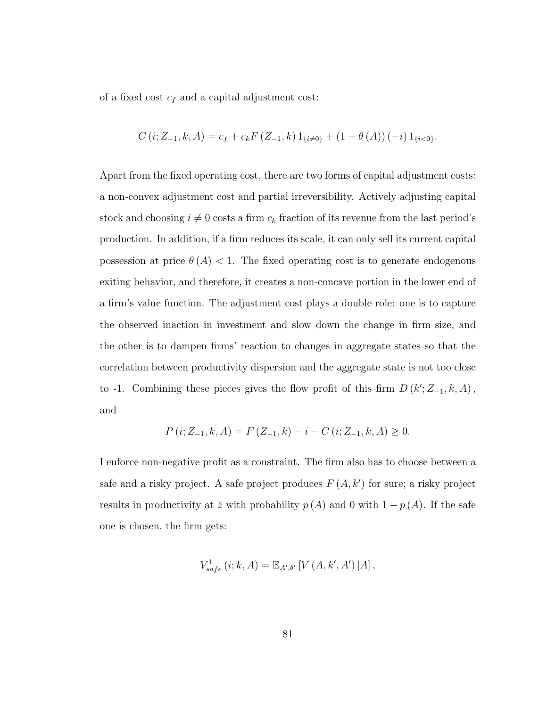of a fixed cost  $c_f$  and a capital adjustment cost:

$$
C(i; Z_{-1}, k, A) = c_f + c_k F(Z_{-1}, k) 1_{\{i \neq 0\}} + (1 - \theta(A)) (-i) 1_{\{i < 0\}}.
$$

Apart from the fixed operating cost, there are two forms of capital adjustment costs: a non-convex adjustment cost and partial irreversibility. Actively adjusting capital stock and choosing  $i \neq 0$  costs a firm  $c_k$  fraction of its revenue from the last period's production. In addition, if a firm reduces its scale, it can only sell its current capital possession at price  $\theta(A)$  < 1. The fixed operating cost is to generate endogenous exiting behavior, and therefore, it creates a non-concave portion in the lower end of a firm's value function. The adjustment cost plays a double role: one is to capture the observed inaction in investment and slow down the change in firm size, and the other is to dampen firms' reaction to changes in aggregate states so that the correlation between productivity dispersion and the aggregate state is not too close to -1. Combining these pieces gives the flow profit of this firm  $D(k'; Z_{-1}, k, A)$ , and

$$
P(i; Z_{-1}, k, A) = F(Z_{-1}, k) - i - C(i; Z_{-1}, k, A) \ge 0.
$$

I enforce non-negative profit as a constraint. The firm also has to choose between a safe and a risky project. A safe project produces  $F(A, k')$  for sure; a risky project results in productivity at  $\bar{z}$  with probability  $p(A)$  and 0 with  $1 - p(A)$ . If the safe one is chosen, the firm gets:

$$
V_{safe}^{1} (i; k, A) = \mathbb{E}_{A', \delta'} [V (A, k', A') | A],
$$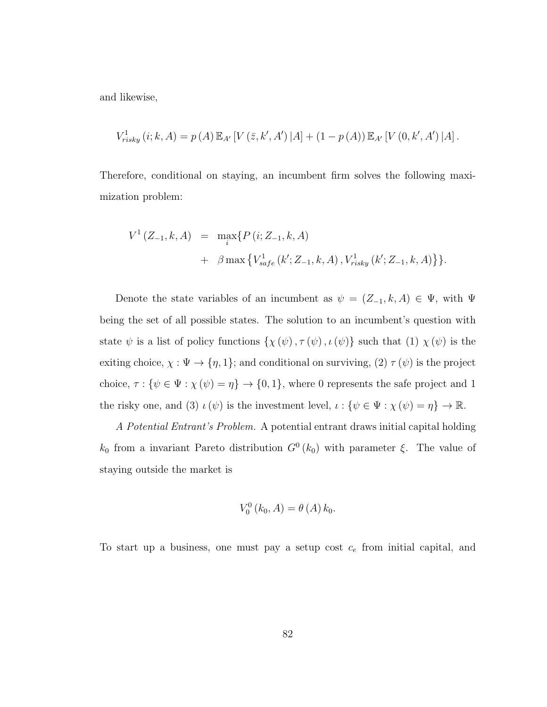and likewise,

$$
V_{risky}^1(i; k, A) = p(A) \mathbb{E}_{A'} \left[ V(\bar{z}, k', A') | A \right] + (1 - p(A)) \mathbb{E}_{A'} \left[ V(0, k', A') | A \right].
$$

Therefore, conditional on staying, an incumbent firm solves the following maximization problem:

$$
V^{1}(Z_{-1}, k, A) = \max_{i} \{ P(i; Z_{-1}, k, A) + \beta \max \{ V_{safe}^{1}(k'; Z_{-1}, k, A), V_{risky}^{1}(k'; Z_{-1}, k, A) \} \}.
$$

Denote the state variables of an incumbent as  $\psi = (Z_{-1}, k, A) \in \Psi$ , with  $\Psi$ being the set of all possible states. The solution to an incumbent's question with state  $\psi$  is a list of policy functions  $\{\chi(\psi), \tau(\psi), \iota(\psi)\}\$  such that (1)  $\chi(\psi)$  is the exiting choice,  $\chi : \Psi \to \{\eta, 1\}$ ; and conditional on surviving,  $(2) \tau (\psi)$  is the project choice,  $\tau : \{\psi \in \Psi : \chi(\psi) = \eta\} \to \{0, 1\}$ , where 0 represents the safe project and 1 the risky one, and (3)  $\iota(\psi)$  is the investment level,  $\iota : \{ \psi \in \Psi : \chi(\psi) = \eta \} \to \mathbb{R}$ .

A Potential Entrant's Problem. A potential entrant draws initial capital holding  $k_0$  from a invariant Pareto distribution  $G^0(k_0)$  with parameter  $\xi$ . The value of staying outside the market is

$$
V_0^0(k_0, A) = \theta(A) k_0.
$$

To start up a business, one must pay a setup cost  $c_e$  from initial capital, and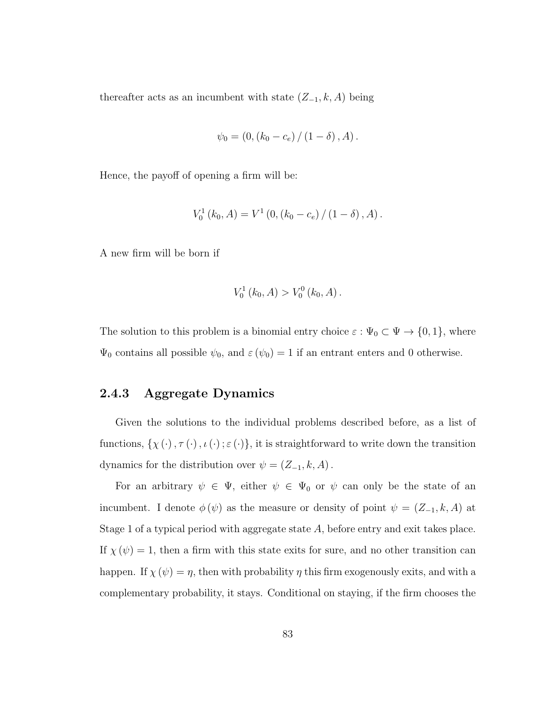thereafter acts as an incumbent with state  $(Z_{-1}, k, A)$  being

$$
\psi_0 = (0, (k_0 - c_e) / (1 - \delta), A).
$$

Hence, the payoff of opening a firm will be:

$$
V_0^1(k_0, A) = V^1(0, (k_0 - c_e) / (1 - \delta), A).
$$

A new firm will be born if

$$
V_0^1(k_0, A) > V_0^0(k_0, A).
$$

The solution to this problem is a binomial entry choice  $\varepsilon : \Psi_0 \subset \Psi \to \{0, 1\}$ , where  $\Psi_0$  contains all possible  $\psi_0$ , and  $\varepsilon(\psi_0) = 1$  if an entrant enters and 0 otherwise.

## 2.4.3 Aggregate Dynamics

Given the solutions to the individual problems described before, as a list of functions,  $\{\chi(\cdot), \tau(\cdot), \iota(\cdot) \,;\varepsilon(\cdot)\}\$ , it is straightforward to write down the transition dynamics for the distribution over  $\psi = (Z_{-1}, k, A)$ .

For an arbitrary  $\psi \in \Psi$ , either  $\psi \in \Psi_0$  or  $\psi$  can only be the state of an incumbent. I denote  $\phi(\psi)$  as the measure or density of point  $\psi = (Z_{-1}, k, A)$  at Stage 1 of a typical period with aggregate state A, before entry and exit takes place. If  $\chi(\psi) = 1$ , then a firm with this state exits for sure, and no other transition can happen. If  $\chi(\psi) = \eta$ , then with probability  $\eta$  this firm exogenously exits, and with a complementary probability, it stays. Conditional on staying, if the firm chooses the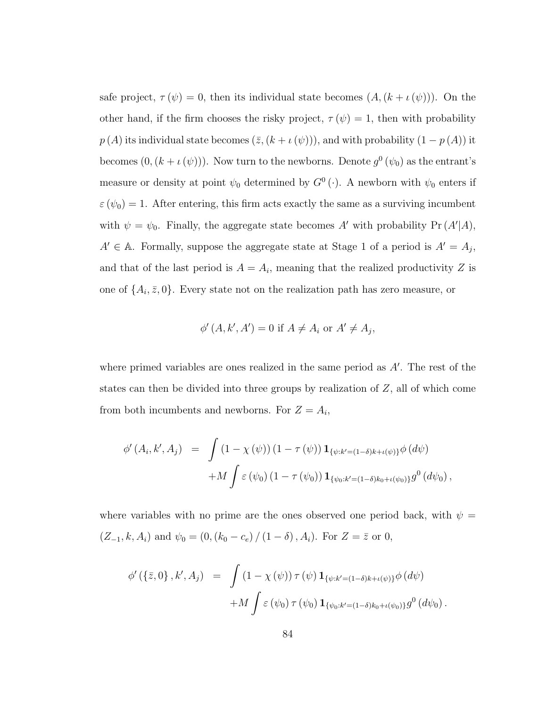safe project,  $\tau(\psi) = 0$ , then its individual state becomes  $(A, (k + \iota(\psi)))$ . On the other hand, if the firm chooses the risky project,  $\tau(\psi) = 1$ , then with probability  $p(A)$  its individual state becomes  $(\bar{z},(k + \iota(\psi))),$  and with probability  $(1 - p(A))$  it becomes  $(0, (k + \iota(\psi)))$ . Now turn to the newborns. Denote  $g^0(\psi_0)$  as the entrant's measure or density at point  $\psi_0$  determined by  $G^0(.)$ . A newborn with  $\psi_0$  enters if  $\varepsilon(\psi_0) = 1$ . After entering, this firm acts exactly the same as a surviving incumbent with  $\psi = \psi_0$ . Finally, the aggregate state becomes A' with probability Pr  $(A'|A)$ ,  $A' \in \mathbb{A}$ . Formally, suppose the aggregate state at Stage 1 of a period is  $A' = A_j$ , and that of the last period is  $A = A_i$ , meaning that the realized productivity Z is one of  $\{A_i, \bar{z}, 0\}$ . Every state not on the realization path has zero measure, or

$$
\phi'(A, k', A') = 0 \text{ if } A \neq A_i \text{ or } A' \neq A_j,
$$

where primed variables are ones realized in the same period as  $A'$ . The rest of the states can then be divided into three groups by realization of  $Z$ , all of which come from both incumbents and newborns. For  $Z = A_i$ ,

$$
\phi'(A_i, k', A_j) = \int (1 - \chi(\psi)) (1 - \tau(\psi)) \mathbf{1}_{\{\psi : k' = (1 - \delta)k + \iota(\psi)\}} \phi(d\psi) \n+ M \int \varepsilon(\psi_0) (1 - \tau(\psi_0)) \mathbf{1}_{\{\psi_0 : k' = (1 - \delta)k_0 + \iota(\psi_0)\}} g^0(d\psi_0),
$$

where variables with no prime are the ones observed one period back, with  $\psi =$  $(Z_{-1}, k, A_i)$  and  $\psi_0 = (0, (k_0 - c_e) / (1 - \delta), A_i)$ . For  $Z = \overline{z}$  or 0,

$$
\phi'(\{\bar{z},0\},k',A_j) = \int (1-\chi(\psi)) \,\tau(\psi) \mathbf{1}_{\{\psi:k'=(1-\delta)k+t(\psi)\}} \phi(d\psi) \n+M \int \varepsilon(\psi_0) \,\tau(\psi_0) \mathbf{1}_{\{\psi_0:k'=(1-\delta)k_0+t(\psi_0)\}} g^0(d\psi_0).
$$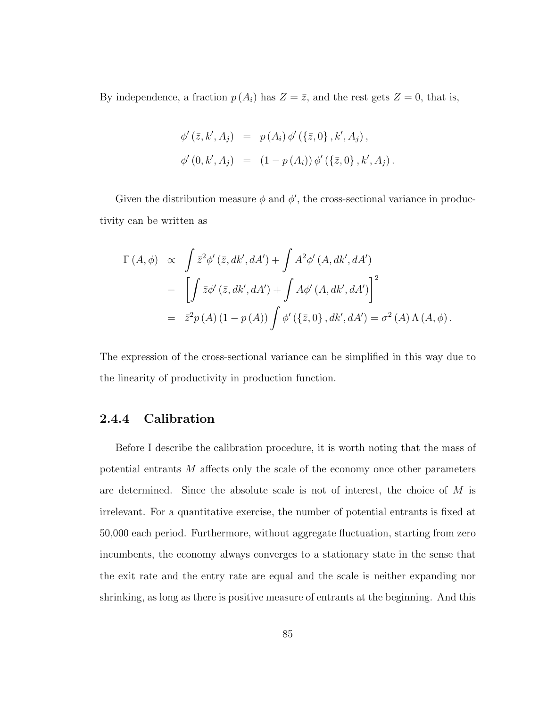By independence, a fraction  $p(A_i)$  has  $Z = \overline{z}$ , and the rest gets  $Z = 0$ , that is,

$$
\begin{array}{rcl}\n\phi'(\bar{z}, k', A_j) & = & p(A_i) \, \phi'(\{\bar{z}, 0\}, k', A_j)\,, \\
\phi'(0, k', A_j) & = & (1 - p(A_i)) \, \phi'(\{\bar{z}, 0\}, k', A_j)\,. \n\end{array}
$$

Given the distribution measure  $\phi$  and  $\phi'$ , the cross-sectional variance in productivity can be written as

$$
\Gamma(A,\phi) \propto \int \bar{z}^2 \phi'(\bar{z},dk',dA') + \int A^2 \phi'(A,dk',dA')
$$
  
- 
$$
\left[ \int \bar{z} \phi'(\bar{z},dk',dA') + \int A \phi'(A,dk',dA') \right]^2
$$
  
= 
$$
\bar{z}^2 p(A) (1 - p(A)) \int \phi'(\{\bar{z},0\},dk',dA') = \sigma^2(A) \Lambda(A,\phi).
$$

The expression of the cross-sectional variance can be simplified in this way due to the linearity of productivity in production function.

#### 2.4.4 Calibration

Before I describe the calibration procedure, it is worth noting that the mass of potential entrants M affects only the scale of the economy once other parameters are determined. Since the absolute scale is not of interest, the choice of M is irrelevant. For a quantitative exercise, the number of potential entrants is fixed at 50,000 each period. Furthermore, without aggregate fluctuation, starting from zero incumbents, the economy always converges to a stationary state in the sense that the exit rate and the entry rate are equal and the scale is neither expanding nor shrinking, as long as there is positive measure of entrants at the beginning. And this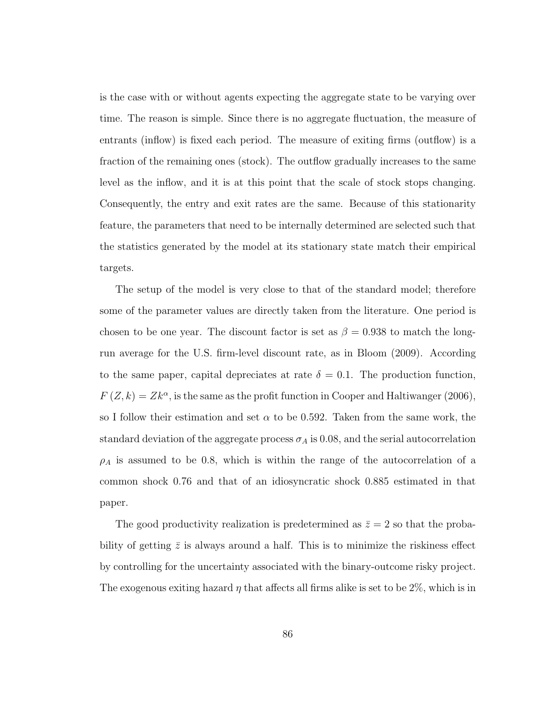is the case with or without agents expecting the aggregate state to be varying over time. The reason is simple. Since there is no aggregate fluctuation, the measure of entrants (inflow) is fixed each period. The measure of exiting firms (outflow) is a fraction of the remaining ones (stock). The outflow gradually increases to the same level as the inflow, and it is at this point that the scale of stock stops changing. Consequently, the entry and exit rates are the same. Because of this stationarity feature, the parameters that need to be internally determined are selected such that the statistics generated by the model at its stationary state match their empirical targets.

The setup of the model is very close to that of the standard model; therefore some of the parameter values are directly taken from the literature. One period is chosen to be one year. The discount factor is set as  $\beta = 0.938$  to match the longrun average for the U.S. firm-level discount rate, as in Bloom (2009). According to the same paper, capital depreciates at rate  $\delta = 0.1$ . The production function,  $F(Z, k) = Zk^{\alpha}$ , is the same as the profit function in Cooper and Haltiwanger (2006), so I follow their estimation and set  $\alpha$  to be 0.592. Taken from the same work, the standard deviation of the aggregate process  $\sigma_A$  is 0.08, and the serial autocorrelation  $\rho_A$  is assumed to be 0.8, which is within the range of the autocorrelation of a common shock 0.76 and that of an idiosyncratic shock 0.885 estimated in that paper.

The good productivity realization is predetermined as  $\bar{z}=2$  so that the probability of getting  $\bar{z}$  is always around a half. This is to minimize the riskiness effect by controlling for the uncertainty associated with the binary-outcome risky project. The exogenous exiting hazard  $\eta$  that affects all firms alike is set to be 2%, which is in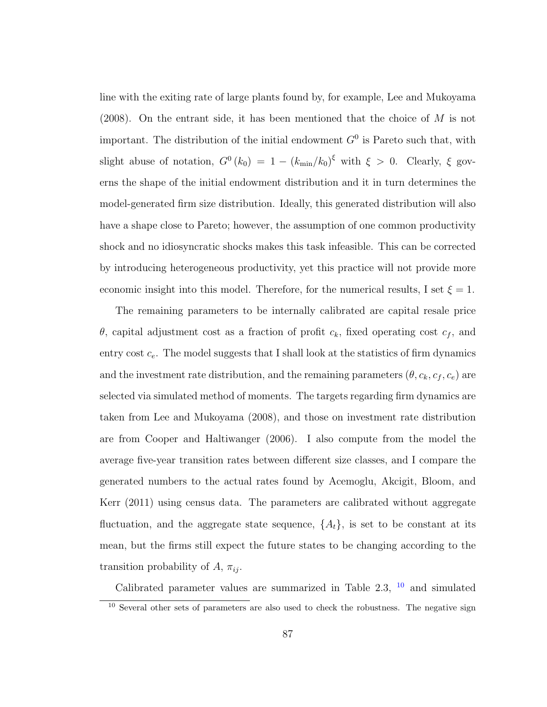line with the exiting rate of large plants found by, for example, Lee and Mukoyama (2008). On the entrant side, it has been mentioned that the choice of M is not important. The distribution of the initial endowment  $G^0$  is Pareto such that, with slight abuse of notation,  $G^0(k_0) = 1 - (k_{\text{min}}/k_0)^{\xi}$  with  $\xi > 0$ . Clearly,  $\xi$  governs the shape of the initial endowment distribution and it in turn determines the model-generated firm size distribution. Ideally, this generated distribution will also have a shape close to Pareto; however, the assumption of one common productivity shock and no idiosyncratic shocks makes this task infeasible. This can be corrected by introducing heterogeneous productivity, yet this practice will not provide more economic insight into this model. Therefore, for the numerical results, I set  $\xi = 1$ .

The remaining parameters to be internally calibrated are capital resale price  $\theta$ , capital adjustment cost as a fraction of profit  $c_k$ , fixed operating cost  $c_f$ , and entry cost  $c_e$ . The model suggests that I shall look at the statistics of firm dynamics and the investment rate distribution, and the remaining parameters  $(\theta, c_k, c_f, c_e)$  are selected via simulated method of moments. The targets regarding firm dynamics are taken from Lee and Mukoyama (2008), and those on investment rate distribution are from Cooper and Haltiwanger (2006). I also compute from the model the average five-year transition rates between different size classes, and I compare the generated numbers to the actual rates found by Acemoglu, Akcigit, Bloom, and Kerr (2011) using census data. The parameters are calibrated without aggregate fluctuation, and the aggregate state sequence,  $\{A_t\}$ , is set to be constant at its mean, but the firms still expect the future states to be changing according to the transition probability of  $A$ ,  $\pi_{ii}$ .

Calibrated parameter values are summarized in Table 2.3,  $10$  and simulated

<span id="page-99-0"></span><sup>&</sup>lt;sup>10</sup> Several other sets of parameters are also used to check the robustness. The negative sign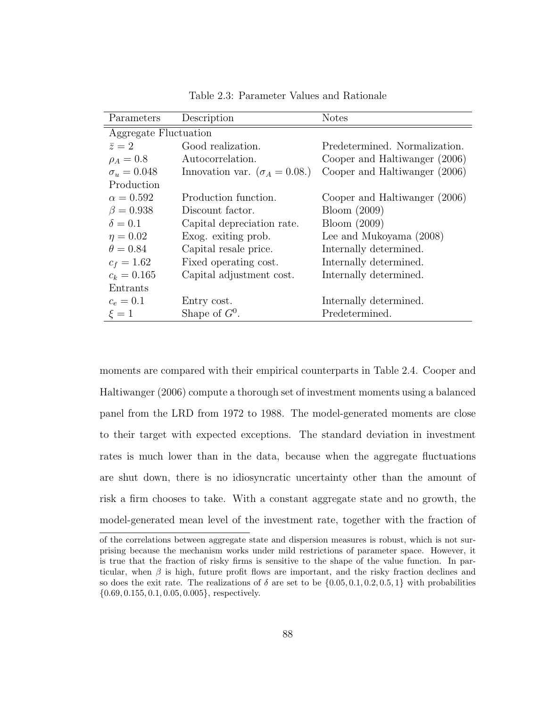| Parameters            | Description                            | Notes                         |
|-----------------------|----------------------------------------|-------------------------------|
| Aggregate Fluctuation |                                        |                               |
| $\bar{z}=2$           | Good realization.                      | Predetermined. Normalization. |
| $\rho_A = 0.8$        | Autocorrelation.                       | Cooper and Haltiwanger (2006) |
| $\sigma_u = 0.048$    | Innovation var. ( $\sigma_A = 0.08$ .) | Cooper and Haltiwanger (2006) |
| Production            |                                        |                               |
| $\alpha = 0.592$      | Production function.                   | Cooper and Haltiwanger (2006) |
| $\beta = 0.938$       | Discount factor.                       | Bloom $(2009)$                |
| $\delta = 0.1$        | Capital depreciation rate.             | Bloom $(2009)$                |
| $\eta = 0.02$         | Exog. exiting prob.                    | Lee and Mukoyama (2008)       |
| $\theta = 0.84$       | Capital resale price.                  | Internally determined.        |
| $c_f = 1.62$          | Fixed operating cost.                  | Internally determined.        |
| $c_k = 0.165$         | Capital adjustment cost.               | Internally determined.        |
| Entrants              |                                        |                               |
| $c_e = 0.1$           | Entry cost.                            | Internally determined.        |
| $\xi = 1$             | Shape of $G^0$ .                       | Predetermined.                |

Table 2.3: Parameter Values and Rationale

moments are compared with their empirical counterparts in Table 2.4. Cooper and Haltiwanger (2006) compute a thorough set of investment moments using a balanced panel from the LRD from 1972 to 1988. The model-generated moments are close to their target with expected exceptions. The standard deviation in investment rates is much lower than in the data, because when the aggregate fluctuations are shut down, there is no idiosyncratic uncertainty other than the amount of risk a firm chooses to take. With a constant aggregate state and no growth, the model-generated mean level of the investment rate, together with the fraction of

of the correlations between aggregate state and dispersion measures is robust, which is not surprising because the mechanism works under mild restrictions of parameter space. However, it is true that the fraction of risky firms is sensitive to the shape of the value function. In particular, when  $\beta$  is high, future profit flows are important, and the risky fraction declines and so does the exit rate. The realizations of  $\delta$  are set to be  $\{0.05, 0.1, 0.2, 0.5, 1\}$  with probabilities  $\{0.69, 0.155, 0.1, 0.05, 0.005\}$ , respectively.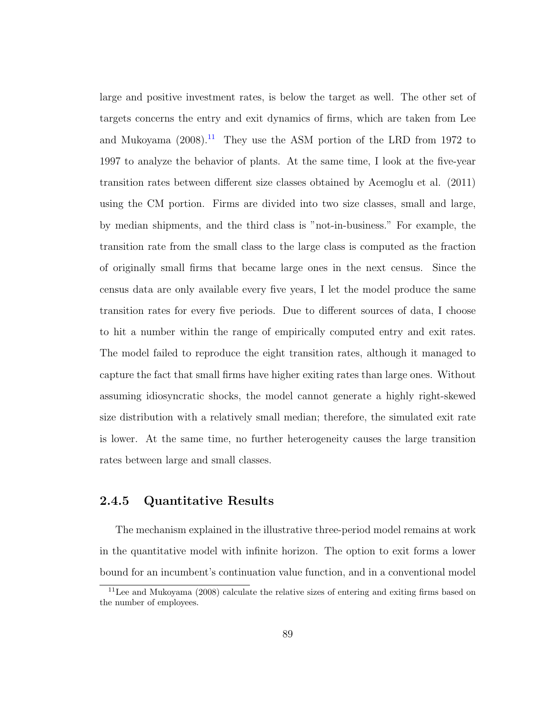large and positive investment rates, is below the target as well. The other set of targets concerns the entry and exit dynamics of firms, which are taken from Lee and Mukoyama  $(2008).<sup>11</sup>$  $(2008).<sup>11</sup>$  $(2008).<sup>11</sup>$  They use the ASM portion of the LRD from 1972 to 1997 to analyze the behavior of plants. At the same time, I look at the five-year transition rates between different size classes obtained by Acemoglu et al. (2011) using the CM portion. Firms are divided into two size classes, small and large, by median shipments, and the third class is "not-in-business." For example, the transition rate from the small class to the large class is computed as the fraction of originally small firms that became large ones in the next census. Since the census data are only available every five years, I let the model produce the same transition rates for every five periods. Due to different sources of data, I choose to hit a number within the range of empirically computed entry and exit rates. The model failed to reproduce the eight transition rates, although it managed to capture the fact that small firms have higher exiting rates than large ones. Without assuming idiosyncratic shocks, the model cannot generate a highly right-skewed size distribution with a relatively small median; therefore, the simulated exit rate is lower. At the same time, no further heterogeneity causes the large transition rates between large and small classes.

#### 2.4.5 Quantitative Results

The mechanism explained in the illustrative three-period model remains at work in the quantitative model with infinite horizon. The option to exit forms a lower bound for an incumbent's continuation value function, and in a conventional model

<span id="page-101-0"></span><sup>&</sup>lt;sup>11</sup>Lee and Mukoyama (2008) calculate the relative sizes of entering and exiting firms based on the number of employees.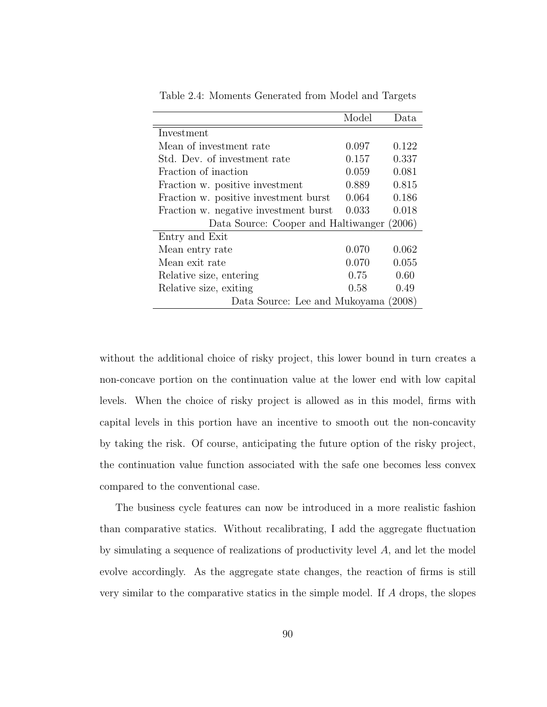|                                       | Model | Data.  |
|---------------------------------------|-------|--------|
| Investment                            |       |        |
| Mean of investment rate               | 0.097 | 0.122  |
| Std. Dev. of investment rate          | 0.157 | 0.337  |
| Fraction of inaction                  | 0.059 | 0.081  |
| Fraction w. positive investment       | 0.889 | 0.815  |
| Fraction w. positive investment burst | 0.064 | 0.186  |
| Fraction w. negative investment burst | 0.033 | 0.018  |
| Data Source: Cooper and Haltiwanger   |       | (2006) |
| Entry and Exit                        |       |        |
| Mean entry rate                       | 0.070 | 0.062  |
| Mean exit rate                        | 0.070 | 0.055  |
| Relative size, entering               | 0.75  | 0.60   |
| Relative size, exiting                | 0.58  | 0.49   |
| Data Source: Lee and Mukoyama (2008)  |       |        |

Table 2.4: Moments Generated from Model and Targets

without the additional choice of risky project, this lower bound in turn creates a non-concave portion on the continuation value at the lower end with low capital levels. When the choice of risky project is allowed as in this model, firms with capital levels in this portion have an incentive to smooth out the non-concavity by taking the risk. Of course, anticipating the future option of the risky project, the continuation value function associated with the safe one becomes less convex compared to the conventional case.

The business cycle features can now be introduced in a more realistic fashion than comparative statics. Without recalibrating, I add the aggregate fluctuation by simulating a sequence of realizations of productivity level A, and let the model evolve accordingly. As the aggregate state changes, the reaction of firms is still very similar to the comparative statics in the simple model. If A drops, the slopes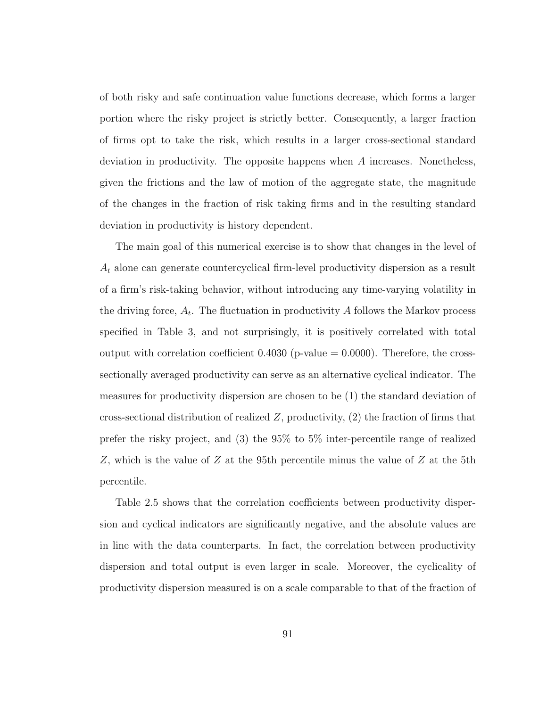of both risky and safe continuation value functions decrease, which forms a larger portion where the risky project is strictly better. Consequently, a larger fraction of firms opt to take the risk, which results in a larger cross-sectional standard deviation in productivity. The opposite happens when A increases. Nonetheless, given the frictions and the law of motion of the aggregate state, the magnitude of the changes in the fraction of risk taking firms and in the resulting standard deviation in productivity is history dependent.

The main goal of this numerical exercise is to show that changes in the level of  $A_t$  alone can generate countercyclical firm-level productivity dispersion as a result of a firm's risk-taking behavior, without introducing any time-varying volatility in the driving force,  $A_t$ . The fluctuation in productivity A follows the Markov process specified in Table 3, and not surprisingly, it is positively correlated with total output with correlation coefficient  $0.4030$  (p-value  $= 0.0000$ ). Therefore, the crosssectionally averaged productivity can serve as an alternative cyclical indicator. The measures for productivity dispersion are chosen to be (1) the standard deviation of cross-sectional distribution of realized  $Z$ , productivity,  $(2)$  the fraction of firms that prefer the risky project, and (3) the 95% to 5% inter-percentile range of realized Z, which is the value of Z at the 95th percentile minus the value of Z at the 5th percentile.

Table 2.5 shows that the correlation coefficients between productivity dispersion and cyclical indicators are significantly negative, and the absolute values are in line with the data counterparts. In fact, the correlation between productivity dispersion and total output is even larger in scale. Moreover, the cyclicality of productivity dispersion measured is on a scale comparable to that of the fraction of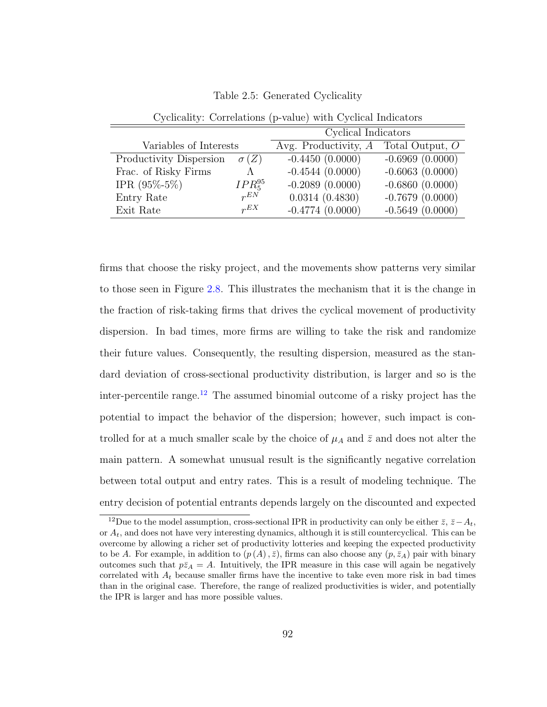|                         |              | Cyclical Indicators    |                   |  |
|-------------------------|--------------|------------------------|-------------------|--|
| Variables of Interests  |              | Avg. Productivity, $A$ | Total Output, $O$ |  |
| Productivity Dispersion | $\sigma(Z)$  | $-0.4450(0.0000)$      | $-0.6969(0.0000)$ |  |
| Frac. of Risky Firms    |              | $-0.4544(0.0000)$      | $-0.6063(0.0000)$ |  |
| IPR $(95\% - 5\%)$      | $IPR_5^{95}$ | $-0.2089(0.0000)$      | $-0.6860(0.0000)$ |  |
| Entry Rate              | $r^{EN}$     | 0.0314(0.4830)         | $-0.7679(0.0000)$ |  |
| Exit Rate               | $r^{EX}$     | $-0.4774(0.0000)$      | $-0.5649(0.0000)$ |  |

Table 2.5: Generated Cyclicality

Cyclicality: Correlations (p-value) with Cyclical Indicators

firms that choose the risky project, and the movements show patterns very similar to those seen in Figure [2.8.](#page-106-0) This illustrates the mechanism that it is the change in the fraction of risk-taking firms that drives the cyclical movement of productivity dispersion. In bad times, more firms are willing to take the risk and randomize their future values. Consequently, the resulting dispersion, measured as the standard deviation of cross-sectional productivity distribution, is larger and so is the inter-percentile range.<sup>[12](#page-104-0)</sup> The assumed binomial outcome of a risky project has the potential to impact the behavior of the dispersion; however, such impact is controlled for at a much smaller scale by the choice of  $\mu_A$  and  $\bar{z}$  and does not alter the main pattern. A somewhat unusual result is the significantly negative correlation between total output and entry rates. This is a result of modeling technique. The entry decision of potential entrants depends largely on the discounted and expected

<span id="page-104-0"></span><sup>&</sup>lt;sup>12</sup>Due to the model assumption, cross-sectional IPR in productivity can only be either  $\bar{z}$ ,  $\bar{z}-A_t$ , or  $A_t$ , and does not have very interesting dynamics, although it is still countercyclical. This can be overcome by allowing a richer set of productivity lotteries and keeping the expected productivity to be A. For example, in addition to  $(p(A),\bar{z})$ , firms can also choose any  $(p,\bar{z}_A)$  pair with binary outcomes such that  $p\bar{z}_A = A$ . Intuitively, the IPR measure in this case will again be negatively correlated with  $A_t$  because smaller firms have the incentive to take even more risk in bad times than in the original case. Therefore, the range of realized productivities is wider, and potentially the IPR is larger and has more possible values.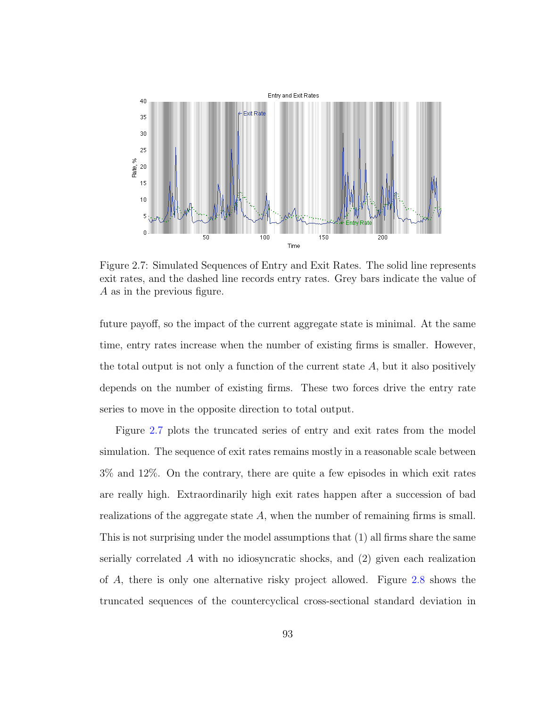<span id="page-105-0"></span>

Figure 2.7: Simulated Sequences of Entry and Exit Rates. The solid line represents exit rates, and the dashed line records entry rates. Grey bars indicate the value of A as in the previous figure.

future payoff, so the impact of the current aggregate state is minimal. At the same time, entry rates increase when the number of existing firms is smaller. However, the total output is not only a function of the current state  $A$ , but it also positively depends on the number of existing firms. These two forces drive the entry rate series to move in the opposite direction to total output.

Figure [2.7](#page-105-0) plots the truncated series of entry and exit rates from the model simulation. The sequence of exit rates remains mostly in a reasonable scale between 3% and 12%. On the contrary, there are quite a few episodes in which exit rates are really high. Extraordinarily high exit rates happen after a succession of bad realizations of the aggregate state A, when the number of remaining firms is small. This is not surprising under the model assumptions that (1) all firms share the same serially correlated A with no idiosyncratic shocks, and (2) given each realization of A, there is only one alternative risky project allowed. Figure [2.8](#page-106-0) shows the truncated sequences of the countercyclical cross-sectional standard deviation in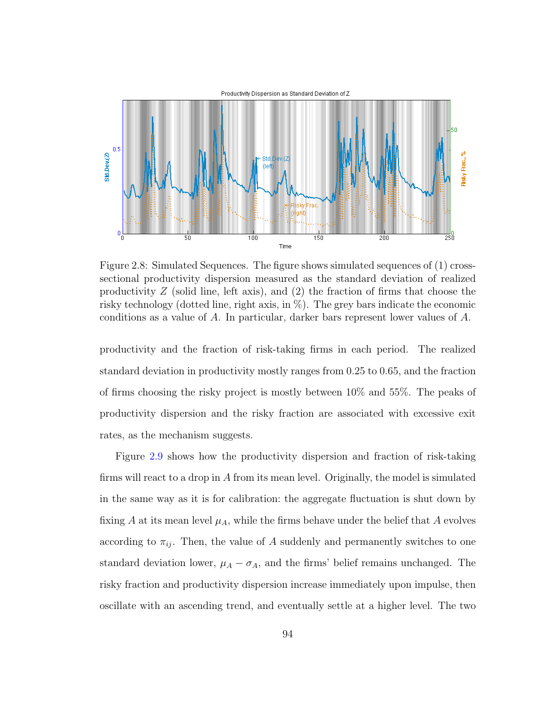<span id="page-106-0"></span>

Figure 2.8: Simulated Sequences. The figure shows simulated sequences of (1) crosssectional productivity dispersion measured as the standard deviation of realized productivity  $Z$  (solid line, left axis), and (2) the fraction of firms that choose the risky technology (dotted line, right axis, in %). The grey bars indicate the economic conditions as a value of A. In particular, darker bars represent lower values of A.

productivity and the fraction of risk-taking firms in each period. The realized standard deviation in productivity mostly ranges from 0.25 to 0.65, and the fraction of firms choosing the risky project is mostly between 10% and 55%. The peaks of productivity dispersion and the risky fraction are associated with excessive exit rates, as the mechanism suggests.

Figure [2.9](#page-107-0) shows how the productivity dispersion and fraction of risk-taking firms will react to a drop in A from its mean level. Originally, the model is simulated in the same way as it is for calibration: the aggregate fluctuation is shut down by fixing A at its mean level  $\mu_A$ , while the firms behave under the belief that A evolves according to  $\pi_{ij}$ . Then, the value of A suddenly and permanently switches to one standard deviation lower,  $\mu_A - \sigma_A$ , and the firms' belief remains unchanged. The risky fraction and productivity dispersion increase immediately upon impulse, then oscillate with an ascending trend, and eventually settle at a higher level. The two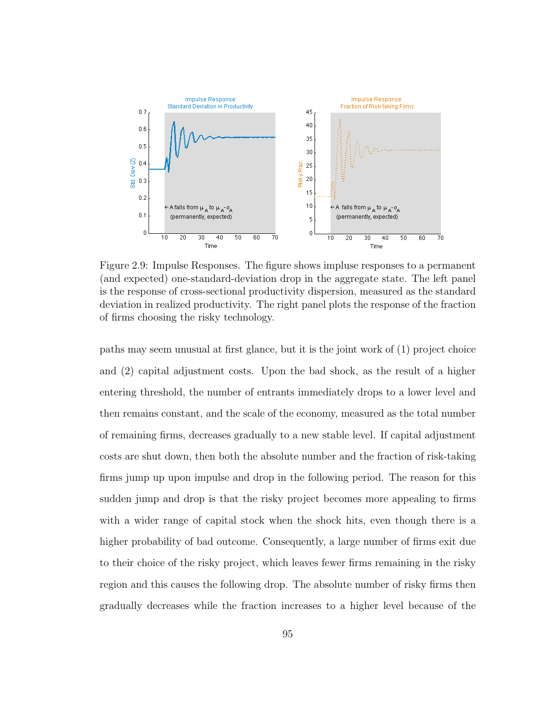<span id="page-107-0"></span>

Figure 2.9: Impulse Responses. The figure shows impluse responses to a permanent (and expected) one-standard-deviation drop in the aggregate state. The left panel is the response of cross-sectional productivity dispersion, measured as the standard deviation in realized productivity. The right panel plots the response of the fraction of firms choosing the risky technology.

paths may seem unusual at first glance, but it is the joint work of (1) project choice and (2) capital adjustment costs. Upon the bad shock, as the result of a higher entering threshold, the number of entrants immediately drops to a lower level and then remains constant, and the scale of the economy, measured as the total number of remaining firms, decreases gradually to a new stable level. If capital adjustment costs are shut down, then both the absolute number and the fraction of risk-taking firms jump up upon impulse and drop in the following period. The reason for this sudden jump and drop is that the risky project becomes more appealing to firms with a wider range of capital stock when the shock hits, even though there is a higher probability of bad outcome. Consequently, a large number of firms exit due to their choice of the risky project, which leaves fewer firms remaining in the risky region and this causes the following drop. The absolute number of risky firms then gradually decreases while the fraction increases to a higher level because of the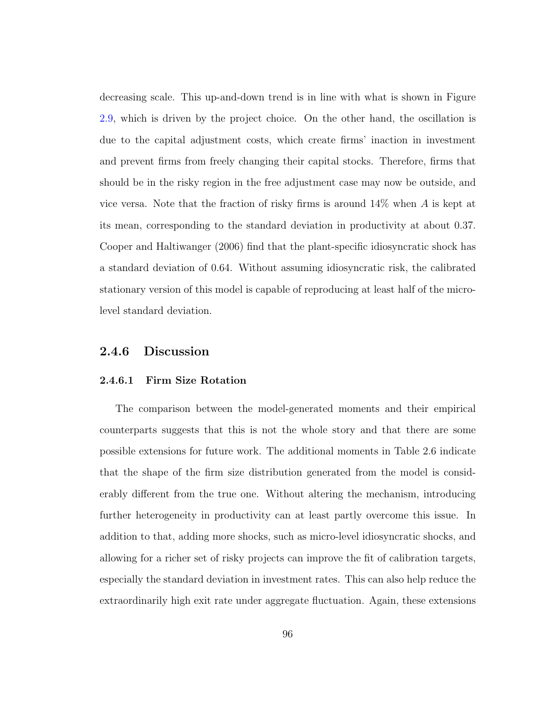decreasing scale. This up-and-down trend is in line with what is shown in Figure [2.9,](#page-107-0) which is driven by the project choice. On the other hand, the oscillation is due to the capital adjustment costs, which create firms' inaction in investment and prevent firms from freely changing their capital stocks. Therefore, firms that should be in the risky region in the free adjustment case may now be outside, and vice versa. Note that the fraction of risky firms is around  $14\%$  when A is kept at its mean, corresponding to the standard deviation in productivity at about 0.37. Cooper and Haltiwanger (2006) find that the plant-specific idiosyncratic shock has a standard deviation of 0.64. Without assuming idiosyncratic risk, the calibrated stationary version of this model is capable of reproducing at least half of the microlevel standard deviation.

#### 2.4.6 Discussion

#### 2.4.6.1 Firm Size Rotation

The comparison between the model-generated moments and their empirical counterparts suggests that this is not the whole story and that there are some possible extensions for future work. The additional moments in Table 2.6 indicate that the shape of the firm size distribution generated from the model is considerably different from the true one. Without altering the mechanism, introducing further heterogeneity in productivity can at least partly overcome this issue. In addition to that, adding more shocks, such as micro-level idiosyncratic shocks, and allowing for a richer set of risky projects can improve the fit of calibration targets, especially the standard deviation in investment rates. This can also help reduce the extraordinarily high exit rate under aggregate fluctuation. Again, these extensions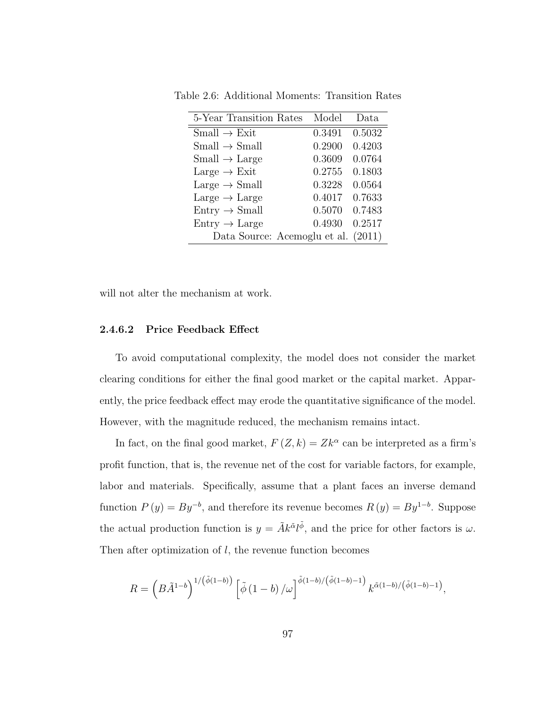| 5-Year Transition Rates      | Model  | Data   |
|------------------------------|--------|--------|
| $Small \rightarrow Exit$     | 0.3491 | 0.5032 |
| $Small \rightarrow Small$    | 0.2900 | 0.4203 |
| $Small \rightarrow Large$    | 0.3609 | 0.0764 |
| Large $\rightarrow$ Exit     | 0.2755 | 0.1803 |
| Large $\rightarrow$ Small    | 0.3228 | 0.0564 |
| Large $\rightarrow$ Large    | 0.4017 | 0.7633 |
| $Entry \rightarrow Small$    | 0.5070 | 0.7483 |
| $Entry \rightarrow Large$    | 0.4930 | 0.2517 |
| Data Source: Acemoglu et al. |        | (2011) |

Table 2.6: Additional Moments: Transition Rates

will not alter the mechanism at work.

#### 2.4.6.2 Price Feedback Effect

To avoid computational complexity, the model does not consider the market clearing conditions for either the final good market or the capital market. Apparently, the price feedback effect may erode the quantitative significance of the model. However, with the magnitude reduced, the mechanism remains intact.

In fact, on the final good market,  $F(Z, k) = Zk^{\alpha}$  can be interpreted as a firm's profit function, that is, the revenue net of the cost for variable factors, for example, labor and materials. Specifically, assume that a plant faces an inverse demand function  $P(y) = By^{-b}$ , and therefore its revenue becomes  $R(y) = By^{1-b}$ . Suppose the actual production function is  $y = \tilde{A}k^{\tilde{\alpha}}l^{\tilde{\phi}}$ , and the price for other factors is  $\omega$ . Then after optimization of  $l$ , the revenue function becomes

$$
R = \left(B\tilde{A}^{1-b}\right)^{1/\left(\tilde{\phi}(1-b)\right)} \left[\tilde{\phi}\left(1-b\right)/\omega\right]^{\tilde{\phi}(1-b)/\left(\tilde{\phi}(1-b)-1\right)} k^{\tilde{\alpha}(1-b)/\left(\tilde{\phi}(1-b)-1\right)},
$$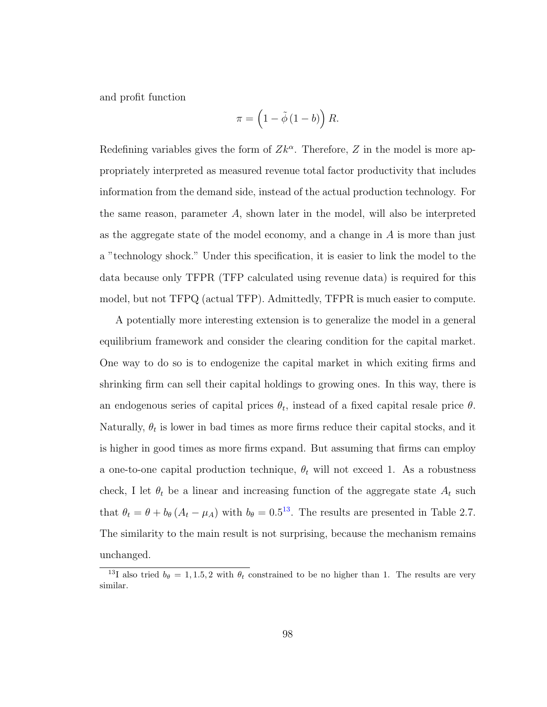and profit function

$$
\pi = \left(1 - \tilde{\phi}\left(1 - b\right)\right) R.
$$

Redefining variables gives the form of  $Zk^{\alpha}$ . Therefore, Z in the model is more appropriately interpreted as measured revenue total factor productivity that includes information from the demand side, instead of the actual production technology. For the same reason, parameter A, shown later in the model, will also be interpreted as the aggregate state of the model economy, and a change in  $A$  is more than just a "technology shock." Under this specification, it is easier to link the model to the data because only TFPR (TFP calculated using revenue data) is required for this model, but not TFPQ (actual TFP). Admittedly, TFPR is much easier to compute.

A potentially more interesting extension is to generalize the model in a general equilibrium framework and consider the clearing condition for the capital market. One way to do so is to endogenize the capital market in which exiting firms and shrinking firm can sell their capital holdings to growing ones. In this way, there is an endogenous series of capital prices  $\theta_t$ , instead of a fixed capital resale price  $\theta$ . Naturally,  $\theta_t$  is lower in bad times as more firms reduce their capital stocks, and it is higher in good times as more firms expand. But assuming that firms can employ a one-to-one capital production technique,  $\theta_t$  will not exceed 1. As a robustness check, I let  $\theta_t$  be a linear and increasing function of the aggregate state  $A_t$  such that  $\theta_t = \theta + b_\theta (A_t - \mu_A)$  with  $b_\theta = 0.5^{13}$  $b_\theta = 0.5^{13}$  $b_\theta = 0.5^{13}$ . The results are presented in Table 2.7. The similarity to the main result is not surprising, because the mechanism remains unchanged.

<span id="page-110-0"></span><sup>&</sup>lt;sup>13</sup>I also tried  $b_{\theta} = 1, 1.5, 2$  with  $\theta_t$  constrained to be no higher than 1. The results are very similar.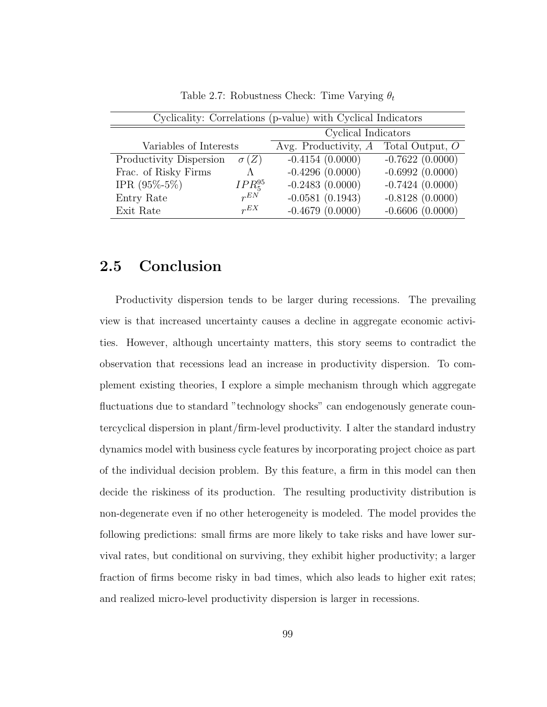| Cyclicality: Correlations (p-value) with Cyclical Indicators |              |                        |                          |  |
|--------------------------------------------------------------|--------------|------------------------|--------------------------|--|
|                                                              |              | Cyclical Indicators    |                          |  |
| Variables of Interests                                       |              | Avg. Productivity, $A$ | $\text{Total Output}, O$ |  |
| Productivity Dispersion                                      | $\sigma(Z)$  | $-0.4154(0.0000)$      | $-0.7622(0.0000)$        |  |
| Frac. of Risky Firms                                         |              | $-0.4296(0.0000)$      | $-0.6992(0.0000)$        |  |
| IPR $(95\% - 5\%)$                                           | $IPR_5^{95}$ | $-0.2483(0.0000)$      | $-0.7424(0.0000)$        |  |
| Entry Rate                                                   | $r^{EN}$     | $-0.0581(0.1943)$      | $-0.8128(0.0000)$        |  |
| Exit Rate                                                    | $r^{EX}$     | $-0.4679(0.0000)$      | $-0.6606(0.0000)$        |  |

Table 2.7: Robustness Check: Time Varying  $\theta_t$ 

## 2.5 Conclusion

Productivity dispersion tends to be larger during recessions. The prevailing view is that increased uncertainty causes a decline in aggregate economic activities. However, although uncertainty matters, this story seems to contradict the observation that recessions lead an increase in productivity dispersion. To complement existing theories, I explore a simple mechanism through which aggregate fluctuations due to standard "technology shocks" can endogenously generate countercyclical dispersion in plant/firm-level productivity. I alter the standard industry dynamics model with business cycle features by incorporating project choice as part of the individual decision problem. By this feature, a firm in this model can then decide the riskiness of its production. The resulting productivity distribution is non-degenerate even if no other heterogeneity is modeled. The model provides the following predictions: small firms are more likely to take risks and have lower survival rates, but conditional on surviving, they exhibit higher productivity; a larger fraction of firms become risky in bad times, which also leads to higher exit rates; and realized micro-level productivity dispersion is larger in recessions.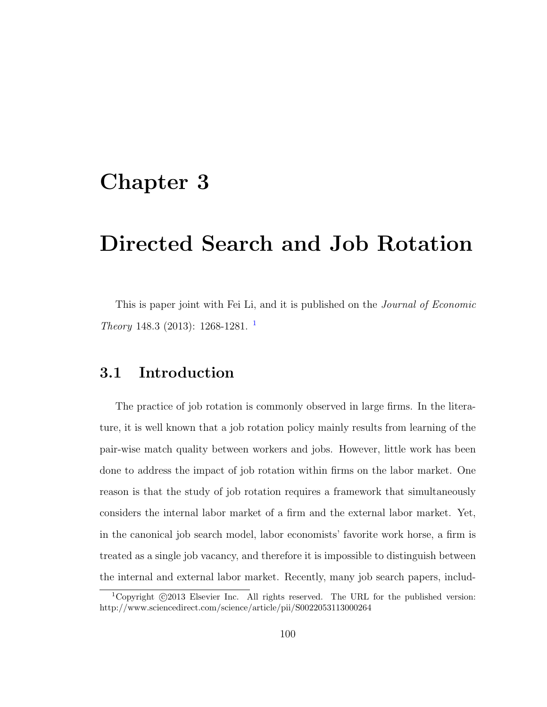## Chapter 3

## Directed Search and Job Rotation

This is paper joint with Fei Li, and it is published on the Journal of Economic Theory 148.3 (2013): 1268-1281. [1](#page-112-0)

### 3.1 Introduction

The practice of job rotation is commonly observed in large firms. In the literature, it is well known that a job rotation policy mainly results from learning of the pair-wise match quality between workers and jobs. However, little work has been done to address the impact of job rotation within firms on the labor market. One reason is that the study of job rotation requires a framework that simultaneously considers the internal labor market of a firm and the external labor market. Yet, in the canonical job search model, labor economists' favorite work horse, a firm is treated as a single job vacancy, and therefore it is impossible to distinguish between the internal and external labor market. Recently, many job search papers, includ-

<span id="page-112-0"></span><sup>&</sup>lt;sup>1</sup>Copyright  $\odot$ 2013 Elsevier Inc. All rights reserved. The URL for the published version: http://www.sciencedirect.com/science/article/pii/S0022053113000264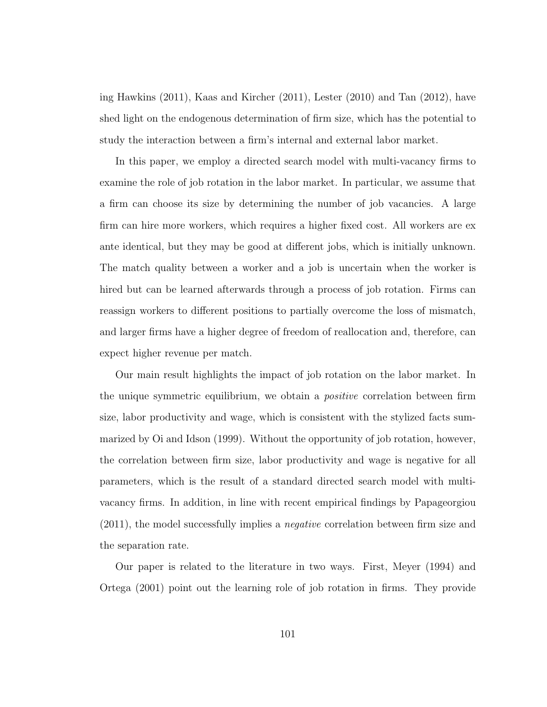ing Hawkins (2011), Kaas and Kircher (2011), Lester (2010) and Tan (2012), have shed light on the endogenous determination of firm size, which has the potential to study the interaction between a firm's internal and external labor market.

In this paper, we employ a directed search model with multi-vacancy firms to examine the role of job rotation in the labor market. In particular, we assume that a firm can choose its size by determining the number of job vacancies. A large firm can hire more workers, which requires a higher fixed cost. All workers are ex ante identical, but they may be good at different jobs, which is initially unknown. The match quality between a worker and a job is uncertain when the worker is hired but can be learned afterwards through a process of job rotation. Firms can reassign workers to different positions to partially overcome the loss of mismatch, and larger firms have a higher degree of freedom of reallocation and, therefore, can expect higher revenue per match.

Our main result highlights the impact of job rotation on the labor market. In the unique symmetric equilibrium, we obtain a *positive* correlation between firm size, labor productivity and wage, which is consistent with the stylized facts summarized by Oi and Idson (1999). Without the opportunity of job rotation, however, the correlation between firm size, labor productivity and wage is negative for all parameters, which is the result of a standard directed search model with multivacancy firms. In addition, in line with recent empirical findings by Papageorgiou (2011), the model successfully implies a negative correlation between firm size and the separation rate.

Our paper is related to the literature in two ways. First, Meyer (1994) and Ortega (2001) point out the learning role of job rotation in firms. They provide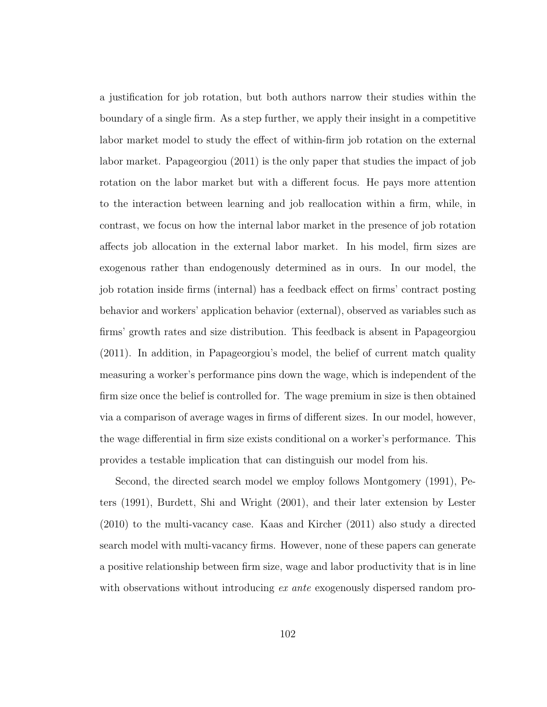a justification for job rotation, but both authors narrow their studies within the boundary of a single firm. As a step further, we apply their insight in a competitive labor market model to study the effect of within-firm job rotation on the external labor market. Papageorgiou (2011) is the only paper that studies the impact of job rotation on the labor market but with a different focus. He pays more attention to the interaction between learning and job reallocation within a firm, while, in contrast, we focus on how the internal labor market in the presence of job rotation affects job allocation in the external labor market. In his model, firm sizes are exogenous rather than endogenously determined as in ours. In our model, the job rotation inside firms (internal) has a feedback effect on firms' contract posting behavior and workers' application behavior (external), observed as variables such as firms' growth rates and size distribution. This feedback is absent in Papageorgiou (2011). In addition, in Papageorgiou's model, the belief of current match quality measuring a worker's performance pins down the wage, which is independent of the firm size once the belief is controlled for. The wage premium in size is then obtained via a comparison of average wages in firms of different sizes. In our model, however, the wage differential in firm size exists conditional on a worker's performance. This provides a testable implication that can distinguish our model from his.

Second, the directed search model we employ follows Montgomery (1991), Peters (1991), Burdett, Shi and Wright (2001), and their later extension by Lester (2010) to the multi-vacancy case. Kaas and Kircher (2011) also study a directed search model with multi-vacancy firms. However, none of these papers can generate a positive relationship between firm size, wage and labor productivity that is in line with observations without introducing ex ante exogenously dispersed random pro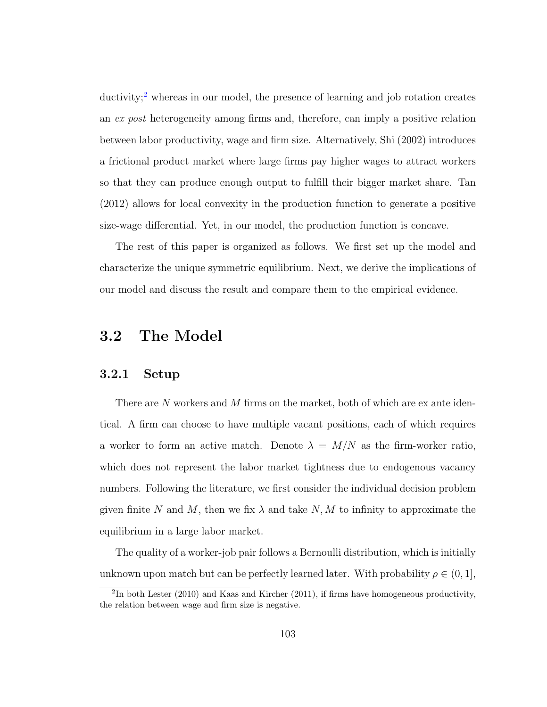ductivity; $\alpha$ <sup>[2](#page-115-0)</sup> whereas in our model, the presence of learning and job rotation creates an ex post heterogeneity among firms and, therefore, can imply a positive relation between labor productivity, wage and firm size. Alternatively, Shi (2002) introduces a frictional product market where large firms pay higher wages to attract workers so that they can produce enough output to fulfill their bigger market share. Tan (2012) allows for local convexity in the production function to generate a positive size-wage differential. Yet, in our model, the production function is concave.

The rest of this paper is organized as follows. We first set up the model and characterize the unique symmetric equilibrium. Next, we derive the implications of our model and discuss the result and compare them to the empirical evidence.

## 3.2 The Model

#### 3.2.1 Setup

There are N workers and M firms on the market, both of which are ex ante identical. A firm can choose to have multiple vacant positions, each of which requires a worker to form an active match. Denote  $\lambda = M/N$  as the firm-worker ratio, which does not represent the labor market tightness due to endogenous vacancy numbers. Following the literature, we first consider the individual decision problem given finite N and M, then we fix  $\lambda$  and take N, M to infinity to approximate the equilibrium in a large labor market.

The quality of a worker-job pair follows a Bernoulli distribution, which is initially unknown upon match but can be perfectly learned later. With probability  $\rho \in (0,1]$ ,

<span id="page-115-0"></span><sup>&</sup>lt;sup>2</sup>In both Lester (2010) and Kaas and Kircher (2011), if firms have homogeneous productivity, the relation between wage and firm size is negative.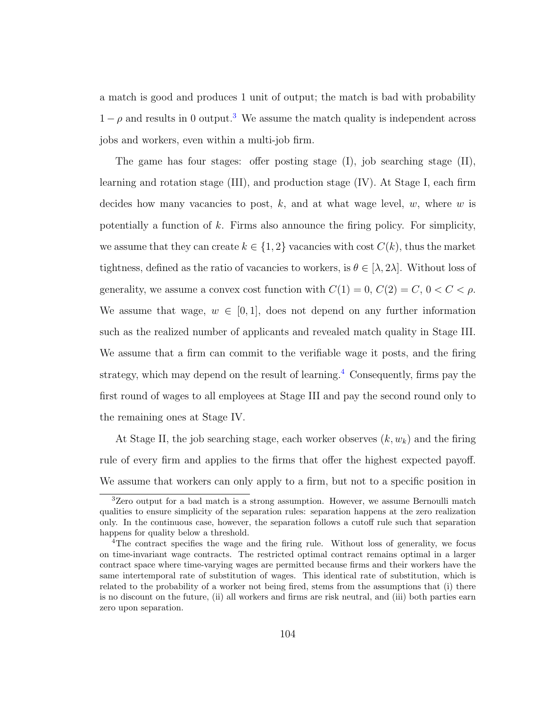a match is good and produces 1 unit of output; the match is bad with probability  $1 - \rho$  and results in 0 output.<sup>[3](#page-116-0)</sup> We assume the match quality is independent across jobs and workers, even within a multi-job firm.

The game has four stages: offer posting stage (I), job searching stage (II), learning and rotation stage (III), and production stage (IV). At Stage I, each firm decides how many vacancies to post, k, and at what wage level,  $w$ , where  $w$  is potentially a function of k. Firms also announce the firing policy. For simplicity, we assume that they can create  $k \in \{1,2\}$  vacancies with cost  $C(k)$ , thus the market tightness, defined as the ratio of vacancies to workers, is  $\theta \in [\lambda, 2\lambda]$ . Without loss of generality, we assume a convex cost function with  $C(1) = 0, C(2) = C, 0 < C < \rho$ . We assume that wage,  $w \in [0, 1]$ , does not depend on any further information such as the realized number of applicants and revealed match quality in Stage III. We assume that a firm can commit to the verifiable wage it posts, and the firing strategy, which may depend on the result of learning.<sup>[4](#page-116-1)</sup> Consequently, firms pay the first round of wages to all employees at Stage III and pay the second round only to the remaining ones at Stage IV.

At Stage II, the job searching stage, each worker observes  $(k, w_k)$  and the firing rule of every firm and applies to the firms that offer the highest expected payoff. We assume that workers can only apply to a firm, but not to a specific position in

<span id="page-116-0"></span><sup>&</sup>lt;sup>3</sup>Zero output for a bad match is a strong assumption. However, we assume Bernoulli match qualities to ensure simplicity of the separation rules: separation happens at the zero realization only. In the continuous case, however, the separation follows a cutoff rule such that separation happens for quality below a threshold.

<span id="page-116-1"></span><sup>4</sup>The contract specifies the wage and the firing rule. Without loss of generality, we focus on time-invariant wage contracts. The restricted optimal contract remains optimal in a larger contract space where time-varying wages are permitted because firms and their workers have the same intertemporal rate of substitution of wages. This identical rate of substitution, which is related to the probability of a worker not being fired, stems from the assumptions that (i) there is no discount on the future, (ii) all workers and firms are risk neutral, and (iii) both parties earn zero upon separation.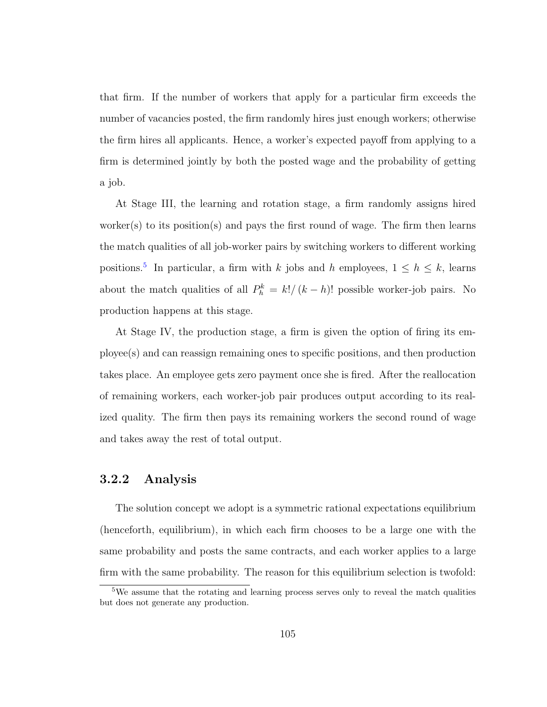that firm. If the number of workers that apply for a particular firm exceeds the number of vacancies posted, the firm randomly hires just enough workers; otherwise the firm hires all applicants. Hence, a worker's expected payoff from applying to a firm is determined jointly by both the posted wage and the probability of getting a job.

At Stage III, the learning and rotation stage, a firm randomly assigns hired worker(s) to its position(s) and pays the first round of wage. The firm then learns the match qualities of all job-worker pairs by switching workers to different working positions.<sup>[5](#page-117-0)</sup> In particular, a firm with k jobs and h employees,  $1 \leq h \leq k$ , learns about the match qualities of all  $P_h^k = k!/(k-h)!$  possible worker-job pairs. No production happens at this stage.

At Stage IV, the production stage, a firm is given the option of firing its employee(s) and can reassign remaining ones to specific positions, and then production takes place. An employee gets zero payment once she is fired. After the reallocation of remaining workers, each worker-job pair produces output according to its realized quality. The firm then pays its remaining workers the second round of wage and takes away the rest of total output.

#### 3.2.2 Analysis

The solution concept we adopt is a symmetric rational expectations equilibrium (henceforth, equilibrium), in which each firm chooses to be a large one with the same probability and posts the same contracts, and each worker applies to a large firm with the same probability. The reason for this equilibrium selection is twofold:

<span id="page-117-0"></span><sup>&</sup>lt;sup>5</sup>We assume that the rotating and learning process serves only to reveal the match qualities but does not generate any production.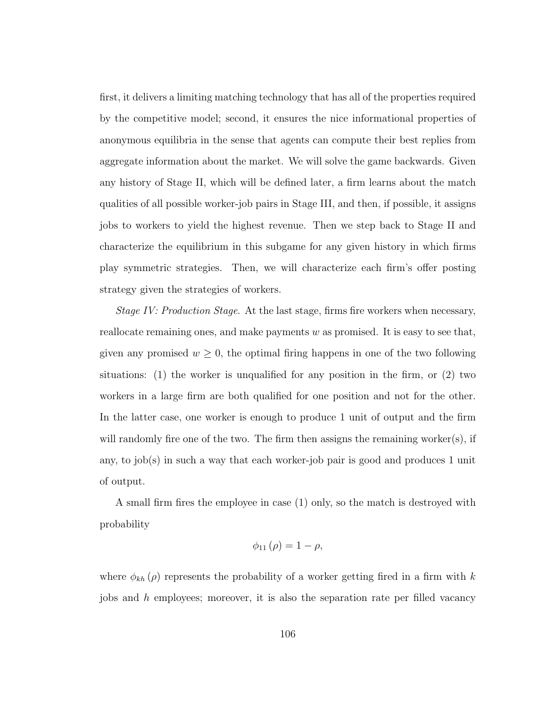first, it delivers a limiting matching technology that has all of the properties required by the competitive model; second, it ensures the nice informational properties of anonymous equilibria in the sense that agents can compute their best replies from aggregate information about the market. We will solve the game backwards. Given any history of Stage II, which will be defined later, a firm learns about the match qualities of all possible worker-job pairs in Stage III, and then, if possible, it assigns jobs to workers to yield the highest revenue. Then we step back to Stage II and characterize the equilibrium in this subgame for any given history in which firms play symmetric strategies. Then, we will characterize each firm's offer posting strategy given the strategies of workers.

Stage IV: Production Stage. At the last stage, firms fire workers when necessary, reallocate remaining ones, and make payments  $w$  as promised. It is easy to see that, given any promised  $w \geq 0$ , the optimal firing happens in one of the two following situations: (1) the worker is unqualified for any position in the firm, or (2) two workers in a large firm are both qualified for one position and not for the other. In the latter case, one worker is enough to produce 1 unit of output and the firm will randomly fire one of the two. The firm then assigns the remaining worker(s), if any, to job(s) in such a way that each worker-job pair is good and produces 1 unit of output.

A small firm fires the employee in case (1) only, so the match is destroyed with probability

$$
\phi_{11}\left(\rho\right)=1-\rho,
$$

where  $\phi_{kh}(\rho)$  represents the probability of a worker getting fired in a firm with k jobs and  $h$  employees; moreover, it is also the separation rate per filled vacancy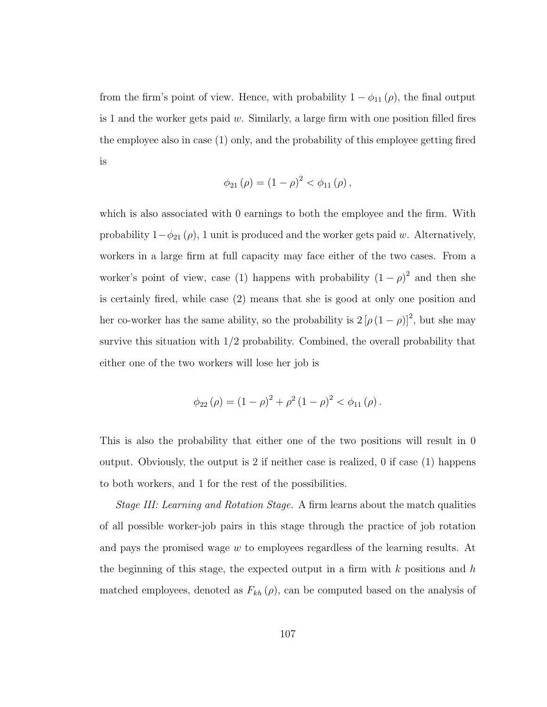from the firm's point of view. Hence, with probability  $1 - \phi_{11}(\rho)$ , the final output is 1 and the worker gets paid  $w$ . Similarly, a large firm with one position filled fires the employee also in case (1) only, and the probability of this employee getting fired is

$$
\phi_{21}(\rho) = (1 - \rho)^2 < \phi_{11}(\rho) \,,
$$

which is also associated with 0 earnings to both the employee and the firm. With probability  $1-\phi_{21}(\rho)$ , 1 unit is produced and the worker gets paid w. Alternatively, workers in a large firm at full capacity may face either of the two cases. From a worker's point of view, case (1) happens with probability  $(1 - \rho)^2$  and then she is certainly fired, while case (2) means that she is good at only one position and her co-worker has the same ability, so the probability is  $2[\rho(1-\rho)]^2$ , but she may survive this situation with 1/2 probability. Combined, the overall probability that either one of the two workers will lose her job is

$$
\phi_{22}(\rho) = (1 - \rho)^2 + \rho^2 (1 - \rho)^2 < \phi_{11}(\rho).
$$

This is also the probability that either one of the two positions will result in 0 output. Obviously, the output is 2 if neither case is realized, 0 if case (1) happens to both workers, and 1 for the rest of the possibilities.

Stage III: Learning and Rotation Stage. A firm learns about the match qualities of all possible worker-job pairs in this stage through the practice of job rotation and pays the promised wage w to employees regardless of the learning results. At the beginning of this stage, the expected output in a firm with  $k$  positions and  $h$ matched employees, denoted as  $F_{kh}(\rho)$ , can be computed based on the analysis of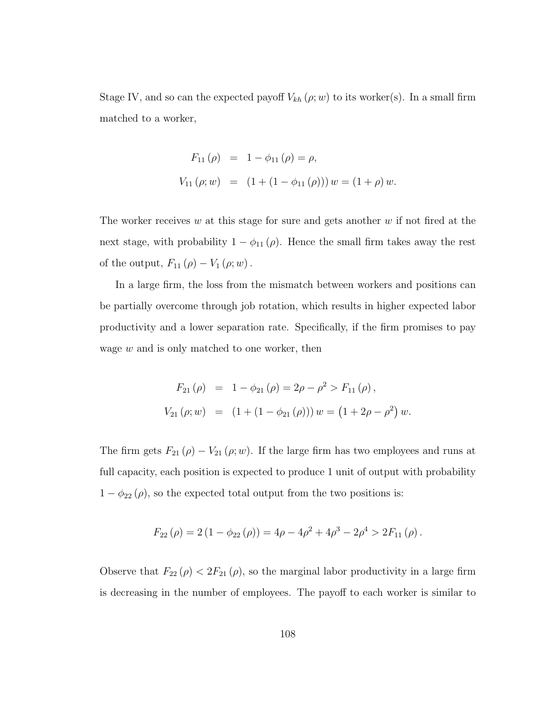Stage IV, and so can the expected payoff  $V_{kh}(\rho; w)$  to its worker(s). In a small firm matched to a worker,

$$
F_{11}(\rho) = 1 - \phi_{11}(\rho) = \rho,
$$
  
\n
$$
V_{11}(\rho; w) = (1 + (1 - \phi_{11}(\rho))) w = (1 + \rho) w.
$$

The worker receives w at this stage for sure and gets another  $w$  if not fired at the next stage, with probability  $1 - \phi_{11}(\rho)$ . Hence the small firm takes away the rest of the output,  $F_{11}(\rho) - V_1(\rho; w)$ .

In a large firm, the loss from the mismatch between workers and positions can be partially overcome through job rotation, which results in higher expected labor productivity and a lower separation rate. Specifically, if the firm promises to pay wage  $w$  and is only matched to one worker, then

$$
F_{21}(\rho) = 1 - \phi_{21}(\rho) = 2\rho - \rho^2 > F_{11}(\rho),
$$
  
\n
$$
V_{21}(\rho; w) = (1 + (1 - \phi_{21}(\rho))) w = (1 + 2\rho - \rho^2) w.
$$

The firm gets  $F_{21}(\rho) - V_{21}(\rho; w)$ . If the large firm has two employees and runs at full capacity, each position is expected to produce 1 unit of output with probability  $1 - \phi_{22}(\rho)$ , so the expected total output from the two positions is:

$$
F_{22}(\rho) = 2(1 - \phi_{22}(\rho)) = 4\rho - 4\rho^{2} + 4\rho^{3} - 2\rho^{4} > 2F_{11}(\rho).
$$

Observe that  $F_{22}(\rho) < 2F_{21}(\rho)$ , so the marginal labor productivity in a large firm is decreasing in the number of employees. The payoff to each worker is similar to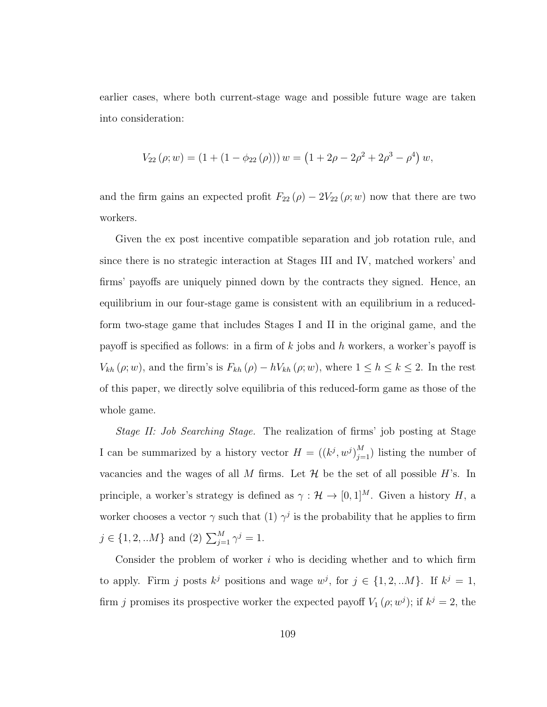earlier cases, where both current-stage wage and possible future wage are taken into consideration:

$$
V_{22}(\rho; w) = (1 + (1 - \phi_{22}(\rho))) w = (1 + 2\rho - 2\rho^2 + 2\rho^3 - \rho^4) w,
$$

and the firm gains an expected profit  $F_{22}(\rho) - 2V_{22}(\rho; w)$  now that there are two workers.

Given the ex post incentive compatible separation and job rotation rule, and since there is no strategic interaction at Stages III and IV, matched workers' and firms' payoffs are uniquely pinned down by the contracts they signed. Hence, an equilibrium in our four-stage game is consistent with an equilibrium in a reducedform two-stage game that includes Stages I and II in the original game, and the payoff is specified as follows: in a firm of  $k$  jobs and  $h$  workers, a worker's payoff is  $V_{kh}(\rho; w)$ , and the firm's is  $F_{kh}(\rho) - hV_{kh}(\rho; w)$ , where  $1 \leq h \leq k \leq 2$ . In the rest of this paper, we directly solve equilibria of this reduced-form game as those of the whole game.

Stage II: Job Searching Stage. The realization of firms' job posting at Stage I can be summarized by a history vector  $H = ((k^j, w^j)_{j=1}^M)$  listing the number of vacancies and the wages of all M firms. Let  $\mathcal H$  be the set of all possible H's. In principle, a worker's strategy is defined as  $\gamma : \mathcal{H} \to [0,1]^M$ . Given a history  $H$ , a worker chooses a vector  $\gamma$  such that (1)  $\gamma^j$  is the probability that he applies to firm  $j \in \{1, 2, ...M\}$  and  $(2)$   $\sum_{j=1}^{M} \gamma^{j} = 1$ .

Consider the problem of worker  $i$  who is deciding whether and to which firm to apply. Firm j posts  $k^j$  positions and wage  $w^j$ , for  $j \in \{1, 2, ...M\}$ . If  $k^j = 1$ , firm j promises its prospective worker the expected payoff  $V_1(\rho; w^j)$ ; if  $k^j = 2$ , the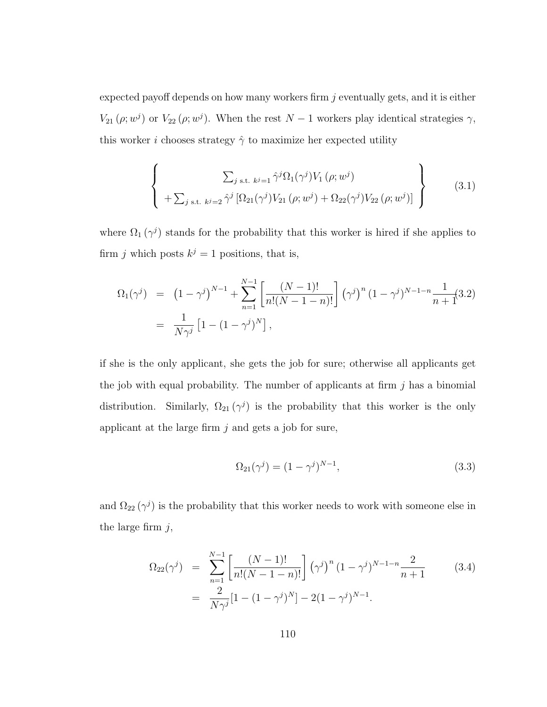expected payoff depends on how many workers firm  $j$  eventually gets, and it is either  $V_{21}(\rho; w^j)$  or  $V_{22}(\rho; w^j)$ . When the rest  $N-1$  workers play identical strategies  $\gamma$ , this worker *i* chooses strategy  $\hat{\gamma}$  to maximize her expected utility

<span id="page-122-0"></span>
$$
\left\{\sum_{j \text{ s.t. } k^{j}=1} \hat{\gamma}^{j} \Omega_{1}(\gamma^{j}) V_{1}(\rho; w^{j}) + \sum_{j \text{ s.t. } k^{j}=2} \hat{\gamma}^{j} \left[\Omega_{21}(\gamma^{j}) V_{21}(\rho; w^{j}) + \Omega_{22}(\gamma^{j}) V_{22}(\rho; w^{j})\right] \right\}
$$
(3.1)

where  $\Omega_1(\gamma^j)$  stands for the probability that this worker is hired if she applies to firm j which posts  $k^j = 1$  positions, that is,

<span id="page-122-1"></span>
$$
\Omega_1(\gamma^j) = (1 - \gamma^j)^{N-1} + \sum_{n=1}^{N-1} \left[ \frac{(N-1)!}{n!(N-1-n)!} \right] (\gamma^j)^n (1 - \gamma^j)^{N-1-n} \frac{1}{n+1} (3.2)
$$
  
=  $\frac{1}{N\gamma^j} [1 - (1 - \gamma^j)^N],$ 

if she is the only applicant, she gets the job for sure; otherwise all applicants get the job with equal probability. The number of applicants at firm  $j$  has a binomial distribution. Similarly,  $\Omega_{21}(\gamma^j)$  is the probability that this worker is the only applicant at the large firm  $j$  and gets a job for sure,

<span id="page-122-2"></span>
$$
\Omega_{21}(\gamma^j) = (1 - \gamma^j)^{N-1},\tag{3.3}
$$

and  $\Omega_{22}(\gamma^j)$  is the probability that this worker needs to work with someone else in the large firm  $j$ ,

<span id="page-122-3"></span>
$$
\Omega_{22}(\gamma^j) = \sum_{n=1}^{N-1} \left[ \frac{(N-1)!}{n!(N-1-n)!} \right] (\gamma^j)^n (1-\gamma^j)^{N-1-n} \frac{2}{n+1}
$$
\n
$$
= \frac{2}{N\gamma^j} [1 - (1-\gamma^j)^N] - 2(1-\gamma^j)^{N-1}.
$$
\n(3.4)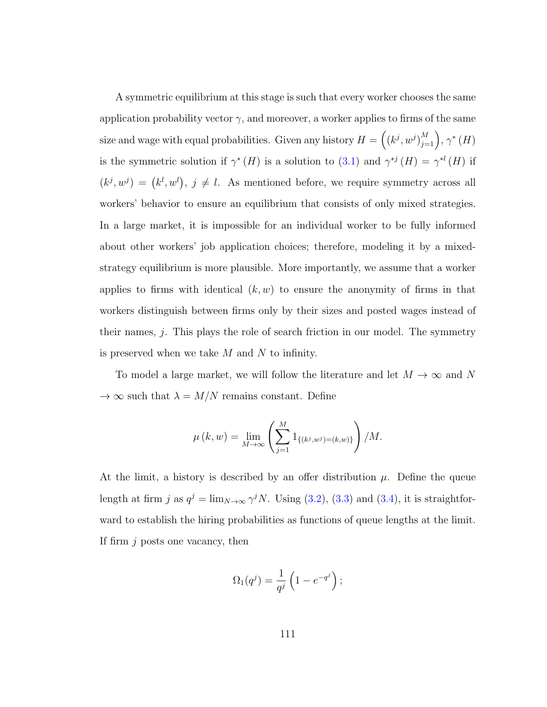A symmetric equilibrium at this stage is such that every worker chooses the same application probability vector  $\gamma$ , and moreover, a worker applies to firms of the same size and wage with equal probabilities. Given any history  $H = \left( (k^j, w^j)_{j=1}^M \right), \gamma^* (H)$ is the symmetric solution if  $\gamma^*(H)$  is a solution to [\(3.1\)](#page-122-0) and  $\gamma^{*j}(H) = \gamma^{*l}(H)$  if  $(k^{j}, w^{j}) = (k^{l}, w^{l}), j \neq l$ . As mentioned before, we require symmetry across all workers' behavior to ensure an equilibrium that consists of only mixed strategies. In a large market, it is impossible for an individual worker to be fully informed about other workers' job application choices; therefore, modeling it by a mixedstrategy equilibrium is more plausible. More importantly, we assume that a worker applies to firms with identical  $(k, w)$  to ensure the anonymity of firms in that workers distinguish between firms only by their sizes and posted wages instead of their names, j. This plays the role of search friction in our model. The symmetry is preserved when we take  $M$  and  $N$  to infinity.

To model a large market, we will follow the literature and let  $M \to \infty$  and N  $\rightarrow \infty$  such that  $\lambda = M/N$  remains constant. Define

$$
\mu(k, w) = \lim_{M \to \infty} \left( \sum_{j=1}^{M} 1_{\{(k^j, w^j) = (k, w)\}} \right) / M.
$$

At the limit, a history is described by an offer distribution  $\mu$ . Define the queue length at firm j as  $q^j = \lim_{N \to \infty} \gamma^j N$ . Using [\(3.2\)](#page-122-1), [\(3.3\)](#page-122-2) and [\(3.4\)](#page-122-3), it is straightforward to establish the hiring probabilities as functions of queue lengths at the limit. If firm  $j$  posts one vacancy, then

$$
\Omega_1(q^j) = \frac{1}{q^j} \left( 1 - e^{-q^j} \right);
$$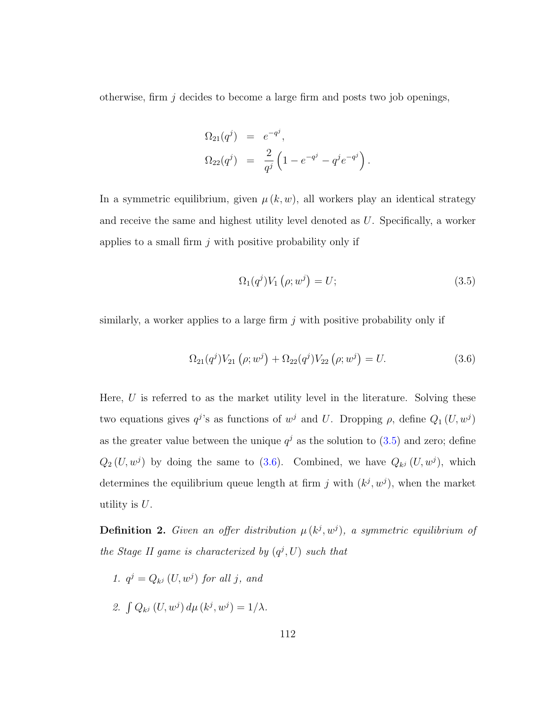otherwise, firm  $j$  decides to become a large firm and posts two job openings,

$$
\Omega_{21}(q^{j}) = e^{-q^{j}},
$$
  
\n
$$
\Omega_{22}(q^{j}) = \frac{2}{q^{j}} \left(1 - e^{-q^{j}} - q^{j} e^{-q^{j}}\right)
$$

In a symmetric equilibrium, given  $\mu(k, w)$ , all workers play an identical strategy and receive the same and highest utility level denoted as  $U$ . Specifically, a worker applies to a small firm  $j$  with positive probability only if

<span id="page-124-0"></span>
$$
\Omega_1(q^j)V_1(\rho; w^j) = U;\tag{3.5}
$$

.

similarly, a worker applies to a large firm  $j$  with positive probability only if

<span id="page-124-1"></span>
$$
\Omega_{21}(q^{j})V_{21}(\rho; w^{j}) + \Omega_{22}(q^{j})V_{22}(\rho; w^{j}) = U.
$$
\n(3.6)

Here,  $U$  is referred to as the market utility level in the literature. Solving these two equations gives  $q^j$ 's as functions of  $w^j$  and U. Dropping  $\rho$ , define  $Q_1(U, w^j)$ as the greater value between the unique  $q^j$  as the solution to  $(3.5)$  and zero; define  $Q_2(U, w^j)$  by doing the same to [\(3.6\)](#page-124-1). Combined, we have  $Q_{k^j}(U, w^j)$ , which determines the equilibrium queue length at firm j with  $(k^j, w^j)$ , when the market utility is  $U$ .

**Definition 2.** Given an offer distribution  $\mu(k^{j}, w^{j})$ , a symmetric equilibrium of the Stage II game is characterized by  $(q^j, U)$  such that

- 1.  $q^j = Q_{k^j}(U, w^j)$  for all j, and
- 2.  $\int Q_{k^j}(U, w^j) d\mu(k^j, w^j) = 1/\lambda.$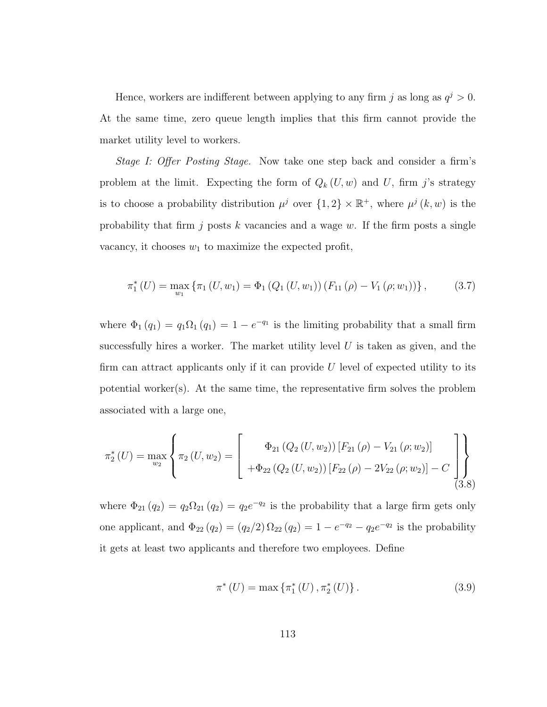Hence, workers are indifferent between applying to any firm j as long as  $q^{j} > 0$ . At the same time, zero queue length implies that this firm cannot provide the market utility level to workers.

Stage I: Offer Posting Stage. Now take one step back and consider a firm's problem at the limit. Expecting the form of  $Q_k(U, w)$  and U, firm j's strategy is to choose a probability distribution  $\mu^{j}$  over  $\{1,2\} \times \mathbb{R}^{+}$ , where  $\mu^{j} (k, w)$  is the probability that firm j posts k vacancies and a wage w. If the firm posts a single vacancy, it chooses  $w_1$  to maximize the expected profit,

$$
\pi_1^*(U) = \max_{w_1} \left\{ \pi_1(U, w_1) = \Phi_1(Q_1(U, w_1)) (F_{11}(\rho) - V_1(\rho; w_1)) \right\},\tag{3.7}
$$

where  $\Phi_1(q_1) = q_1 \Omega_1(q_1) = 1 - e^{-q_1}$  is the limiting probability that a small firm successfully hires a worker. The market utility level  $U$  is taken as given, and the firm can attract applicants only if it can provide  $U$  level of expected utility to its potential worker(s). At the same time, the representative firm solves the problem associated with a large one,

$$
\pi_2^*(U) = \max_{w_2} \left\{ \pi_2(U, w_2) = \left[ \begin{array}{c} \Phi_{21}(Q_2(U, w_2)) [F_{21}(\rho) - V_{21}(\rho; w_2)] \\ + \Phi_{22}(Q_2(U, w_2)) [F_{22}(\rho) - 2V_{22}(\rho; w_2)] - C \end{array} \right] \right\}
$$
(3.8)

where  $\Phi_{21}(q_2) = q_2 \Omega_{21}(q_2) = q_2 e^{-q_2}$  is the probability that a large firm gets only one applicant, and  $\Phi_{22}(q_2) = (q_2/2) \Omega_{22}(q_2) = 1 - e^{-q_2} - q_2 e^{-q_2}$  is the probability it gets at least two applicants and therefore two employees. Define

$$
\pi^*(U) = \max \{ \pi_1^*(U), \pi_2^*(U) \}.
$$
\n(3.9)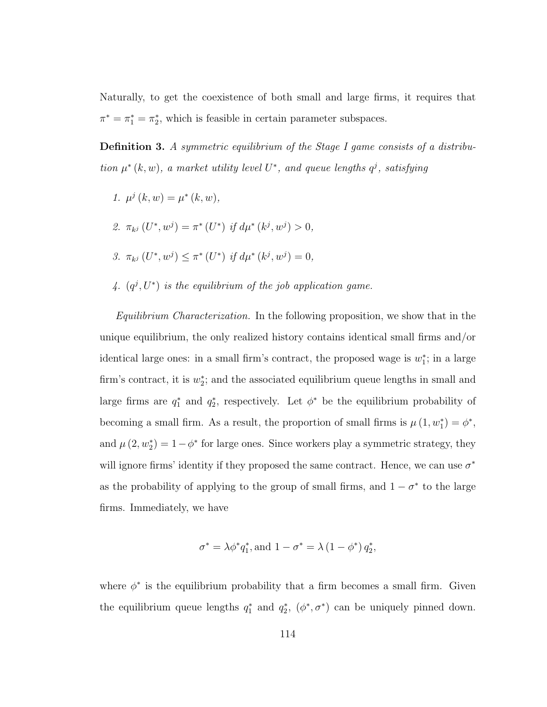Naturally, to get the coexistence of both small and large firms, it requires that  $\pi^* = \pi_1^* = \pi_2^*$ , which is feasible in certain parameter subspaces.

Definition 3. A symmetric equilibrium of the Stage I game consists of a distribution  $\mu^*(k, w)$ , a market utility level  $U^*$ , and queue lengths  $q^j$ , satisfying

- 1.  $\mu^{j}(k, w) = \mu^{*}(k, w),$
- 2.  $\pi_{k^j}(U^*, w^j) = \pi^*(U^*)$  if  $d\mu^*(k^j, w^j) > 0$ ,

3. 
$$
\pi_{k^j}(U^*, w^j) \leq \pi^*(U^*)
$$
 if  $d\mu^*(k^j, w^j) = 0$ ,

4.  $(q^j, U^*)$  is the equilibrium of the job application game.

Equilibrium Characterization. In the following proposition, we show that in the unique equilibrium, the only realized history contains identical small firms and/or identical large ones: in a small firm's contract, the proposed wage is  $w_1^*$ ; in a large firm's contract, it is  $w_2^*$ ; and the associated equilibrium queue lengths in small and large firms are  $q_1^*$  and  $q_2^*$ , respectively. Let  $\phi^*$  be the equilibrium probability of becoming a small firm. As a result, the proportion of small firms is  $\mu(1, w_1^*) = \phi^*$ , and  $\mu(2, w_2^*) = 1 - \phi^*$  for large ones. Since workers play a symmetric strategy, they will ignore firms' identity if they proposed the same contract. Hence, we can use  $\sigma^*$ as the probability of applying to the group of small firms, and  $1 - \sigma^*$  to the large firms. Immediately, we have

$$
\sigma^* = \lambda \phi^* q_1^*
$$
, and  $1 - \sigma^* = \lambda (1 - \phi^*) q_2^*$ ,

where  $\phi^*$  is the equilibrium probability that a firm becomes a small firm. Given the equilibrium queue lengths  $q_1^*$  and  $q_2^*$ ,  $(\phi^*, \sigma^*)$  can be uniquely pinned down.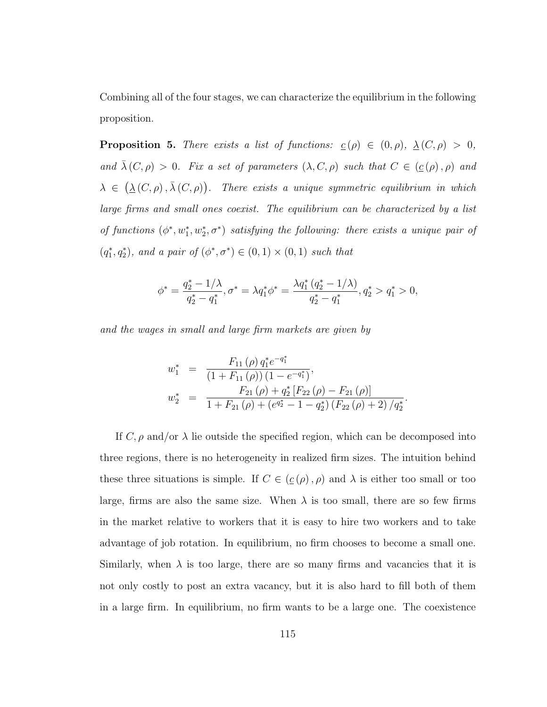Combining all of the four stages, we can characterize the equilibrium in the following proposition.

**Proposition 5.** There exists a list of functions:  $\underline{c}(\rho) \in (0, \rho), \underline{\lambda}(C, \rho) > 0$ , and  $\bar{\lambda}(C, \rho) > 0$ . Fix a set of parameters  $(\lambda, C, \rho)$  such that  $C \in (\underline{c}(\rho), \rho)$  and  $\lambda \in (\underline{\lambda}(C,\rho), \overline{\lambda}(C,\rho))$ . There exists a unique symmetric equilibrium in which large firms and small ones coexist. The equilibrium can be characterized by a list of functions  $(\phi^*, w_1^*, w_2^*, \sigma^*)$  satisfying the following: there exists a unique pair of  $(q_1^*, q_2^*)$ , and a pair of  $(\phi^*, \sigma^*) \in (0, 1) \times (0, 1)$  such that

$$
\phi^* = \frac{q_2^* - 1/\lambda}{q_2^* - q_1^*}, \sigma^* = \lambda q_1^* \phi^* = \frac{\lambda q_1^* \left( q_2^* - 1/\lambda \right)}{q_2^* - q_1^*}, q_2^* > q_1^* > 0,
$$

and the wages in small and large firm markets are given by

$$
w_1^* = \frac{F_{11}(\rho) q_1^* e^{-q_1^*}}{(1 + F_{11}(\rho)) (1 - e^{-q_1^*})},
$$
  
\n
$$
w_2^* = \frac{F_{21}(\rho) + q_2^* [F_{22}(\rho) - F_{21}(\rho)]}{1 + F_{21}(\rho) + (e^{q_2^*} - 1 - q_2^*) (F_{22}(\rho) + 2) / q_2^*}.
$$

If  $C, \rho$  and/or  $\lambda$  lie outside the specified region, which can be decomposed into three regions, there is no heterogeneity in realized firm sizes. The intuition behind these three situations is simple. If  $C \in (\underline{c}(\rho), \rho)$  and  $\lambda$  is either too small or too large, firms are also the same size. When  $\lambda$  is too small, there are so few firms in the market relative to workers that it is easy to hire two workers and to take advantage of job rotation. In equilibrium, no firm chooses to become a small one. Similarly, when  $\lambda$  is too large, there are so many firms and vacancies that it is not only costly to post an extra vacancy, but it is also hard to fill both of them in a large firm. In equilibrium, no firm wants to be a large one. The coexistence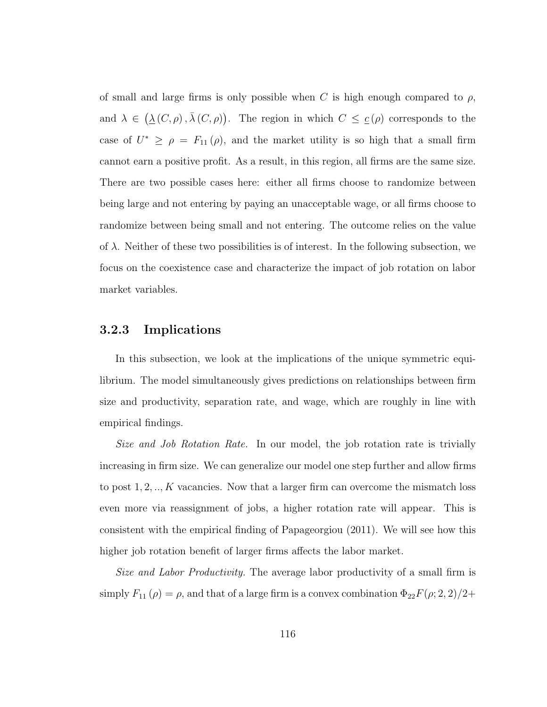of small and large firms is only possible when C is high enough compared to  $\rho$ , and  $\lambda \in (\underline{\lambda}(C,\rho), \overline{\lambda}(C,\rho))$ . The region in which  $C \leq \underline{c}(\rho)$  corresponds to the case of  $U^* \ge \rho = F_{11}(\rho)$ , and the market utility is so high that a small firm cannot earn a positive profit. As a result, in this region, all firms are the same size. There are two possible cases here: either all firms choose to randomize between being large and not entering by paying an unacceptable wage, or all firms choose to randomize between being small and not entering. The outcome relies on the value of  $\lambda$ . Neither of these two possibilities is of interest. In the following subsection, we focus on the coexistence case and characterize the impact of job rotation on labor market variables.

#### 3.2.3 Implications

In this subsection, we look at the implications of the unique symmetric equilibrium. The model simultaneously gives predictions on relationships between firm size and productivity, separation rate, and wage, which are roughly in line with empirical findings.

Size and Job Rotation Rate. In our model, the job rotation rate is trivially increasing in firm size. We can generalize our model one step further and allow firms to post  $1, 2, \ldots, K$  vacancies. Now that a larger firm can overcome the mismatch loss even more via reassignment of jobs, a higher rotation rate will appear. This is consistent with the empirical finding of Papageorgiou (2011). We will see how this higher job rotation benefit of larger firms affects the labor market.

Size and Labor Productivity. The average labor productivity of a small firm is simply  $F_{11}(\rho) = \rho$ , and that of a large firm is a convex combination  $\Phi_{22}F(\rho; 2, 2)/2+$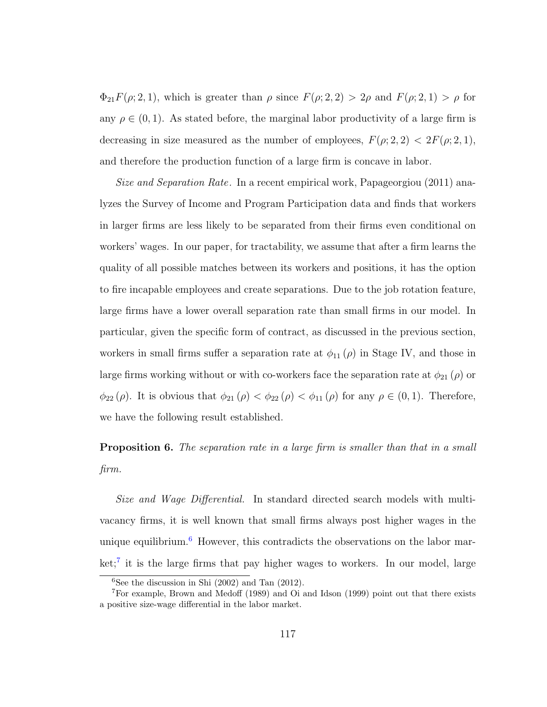$\Phi_{21}F(\rho; 2, 1)$ , which is greater than  $\rho$  since  $F(\rho; 2, 2) > 2\rho$  and  $F(\rho; 2, 1) > \rho$  for any  $\rho \in (0,1)$ . As stated before, the marginal labor productivity of a large firm is decreasing in size measured as the number of employees,  $F(\rho; 2, 2) < 2F(\rho; 2, 1)$ , and therefore the production function of a large firm is concave in labor.

Size and Separation Rate. In a recent empirical work, Papageorgiou (2011) analyzes the Survey of Income and Program Participation data and finds that workers in larger firms are less likely to be separated from their firms even conditional on workers' wages. In our paper, for tractability, we assume that after a firm learns the quality of all possible matches between its workers and positions, it has the option to fire incapable employees and create separations. Due to the job rotation feature, large firms have a lower overall separation rate than small firms in our model. In particular, given the specific form of contract, as discussed in the previous section, workers in small firms suffer a separation rate at  $\phi_{11}(\rho)$  in Stage IV, and those in large firms working without or with co-workers face the separation rate at  $\phi_{21}(\rho)$  or  $\phi_{22}(\rho)$ . It is obvious that  $\phi_{21}(\rho) < \phi_{22}(\rho) < \phi_{11}(\rho)$  for any  $\rho \in (0,1)$ . Therefore, we have the following result established.

## **Proposition 6.** The separation rate in a large firm is smaller than that in a small firm.

Size and Wage Differential. In standard directed search models with multivacancy firms, it is well known that small firms always post higher wages in the unique equilibrium.<sup>[6](#page-129-0)</sup> However, this contradicts the observations on the labor mar-ket;<sup>[7](#page-129-1)</sup> it is the large firms that pay higher wages to workers. In our model, large

<span id="page-129-1"></span><span id="page-129-0"></span> ${}^{6}$ See the discussion in Shi (2002) and Tan (2012).

<sup>7</sup>For example, Brown and Medoff (1989) and Oi and Idson (1999) point out that there exists a positive size-wage differential in the labor market.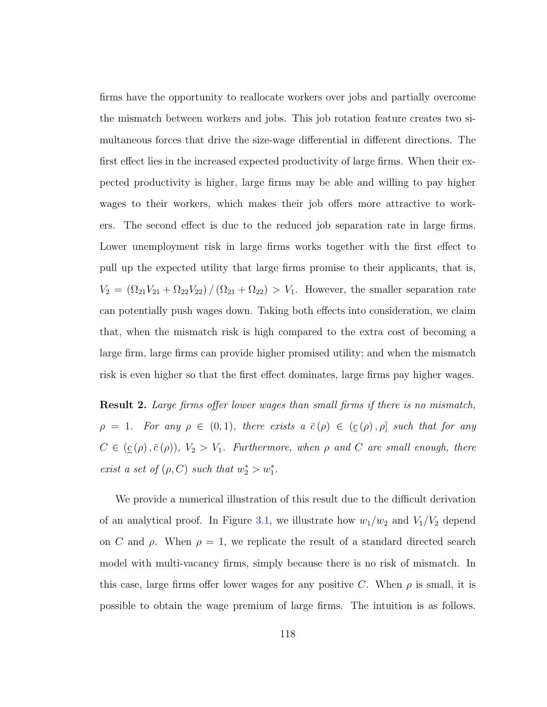firms have the opportunity to reallocate workers over jobs and partially overcome the mismatch between workers and jobs. This job rotation feature creates two simultaneous forces that drive the size-wage differential in different directions. The first effect lies in the increased expected productivity of large firms. When their expected productivity is higher, large firms may be able and willing to pay higher wages to their workers, which makes their job offers more attractive to workers. The second effect is due to the reduced job separation rate in large firms. Lower unemployment risk in large firms works together with the first effect to pull up the expected utility that large firms promise to their applicants, that is,  $V_2 = (\Omega_{21}V_{21} + \Omega_{22}V_{22}) / (\Omega_{21} + \Omega_{22}) > V_1$ . However, the smaller separation rate can potentially push wages down. Taking both effects into consideration, we claim that, when the mismatch risk is high compared to the extra cost of becoming a large firm, large firms can provide higher promised utility; and when the mismatch risk is even higher so that the first effect dominates, large firms pay higher wages.

**Result 2.** Large firms offer lower wages than small firms if there is no mismatch,  $\rho = 1$ . For any  $\rho \in (0, 1)$ , there exists a  $\bar{c}(\rho) \in (\underline{c}(\rho), \rho]$  such that for any  $C \in (\underline{c}(\rho), \overline{c}(\rho)), V_2 > V_1$ . Furthermore, when  $\rho$  and  $C$  are small enough, there exist a set of  $(\rho, C)$  such that  $w_2^* > w_1^*$ .

We provide a numerical illustration of this result due to the difficult derivation of an analytical proof. In Figure [3.1,](#page-131-0) we illustrate how  $w_1/w_2$  and  $V_1/V_2$  depend on C and  $\rho$ . When  $\rho = 1$ , we replicate the result of a standard directed search model with multi-vacancy firms, simply because there is no risk of mismatch. In this case, large firms offer lower wages for any positive C. When  $\rho$  is small, it is possible to obtain the wage premium of large firms. The intuition is as follows.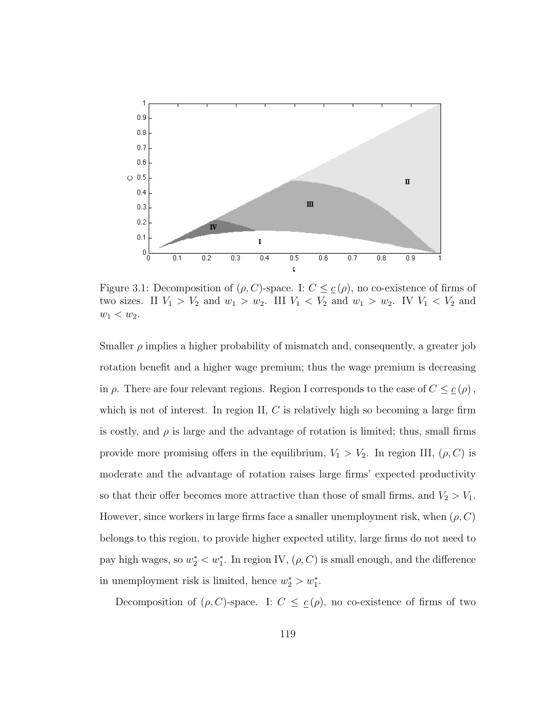<span id="page-131-0"></span>

Figure 3.1: Decomposition of  $(\rho, C)$ -space. I:  $C \leq \underline{c}(\rho)$ , no co-existence of firms of two sizes. II  $V_1 > V_2$  and  $w_1 > w_2$ . III  $V_1 < V_2$  and  $w_1 > w_2$ . IV  $V_1 < V_2$  and  $w_1 < w_2$ .

Smaller  $\rho$  implies a higher probability of mismatch and, consequently, a greater job rotation benefit and a higher wage premium; thus the wage premium is decreasing in  $\rho$ . There are four relevant regions. Region I corresponds to the case of  $C \leq \underline{c}(\rho)$ , which is not of interest. In region II,  $C$  is relatively high so becoming a large firm is costly, and  $\rho$  is large and the advantage of rotation is limited; thus, small firms provide more promising offers in the equilibrium,  $V_1 > V_2$ . In region III,  $(\rho, C)$  is moderate and the advantage of rotation raises large firms' expected productivity so that their offer becomes more attractive than those of small firms, and  $V_2 > V_1$ . However, since workers in large firms face a smaller unemployment risk, when  $(\rho, C)$ belongs to this region, to provide higher expected utility, large firms do not need to pay high wages, so  $w_2^* < w_1^*$ . In region IV,  $(\rho, C)$  is small enough, and the difference in unemployment risk is limited, hence  $w_2^* > w_1^*$ .

Decomposition of  $(\rho, C)$ -space. I:  $C \leq \underline{c}(\rho)$ , no co-existence of firms of two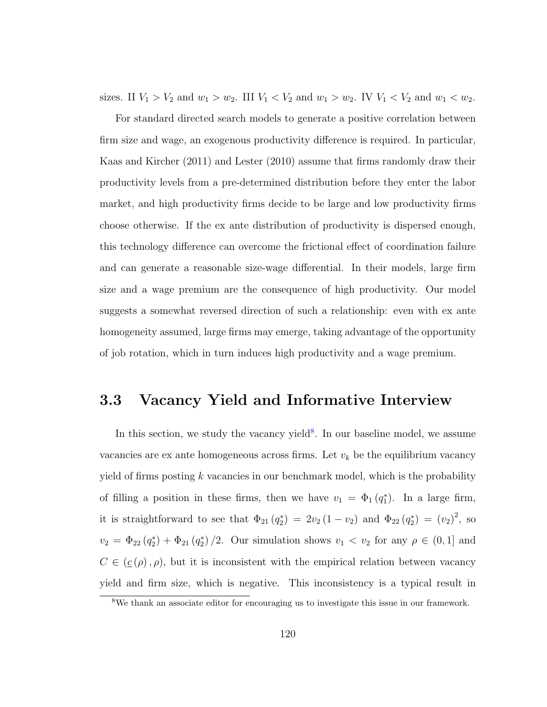sizes. II  $V_1 > V_2$  and  $w_1 > w_2$ . III  $V_1 < V_2$  and  $w_1 > w_2$ . IV  $V_1 < V_2$  and  $w_1 < w_2$ .

For standard directed search models to generate a positive correlation between firm size and wage, an exogenous productivity difference is required. In particular, Kaas and Kircher (2011) and Lester (2010) assume that firms randomly draw their productivity levels from a pre-determined distribution before they enter the labor market, and high productivity firms decide to be large and low productivity firms choose otherwise. If the ex ante distribution of productivity is dispersed enough, this technology difference can overcome the frictional effect of coordination failure and can generate a reasonable size-wage differential. In their models, large firm size and a wage premium are the consequence of high productivity. Our model suggests a somewhat reversed direction of such a relationship: even with ex ante homogeneity assumed, large firms may emerge, taking advantage of the opportunity of job rotation, which in turn induces high productivity and a wage premium.

### 3.3 Vacancy Yield and Informative Interview

In this section, we study the vacancy yield<sup>[8](#page-132-0)</sup>. In our baseline model, we assume vacancies are ex ante homogeneous across firms. Let  $v_k$  be the equilibrium vacancy yield of firms posting  $k$  vacancies in our benchmark model, which is the probability of filling a position in these firms, then we have  $v_1 = \Phi_1(q_1^*)$ . In a large firm, it is straightforward to see that  $\Phi_{21} (q_2^*) = 2v_2 (1 - v_2)$  and  $\Phi_{22} (q_2^*) = (v_2)^2$ , so  $v_2 = \Phi_{22}(q_2^*) + \Phi_{21}(q_2^*)/2$ . Our simulation shows  $v_1 < v_2$  for any  $\rho \in (0,1]$  and  $C \in (\underline{c}(\rho), \rho)$ , but it is inconsistent with the empirical relation between vacancy yield and firm size, which is negative. This inconsistency is a typical result in

<span id="page-132-0"></span><sup>8</sup>We thank an associate editor for encouraging us to investigate this issue in our framework.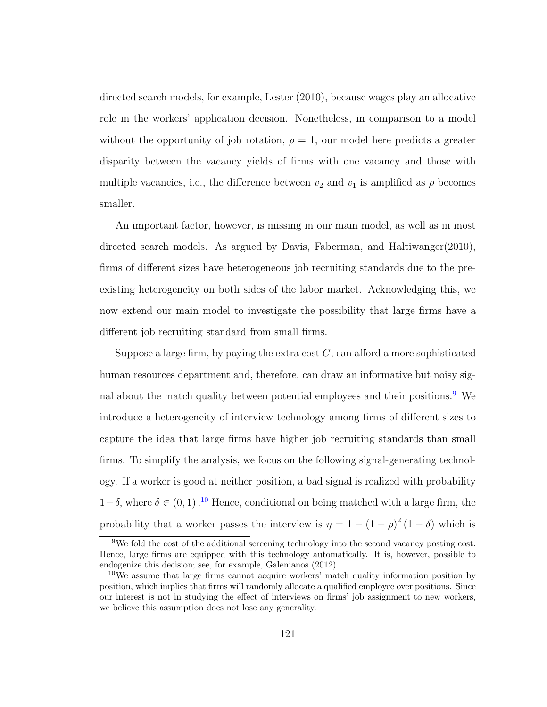directed search models, for example, Lester (2010), because wages play an allocative role in the workers' application decision. Nonetheless, in comparison to a model without the opportunity of job rotation,  $\rho = 1$ , our model here predicts a greater disparity between the vacancy yields of firms with one vacancy and those with multiple vacancies, i.e., the difference between  $v_2$  and  $v_1$  is amplified as  $\rho$  becomes smaller.

An important factor, however, is missing in our main model, as well as in most directed search models. As argued by Davis, Faberman, and Haltiwanger(2010), firms of different sizes have heterogeneous job recruiting standards due to the preexisting heterogeneity on both sides of the labor market. Acknowledging this, we now extend our main model to investigate the possibility that large firms have a different job recruiting standard from small firms.

Suppose a large firm, by paying the extra cost  $C$ , can afford a more sophisticated human resources department and, therefore, can draw an informative but noisy sig-nal about the match quality between potential employees and their positions.<sup>[9](#page-133-0)</sup> We introduce a heterogeneity of interview technology among firms of different sizes to capture the idea that large firms have higher job recruiting standards than small firms. To simplify the analysis, we focus on the following signal-generating technology. If a worker is good at neither position, a bad signal is realized with probability 1−δ, where  $\delta \in (0,1)$ .<sup>[10](#page-133-1)</sup> Hence, conditional on being matched with a large firm, the probability that a worker passes the interview is  $\eta = 1 - (1 - \rho)^2 (1 - \delta)$  which is

<span id="page-133-0"></span><sup>9</sup>We fold the cost of the additional screening technology into the second vacancy posting cost. Hence, large firms are equipped with this technology automatically. It is, however, possible to endogenize this decision; see, for example, Galenianos (2012).

<span id="page-133-1"></span><sup>10</sup>We assume that large firms cannot acquire workers' match quality information position by position, which implies that firms will randomly allocate a qualified employee over positions. Since our interest is not in studying the effect of interviews on firms' job assignment to new workers, we believe this assumption does not lose any generality.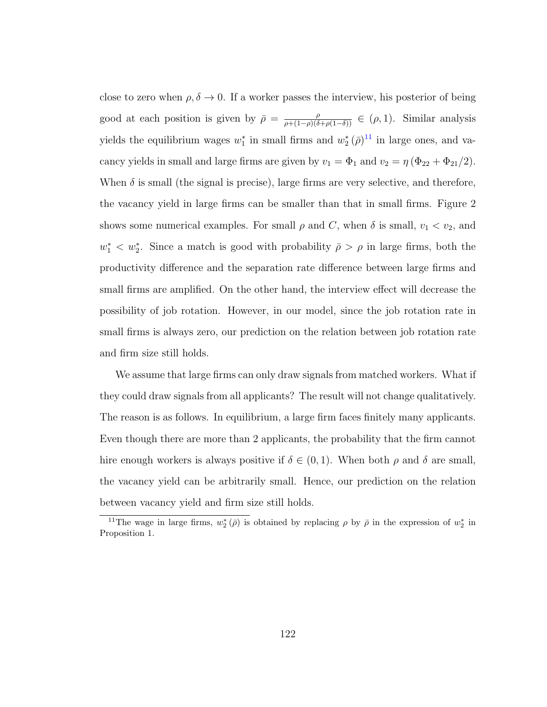close to zero when  $\rho, \delta \to 0$ . If a worker passes the interview, his posterior of being good at each position is given by  $\bar{\rho} = \frac{\rho}{\rho + (1-\rho)(\delta + \rho(1-\delta))} \in (\rho, 1)$ . Similar analysis yields the equilibrium wages  $w_1^*$  in small firms and  $w_2^*(\bar{\rho})^{11}$  $w_2^*(\bar{\rho})^{11}$  $w_2^*(\bar{\rho})^{11}$  in large ones, and vacancy yields in small and large firms are given by  $v_1 = \Phi_1$  and  $v_2 = \eta (\Phi_{22} + \Phi_{21}/2)$ . When  $\delta$  is small (the signal is precise), large firms are very selective, and therefore, the vacancy yield in large firms can be smaller than that in small firms. Figure 2 shows some numerical examples. For small  $\rho$  and C, when  $\delta$  is small,  $v_1 < v_2$ , and  $w_1^* < w_2^*$ . Since a match is good with probability  $\bar{\rho} > \rho$  in large firms, both the productivity difference and the separation rate difference between large firms and small firms are amplified. On the other hand, the interview effect will decrease the possibility of job rotation. However, in our model, since the job rotation rate in small firms is always zero, our prediction on the relation between job rotation rate and firm size still holds.

We assume that large firms can only draw signals from matched workers. What if they could draw signals from all applicants? The result will not change qualitatively. The reason is as follows. In equilibrium, a large firm faces finitely many applicants. Even though there are more than 2 applicants, the probability that the firm cannot hire enough workers is always positive if  $\delta \in (0,1)$ . When both  $\rho$  and  $\delta$  are small, the vacancy yield can be arbitrarily small. Hence, our prediction on the relation between vacancy yield and firm size still holds.

<span id="page-134-0"></span><sup>&</sup>lt;sup>11</sup>The wage in large firms,  $w_2^*(\bar{\rho})$  is obtained by replacing  $\rho$  by  $\bar{\rho}$  in the expression of  $w_2^*$  in Proposition 1.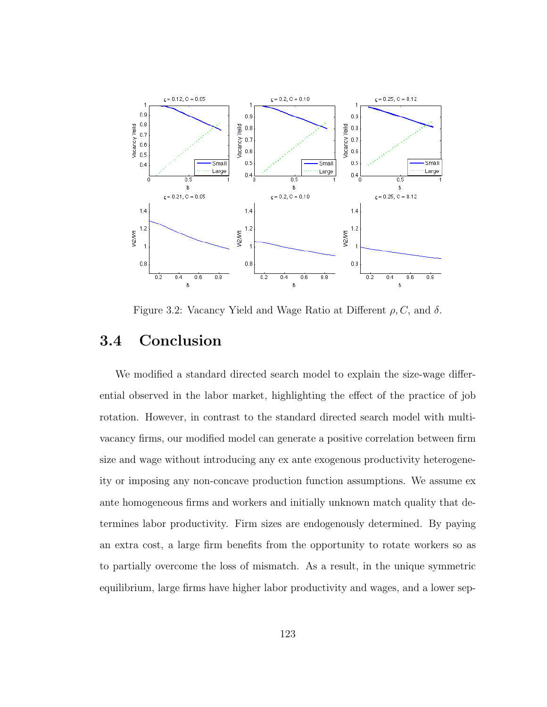

Figure 3.2: Vacancy Yield and Wage Ratio at Different  $\rho$ , C, and  $\delta$ .

## 3.4 Conclusion

We modified a standard directed search model to explain the size-wage differential observed in the labor market, highlighting the effect of the practice of job rotation. However, in contrast to the standard directed search model with multivacancy firms, our modified model can generate a positive correlation between firm size and wage without introducing any ex ante exogenous productivity heterogeneity or imposing any non-concave production function assumptions. We assume ex ante homogeneous firms and workers and initially unknown match quality that determines labor productivity. Firm sizes are endogenously determined. By paying an extra cost, a large firm benefits from the opportunity to rotate workers so as to partially overcome the loss of mismatch. As a result, in the unique symmetric equilibrium, large firms have higher labor productivity and wages, and a lower sep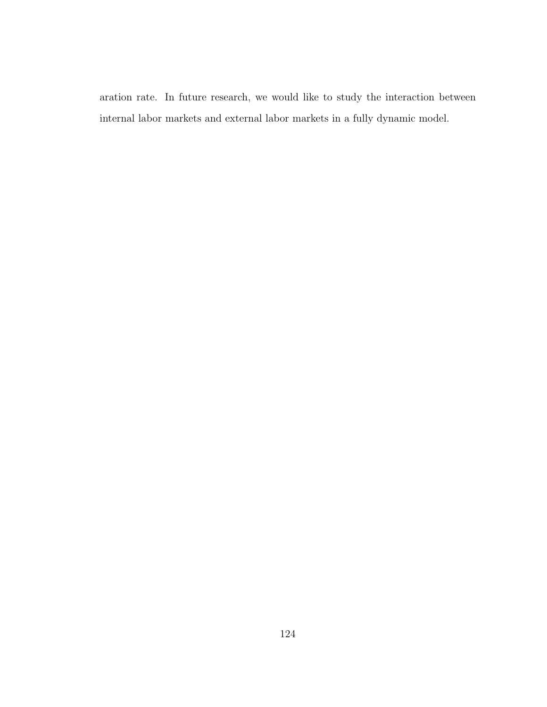aration rate. In future research, we would like to study the interaction between internal labor markets and external labor markets in a fully dynamic model.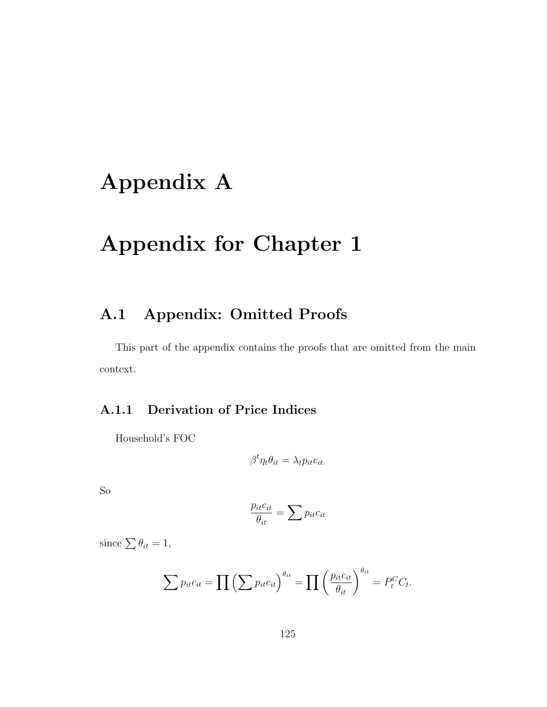# Appendix A

# Appendix for Chapter 1

## A.1 Appendix: Omitted Proofs

This part of the appendix contains the proofs that are omitted from the main context.

## A.1.1 Derivation of Price Indices

Household's FOC

$$
\beta^t \eta_t \theta_{it} = \lambda_t p_{it} c_{it}
$$

So

$$
\frac{p_{it}c_{it}}{\theta_{it}} = \sum p_{it}c_{it}
$$

since  $\sum \theta_{it} = 1$ ,

$$
\sum p_{it} c_{it} = \prod \left( \sum p_{it} c_{it} \right)^{\theta_{it}} = \prod \left( \frac{p_{it} c_{it}}{\theta_{it}} \right)^{\theta_{it}} = P_t^C C_t.
$$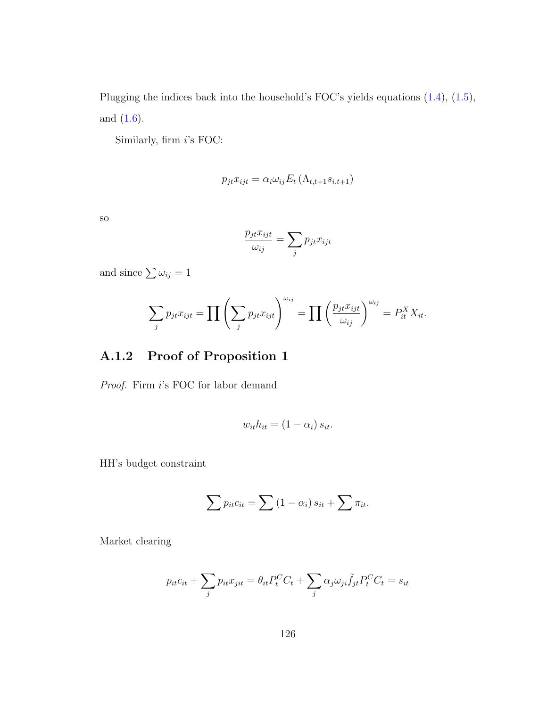Plugging the indices back into the household's FOC's yields equations [\(1.4\)](#page-27-0), [\(1.5\)](#page-27-0), and [\(1.6\)](#page-27-0).

Similarly, firm i's FOC:

$$
p_{jt}x_{ijt} = \alpha_i \omega_{ij} E_t \left( \Lambda_{t,t+1} s_{i,t+1} \right)
$$

so

$$
\frac{p_{jt}x_{ijt}}{\omega_{ij}} = \sum_j p_{jt}x_{ijt}
$$

and since  $\sum \omega_{ij} = 1$ 

$$
\sum_{j} p_{jt} x_{ijt} = \prod \left( \sum_{j} p_{jt} x_{ijt} \right)^{\omega_{ij}} = \prod \left( \frac{p_{jt} x_{ijt}}{\omega_{ij}} \right)^{\omega_{ij}} = P_{it}^{X} X_{it}.
$$

#### A.1.2 Proof of Proposition 1

*Proof.* Firm  $i$ 's FOC for labor demand

$$
w_{it}h_{it} = (1 - \alpha_i) s_{it}.
$$

HH's budget constraint

$$
\sum p_{it} c_{it} = \sum (1 - \alpha_i) s_{it} + \sum \pi_{it}.
$$

Market clearing

$$
p_{it}c_{it} + \sum_{j} p_{it}x_{jit} = \theta_{it}P_t^C C_t + \sum_{j} \alpha_j \omega_{ji} \tilde{f}_{jt} P_t^C C_t = s_{it}
$$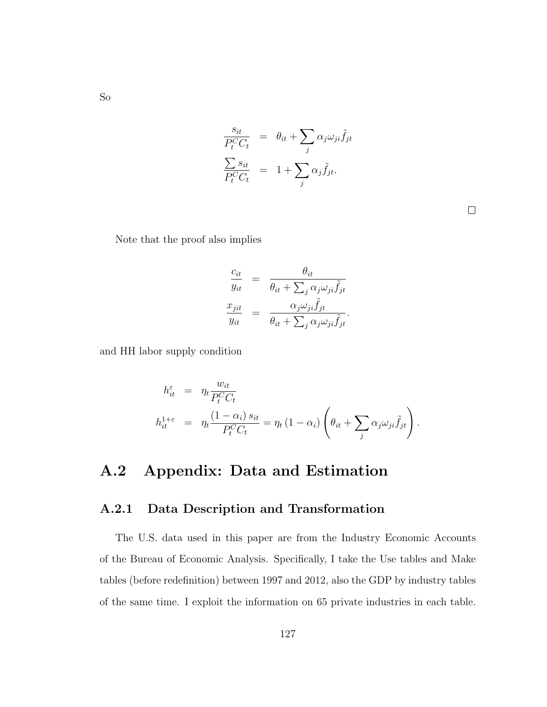$$
\frac{s_{it}}{P_t^C C_t} = \theta_{it} + \sum_j \alpha_j \omega_{ji} \tilde{f}_{jt}
$$

$$
\frac{\sum s_{it}}{P_t^C C_t} = 1 + \sum_j \alpha_j \tilde{f}_{jt}.
$$

 $\Box$ 

Note that the proof also implies

$$
\frac{c_{it}}{y_{it}} = \frac{\theta_{it}}{\theta_{it} + \sum_{j} \alpha_{j} \omega_{ji} \tilde{f}_{jt}}
$$

$$
\frac{x_{jit}}{y_{it}} = \frac{\alpha_{j} \omega_{ji} \tilde{f}_{jt}}{\theta_{it} + \sum_{j} \alpha_{j} \omega_{ji} \tilde{f}_{jt}}.
$$

and HH labor supply condition

$$
h_{it}^{\varepsilon} = \eta_t \frac{w_{it}}{P_t^C C_t}
$$
  

$$
h_{it}^{1+\varepsilon} = \eta_t \frac{(1-\alpha_i)s_{it}}{P_t^C C_t} = \eta_t (1-\alpha_i) \left(\theta_{it} + \sum_j \alpha_j \omega_{ji} \tilde{f}_{jt}\right).
$$

## A.2 Appendix: Data and Estimation

#### A.2.1 Data Description and Transformation

The U.S. data used in this paper are from the Industry Economic Accounts of the Bureau of Economic Analysis. Specifically, I take the Use tables and Make tables (before redefinition) between 1997 and 2012, also the GDP by industry tables of the same time. I exploit the information on 65 private industries in each table.

So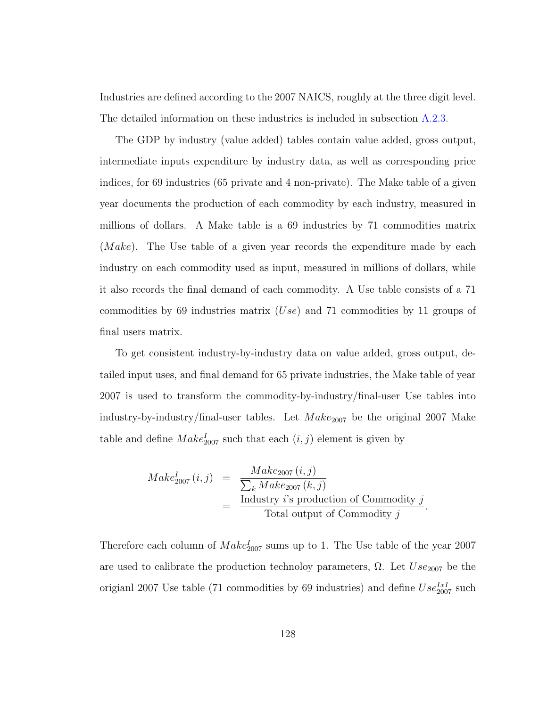Industries are defined according to the 2007 NAICS, roughly at the three digit level. The detailed information on these industries is included in subsection [A.2.3.](#page-147-0)

The GDP by industry (value added) tables contain value added, gross output, intermediate inputs expenditure by industry data, as well as corresponding price indices, for 69 industries (65 private and 4 non-private). The Make table of a given year documents the production of each commodity by each industry, measured in millions of dollars. A Make table is a 69 industries by 71 commodities matrix (*Make*). The Use table of a given year records the expenditure made by each industry on each commodity used as input, measured in millions of dollars, while it also records the final demand of each commodity. A Use table consists of a 71 commodities by 69 industries matrix  $(Use)$  and 71 commodities by 11 groups of final users matrix.

To get consistent industry-by-industry data on value added, gross output, detailed input uses, and final demand for 65 private industries, the Make table of year 2007 is used to transform the commodity-by-industry/final-user Use tables into industry-by-industry/final-user tables. Let  $Make_{2007}$  be the original 2007 Make table and define  $\mathit{Make}_{2007}^I$  such that each  $(i, j)$  element is given by

$$
Make_{2007}^{I}(i,j) = \frac{Make_{2007}(i,j)}{\sum_{k} Make_{2007}(k,j)}
$$
  
= 
$$
\frac{\text{Industry } i\text{'s production of Commodity } j}{\text{Total output of Commodity } j}.
$$

Therefore each column of  $Make_{2007}^I$  sums up to 1. The Use table of the year 2007 are used to calibrate the production technoloy parameters,  $\Omega$ . Let  $Use_{2007}$  be the origianl 2007 Use table (71 commodities by 69 industries) and define  $Use_{2007}^{IxI}$  such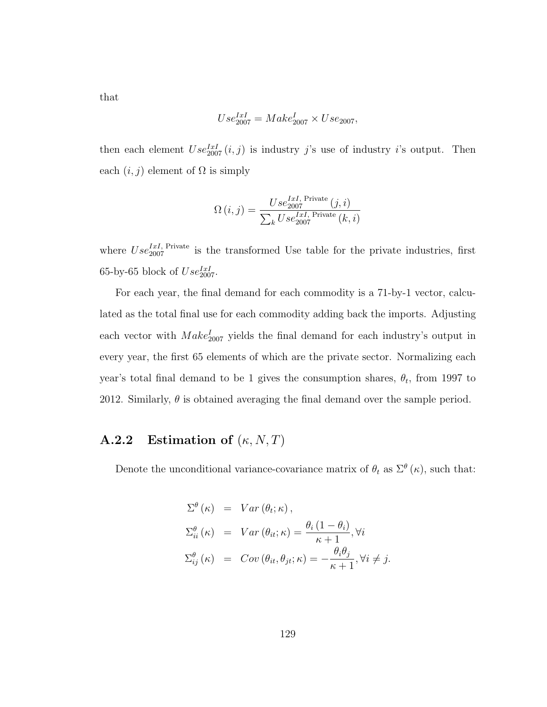that

$$
Use_{2007}^{IxI} = Make_{2007}^{I} \times Use_{2007},
$$

then each element  $Use_{2007}^{IxI}(i,j)$  is industry j's use of industry i's output. Then each  $(i, j)$  element of  $\Omega$  is simply

$$
\Omega\left(i,j\right) = \frac{Use_{2007}^{IxI, \text{ Private}}\left(j,i\right)}{\sum_{k}Use_{2007}^{IxI, \text{ Private}}\left(k,i\right)}
$$

where  $Use_{2007}^{IxI, Private}$  is the transformed Use table for the private industries, first 65-by-65 block of  $Use_{2007}^{IxI}$ .

For each year, the final demand for each commodity is a 71-by-1 vector, calculated as the total final use for each commodity adding back the imports. Adjusting each vector with  $\mathit{Make}^I_{2007}$  yields the final demand for each industry's output in every year, the first 65 elements of which are the private sector. Normalizing each year's total final demand to be 1 gives the consumption shares,  $\theta_t$ , from 1997 to 2012. Similarly,  $\theta$  is obtained averaging the final demand over the sample period.

### **A.2.2** Estimation of  $(\kappa, N, T)$

Denote the unconditional variance-covariance matrix of  $\theta_t$  as  $\Sigma^{\theta}(\kappa)$ , such that:

$$
\Sigma^{\theta}(\kappa) = Var(\theta_t; \kappa),
$$
  
\n
$$
\Sigma_{ii}^{\theta}(\kappa) = Var(\theta_{it}; \kappa) = \frac{\theta_i (1 - \theta_i)}{\kappa + 1}, \forall i
$$
  
\n
$$
\Sigma_{ij}^{\theta}(\kappa) = Cov(\theta_{it}, \theta_{jt}; \kappa) = -\frac{\theta_i \theta_j}{\kappa + 1}, \forall i \neq j.
$$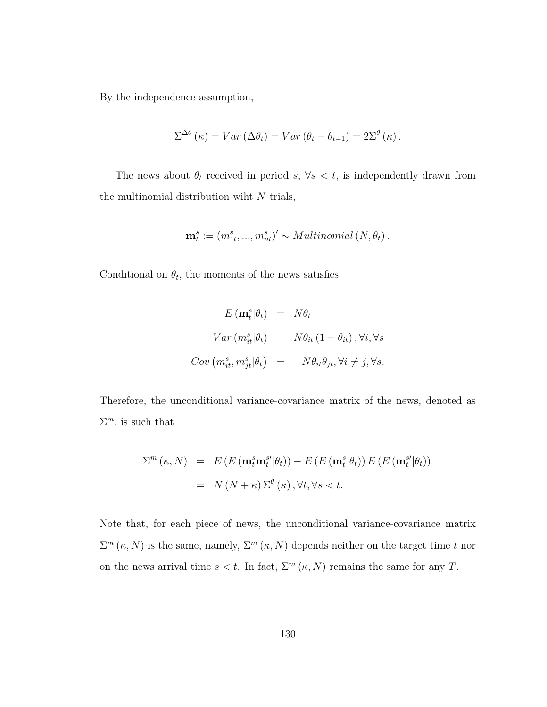By the independence assumption,

$$
\Sigma^{\Delta\theta}(\kappa) = Var(\Delta\theta_t) = Var(\theta_t - \theta_{t-1}) = 2\Sigma^{\theta}(\kappa).
$$

The news about  $\theta_t$  received in period s,  $\forall s < t$ , is independently drawn from the multinomial distribution wiht  $N$  trials,

$$
\mathbf{m}_t^s := (m_{1t}^s, ..., m_{nt}^s)' \sim Multinomial\left(N, \theta_t\right).
$$

Conditional on  $\theta_t$ , the moments of the news satisfies

$$
E(\mathbf{m}_t^s | \theta_t) = N\theta_t
$$
  
\n
$$
Var(m_{it}^s | \theta_t) = N\theta_{it} (1 - \theta_{it}), \forall i, \forall s
$$
  
\n
$$
Cov(m_{it}^s, m_{jt}^s | \theta_t) = -N\theta_{it}\theta_{jt}, \forall i \neq j, \forall s.
$$

Therefore, the unconditional variance-covariance matrix of the news, denoted as  $\Sigma^m$ , is such that

$$
\Sigma^{m}(\kappa, N) = E(E(\mathbf{m}_{t}^{s}\mathbf{m}_{t}^{s}|\theta_{t})) - E(E(\mathbf{m}_{t}^{s}|\theta_{t}))E(E(\mathbf{m}_{t}^{s}|\theta_{t}))
$$
  
=  $N(N + \kappa) \Sigma^{\theta}(\kappa), \forall t, \forall s < t.$ 

Note that, for each piece of news, the unconditional variance-covariance matrix  $\Sigma^m(\kappa, N)$  is the same, namely,  $\Sigma^m(\kappa, N)$  depends neither on the target time t nor on the news arrival time  $s < t$ . In fact,  $\Sigma^m (\kappa, N)$  remains the same for any T.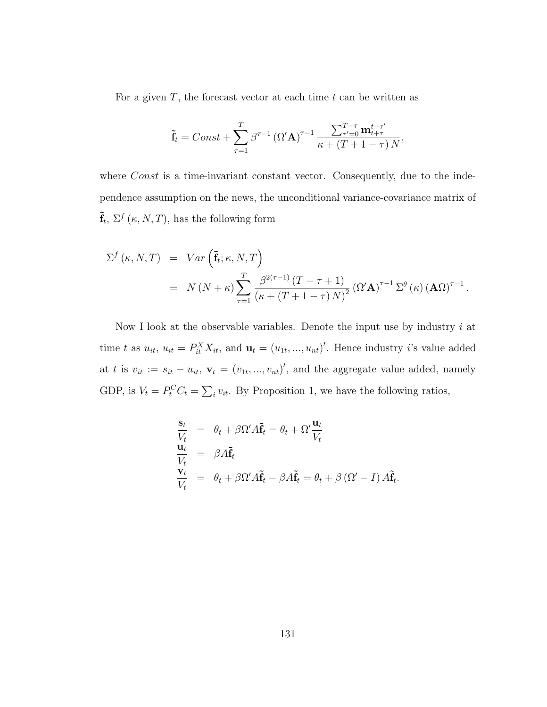For a given  $T$ , the forecast vector at each time  $t$  can be written as

$$
\tilde{\mathbf{f}}_t = Const + \sum_{\tau=1}^T \beta^{\tau-1} (\Omega' \mathbf{A})^{\tau-1} \frac{\sum_{\tau'=0}^{T-\tau} \mathbf{m}_{t+\tau}^{t-\tau'}}{\kappa + (T+1-\tau) N},
$$

where *Const* is a time-invariant constant vector. Consequently, due to the independence assumption on the news, the unconditional variance-covariance matrix of  $\tilde{\mathbf{f}}_t, \Sigma^f(\kappa, N, T)$ , has the following form

$$
\Sigma^{f}(\kappa, N, T) = Var\left(\tilde{\mathbf{f}}_{t}; \kappa, N, T\right)
$$
  
=  $N(N + \kappa) \sum_{\tau=1}^{T} \frac{\beta^{2(\tau-1)} (T - \tau + 1)}{(\kappa + (T + 1 - \tau) N)^{2}} (\Omega' \mathbf{A})^{\tau-1} \Sigma^{\theta}(\kappa) (\mathbf{A} \Omega)^{\tau-1}.$ 

Now I look at the observable variables. Denote the input use by industry  $i$  at time t as  $u_{it}$ ,  $u_{it} = P_{it}^X X_{it}$ , and  $\mathbf{u}_t = (u_{1t}, ..., u_{nt})'$ . Hence industry i's value added at t is  $v_{it} := s_{it} - u_{it}$ ,  $\mathbf{v}_{t} = (v_{1t}, ..., v_{nt})'$ , and the aggregate value added, namely GDP, is  $V_t = P_t^C C_t = \sum_i v_{it}$ . By Proposition 1, we have the following ratios,

$$
\frac{\mathbf{s}_t}{V_t} = \theta_t + \beta \Omega' A \tilde{\mathbf{f}}_t = \theta_t + \Omega' \frac{\mathbf{u}_t}{V_t}
$$
\n
$$
\frac{\mathbf{u}_t}{V_t} = \beta A \tilde{\mathbf{f}}_t
$$
\n
$$
\frac{\mathbf{v}_t}{V_t} = \theta_t + \beta \Omega' A \tilde{\mathbf{f}}_t - \beta A \tilde{\mathbf{f}}_t = \theta_t + \beta (\Omega' - I) A \tilde{\mathbf{f}}_t.
$$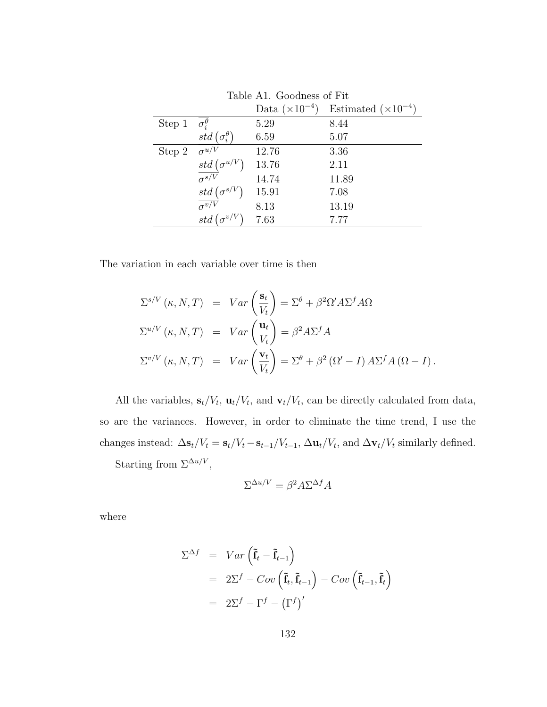| Tapic III. QOOGIICSS OF FIG |                                                                                                        |                         |                              |
|-----------------------------|--------------------------------------------------------------------------------------------------------|-------------------------|------------------------------|
|                             |                                                                                                        | Data $(\times 10^{-4})$ | Estimated $(\times 10^{-4})$ |
| Step 1                      | $\bar{\sigma_i^{\theta}}$                                                                              | 5.29                    | 8.44                         |
|                             | std $(\sigma_i^{\theta})$                                                                              | 6.59                    | 5.07                         |
| Step 2                      | $\overline{\sigma^{u/V}}$                                                                              | 12.76                   | 3.36                         |
|                             | $\frac{std\left(\sigma^{u/V}\right)}{\sigma^{s/V}}$                                                    | 13.76                   | 2.11                         |
|                             |                                                                                                        | 14.74                   | 11.89                        |
|                             |                                                                                                        | 15.91                   | 7.08                         |
|                             |                                                                                                        | 8.13                    | 13.19                        |
|                             | $\frac{std\left(\sigma^{s/V}\right)}{\sigma^{v/V}} \label{eq:relax}$<br>$std\left(\sigma^{v/V}\right)$ | 7.63                    | 7.77                         |

Table A1. Goodness of Fit

The variation in each variable over time is then

$$
\Sigma^{s/V} (\kappa, N, T) = Var \left( \frac{\mathbf{s}_t}{V_t} \right) = \Sigma^{\theta} + \beta^2 \Omega' A \Sigma^f A \Omega
$$
  
\n
$$
\Sigma^{u/V} (\kappa, N, T) = Var \left( \frac{\mathbf{u}_t}{V_t} \right) = \beta^2 A \Sigma^f A
$$
  
\n
$$
\Sigma^{v/V} (\kappa, N, T) = Var \left( \frac{\mathbf{v}_t}{V_t} \right) = \Sigma^{\theta} + \beta^2 (\Omega' - I) A \Sigma^f A (\Omega - I).
$$

All the variables,  $\mathbf{s}_t/V_t$ ,  $\mathbf{u}_t/V_t$ , and  $\mathbf{v}_t/V_t$ , can be directly calculated from data, so are the variances. However, in order to eliminate the time trend, I use the changes instead:  $\Delta s_t/V_t = s_t/V_t - s_{t-1}/V_{t-1}$ ,  $\Delta u_t/V_t$ , and  $\Delta v_t/V_t$  similarly defined. Starting from  $\Sigma^{\Delta u/V}$ ,

$$
\Sigma^{\Delta u/V} = \beta^2 A \Sigma^{\Delta f} A
$$

where

$$
\Sigma^{\Delta f} = Var\left(\tilde{\mathbf{f}}_t - \tilde{\mathbf{f}}_{t-1}\right)
$$
  
=  $2\Sigma^f - Cov\left(\tilde{\mathbf{f}}_t, \tilde{\mathbf{f}}_{t-1}\right) - Cov\left(\tilde{\mathbf{f}}_{t-1}, \tilde{\mathbf{f}}_t\right)$   
=  $2\Sigma^f - \Gamma^f - (\Gamma^f)'$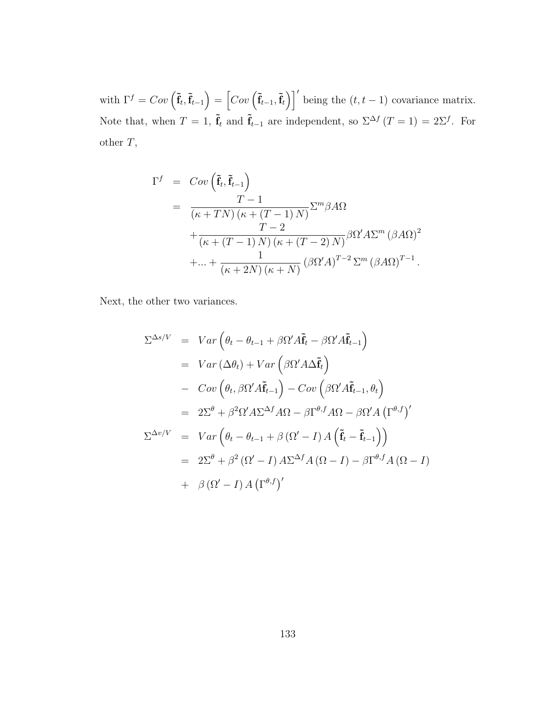with  $\Gamma^f = Cov\left(\tilde{\mathbf{f}}_t, \tilde{\mathbf{f}}_{t-1}\right) = \left[Cov\left(\tilde{\mathbf{f}}_{t-1}, \tilde{\mathbf{f}}_t\right)\right]'$  being the  $(t, t-1)$  covariance matrix. Note that, when  $T = 1$ ,  $\tilde{\mathbf{f}}_t$  and  $\tilde{\mathbf{f}}_{t-1}$  are independent, so  $\Sigma^{\Delta f}$   $(T = 1) = 2\Sigma^f$ . For other  $\cal T,$ 

$$
\Gamma^{f} = Cov\left(\tilde{\mathbf{f}}_{t}, \tilde{\mathbf{f}}_{t-1}\right)
$$
  
= 
$$
\frac{T-1}{\left(\kappa + TN\right)\left(\kappa + \left(T-1\right)N\right)} \Sigma^{m} \beta A\Omega
$$
  
+ 
$$
\frac{T-2}{\left(\kappa + \left(T-1\right)N\right)\left(\kappa + \left(T-2\right)N\right)} \beta \Omega' A \Sigma^{m} \left(\beta A\Omega\right)^{2}
$$
  
+ 
$$
\dots + \frac{1}{\left(\kappa + 2N\right)\left(\kappa + N\right)} \left(\beta \Omega' A\right)^{T-2} \Sigma^{m} \left(\beta A\Omega\right)^{T-1}.
$$

Next, the other two variances.

$$
\Sigma^{\Delta s/V} = Var \left( \theta_t - \theta_{t-1} + \beta \Omega' A \tilde{\mathbf{f}}_t - \beta \Omega' A \tilde{\mathbf{f}}_{t-1} \right)
$$
  
\n
$$
= Var (\Delta \theta_t) + Var \left( \beta \Omega' A \Delta \tilde{\mathbf{f}}_t \right)
$$
  
\n
$$
- Cov \left( \theta_t, \beta \Omega' A \tilde{\mathbf{f}}_{t-1} \right) - Cov \left( \beta \Omega' A \tilde{\mathbf{f}}_{t-1}, \theta_t \right)
$$
  
\n
$$
= 2\Sigma^{\theta} + \beta^2 \Omega' A \Sigma^{\Delta f} A \Omega - \beta \Gamma^{\theta, f} A \Omega - \beta \Omega' A \left( \Gamma^{\theta, f} \right)'
$$
  
\n
$$
\Sigma^{\Delta v/V} = Var \left( \theta_t - \theta_{t-1} + \beta (\Omega' - I) A \left( \tilde{\mathbf{f}}_t - \tilde{\mathbf{f}}_{t-1} \right) \right)
$$
  
\n
$$
= 2\Sigma^{\theta} + \beta^2 (\Omega' - I) A \Sigma^{\Delta f} A (\Omega - I) - \beta \Gamma^{\theta, f} A (\Omega - I)
$$
  
\n
$$
+ \beta (\Omega' - I) A (\Gamma^{\theta, f})'
$$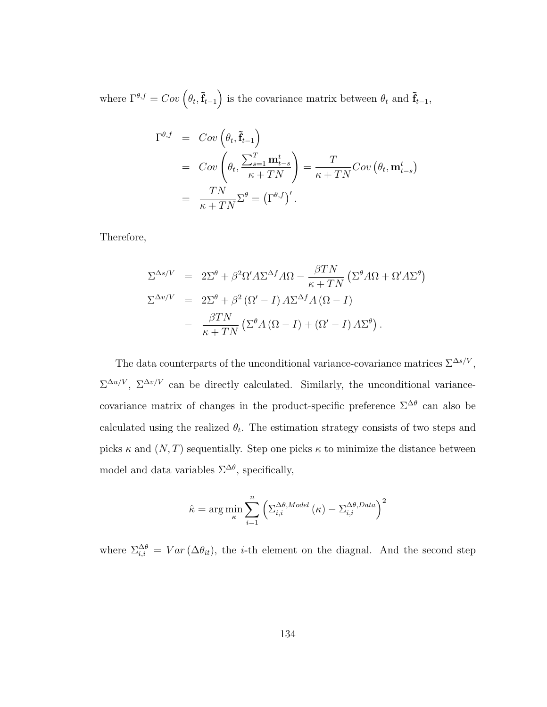where  $\Gamma^{\theta,f} = Cov\left(\theta_t, \tilde{\mathbf{f}}_{t-1}\right)$  is the covariance matrix between  $\theta_t$  and  $\tilde{\mathbf{f}}_{t-1}$ ,

$$
\Gamma^{\theta,f} = Cov\left(\theta_t, \tilde{\mathbf{f}}_{t-1}\right)
$$
  
=  $Cov\left(\theta_t, \frac{\sum_{s=1}^T \mathbf{m}_{t-s}^t}{\kappa + TN}\right) = \frac{T}{\kappa + TN}Cov\left(\theta_t, \mathbf{m}_{t-s}^t\right)$   
=  $\frac{TN}{\kappa + TN}\Sigma^{\theta} = (\Gamma^{\theta,f})'.$ 

Therefore,

$$
\Sigma^{\Delta s/V} = 2\Sigma^{\theta} + \beta^2 \Omega' A \Sigma^{\Delta f} A \Omega - \frac{\beta T N}{\kappa + T N} \left( \Sigma^{\theta} A \Omega + \Omega' A \Sigma^{\theta} \right)
$$
  

$$
\Sigma^{\Delta v/V} = 2\Sigma^{\theta} + \beta^2 (\Omega' - I) A \Sigma^{\Delta f} A (\Omega - I)
$$
  

$$
- \frac{\beta T N}{\kappa + T N} \left( \Sigma^{\theta} A (\Omega - I) + (\Omega' - I) A \Sigma^{\theta} \right).
$$

The data counterparts of the unconditional variance-covariance matrices  $\Sigma^{\Delta s/V}$ ,  $\Sigma^{\Delta u/V}$ ,  $\Sigma^{\Delta v/V}$  can be directly calculated. Similarly, the unconditional variancecovariance matrix of changes in the product-specific preference  $\Sigma^{\Delta\theta}$  can also be calculated using the realized  $\theta_t$ . The estimation strategy consists of two steps and picks  $\kappa$  and  $(N, T)$  sequentially. Step one picks  $\kappa$  to minimize the distance between model and data variables  $\Sigma^{\Delta\theta}$ , specifically,

$$
\hat{\kappa} = \arg \min_{\kappa} \sum_{i=1}^{n} \left( \sum_{i,i}^{\Delta \theta, Model} (\kappa) - \sum_{i,i}^{\Delta \theta, Data} \right)^2
$$

where  $\Sigma_{i,i}^{\Delta\theta} = Var(\Delta\theta_{it})$ , the *i*-th element on the diagnal. And the second step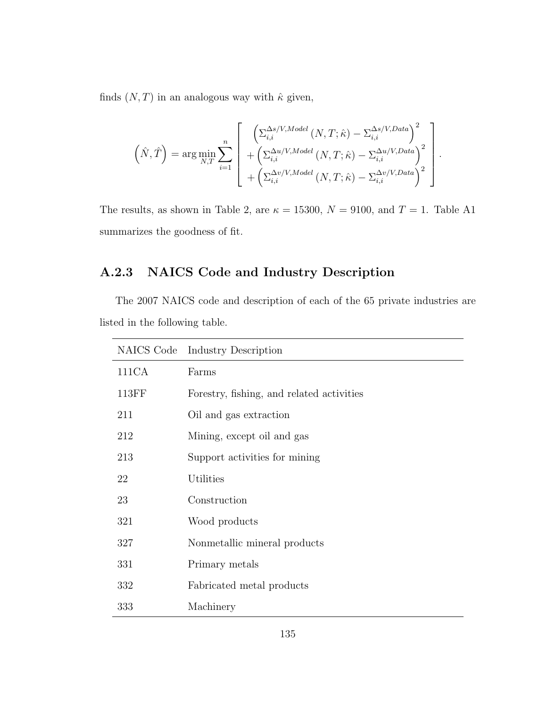finds  $(N, T)$  in an analogous way with  $\hat{\kappa}$  given,

$$
\left(\hat{N},\hat{T}\right) = \arg\min_{N,T} \sum_{i=1}^{n} \left[ \begin{array}{c} \left(\sum_{i,i}^{\Delta s/V, Model}\left(N,T;\hat{\kappa}\right) - \sum_{i,i}^{\Delta s/V, Data}\right)^{2} \\ + \left(\sum_{i,i}^{\Delta u/V, Model}\left(N,T;\hat{\kappa}\right) - \sum_{i,i}^{\Delta u/V, Data}\right)^{2} \\ + \left(\sum_{i,i}^{\Delta v/V, Model}\left(N,T;\hat{\kappa}\right) - \sum_{i,i}^{\Delta v/V, Data}\right)^{2} \end{array} \right].
$$

The results, as shown in Table 2, are  $\kappa = 15300$ ,  $N = 9100$ , and  $T = 1$ . Table A1 summarizes the goodness of fit.

#### A.2.3 NAICS Code and Industry Description

The 2007 NAICS code and description of each of the 65 private industries are listed in the following table.

|       | NAICS Code Industry Description           |
|-------|-------------------------------------------|
| 111CA | Farms                                     |
| 113FF | Forestry, fishing, and related activities |
| 211   | Oil and gas extraction                    |
| 212   | Mining, except oil and gas                |
| 213   | Support activities for mining             |
| 22    | Utilities                                 |
| 23    | Construction                              |
| 321   | Wood products                             |
| 327   | Nonmetallic mineral products              |
| 331   | Primary metals                            |
| 332   | Fabricated metal products                 |
| 333   | Machinery                                 |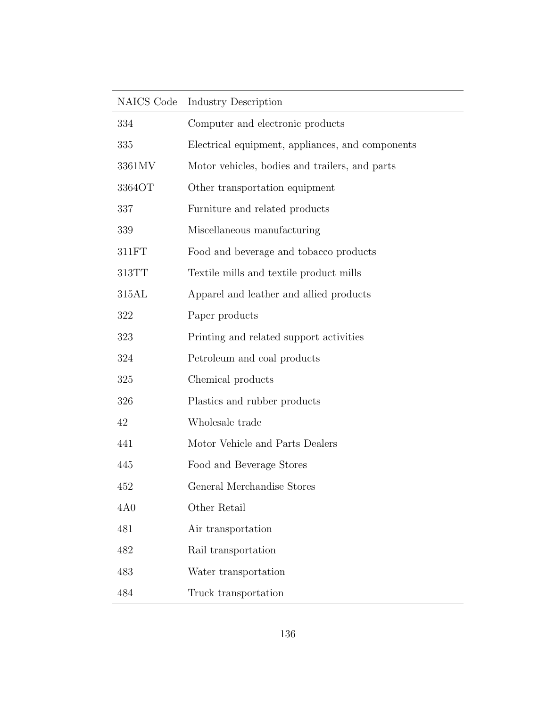| NAICS Code | <b>Industry Description</b>                      |
|------------|--------------------------------------------------|
| 334        | Computer and electronic products                 |
| 335        | Electrical equipment, appliances, and components |
| 3361MV     | Motor vehicles, bodies and trailers, and parts   |
| 3364OT     | Other transportation equipment                   |
| 337        | Furniture and related products                   |
| 339        | Miscellaneous manufacturing                      |
| 311FT      | Food and beverage and tobacco products           |
| 313TT      | Textile mills and textile product mills          |
| 315AL      | Apparel and leather and allied products          |
| 322        | Paper products                                   |
| 323        | Printing and related support activities          |
| 324        | Petroleum and coal products                      |
| 325        | Chemical products                                |
| 326        | Plastics and rubber products                     |
| 42         | Wholesale trade                                  |
| 441        | Motor Vehicle and Parts Dealers                  |
| 445        | Food and Beverage Stores                         |
| 452        | General Merchandise Stores                       |
| 4A0        | Other Retail                                     |
| 481        | Air transportation                               |
| 482        | Rail transportation                              |
| 483        | Water transportation                             |
| 484        | Truck transportation                             |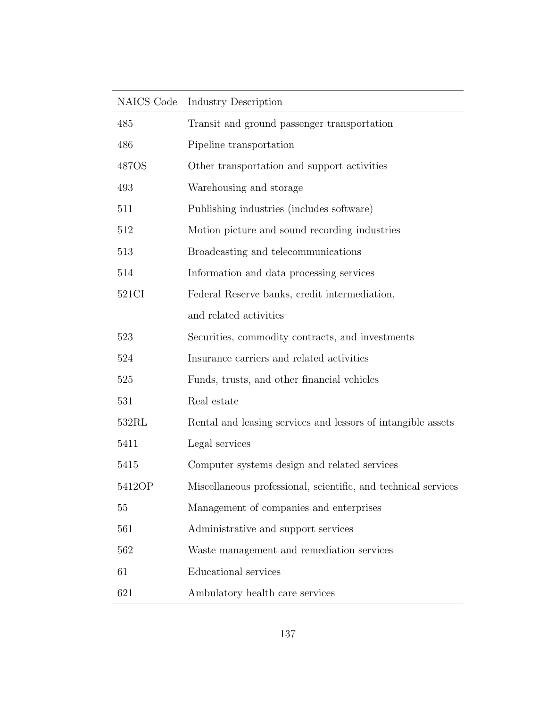| NAICS Code       | Industry Description                                           |
|------------------|----------------------------------------------------------------|
| 485              | Transit and ground passenger transportation                    |
| 486              | Pipeline transportation                                        |
| 487OS            | Other transportation and support activities                    |
| 493              | Warehousing and storage                                        |
| 511              | Publishing industries (includes software)                      |
| 512              | Motion picture and sound recording industries                  |
| 513              | Broadcasting and telecommunications                            |
| 514              | Information and data processing services                       |
| 521CI            | Federal Reserve banks, credit intermediation,                  |
|                  | and related activities                                         |
| 523              | Securities, commodity contracts, and investments               |
| 524              | Insurance carriers and related activities                      |
| 525              | Funds, trusts, and other financial vehicles                    |
| $531\,$          | Real estate                                                    |
| $532\mathrm{RL}$ | Rental and leasing services and lessors of intangible assets   |
| 5411             | Legal services                                                 |
| 5415             | Computer systems design and related services                   |
| 5412OP           | Miscellaneous professional, scientific, and technical services |
| 55               | Management of companies and enterprises                        |
| 561              | Administrative and support services                            |
| 562              | Waste management and remediation services                      |
| 61               | Educational services                                           |
| 621              | Ambulatory health care services                                |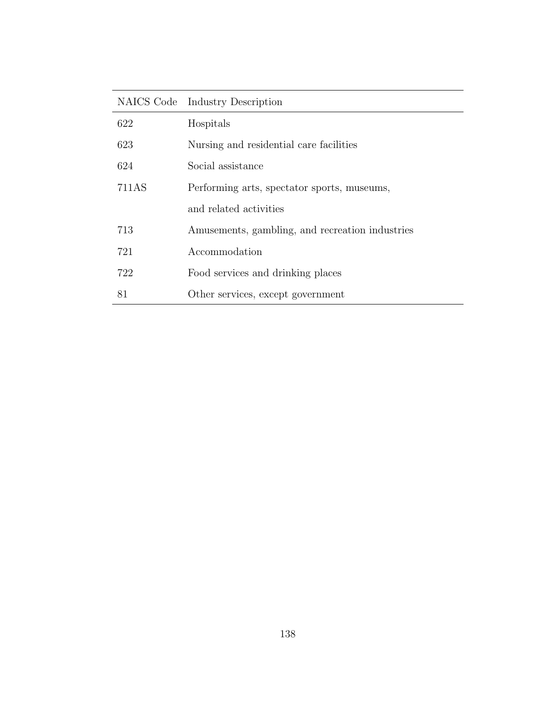|       | NAICS Code Industry Description                 |
|-------|-------------------------------------------------|
| 622   | Hospitals                                       |
| 623   | Nursing and residential care facilities         |
| 624   | Social assistance                               |
| 711AS | Performing arts, spectator sports, museums,     |
|       | and related activities                          |
| 713   | Amusements, gambling, and recreation industries |
| 721   | Accommodation                                   |
| 722   | Food services and drinking places               |
| 81    | Other services, except government               |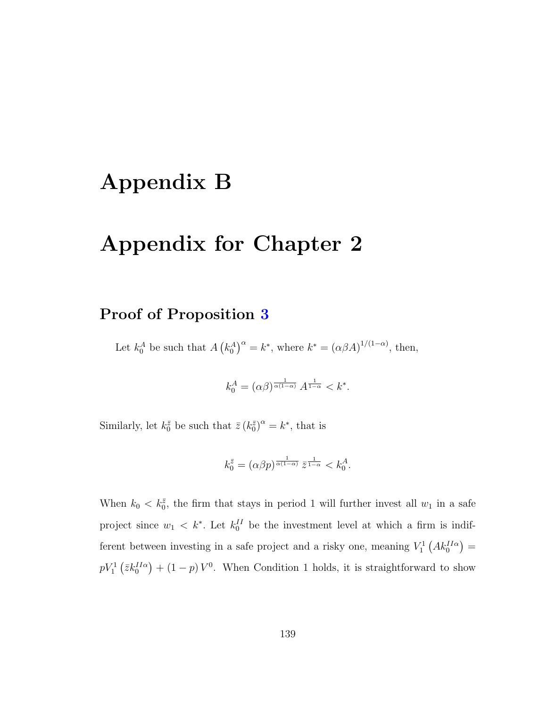# Appendix B

# Appendix for Chapter 2

### Proof of Proposition [3](#page-81-0)

Let  $k_0^A$  be such that  $A(k_0^A)^\alpha = k^*$ , where  $k^* = (\alpha \beta A)^{1/(1-\alpha)}$ , then,

$$
k_0^A = (\alpha \beta)^{\frac{1}{\alpha(1-\alpha)}} A^{\frac{1}{1-\alpha}} < k^*.
$$

Similarly, let  $k_0^{\bar{z}}$  be such that  $\bar{z}$   $(k_0^{\bar{z}})^{\alpha} = k^*$ , that is

$$
k_0^{\bar{z}} = (\alpha \beta p)^{\frac{1}{\alpha(1-\alpha)}} \bar{z}^{\frac{1}{1-\alpha}} < k_0^A.
$$

When  $k_0 < k_0^{\bar{z}}$ , the firm that stays in period 1 will further invest all  $w_1$  in a safe project since  $w_1 \, \langle \, k^* \rangle$ . Let  $k_0^{\text{II}}$  be the investment level at which a firm is indifferent between investing in a safe project and a risky one, meaning  $V_1^1(Ak_0^{II\alpha}) =$  $pV_1^1(\bar{z}k_0^{II\alpha}) + (1-p)V^0$ . When Condition 1 holds, it is straightforward to show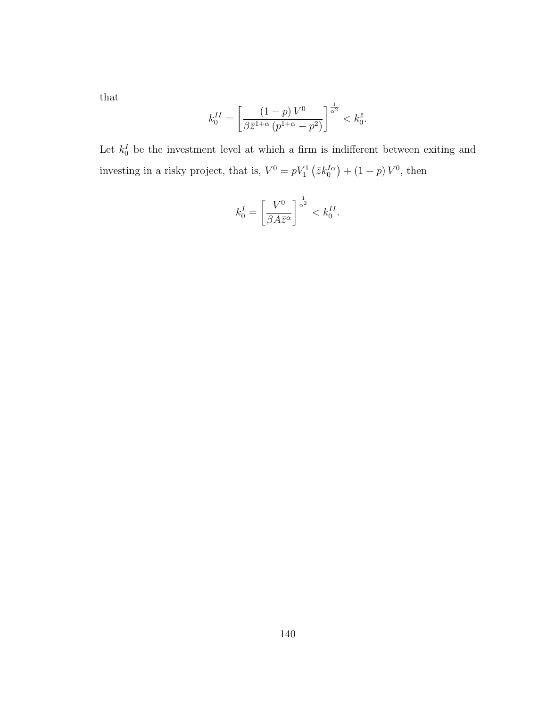that

$$
k_0^{II}=\left[\frac{\left(1-p\right)V^0}{\beta\bar{z}^{1+\alpha}\left(p^{1+\alpha}-p^2\right)}\right]^{\frac{1}{\alpha^2}}
$$

Let  $k_0^I$  be the investment level at which a firm is indifferent between exiting and investing in a risky project, that is,  $V^0 = pV_1^1 (\bar{z}k_0^{I\alpha}) + (1 - p)V_0^0$ , then

$$
k_0^I = \left[\frac{V^0}{\beta A \bar{z}^\alpha}\right]^{\frac{1}{\alpha^2}} < k_0^{II}.
$$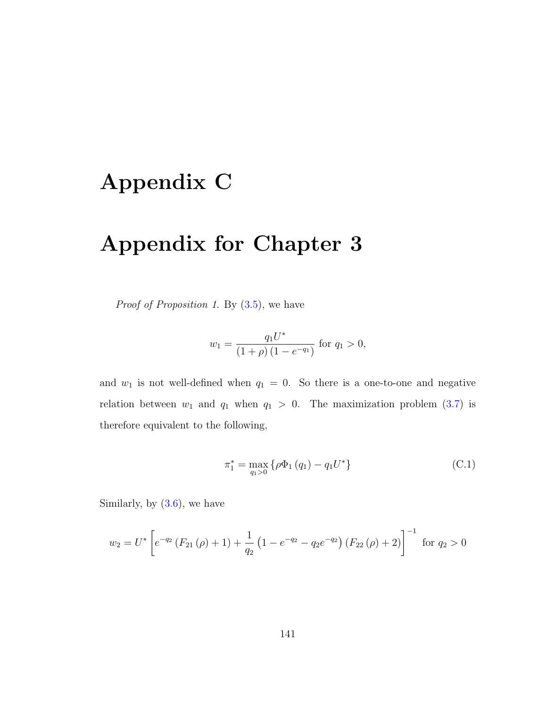# Appendix C

# Appendix for Chapter 3

Proof of Proposition 1. By  $(3.5)$ , we have

$$
w_1 = \frac{q_1 U^*}{(1+\rho)(1-e^{-q_1})} \text{ for } q_1 > 0,
$$

and  $w_1$  is not well-defined when  $q_1 = 0$ . So there is a one-to-one and negative relation between  $w_1$  and  $q_1$  when  $q_1 > 0$ . The maximization problem [\(3.7\)](#page-125-0) is therefore equivalent to the following,

<span id="page-153-0"></span>
$$
\pi_1^* = \max_{q_1 > 0} \{ \rho \Phi_1 \left( q_1 \right) - q_1 U^* \} \tag{C.1}
$$

Similarly, by  $(3.6)$ , we have

$$
w_2 = U^* \left[ e^{-q_2} \left( F_{21}(\rho) + 1 \right) + \frac{1}{q_2} \left( 1 - e^{-q_2} - q_2 e^{-q_2} \right) \left( F_{22}(\rho) + 2 \right) \right]^{-1} \text{ for } q_2 > 0
$$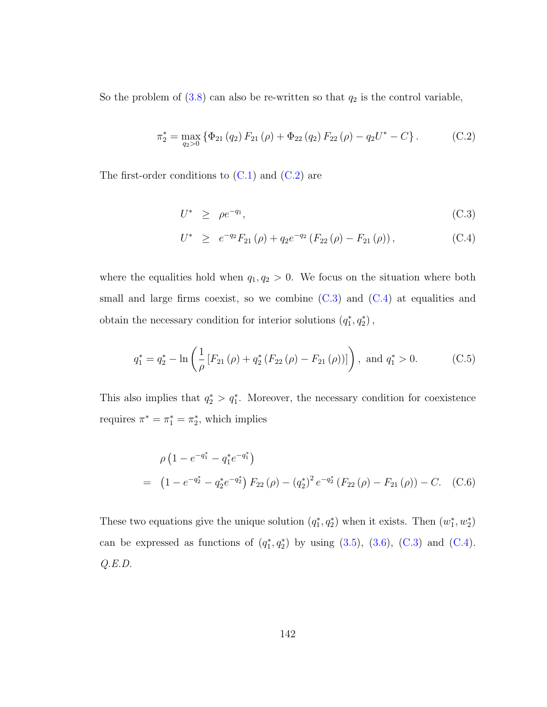So the problem of  $(3.8)$  can also be re-written so that  $q_2$  is the control variable,

<span id="page-154-0"></span>
$$
\pi_2^* = \max_{q_2 > 0} \left\{ \Phi_{21}(q_2) F_{21}(\rho) + \Phi_{22}(q_2) F_{22}(\rho) - q_2 U^* - C \right\}.
$$
 (C.2)

The first-order conditions to  $(C.1)$  and  $(C.2)$  are

<span id="page-154-1"></span>
$$
U^* \ge \rho e^{-q_1}, \tag{C.3}
$$

$$
U^* \ge e^{-q_2} F_{21}(\rho) + q_2 e^{-q_2} (F_{22}(\rho) - F_{21}(\rho)), \qquad (C.4)
$$

where the equalities hold when  $q_1, q_2 > 0$ . We focus on the situation where both small and large firms coexist, so we combine  $(C.3)$  and  $(C.4)$  at equalities and obtain the necessary condition for interior solutions  $(q_1^*, q_2^*)$ ,

$$
q_1^* = q_2^* - \ln\left(\frac{1}{\rho} \left[F_{21}\left(\rho\right) + q_2^*\left(F_{22}\left(\rho\right) - F_{21}\left(\rho\right)\right)\right]\right), \text{ and } q_1^* > 0. \tag{C.5}
$$

This also implies that  $q_2^* > q_1^*$ . Moreover, the necessary condition for coexistence requires  $\pi^* = \pi_1^* = \pi_2^*$ , which implies

$$
\rho \left( 1 - e^{-q_1^*} - q_1^* e^{-q_1^*} \right)
$$
  
= 
$$
\left( 1 - e^{-q_2^*} - q_2^* e^{-q_2^*} \right) F_{22} (\rho) - \left( q_2^* \right)^2 e^{-q_2^*} \left( F_{22} (\rho) - F_{21} (\rho) \right) - C. \quad (C.6)
$$

These two equations give the unique solution  $(q_1^*, q_2^*)$  when it exists. Then  $(w_1^*, w_2^*)$ can be expressed as functions of  $(q_1^*, q_2^*)$  by using  $(3.5)$ ,  $(3.6)$ ,  $(C.3)$  and  $(C.4)$ . Q.E.D.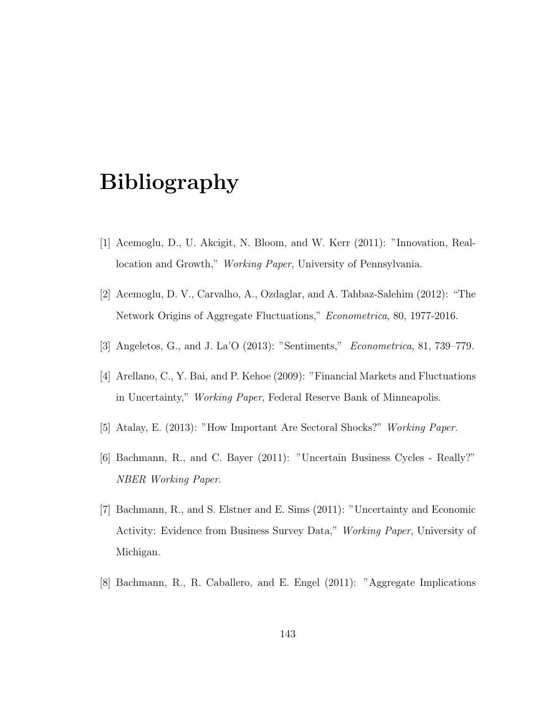# Bibliography

- [1] Acemoglu, D., U. Akcigit, N. Bloom, and W. Kerr (2011): "Innovation, Reallocation and Growth," Working Paper, University of Pennsylvania.
- [2] Acemoglu, D. V., Carvalho, A., Ozdaglar, and A. Tahbaz-Salehim (2012): "The Network Origins of Aggregate Fluctuations," Econometrica, 80, 1977-2016.
- [3] Angeletos, G., and J. La'O (2013): "Sentiments," Econometrica, 81, 739–779.
- [4] Arellano, C., Y. Bai, and P. Kehoe (2009): "Financial Markets and Fluctuations in Uncertainty," Working Paper, Federal Reserve Bank of Minneapolis.
- [5] Atalay, E. (2013): "How Important Are Sectoral Shocks?" Working Paper.
- [6] Bachmann, R., and C. Bayer (2011): "Uncertain Business Cycles Really?" NBER Working Paper.
- [7] Bachmann, R., and S. Elstner and E. Sims (2011): "Uncertainty and Economic Activity: Evidence from Business Survey Data," Working Paper, University of Michigan.
- [8] Bachmann, R., R. Caballero, and E. Engel (2011): "Aggregate Implications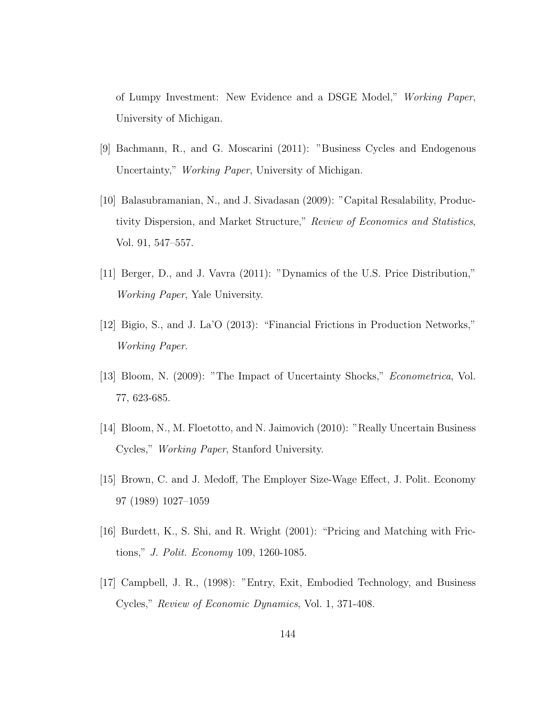of Lumpy Investment: New Evidence and a DSGE Model," Working Paper, University of Michigan.

- [9] Bachmann, R., and G. Moscarini (2011): "Business Cycles and Endogenous Uncertainty," Working Paper, University of Michigan.
- [10] Balasubramanian, N., and J. Sivadasan (2009): "Capital Resalability, Productivity Dispersion, and Market Structure," Review of Economics and Statistics, Vol. 91, 547–557.
- [11] Berger, D., and J. Vavra (2011): "Dynamics of the U.S. Price Distribution," Working Paper, Yale University.
- [12] Bigio, S., and J. La'O (2013): "Financial Frictions in Production Networks," Working Paper.
- [13] Bloom, N. (2009): "The Impact of Uncertainty Shocks," Econometrica, Vol. 77, 623-685.
- [14] Bloom, N., M. Floetotto, and N. Jaimovich (2010): "Really Uncertain Business Cycles," Working Paper, Stanford University.
- [15] Brown, C. and J. Medoff, The Employer Size-Wage Effect, J. Polit. Economy 97 (1989) 1027–1059
- [16] Burdett, K., S. Shi, and R. Wright (2001): "Pricing and Matching with Frictions," J. Polit. Economy 109, 1260-1085.
- [17] Campbell, J. R., (1998): "Entry, Exit, Embodied Technology, and Business Cycles," Review of Economic Dynamics, Vol. 1, 371-408.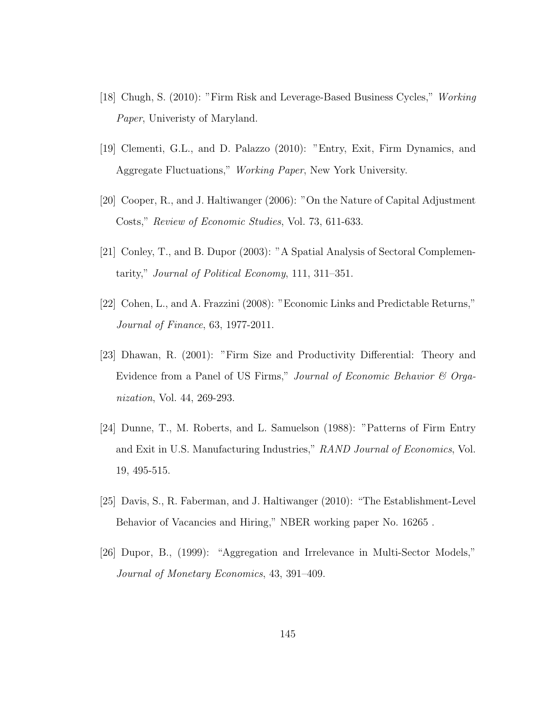- [18] Chugh, S. (2010): "Firm Risk and Leverage-Based Business Cycles," Working Paper, Univeristy of Maryland.
- [19] Clementi, G.L., and D. Palazzo (2010): "Entry, Exit, Firm Dynamics, and Aggregate Fluctuations," Working Paper, New York University.
- [20] Cooper, R., and J. Haltiwanger (2006): "On the Nature of Capital Adjustment Costs," Review of Economic Studies, Vol. 73, 611-633.
- [21] Conley, T., and B. Dupor (2003): "A Spatial Analysis of Sectoral Complementarity," Journal of Political Economy, 111, 311–351.
- [22] Cohen, L., and A. Frazzini (2008): "Economic Links and Predictable Returns," Journal of Finance, 63, 1977-2011.
- [23] Dhawan, R. (2001): "Firm Size and Productivity Differential: Theory and Evidence from a Panel of US Firms," Journal of Economic Behavior & Organization, Vol. 44, 269-293.
- [24] Dunne, T., M. Roberts, and L. Samuelson (1988): "Patterns of Firm Entry and Exit in U.S. Manufacturing Industries," RAND Journal of Economics, Vol. 19, 495-515.
- [25] Davis, S., R. Faberman, and J. Haltiwanger (2010): "The Establishment-Level Behavior of Vacancies and Hiring," NBER working paper No. 16265 .
- [26] Dupor, B., (1999): "Aggregation and Irrelevance in Multi-Sector Models," Journal of Monetary Economics, 43, 391–409.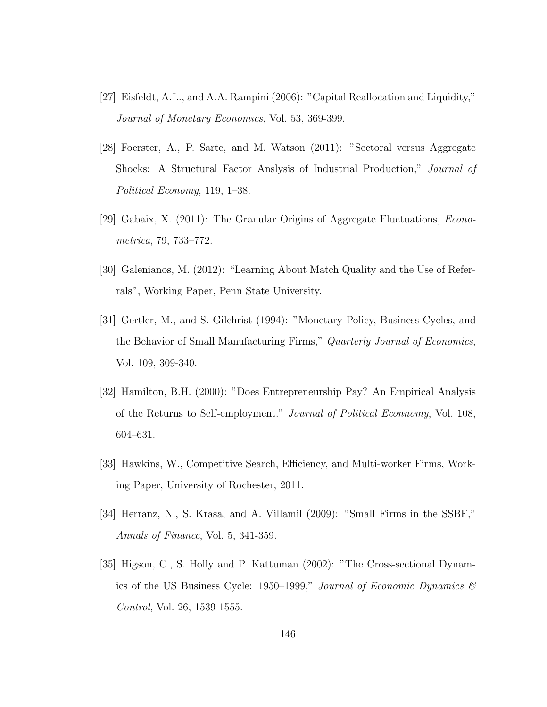- [27] Eisfeldt, A.L., and A.A. Rampini (2006): "Capital Reallocation and Liquidity," Journal of Monetary Economics, Vol. 53, 369-399.
- [28] Foerster, A., P. Sarte, and M. Watson (2011): "Sectoral versus Aggregate Shocks: A Structural Factor Anslysis of Industrial Production," Journal of Political Economy, 119, 1–38.
- [29] Gabaix, X. (2011): The Granular Origins of Aggregate Fluctuations, Econometrica, 79, 733–772.
- [30] Galenianos, M. (2012): "Learning About Match Quality and the Use of Referrals", Working Paper, Penn State University.
- [31] Gertler, M., and S. Gilchrist (1994): "Monetary Policy, Business Cycles, and the Behavior of Small Manufacturing Firms," Quarterly Journal of Economics, Vol. 109, 309-340.
- [32] Hamilton, B.H. (2000): "Does Entrepreneurship Pay? An Empirical Analysis of the Returns to Self-employment." Journal of Political Econnomy, Vol. 108, 604–631.
- [33] Hawkins, W., Competitive Search, Efficiency, and Multi-worker Firms, Working Paper, University of Rochester, 2011.
- [34] Herranz, N., S. Krasa, and A. Villamil (2009): "Small Firms in the SSBF," Annals of Finance, Vol. 5, 341-359.
- [35] Higson, C., S. Holly and P. Kattuman (2002): "The Cross-sectional Dynamics of the US Business Cycle: 1950–1999," Journal of Economic Dynamics & Control, Vol. 26, 1539-1555.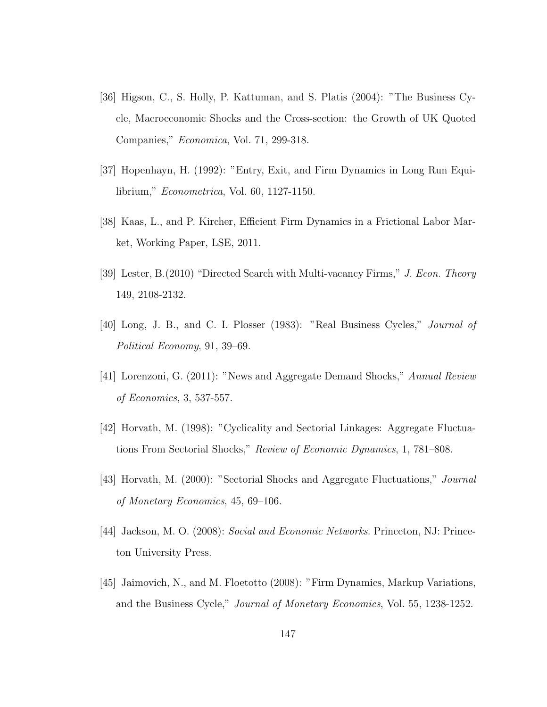- [36] Higson, C., S. Holly, P. Kattuman, and S. Platis (2004): "The Business Cycle, Macroeconomic Shocks and the Cross-section: the Growth of UK Quoted Companies," Economica, Vol. 71, 299-318.
- [37] Hopenhayn, H. (1992): "Entry, Exit, and Firm Dynamics in Long Run Equilibrium," Econometrica, Vol. 60, 1127-1150.
- [38] Kaas, L., and P. Kircher, Efficient Firm Dynamics in a Frictional Labor Market, Working Paper, LSE, 2011.
- [39] Lester, B.(2010) "Directed Search with Multi-vacancy Firms," J. Econ. Theory 149, 2108-2132.
- [40] Long, J. B., and C. I. Plosser (1983): "Real Business Cycles," Journal of Political Economy, 91, 39–69.
- [41] Lorenzoni, G. (2011): "News and Aggregate Demand Shocks," Annual Review of Economics, 3, 537-557.
- [42] Horvath, M. (1998): "Cyclicality and Sectorial Linkages: Aggregate Fluctuations From Sectorial Shocks," Review of Economic Dynamics, 1, 781–808.
- [43] Horvath, M. (2000): "Sectorial Shocks and Aggregate Fluctuations," Journal of Monetary Economics, 45, 69–106.
- [44] Jackson, M. O. (2008): Social and Economic Networks. Princeton, NJ: Princeton University Press.
- [45] Jaimovich, N., and M. Floetotto (2008): "Firm Dynamics, Markup Variations, and the Business Cycle," Journal of Monetary Economics, Vol. 55, 1238-1252.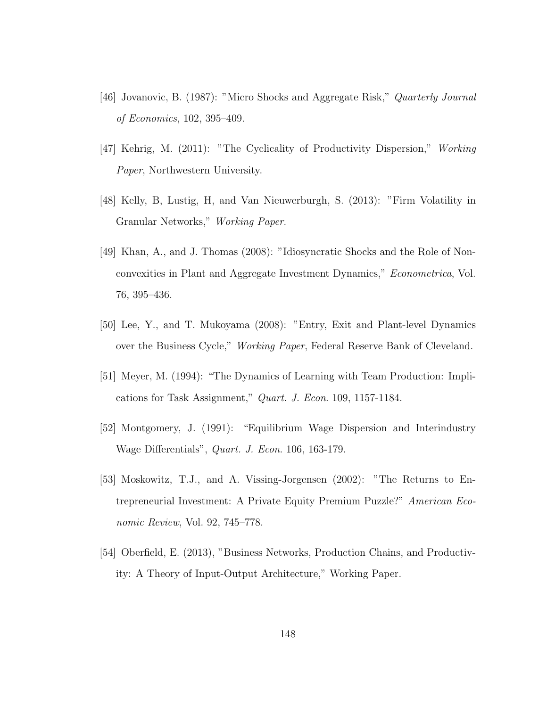- [46] Jovanovic, B. (1987): "Micro Shocks and Aggregate Risk," Quarterly Journal of Economics, 102, 395–409.
- [47] Kehrig, M. (2011): "The Cyclicality of Productivity Dispersion," Working Paper, Northwestern University.
- [48] Kelly, B, Lustig, H, and Van Nieuwerburgh, S. (2013): "Firm Volatility in Granular Networks," Working Paper.
- [49] Khan, A., and J. Thomas (2008): "Idiosyncratic Shocks and the Role of Nonconvexities in Plant and Aggregate Investment Dynamics," Econometrica, Vol. 76, 395–436.
- [50] Lee, Y., and T. Mukoyama (2008): "Entry, Exit and Plant-level Dynamics over the Business Cycle," Working Paper, Federal Reserve Bank of Cleveland.
- [51] Meyer, M. (1994): "The Dynamics of Learning with Team Production: Implications for Task Assignment," Quart. J. Econ. 109, 1157-1184.
- [52] Montgomery, J. (1991): "Equilibrium Wage Dispersion and Interindustry Wage Differentials", Quart. J. Econ. 106, 163-179.
- [53] Moskowitz, T.J., and A. Vissing-Jorgensen (2002): "The Returns to Entrepreneurial Investment: A Private Equity Premium Puzzle?" American Economic Review, Vol. 92, 745–778.
- [54] Oberfield, E. (2013), "Business Networks, Production Chains, and Productivity: A Theory of Input-Output Architecture," Working Paper.